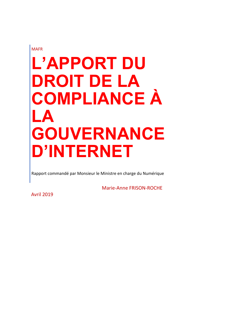MAFR

# **L'APPORT DU DROIT DE LA COMPLIANCE À LA GOUVERNANCE D'INTERNET**

Rapport commandé par Monsieur le Ministre en charge du Numérique

Marie‐Anne FRISON‐ROCHE

Avril 2019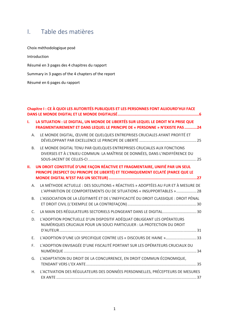# I. Table des matières

| Choix méthodologique posé                          |  |  |
|----------------------------------------------------|--|--|
| Introduction                                       |  |  |
| Résumé en 3 pages des 4 chapitres du rapport       |  |  |
| Summary in 3 pages of the 4 chapters of the report |  |  |
| Résumé en 6 pages du rapport                       |  |  |

| Chapitre I: CE À QUOI LES AUTORITÉS PUBLIQUES ET LES PERSONNES FONT AUJOURD'HUI FACE |                                                                                                                                                                  |  |  |  |
|--------------------------------------------------------------------------------------|------------------------------------------------------------------------------------------------------------------------------------------------------------------|--|--|--|
| ı.                                                                                   | LA SITUATION : LE DIGITAL, UN MONDE DE LIBERTÉS SUR LEQUEL LE DROIT N'A PRISE QUE<br>FRAGMENTAIREMENT ET DANS LEQUEL LE PRINCIPE DE « PERSONNE » N'EXISTE PAS 24 |  |  |  |
| A.                                                                                   | LE MONDE DIGITAL, ŒUVRE DE QUELQUES ENTREPRISES CRUCIALES AYANT PROFITÉ ET                                                                                       |  |  |  |
| <b>B.</b>                                                                            | LE MONDE DIGITAL TENU PAR QUELQUES ENTREPRISES CRUCIALES AUX FONCTIONS<br>DIVERSES ET À L'ENJEU COMMUN: LA MAÎTRISE DE DONNÉES, DANS L'INDIFFÉRENCE DU           |  |  |  |
| Ш.                                                                                   | UN DROIT CONSTITUÉ D'UNE FAÇON RÉACTIVE ET FRAGMENTAIRE, UNIFIÉ PAR UN SEUL<br>PRINCIPE (RESPECT DU PRINCIPE DE LIBERTÉ) ET TECHNIQUEMENT ECLATÉ (PARCE QUE LE   |  |  |  |
| Α.                                                                                   | LA MÉTHODE ACTUELLE : DES SOLUTIONS « RÉACTIVES » ADOPTÉES AU FUR ET À MESURE DE<br>L'APPARITION DE COMPORTEMENTS OU DE SITUATIONS « INSUPPORTABLES »  28        |  |  |  |
| <b>B.</b>                                                                            | L'ASSOCIATION DE LA LÉGITIMITÉ ET DE L'INEFFICACITÉ DU DROIT CLASSIQUE : DROIT PÉNAL                                                                             |  |  |  |
| $\mathsf{C}$ .                                                                       | LA MAIN DES RÉGULATEURS SECTORIELS PLONGEANT DANS LE DIGITAL 30                                                                                                  |  |  |  |
| D.                                                                                   | L'ADOPTION PONCTUELLE D'UN DISPOSITIF ADÉQUAT OBLIGEANT LES OPÉRATEURS<br>NUMÉRIQUES CRUCIAUX POUR UN SOUCI PARTICULIER : LA PROTECTION DU DROIT                 |  |  |  |
| E.                                                                                   | L'ADOPTION D'UNE LOI SPECIFIQUE CONTRE LES « DISCOURS DE HAINE » 33                                                                                              |  |  |  |
| F.                                                                                   | L'ADOPTION ENVISAGÉE D'UNE FISCALITÉ PORTANT SUR LES OPÉRATEURS CRUCIAUX DU                                                                                      |  |  |  |
| G.                                                                                   | L'ADAPTATION DU DROIT DE LA CONCURRENCE, EN DROIT COMMUN ÉCONOMIQUE,                                                                                             |  |  |  |
| H.                                                                                   | L'ACTIVATION DES RÉGULATEURS DES DONNÉES PERSONNELLES, PRÉCEPTEURS DE MESURES                                                                                    |  |  |  |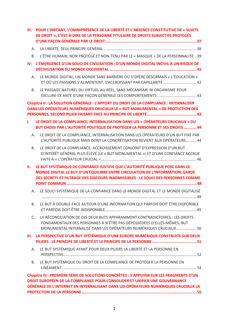| Ш.             | POUR L'INSTANT, L'OMNIPRÉSENCE DE LA LIBERTÉ ET L'ABSENCE CONSTITUTIVE DE « SUJETS<br>DE DROIT », C'EST-À-DIRE DE LA PERSONNE TITULAIRE DE DROITS SUBJECTIFS PROTEGÉS                                                                                       |
|----------------|-------------------------------------------------------------------------------------------------------------------------------------------------------------------------------------------------------------------------------------------------------------|
| Α.             |                                                                                                                                                                                                                                                             |
| <b>B.</b>      | L'ÊTRE HUMAIN, NON PROTÉGÉ ET NON-TENU PAR LE « MASQUE » DE LA PERSONNALITÉ 39                                                                                                                                                                              |
| IV.            | L'ÉMERGENCE D'UN SOUCI DE CIVILISATION : D'UN MONDE DIGITAL INCIVIL À UN RISQUE DE                                                                                                                                                                          |
| Α.             | LE MONDE DIGITAL, UN MONDE SANS BARRIÈRE OÙ S'OPÈRE DÉSORMAIS « L'ÉDUCATION »<br>ET OÙ LES PASSIONS S'ALIMENTENT, S'ACCROISSANT PAR CAPILLARITÉ  42                                                                                                         |
| <b>B.</b>      | LE PASSAGE NATUREL DU VIRTUEL AU RÉEL, SANS MÉCANISME NI ORGANISME POUR                                                                                                                                                                                     |
|                | Chapitre II : LA SOLUTION GÉNÉRALE : L'APPORT DU DROIT DE LA COMPLIANCE : INTERNALISER<br>DANS LES OPÉRATEURS NUMÉRIQUES CRUCIAUX LE « BUT MONUMENTAL » DE PROTECTION DES                                                                                   |
| ı.             | LE DROIT DE LA COMPLIANCE, INTERNALISATION DANS LES « OPÉRATEURS CRUCIAUX » DU<br>BUT CHOISI PAR L'AUTORITÉ POLITIQUE DE PROTÉGER LA PERSONNE ET SES DROITS44                                                                                               |
| Α.             | LE DROIT DE LA COMPLIANCE, INTERNALISATION DANS LES OPÉRATEURS D'UN BUT FIXÉ PAR<br>L'AUTORITÉ PUBLIQUE MAIS DONT LA CONCRÉTISATION REVIENT AUX OPÉRATEURS 44                                                                                               |
| <b>B.</b>      | LE DROIT DE LA COMPLIANCE, ACCROISSEMENT CONJOINT D'EXPRESSION D'UN BUT<br>D'INTÉRÊT GÉNÉRAL PLUS ÉLEVÉ (LE « BUT MONUMENTAL ») ET D'UNE CONFIANCE ACCRUE                                                                                                   |
| Ш.             | LE BUT SYSTÉMIQUE DE CONFIANCE JUSTIFIE QUE L'AUTORITÉ PUBLIQUE POSE DANS LE<br>MONDE DIGITAL LE BUT D'UN ÉQUILIBRE ENTRE CIRCULATION DE L'INFORMATION, GARDE<br>DES SECRETS ET FILTRAGE DES DISCOURS INADMISSIBLES : LE SOUCI DES PERSONNES COMME          |
| A.             | LE SOUCI SYSTÉMIQUE DE LA CONFIANCE DANS LE MONDE DIGITAL ET LE MONDE DIGITALISÉ                                                                                                                                                                            |
| B <sub>1</sub> | LE BUT À DOUBLE-FACE AUTOUR D'UNE INFORMATION QUI PARFOIS DOIT ÊTRE DISPONIBLE                                                                                                                                                                              |
| $\mathsf{C}$ . | LA RÉCONCILIATION DE CES DEUX BUTS APPARAMMENT CONTRADICTOIRES : LES DROITS<br>FONDAMENTAUX DES PERSONNES À N'ÊTRE PAS DÉPOSSÉDÉES D'ELLES-MÊMES, BUT<br>MONUMENTAL INTERNALISÉ DANS LES OPÉRATEURS NUMÉRIQUES CRUCIAUX 50                                  |
|                | III. LA PERSPECTIVE D'UN BUT SYSTÉMIQUE D'UNE EUROPE NUMÉRIQUE CONSTRUITE SUR DEUX                                                                                                                                                                          |
| A.             | LE BUT SYSTÉMIQUE AYANT POUR DEUX PILIERS LA LIBERTÉ ET LA PERSONNE EN                                                                                                                                                                                      |
| <b>B.</b>      | LE BUT SYSTÉMIQUE DU DROIT DE LA COMPLIANCE DE PROTÉGER LA PERSONNE EN                                                                                                                                                                                      |
|                | Chapitre III : PREMIÈRE SÉRIE DE SOLUTIONS CONCRÈTES : S'APPUYER SUR LES FRAGMENTS D'UN<br>DROIT EUROPÉEN DE LA COMPLIANCE POUR CONSOLIDER ET UNIFIER UNE GOUVERNANCE<br>GÉNÉRALE DE L'INTERNET EN INTERNALISANT DANS LES OPÉRATEURS NUMÉRIQUES CRUCIAUX LA |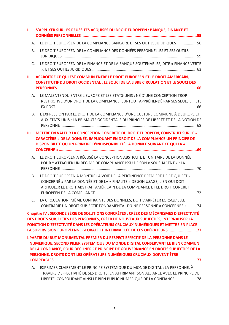| ı.                                                                                                                                                                                                                                                   | S'APPUYER SUR LES RÉUSSITES ACQUISES DU DROIT EUROPÉEN : BANQUE, FINANCE ET                                                                                                                                                                                                                                                                  |  |  |  |  |
|------------------------------------------------------------------------------------------------------------------------------------------------------------------------------------------------------------------------------------------------------|----------------------------------------------------------------------------------------------------------------------------------------------------------------------------------------------------------------------------------------------------------------------------------------------------------------------------------------------|--|--|--|--|
| А.                                                                                                                                                                                                                                                   | LE DROIT EUROPÉEN DE LA COMPLIANCE BANCAIRE ET SES OUTILS JURIDIQUES 56                                                                                                                                                                                                                                                                      |  |  |  |  |
| <b>B.</b>                                                                                                                                                                                                                                            | LE DROIT EUROPÉEN DE LA COMPLIANCE DES DONNÉES PERSONNELLES ET SES OUTILS                                                                                                                                                                                                                                                                    |  |  |  |  |
| $C_{1}$                                                                                                                                                                                                                                              | LE DROIT EUROPÉEN DE LA FINANCE ET DE LA BANQUE SOUTENABLES, DITE « FINANCE VERTE                                                                                                                                                                                                                                                            |  |  |  |  |
| н.                                                                                                                                                                                                                                                   | ACCROÎTRE CE QUI EST COMMUN ENTRE LE DROIT EUROPÉEN ET LE DROIT AMERICAIN,<br><b>CONSTITUTIF DU DROIT OCCIDENTAL : LE SOUCI DE LA LIBRE CIRCULATION ET LE SOUCI DES</b>                                                                                                                                                                      |  |  |  |  |
|                                                                                                                                                                                                                                                      | LE MALENTENDU ENTRE L'EUROPE ET LES ÉTATS-UNIS : NÉ D'UNE CONCEPTION TROP<br>А.<br>RESTRICTIVE D'UN DROIT DE LA COMPLIANCE, SURTOUT APPRÉHENDÉ PAR SES SEULS EFFETS                                                                                                                                                                          |  |  |  |  |
| <b>B.</b>                                                                                                                                                                                                                                            | L'EXPRESSION PAR LE DROIT DE LA COMPLIANCE D'UNE CULTURE COMMUNE À L'EUROPE ET<br>AUX ÉTATS-UNIS : LA PRIMAUTÉ OCCIDENTALE DU PRINCIPE DE LIBERTÉ ET DE LA NOTION DE                                                                                                                                                                         |  |  |  |  |
| METTRE EN VALEUR LA CONCEPTION CONCRÈTE DU DROIT EUROPÉEN, CONSTRUIT SUR LE «<br>Ш.<br>CARACTÈRE » DE LA DONNÉE, IMPLIQUANT EN DROIT DE LA COMPLIANCE UN PRINCIPE DE<br>DISPONIBILITÉ OU UN PRINCIPE D'INDISPONIBILITÉ LA DONNÉE SUIVANT CE QUI LA « |                                                                                                                                                                                                                                                                                                                                              |  |  |  |  |
| Α.                                                                                                                                                                                                                                                   | LE DROIT EUROPÉEN A RÉCUSÉ LA CONCEPTION ABSTRAITE ET UNITAIRE DE LA DONNÉE<br>POUR Y ATTACHER UN RÉGIME DE COMPLIANCE ISSU DE SON « SOUS-JACENT » : LA                                                                                                                                                                                      |  |  |  |  |
| <b>B.</b>                                                                                                                                                                                                                                            | LE DROIT EUROPÉEN A MONTRÉ LA VOIE DE LA PERTINENCE PREMIÈRE DE CE QUI EST «<br>CONCERNÉ » PAR LA DONNÉE ET DE LA « FINALITÉ » DE SON USAGE, LIEN QUI DOIT<br>ARTICULER LE DROIT ABSTRAIT AMÉRICAIN DE LA COMPLIANCE ET LE DROIT CONCRET                                                                                                     |  |  |  |  |
| $C_{1}$                                                                                                                                                                                                                                              | LA CIRCULATION, MÊME CONTRAINTE DES DONNÉES, DOIT S'ARRÊTER LORSQU'ELLE<br>CONTRARIE UN DROIT SUBJECTIF FONDAMENTAL D'UNE PERSONNE « CONCERNÉE »  74                                                                                                                                                                                         |  |  |  |  |
|                                                                                                                                                                                                                                                      | Chapitre IV : SECONDE SÉRIE DE SOLUTIONS CONCRÈTES : CRÉER DES MÉCANISMES D'EFFECTIVITÉ<br>DES DROITS SUBJECTIFS DES PERSONNES, CRÉER DE NOUVEAUX SUBJECTIFS, INTERNALISER LA<br>FONCTION D'EFFECTIVITÉ DANS LES OPÉRATEURS CRUCIAUX NUMÉRIQUES ET METTRE EN PLACE<br>LA SUPERVISION EUROPÉENNE GLOBALE ET INTERMAILLÉE DE CES OPÉRATEURS 77 |  |  |  |  |
|                                                                                                                                                                                                                                                      | <b>I.PARTIR DU BUT MONUMENTAL PREMIER DU RESPECT EFFECTIF DE LA PERSONNE DANS LE</b><br>NUMÉRIQUE, SECOND PILIER SYSTEMIQUE DU MONDE DIGITAL CONSERVANT LE BIEN COMMUN<br>DE LA CONFIANCE, POUR DÉCLINER CE PRINCIPE DE GOUVERNANCE EN DROITS SUBJECTIFS DE LA<br>PERSONNE, DROITS DONT LES OPÉRATEURS NUMÉRIQUES CRUCIAUX DOIVENT ÊTRE      |  |  |  |  |
| А.                                                                                                                                                                                                                                                   | EXPRIMER CLAIREMENT LE PRINCIPE SYSTÉMIQUE DU MONDE DIGITAL : LA PERSONNE, À<br>TRAVERS L'EFFECTIVITÉ DE SES DROITS, EN AFFRIMANT SON ALLIANCE AVEC LE PRINCIPE DE<br>LIBERTÉ, CONSOLIDANT AINSI LE BIEN PUBLIC NUMÉRIQUE DE LA CONFIANCE  78                                                                                                |  |  |  |  |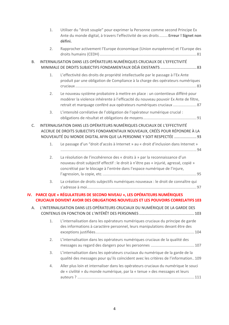|    | 1. | Utiliser du "droit souple" pour exprimer la Personne comme second Principe Ex<br>Ante du monde digital, à travers l'effectivité de ses droits  Erreur ! Signet non<br>défini.                                                                   |
|----|----|-------------------------------------------------------------------------------------------------------------------------------------------------------------------------------------------------------------------------------------------------|
|    | 2. | Rapprocher activement l'Europe économique (Union européenne) et l'Europe des                                                                                                                                                                    |
| В. |    | INTERNALISATION DANS LES OPÉRATEURS NUMÉRIQUES CRUCIAUX DE L'EFFECTIVITÉ<br>MINIMALE DE DROITS SUBJECTIFS FONDAMENTAUX DÉJÀ EXISTANTS  83                                                                                                       |
|    | 1. | L'effectivité des droits de propriété intellectuelle par le passage à l'Ex Ante<br>produit par une obligation de Compliance à la charge des opérateurs numériques                                                                               |
|    | 2. | Le nouveau système probatoire à mettre en place : un contentieux différé pour<br>modérer la violence inhérente à l'efficacité du nouveau pouvoir Ex Ante de filtre,<br>retrait et marquage conféré aux opérateurs numériques cruciaux  87       |
|    | 3. | L'intensité corrélative de l'obligation de l'opérateur numérique crucial :                                                                                                                                                                      |
| C. |    | INTERNALISATION DANS LES OPÉRATEURS NUMÉRIQUES CRUCIAUX DE L'EFFECTIVITÉ<br>ACCRUE DE DROITS SUBJECTIFS FONDAMENTAUX NOUVEAUX, CRÉÉS POUR RÉPONDRE À LA<br>NOUVEAUTÉ DU MONDE DIGITAL AFIN QUE LA PERSONNE Y SOIT RESPECTÉE  93                 |
|    | 1. | Le passage d'un "droit d'accès à Internet » au « droit d'inclusion dans Internet »                                                                                                                                                              |
|    | 2. | La résolution de l'incohérence des « droits à » par la reconnaissance d'un<br>nouveau droit subjectif effectif : le droit à n'être pas « injurié, agressé, copié »<br>concrétisé par le blocage à l'entrée dans l'espace numérique de l'injure, |
|    | 3. | La création de droits subjectifs numériques nouveaux : le droit de connaître qui                                                                                                                                                                |
|    |    | IV. PARCE QUE « RÉGULATEURS DE SECOND NIVEAU », LES OPÉRATEURS NUMÉRIQUES<br><b>CRUCIAUX DOIVENT AVOIR DES OBLIGATIONS NOUVELLES ET LES POUVOIRS CORRELATIFS 103</b>                                                                            |
| Α. |    | L'INTERNALISATION DANS LES OPÉRATEURS CRUCIAUX DU NUMÉRIQUE DE LA GARDE DES                                                                                                                                                                     |
|    | 1. | L'internalisation dans les opérateurs numériques cruciaux du principe de garde<br>des informations à caractère personnel, leurs manipulations devant être des                                                                                   |
|    | 2. | L'internalisation dans les opérateurs numériques cruciaux de la qualité des                                                                                                                                                                     |
|    | 3. | L'internalisation dans les opérateurs cruciaux du numérique de la garde de la<br>qualité des messages pour qu'ils coïncident avec les critères de l'information 109                                                                             |
|    | 4. | Aller plus loin et internaliser dans les opérateurs cruciaux du numérique le souci<br>de « civilité » du monde numérique, par la « tenue » des messages et leurs                                                                                |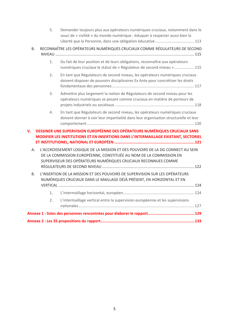|             | 5. | Demander toujours plus aux opérateurs numériques cruciaux, notamment dans le<br>souci de « civilité » du monde numérique : éduquer à respecter aussi bien la                                                           |  |  |
|-------------|----|------------------------------------------------------------------------------------------------------------------------------------------------------------------------------------------------------------------------|--|--|
| <b>B.</b>   |    | RECONNAÎTRE LES OPÉRATEURS NUMÉRIQUES CRUCIAUX COMME RÉGULATEURS DE SECOND                                                                                                                                             |  |  |
|             | 1. | Du fait de leur position et de leurs obligations, reconnaître aux opérateurs<br>numériques cruciaux le statut de « Régulateur de second niveau »  115                                                                  |  |  |
|             | 2. | En tant que Régulateurs de second niveau, les opérateurs numériques cruciaux<br>doivent disposer de pouvoirs disciplinaires Ex Ante pour concrétiser les droits                                                        |  |  |
|             | 3. | Admettre plus largement la notion de Régulateurs de second niveau pour les<br>opérateurs numériques se posant comme cruciaux en matière de porteurs de                                                                 |  |  |
|             | 4. | En tant que Régulateurs de second niveau, les opérateurs numériques cruciaux<br>doivent donner à voir leur impartialité dans leur organisation structurelle et leur                                                    |  |  |
| $V_{\rm r}$ |    | DESSINER UNE SUPERVISION EUROPÉENNE DES OPÉRATEURS NUMÉRIQUES CRUCIAUX SANS                                                                                                                                            |  |  |
|             |    | MODIFIER LES INSTITUTIONS ET EN INSERTIONS DANS L'INTERMAILLAGE EXISTANT, SECTORIEL                                                                                                                                    |  |  |
|             |    |                                                                                                                                                                                                                        |  |  |
| Α.          |    | L'ACCROISSEMENT LOGIQUE DE LA MISSION ET DES POUVOIRS DE LA DG CONNECT AU SEIN<br>DE LA COMMISSION EUROPÉENNE, CONSTITUÉE AU NOM DE LA COMMISSION EN<br>SUPERVISEUR DES OPÉRATEURS NUMÉRIQUES CRUCIAUX RECONNUES COMME |  |  |
| В.          |    | L'INSERTION DE LA MISSION ET DES POUVOIRS DE SUPERVISION SUR LES OPÉRATEURS<br>NUMÉRIQUES CRUCIAUX DANS LE MAILLAGE DÉJÀ PRÉSENT, EN HORIZONTAL ET EN                                                                  |  |  |
|             | 1. |                                                                                                                                                                                                                        |  |  |
|             | 2. | L'intermaillage vertical entre la supervision européenne et les supervisions                                                                                                                                           |  |  |
|             |    |                                                                                                                                                                                                                        |  |  |
|             |    |                                                                                                                                                                                                                        |  |  |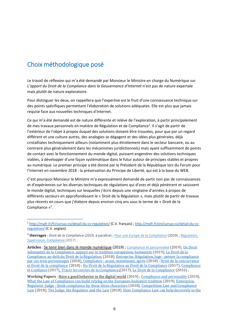# Choix méthodologique posé

1

Le travail de réflexion qui m'a été demandé par Monsieur le Ministre en charge du Numérique sur L'apport du Droit de la Compliance dans la Gouvernance d'Internet n'est pas de nature expertale mais plutôt de nature exploratoire.

Pour distinguer les deux, on rappellera que l'expertise est le fruit d'une connaissance technique sur des points spécifiques permettant l'élaboration de solutions adéquates. Elle est plus que jamais requise face aux nouvelles techniques d'Internet.

Ce qui m'a été demandé est de nature différente et relève de l'exploration, à partir principalement de mes travaux personnels en matière de Régulation et de Compliance<sup>1</sup>. Il s'agit de partir de l'extérieur de l'objet à propos duquel des solutions doivent être trouvées, pour que par un regard différent et une culture autres, des analogies se dégagent et des idées plus générales, déjà cristallisées techniquement ailleurs (notamment plus étroitement dans le secteur bancaire, ou au contraire plus généralement dans les mécanismes juridictionnels) mais ayant suffisamment de points de contact avec le fonctionnement du monde digital, puissent engendrer des solutions techniques viables, à développer d'une façon systématique dans le futur autour de principes stables et propres au numérique. Le premier principe a été donné par le Président de la République lors du Forum pour l'Internet en novembre 2018 : la préservation du Principe de Liberté, qui est à la base du WEB.

C'est pourquoi Monsieur le Ministre m'a expressément demandé de partir non pas de connaissances et d'expériences sur les diverses techniques de régulations qui d'ores et déjà pénètrent et saisissent le monde digital, techniques sur lesquelles j'écris depuis une vingtaine d'années à propos de différents secteurs en approfondissant le « Droit de la Régulation », mais plutôt de partir de travaux plus récents en cours que j'élabore depuis environ cinq ans sous le terme de « Droit de la Compliance  $v^2$ .

<sup>1</sup> http://mafr.fr/fr/cursus‐cv/detail‐du‐cv‐regulation/ (C.V. français) ; http://mafr.fr/en/cursus‐cv/detail‐du‐cv‐ regulation/ (C.V. anglais).

<sup>2</sup> **Ouvrages** : *Droit de la Compliance* (2019, à paraître) ; *Pour une Europe de la Compliance* (2019) ; *Régulation, Supervision, Complianc*e (2017) ;

Articles : Se tenir bien dans le monde numérique (2019) ; Compliance et personnalité (2019), Un Droit substantiel de la Compliance, appuyé sur la tradition européenne humaniste (2019), Le Droit de la Compliance au-delà du Droit de la Régulation, (2018), Entreprise, Régulation, Juge : penser la compliance par ces trois personnages (2018), Compliance : avant, maintenant, après (2018) ; Droit de la concurrence et Droit de la compliance (2018) : Du Droit de la Régulation au Droit de la Compliance (2017), Compliance et Confiance (2017), Tracer les cercles de la Compliance, (2017), Le Droit de la Compliance (2016) ;

**Working Papers** : Have a good behavior in the digital world (2019) ; Compliance and personality (2019), What the Law of Compliance can build relying on the European humanist tradition (2019), Enterprise, Regulator, Judge : think compliance by these three characters (2018), Competition Law and Compliance Law (2018), The Judge, the Regulator and the Law (2018), How Compliance Law can help decisively to the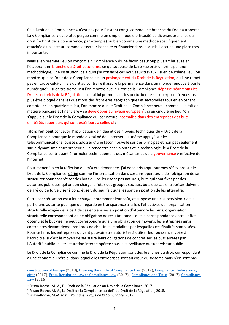Ce « Droit de la Compliance » n'est pas pour l'instant conçu comme une branche du Droit autonome. La « Compliance » est plutôt perçue comme un simple mode d'efficacité de diverses branches du droit (le Droit de la concurrence, par exemple) ou bien comme une méthode spécifiquement attachée à un secteur, comme le secteur bancaire et financier dans lesquels il occupe une place très importante.

**Mais si** en premier lieu on conçoit la « Compliance » d'une façon beaucoup plus ambitieuse en l'élaborant en branche du Droit autonome, ce qui suppose de faire ressortir un principe, une méthodologie, une institution, ce à quoi j'ai consacré ces nouveaux travaux ; **si** en deuxième lieu l'on montre que ce Droit de la Compliance est un prolongement du Droit de la Régulation, qu'il ne remet pas en cause celui‐ci mais dont au contraire il assure la permanence dans un monde renouvelé par le numérique<sup>3</sup>; si en troisième lieu l'on montre que le Droit de la Compliance dépasse néanmoins les Droits sectoriels de la Régulation, ce qui lui permet sans les perturber de se superposer à eux sans plus être bloqué dans les questions des frontières géographiques et sectorielles tout en en tenant compte4 ; **si** en quatrième lieu, l'on montre que le Droit de la Compliance peut – comme il l'a fait en matière bancaire et financière – se développer au niveau européen<sup>5</sup> ; si en cinquième lieu l'on s'appuie sur le Droit de la Compliance qui par nature internalise dans des entreprises des buts d'intérêts supérieurs qui sont extérieurs à celles‐ci :

**alors l'on peut** concevoir l'application de l'idée et des moyens techniques du « Droit de la Compliance » pour que le monde digital né de l'Internet, lui‐même appuyé sur les télécommunications, puisse s'adosser d'une façon nouvelle sur des principes et non pas seulement sur le dynamisme entrepreneurial, la rencontre des volontés et la technologie, le « Droit de la Compliance contribuant à formuler techniquement des mécanismes de « gouvernance » effective de l'Internet.

Pour mener à bien la réflexion qui m'a été demandée, j'ai donc pris appui sur mes réflexions sur le Droit de la Compliance, défini comme l'internalisation dans certains opérateurs de l'obligation de se structurer pour concrétiser des buts qui ne leur sont pas naturels, buts qui sont fixés par des autorités publiques qui ont en charge le futur des groupes sociaux, buts que ces entreprises doivent de gré ou de force viser à concrétiser, du seul fait qu'elles sont en position de les atteindre.

Cette concrétisation est à leur charge, notamment leur coût, et suppose une « supervision » de la part d'une autorité publique qui regarde en transparence à la fois l'effectivité de l'organisation structurelle exigée de la part de ces entreprises en position d'atteindre les buts, organisation structurelle correspondant à une obligation de résultat, tandis que la correspondance entre l'effet obtenu et le but visé ne peut correspondre qu'à une obligation de moyens, les entreprises ainsi contraintes devant demeurer libres de choisir les modalités par lesquelles ces finalités sont visées. Pour ce faire, les entreprises doivent pouvoir être autorisées à utiliser leur puissance, voire à l'accroître, si c'est le moyen de satisfaire leurs obligations de concrétiser les buts arrêtés par l'Autorité publique, structuration interne opérée sous la surveillance du superviseur public.

Le Droit de la Compliance comme le Droit de la Régulation sont des branches du droit correspondant à une économie libérale, dans laquelle les entreprises sont au cœur du système mais n'en sont pas

<u>.</u>

construction of Europe (2018), Drawing the circle of Compliance Law (2017), Compliance : before, now, after  $(2017)$ , From Regulation Law to Compliance Law  $(2017)$ ; Compliance and Trust  $(2017)$ , Compliance  $Law(2016)$ 

<sup>&</sup>lt;sup>3</sup> Frison-Roche, M.-A., Du Droit de la Régulation au Droit de la Compliance, 2017.

<sup>4</sup> Frison‐Roche, M.‐A., Le Droit de la Compliance au‐delà du Droit de la Régulation, 2018.

<sup>5</sup> Frison‐Roche, M.‐A. (dir.), *Pour une Europe de la Compliance*, 2019.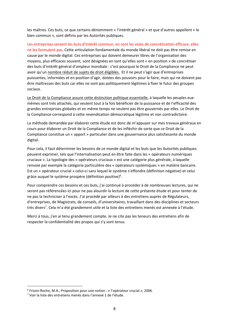les maîtres. Ces buts, ce que certains dénomment « l'intérêt général » et que d'autres appellent « le bien commun », sont définis par les Autorités publiques.

Les entreprises servent les buts d'intérêt commun, en sont les voies de concrétisation efficace, elles ne les formulent pas. Cette articulation fondamentale du monde libéral ne doit pas être remise en cause par le monde digital. Ces entreprises qui doivent demeurer libres de l'organisation des moyens, plus efficaces souvent, sont désignées en tant qu'elles sont « en position » de concrétiser des buts d'intérêt général d'ampleur mondiale : c'est pourquoi le Droit de la Compliance ne peut avoir qu'un nombre réduit de sujets de droit éligibles. Et il ne peut s'agir que d'entreprises puissantes, informées et en position d'agir, dotées des pouvoirs pour le faire, mais qui ne doivent pas être maîtresses des buts car elles ne sont pas politiquement légitimes à fixer le futur des groupes sociaux.

Le Droit de la Compliance assure cette distinction politique essentielle, à laquelle les peuples euxmêmes sont très attachés, qui veulent tout à la fois bénéficier de la puissance et de l'efficacité des grandes entreprises globales et en même temps ne veulent pas être gouvernés par elles. Le Droit de la Compliance correspond à cette revendication démocratique légitime et non contradictoire.

La méthode demandée par élaborer cette étude est donc de m'appuyer sur mes travaux généraux en cours pour élaborer un Droit de la Compliance et de les infléchir de sorte que ce Droit de la Compliance constitue un « apport » particulier dans une gouvernance plus satisfaisante du monde digital.

Pour cela, il faut déterminer les besoins de ce monde digital et les buts que les Autorités publiques peuvent exprimer, tels que l'internalisation peut en être faite dans les « opérateurs numériques cruciaux ». La typologie des « opérateurs cruciaux » est une catégorie plus générale, à laquelle renvoie par exemple la catégorie particulière des « opérateurs systémiques » en matière bancaire. Est un « opérateur crucial » celui‐ci sans lequel le système s'effondre (définition négative) et celui grâce auquel le système prospère (définition positive)<sup>6</sup>.

Pour comprendre ces besoins et ces buts, j'ai continué à procéder à de nombreuses lectures, qui ne seront pas référencées ici pour ne pas alourdir la lecture de cette présente étude et pour tenter de ne pas la techniciser à l'excès. J'ai procédé par ailleurs à des entretiens auprès de Régulateurs, d'entreprises, de Magistrats, de conseils, d'universitaires, travaillant dans des disciplines et secteurs très divers<sup>7</sup>. Cela m'a été grandement utile et la liste des entretiens menés est annexée à l'étude.

Merci à tous, j'en ai tenu grandement compte. Je ne cite pas les teneurs des entretiens afin de respecter la confidentialité des propos qui s'y sont tenus.

<sup>6</sup> Frison‐Roche, M.A., Proposition pour une notion : « l'opérateur crucial », 2006.

<sup>7</sup> Voir la liste des entretiens menés dans l'annexe 1 de l'étude.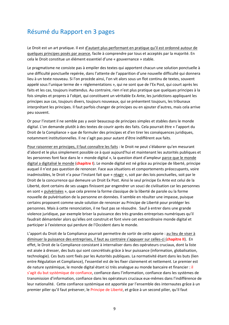# Résumé du Rapport en 3 pages

Le Droit est un art pratique. Il est d'autant plus performant en pratique qu'il est ordonné autour de quelques principes posés par avance, facile à comprendre par tous et acceptés par la majorité. En cela le Droit constitue un élément essentiel d'une « gouvernance » stable.

Le pragmatisme ne consiste pas à empiler des textes qui apportent chacun une solution ponctuelle à une difficulté ponctuelle repérée, dans l'attente de l'apparition d'une nouvelle difficulté qui donnera lieu à un texte nouveau. Si l'on procède ainsi, l'on vit alors sous un flot continu de textes, souvent appelé sous l'unique terme de « réglementations », qui ne sont que de l'Ex Post, qui court après les faits et les cas, toujours inattendus. Au contraire, rien n'est plus pratique que quelques principes à la fois simples et propres à l'objet, qui constituent un véritable Ex Ante, les juridictions appliquant les principes aux cas, toujours divers, toujours nouveaux, qui se présentent toujours, les tribunaux interprétant les principes. Il faut parfois changer de principes ou en ajouter d'autres, mais cela arrive peu souvent.

Or pour l'instant il ne semble pas y avoir beaucoup de principes simples et stables dans le monde digital. L'on demande plutôt à des textes de courir après des faits. Cela pourrait être « l'apport du Droit de la Compliance » que de formuler des principes et d'en tirer les conséquences juridiques, notamment institutionnelles. Il ne s'agit pas pour autant d'être indifférent aux faits.

Pour raisonner en principes, il faut connaître les faits : le Droit ne peut s'élaborer qu'en mesurant d'abord et le plus simplement possible ce à quoi aujourd'hui et maintenant les autorités publiques et les personnes font face dans le « monde digital », la question étant d'ampleur parce que le monde digital a digitalisé le monde (**chapitre I**). Le monde digital est né grâce au principe de liberté, principe auquel il n'est pas question de renoncer. Face aux situations et comportements préoccupants, voire inadmissibles, le Droit n'a pour l'instant fait que « réagir », soit par des lois ponctuelles, soit par le Droit de la concurrence qui demeure un Droit Ex Post. Ainsi le seul principe Ex Ante est celui de la Liberté, dont certains de ses usages finissent par engendrer un souci de civilisation car les personnes en sont « pulvérisées », que cela prenne la forme classique de la liberté de parole ou la forme nouvelle de pulvérisation de la personne en données. Il semble en résulter une impasse, puisque certains proposent comme seule solution de renoncer au Principe de Liberté pour protéger les personnes. Mais à cette renonciation, il ne faut pas se résoudre. Sauf à entrer dans une grande violence juridique, par exemple briser la puissance des très grandes entreprises numériques qu'il faudrait démanteler alors qu'elles ont construit et font vivre cet extraordinaire monde digital et participer à l'existence qui perdure de l'Occident dans le monde.

L'apport du Droit de la Compliance pourrait permettre de sortir de cette aporie : au lieu de viser à diminuer la puissance des entreprises, il faut au contraire s'appuyer sur celles‐ci (**chapitre II**). En effet, le Droit de la Compliance consistant à internaliser dans des opérateurs cruciaux, dont la liste est aisée à dresser, des buts qui sont concrétisés grâce à leur puissance (information, globalisation, technologie). Ces buts sont fixés par les Autorités publiques. La normativité étant dans les buts (lien entre Régulation et Compliance), l'essentiel est de les fixer clairement et nettement. Le premier est de nature systémique, le monde digital étant ici très analogue au monde bancaire et financier : il s'agit du but systémique de confiance, confiance dans l'information, confiance dans les systèmes de transmission d'information, confiance dans les opérateurs cruciaux eux‐mêmes dans l'indifférence de leur nationalité. Cette confiance systémique est apportée par l'ensemble des internautes grâce à un premier pilier qu'il faut préserver, le Principe de Liberté, et grâce à un second pilier, qu'il faut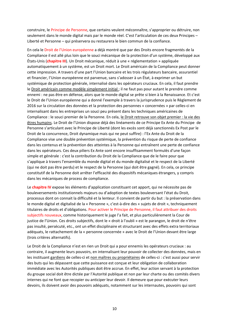construire, le Principe de Personne, que certains veulent méconnaître, s'approprier ou détruire, non seulement dans le monde digital mais par le monde réel. C'est l'articulation de ces deux Principes – Liberté et Personne – qui préservera ou restaurera le bien commun de la confiance.

En cela le Droit de l'Union européenne a déjà montré que par des Droits encore fragmentés de la Compliance il est allé plus loin que le souci mécanique de la protection d'un système, développé aux États‐Unis (**chapitre III**). Un Droit mécanique, réduit à une « réglementation » appliquée automatiquement à un système, est un Droit mort. Le Droit américain de la Compliance peut donner cette impression. A travers d'une part l'Union bancaire et les trois régulateurs bancaire, assurantiel et financier, l'Union européenne est parvenue, sans s'adosser à un État, à exprimer un but systémique de protection générale, internalisé dans les opérateurs cruciaux. En cela, il faut prendre le Droit américain comme modèle simplement initial ; il ne faut pas pour autant le prendre comme ennemi : ne pas être en défense, alors que le monde digital se prête si bien à la Renaissance. Et c'est le Droit de l'Union européenne qui a donné l'exemple à travers la jurisprudence puis le Règlement de 2016 sur la circulation des données et la protection des personnes « concernées » par celles‐ci en internalisant dans les entreprises un souci peu présent dans les techniques américaines de Compliance : le souci premier de la Personne. En cela, le Droit retrouve son objet premier : la vie des êtres humains. Le Droit de l'Union dispose déjà des linéaments de ce Principe Ex Ante du Principe de Personne s'articulant avec le Principe de Liberté (dont les excès sont déjà sanctionnés Ex Post par le Droit de la concurrence, Droit dynamique mais qui ne peut suffire) : l'Ex Ante du Droit de la Compliance vise une double prévention systémique, la prévention du risque de perte de confiance dans les contenus et la prévention des atteintes à la Personne qui entraînent une perte de confiance dans les opérateurs. Ces deux piliers Ex Ante sont encore insuffisamment formulés d'une façon simple et générale : c'est la contribution du Droit de la Compliance que de le faire pour que s'applique à travers l'ensemble du monde digital et du monde digitalisé et le respect de la Liberté (qui ne doit pas être perdu) et le respect de la Personne (qui doit être gagné). En cela, ce principe constitutif de la Personne doit arrêter l'efficacité des dispositifs mécaniques étrangers, y compris dans les mécaniques de process de compliance.

Le **chapitre IV** expose les éléments d'application constituant cet apport, qui ne nécessite pas de bouleversements institutionnels majeurs ou d'adoption de textes bouleversant l'état du Droit, processus dont on connait la difficulté et la lenteur. Il convient de partir du but : la préservation dans le monde digital et digitalisé de la « Personne », c'est‐à‐dire des « sujets de droit », techniquement titulaires de droits et d'obligations. Pour activer le Principe de Personne, il faut attribuer des droits subjectifs nouveaux, comme historiquement le juge l'a fait, et plus particulièrement la Cour de justice de l'Union. Ces droits subjectifs, dont le « droit à l'oubli » est le parangon, le droit de n'être pas insulté, persécuté, etc., ont un effet disciplinaire et structurant avec des effets extra territoriaux adéquats, le rattachement de la « personne concernée » avec le Droit de l'Union devant être large (trois critères alternatifs).

Le Droit de la Compliance n'est en rien un Droit qui a pour ennemis les opérateurs cruciaux : au contraire, il augmente leurs pouvoirs, en internalisant leur pouvoir de collecter des données, mais en les instituant gardiens de celles‐ci et non maîtres ou propriétaires de celles‐ci : c'est aussi pour servir des buts qui les dépassent que cette puissance est conçue et leur obligation de collaboration immédiate avec les Autorités publiques doit être accrue. En effet, leur action servant à la protection du groupe social doit être dictée par l'Autorité publique et non par leur charte ou des comités divers internes qui ne font que recopier ou anticiper leur devoir. Il demeure que pour exécuter leurs devoirs, ils doivent avoir des pouvoirs adéquats, notamment sur les internautes, pouvoirs qui sont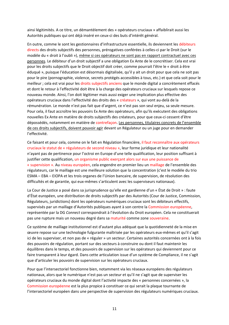ainsi légitimités. A ce titre, un démantèlement des « opérateurs cruciaux » affaiblirait aussi les Autorités publiques qui ont déjà inséré en ceux‐ci des buts d'intérêt général.

En outre, comme le sont les gestionnaires d'infrastructure essentielle, ils deviennent les débiteurs directs des droits subjectifs des personnes, prérogatives conférées à celles‐ci par le Droit (sur le modèle du « droit à l'oubli »), même si ces opérateurs ne sont pas en rapport contractuel avec ces personnes. Le débiteur d'un droit subjectif a une obligation Ex Ante de le concrétiser. Cela est vrai pour les droits subjectifs que le Droit objectif doit créer, comme pourrait l'être le « droit à être éduqué », puisque l'éducation est désormais digitalisée, qu'il y ait un droit pour que cela ne soit pas pour le pire (pornographie, violence, secrets protégés accessibles à tous, etc.) et que cela soit pour le meilleur ; cela est vrai pour les droits subjectifs anciens que le monde digital a concrètement effacés et dont le retour à l'effectivité doit être à la charge des opérateurs cruciaux sur lesquels repose ce nouveau monde. Ainsi, l'on doit légitimer mais aussi exiger une implication plus effective des opérateurs cruciaux dans l'effectivité des droits des « créateurs », qui vont au‐delà de la rémunération. Le monde n'est pas fait que d'argent, ce n'est pas son seul enjeu, sa seule mesure. Pour cela, il faut accroître les pouvoirs Ex Ante des opérateurs, afin qu'ils exécutent des obligations nouvelles Ex Ante en matière de droits subjectifs des créateurs, pour que ceux‐ci cessent d'être dépossédés, notamment en matière de contrefaçon. Les personnes, titulaires concrets de l'ensemble de ces droits subjectifs, doivent pouvoir agir devant un Régulateur ou un juge pour en demander l'effectivité.

Ce faisant et pour cela, comme on le fait en Régulation financière, il faut reconnaître aux opérateurs cruciaux le statut de « régulateurs de second niveau », leur forme juridique et leur nationalité n'ayant pas de pertinence pour l'octroi en Europe d'une telle qualification, leur position suffisant à justifier cette qualification, un organisme public exerçant alors sur eux une puissance de « supervision ». Au niveau européen, cela engendre en premier lieu un maillage de l'ensemble des régulateurs, car le maillage est une meilleure solution que la concentration (c'est le modèle du trio ESMA – EBA – EIOPA et les trois organes de l'Union bancaire, de supervision, de résolution des difficultés et de garantie, qui eux‐mêmes s'articulent avec les superviseurs nationaux).

La Cour de Justice a posé dans sa jurisprudence qu'elle est gardienne d'un « État de Droit » : faute d'État européen, une distribution de droits subjectifs par des Autorités (Cour de Justice, Commission, Régulateurs, juridictions) dont les opérateurs numériques cruciaux sont les débiteurs effectifs, supervisés par un maillage d'Autorités publiques ayant à son centre la Commission européenne, représentée par la DG *Connect* correspondrait à l'évolution du Droit européen. Cela ne constituerait pas une rupture mais un nouveau degré dans sa maturité comme zone souveraine.

Ce système de maillage institutionnel est d'autant plus adéquat que la quotidienneté de la mise en œuvre repose sur une technologie fulgurante maîtrisée par les opérateurs eux‐mêmes et qu'il s'agit ici de les superviser, et non pas de « réguler » un secteur. Certaines autorités concernées ont à la fois des pouvoirs de régulation, portant sur des secteurs à construire ou dont il faut maintenir les équilibres dans le temps, et des pouvoirs de supervision sur les opérateurs qui deviennent pour ce faire transparent à leur égard. Dans cette articulation issue d'un système de Compliance, il ne s'agit que d'articuler les pouvoirs de supervision sur les opérateurs cruciaux.

Pour que l'intersectoriel fonctionne bien, notamment via les réseaux européens des régulateurs nationaux, alors que le numérique n'est pas un secteur et qu'il ne s'agit que de superviser les opérateurs cruciaux du monde digital dont l'activité impacte des « personnes concernées », la Commission européenne est la plus propice à constituer ce qui serait la plaque tournante de l'intersectoriel européen dans une perspective de supervision des régulateurs numériques cruciaux.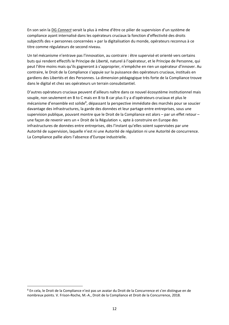En son sein la DG *Connect* serait la plus à même d'être ce pilier de supervision d'un système de compliance ayant internalisé dans les opérateurs cruciaux la fonction d'effectivité des droits subjectifs des « personnes concernées » par la digitalisation du monde, opérateurs reconnus à ce titre comme régulateurs de second niveau.

Un tel mécanisme n'entrave pas l'innovation, au contraire : être supervisé et orienté vers certains buts qui rendent effectifs le Principe de Liberté, naturel à l'opérateur, et le Principe de Personne, qui peut l'être moins mais qu'ils gagneront à s'approprier, n'empêche en rien un opérateur d'innover. Au contraire, le Droit de la Compliance s'appuie sur la puissance des opérateurs cruciaux, institués en gardiens des Libertés et des Personnes. La dimension pédagogique très forte de la Compliance trouve dans le digital et chez ses opérateurs un terrain consubstantiel.

D'autres opérateurs cruciaux peuvent d'ailleurs naître dans ce nouvel écosystème institutionnel mais souple, non seulement en B to C mais en B to B car plus il y a d'opérateurs cruciaux et plus le mécanisme d'ensemble est solide<sup>8</sup>, dépassant la perspective immédiate des marchés pour se soucier davantage des infrastructures, la garde des données et leur partage entre entreprises, sous une supervision publique, pouvant montre que le Droit de la Compliance est alors – par un effet retour – une façon de revenir vers un « Droit de la Régulation », apte à construire en Europe des infrastructures de données entre entreprises, dès l'instant qu'elles soient supervisées par une Autorité de supervision, laquelle n'est ni une Autorité de régulation ni une Autorité de concurrence. La Compliance pallie alors l'absence d'Europe industrielle.

<sup>8</sup> En cela, le Droit de la Compliance n'est pas un avatar du Droit de la Concurrence et s'en distingue en de nombreux points. V. Frison‐Roche, M.‐A., Droit de la Compliance et Droit de la Concurrence, 2018.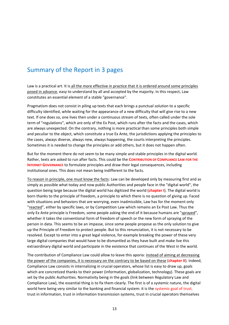#### Summary of the Report in 3 pages

Law is a practical art. It is all the more effective in practice that it is ordered around some principles posed in advance, easy to understand by all and accepted by the majority. In this respect, Law constitutes an essential element of a stable "governance".

Pragmatism does not consist in piling up texts that each brings a punctual solution to a specific difficulty identified, while waiting for the appearance of a new difficulty that will give rise to a new text. If one does so, one lives then under a continuous stream of texts, often called under the sole term of "regulations", which are only of the Ex Post, which runs after the facts and the cases, which are always unexpected. On the contrary, nothing is more practical than some principles both simple and peculiar to the object, which constitute a true Ex Ante, the jurisdictions applying the principles to the cases, always diverse, always new, always happening, the courts interpreting the principles. Sometimes it is needed to change the principles or add others, but it does not happen often.

But for the moment there do not seem to be many simple and stable principles in the digital world. Rather, texts are asked to run after facts. This could be the **CONTRIBUTION OF COMPLIANCE LAW FOR THE INTERNET GOVERNANCE** to formulate principles and draw their legal consequences, including institutional ones. This does not mean being indifferent to the facts.

To reason in principle, one must know the facts: Law can be developed only by measuring first and as simply as possible what today and now public Authorities and people face in the "digital world", the question being large because the digital world has digitized the world (**chapter I**). The digital world is born thanks to the principle of freedom, a principle to which there is no question of giving up. Faced with situations and behaviors that are worrying, even inadmissible, Law has for the moment only "reacted", either by specific laws, or by Competition Law which remains an Ex Post Law. Thus the only Ex Ante principle is Freedom, some people asking the end of it because humans are "sprayed", whether it takes the conventional form of freedom of speech or the new form of spraying of the person in data. This seems to be an impasse, since some people propose as the only solution to give up the Principle of Freedom to protect people. But to this renunciation, it is not necessary to be resolved. Except to enter into a great legal violence, for example breaking the power of these very large digital companies that would have to be dismantled as they have built and make live this extraordinary digital world and participate in the existence that continues of the West in the world.

The contribution of Compliance Law could allow to leave this aporia: instead of aiming at decreasing the power of the companies, it is necessary on the contrary to be based on these (**chapter II**). Indeed, Compliance Law consists in internalizing in crucial operators, whose list is easy to draw up, goals which are concretized thanks to their power (information, globalization, technology). These goals are set by the public Authorities. Normativity being in the goals (link between Regulatory Law and Compliance Law), the essential thing is to fix them clearly. The first is of a systemic nature, the digital world here being very similar to the banking and financial system: it is the systemic goal of trust, trust in information, trust in information transmission systems, trust in crucial operators themselves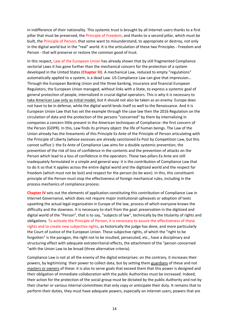in indifference of their nationality. This systemic trust is brought by all Internet users thanks to a first pillar that must be preserved, the Principle of Freedom, and thanks to a second pillar, which must be built, the Principle of Person, that some want to misunderstand, to appropriate or destroy, not only in the digital world but in the "real" world. It is the articulation of these two Principles ‐ Freedom and Person - that will preserve or restore the common good of trust.

In this respect, Law of the European Union has already shown that by still fragmented Compliance sectorial Laws it has gone further than the mechanical concern for the protection of a system developed in the United States (**Chapter III**). A mechanical Law, reduced to empty "regulations" automatically applied to a system, is a dead Law. US Compliance Law can give that impression… Through the European Banking Union and the three banking, insurance and financial European Regulators, the European Union managed, without links with a State, to express a systemic goal of general protection of people, internalized in crucial digital operators. This is why it is necessary to take American Law only as initial model; but it should not also be taken as an enemy: Europe does not have to be in defense, while the digital world lends itself so well to the Renaissance. And it is European Union Law that has set the example through the case law then the 2016 Regulation on the circulation of data and the protection of the persons "concerned" by them by internalizing in companies a concern little present in the American techniques of Compliance: the first concern of the Person (GDPR). In this, Law finds its primary object: the life of human beings. The Law of the Union already has the lineaments of this Principle Ex Ante of the Principle of Person articulating with the Principle of Liberty (whose excesses are already sanctioned Ex Post by Competition Law, but this cannot suffice ): the Ex Ante of Compliance Law aims for a double systemic prevention, the prevention of the risk of loss of confidence in the contents and the prevention of attacks on the Person which lead to a loss of confidence in the operators. These two pillars Ex Ante are still inadequately formulated in a simple and general way: it is the contribution of Compliance Law that to do it so that it applies across the entire digital world and the digitized world and the respect for freedom (which must not be lost) and respect for the person (to be won). In this, this constituent principle of the Person must stop the effectiveness of foreign mechanical rules, including in the process mechanics of compliance process.

**Chapter IV** sets out the elements of application constituting this contribution of Compliance Law in Internet Governance, which does not require major institutional upheavals or adoption of texts upsetting the actual legal organization in Europe of the law, process of which everyone knows the difficulty and the slowness. It is necessary to start from the goal: preservation in the digitized and digital world of the "Person", that is to say, "subjects of law", technically by the titularity of rights and obligations. To activate the Principle of Person, it is necessary to assure the effectiveness of these rights and to create new subjective rights, as historically the judge has done, and more particularly the Court of Justice of the European Union. These subjective rights, of which the "right to be forgotten" is the paragon, the right not to be insulted, persecuted, etc., have a disciplinary and structuring effect with adequate extraterritorial effects, the attachment of the "person concerned "with the Union Law to be broad (three alternative criteria).

Compliance Law is not at all the enemy of the digital enterprises: on the contrary, it increases their powers, by legitimizing their power to collect data, but by setting them guardians of these and not masters or owners of these: it is also to serve goals that exceed them that this power is designed and their obligation of immediate collaboration with the public Authorities must be increased. Indeed, their action for the protection of the social group must be dictated by the public Authority and not by their charter or various internal committees that only copy or anticipate their duty. It remains that to perform their duties, they must have adequate powers, especially on Internet users, powers that are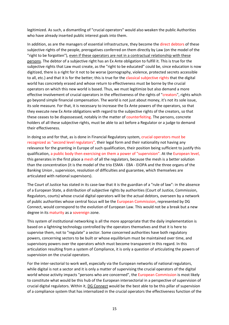legitimized. As such, a dismantling of "crucial operators" would also weaken the public Authorities who have already inserted public interest goals into them.

In addition, as are the managers of essential infrastructure, they become the direct debtors of these subjective rights of the people, prerogatives conferred on them directly by Law (on the model of the "right to be forgotten"), even if these operators are not in a contractual relationship with these persons. The debtor of a subjective right has an Ex Ante obligation to fulfill it. This is true for the subjective rights that Law must create, as the "right to be educated" could be, since education is now digitized, there is a right for it not to be worse (pornography, violence, protected secrets accessible to all, etc.) and that it is for the better; this is true for the classical subjective rights that the digital world has concretely erased and whose return to effectiveness must be borne by the crucial operators on which this new world is based. Thus, we must legitimize but also demand a more effective involvement of crucial operators in the effectiveness of the rights of "creators", rights which go beyond simple financial compensation. The world is not just about money, it's not its sole issue, its sole measure. For that, it is necessary to increase the Ex Ante powers of the operators, so that they execute new Ex Ante obligations with regard to the subjective rights of the creators, so that these ceases to be dispossessed, notably in the matter of counterfeiting. The persons, concrete holders of all these subjective rights, must be able to act before a Regulator or a judge to demand their effectiveness.

In doing so and for that, as is done in Financial Regulatory system, crucial operators must be recognized as "second level regulators", their legal form and their nationality not having any relevance for the granting in Europe of such qualification, their position being sufficient to justify this qualification, a public body then exercising on them a power of "supervision". At the European level, this generates in the first place a mesh of all the regulators, because the mesh is a better solution than the concentration (it is the model of the trio ESMA ‐ EBA ‐ EIOPA and the three organs of the Banking Union , supervision, resolution of difficulties and guarantee, which themselves are articulated with national supervisors).

The Court of Justice has stated in its case-law that it is the guardian of a "rule of law": in the absence of a European State, a distribution of subjective rights by authorities (Court of Justice, Commission, Regulators, courts) whose crucial digital operators will be the actual debtors, overseen by a network of public authorities whose central focus will be the European Commission, represented by DG Connect, would correspond to the evolution of European Law. This would not be a break but a new degree in its maturity as a sovereign zone.

This system of institutional networking is all the more appropriate that the daily implementation is based on a lightning technology controlled by the operators themselves and that it is here to supervise them, not to "regulate" a sector. Some concerned authorities have both regulatory powers, concerning sectors to be built or whose equilibrium must be maintained over time, and supervisory powers over the operators which must become transparent in this regard. In this articulation resulting from a system of Compliance, it is only a question of articulating the powers of supervision on the crucial operators.

For the inter-sectorial to work well, especially via the European networks of national regulators, while digital is not a sector and it is only a matter of supervising the crucial operators of the digital world whose activity impacts "persons who are concerned", the European Commission is most likely to constitute what would be this hub of the European intersectorial in a perspective of supervision of crucial digital regulators. Within it, DG Connect would be the best able to be this pillar of supervision of a compliance system that has internalized in the crucial operators the effectiveness function of the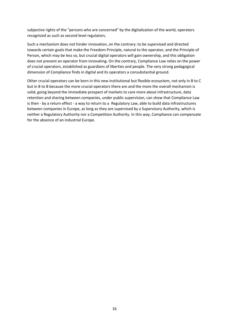subjective rights of the "persons who are concerned" by the digitalization of the world, operators recognized as such as second level regulators.

Such a mechanism does not hinder innovation, on the contrary: to be supervised and directed towards certain goals that make the Freedom Principle, natural to the operator, and the Principle of Person, which may be less so, but crucial digital operators will gain ownership, and this obligation does not prevent an operator from innovating. On the contrary, Compliance Law relies on the power of crucial operators, established as guardians of liberties and people. The very strong pedagogical dimension of Compliance finds in digital and its operators a consubstantial ground.

Other crucial operators can be born in this new institutional but flexible ecosystem, not only in B to C but in B to B because the more crucial operators there are and the more the overall mechanism is solid, going beyond the immediate prospect of markets to care more about infrastructure, data retention and sharing between companies, under public supervision, can show that Compliance Law is then ‐ by a return effect ‐ a way to return to a Regulatory Law, able to build data infrastructures between companies in Europe, as long as they are supervised by a Supervisory Authority, which is neither a Regulatory Authority nor a Competition Authority. In this way, Compliance can compensate for the absence of an industrial Europe.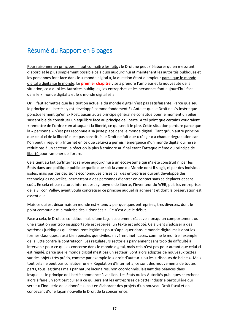### Résumé du Rapport en 6 pages

Pour raisonner en principes, il faut connaître les faits : le Droit ne peut s'élaborer qu'en mesurant d'abord et le plus simplement possible ce à quoi aujourd'hui et maintenant les autorités publiques et les personnes font face dans le « monde digital », la question étant d'ampleur parce que le monde digital a digitalisé le monde. Le **premier chapitre** vise à prendre l'ampleur et la nouveauté de la situation, ce à quoi les Autorités publiques, les entreprises et les personnes font aujourd'hui face dans le « monde digital » et le « monde digitalisé ».

Or, il faut admettre que la situation actuelle du monde digital n'est pas satisfaisante. Parce que seul le principe de liberté s'y est développé comme fondement Ex Ante et que le Droit ne s'y insère que ponctuellement qu'en Ex Post, aucun autre principe général ne constitue pour le moment un pilier susceptible de constituer un équilibre face au principe de liberté. A tel point que certains voudraient « remettre de l'ordre » en attaquant la liberté, ce qui serait le pire. Cette situation perdure parce que la « personne » n'est pas reconnue à sa juste place dans le monde digital. Tant qu'un autre principe que celui-ci de la liberté n'est pas constitué, le Droit ne fait que « réagir » à chaque dégradation car l'on peut « réguler » Internet en ce que celui‐ci a permis l'émergence d'un monde digital qui ne se réduit pas à un secteur, la réaction la plus à craindre au final étant *l'attaque même du principe de* liberté pour ramener de l'ordre.

Cela tient au fait qu'Internet renvoie aujourd'hui à un écosystème qui n'a été construit ni par les États dans une politique publique quelle que soit la zone du Monde dont il s'agit, ni par des individus isolés, mais par des décisions économiques prises par des entreprises qui ont développé des technologies nouvelles, permettant à des personnes d'entrer en contact sans se déplacer et sans coût. En cela et par nature, Internet est synonyme de liberté, l'inventeur du WEB, puis les entreprises de la Silicon Valley, ayant voulu concrétiser ce principe auquel ils adhérent et dont la préservation est essentielle.

Mais ce qui est désormais un monde est « tenu » par quelques entreprises, très diverses, dont le point commun est la maîtrise des « données ». Ce n'est que le début.

Face à cela, le Droit se constitue mais d'une façon seulement réactive : lorsqu'un comportement ou une situation par trop insupportable est repérée, un texte est adopté. Cela vient s'adosser à des systèmes juridiques qui demeurent légitimes pour s'appliquer dans le monde digital mais dont les formes classiques, aussi bien pénales que civiles, s'avèrent inefficaces, comme le montre l'exemple de la lutte contre la contrefaçon. Les régulateurs sectoriels parviennent sans trop de difficulté à intervenir pour ce qui les concerne dans le monde digital, mais cela n'est pas pour autant que celui‐ci est régulé, parce que le monde digital n'est pas un secteur. Sont alors adoptés de nouveaux textes sur des objets très précis, comme par exemple le « droit d'auteur » ou les « discours de haine ». Mais tout cela ne peut pas constituer une « Régulation d'Internet », ce sont des mouvements de toutes parts, tous légitimes mais par nature lacunaires, non coordonnés, laissant des béances dans lesquelles le principe de liberté commence à vaciller. Les États ou les Autorités publiques cherchent alors à faire un sort particulier à ce qui seraient les entreprises de cette industrie particulière qui serait « l'industrie de la donnée », soit en élaborant des projets d'un nouveau Droit fiscal et en concevant d'une façon nouvelle le Droit de la concurrence.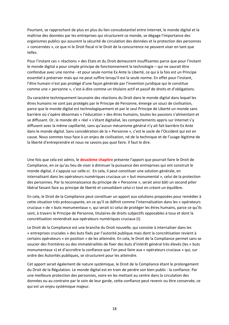Pourtant, se rapprochant de plus en plus du lien consubstantiel entre Internet, le monde digital et la maîtrise des données par les entreprises qui structurent ce monde, se dégage l'importance des organismes publics qui assurent la sécurité de circulation des données et la protection des personnes « concernées », ce que ni le Droit fiscal ni le Droit de la concurrence ne peuvent viser en tant que telles.

Pour l'instant ces « réactions » des Etats et du Droit demeurent insuffisantes parce que pour l'instant le monde digital a pour simple principe de fonctionnement la technologie – qui ne saurait être confondue avec une norme ‐ et pour seule norme Ex Ante la Liberté, ce qui à la fois est un Principe essentiel à préserver mais qui ne peut suffire lorsqu'il est la seule norme. En effet pour l'instant, l'être humain n'est pas protégé d'une façon générale par l'invention juridique qui le constitue comme une « personne », c'est‐à‐dire comme un titulaire actif et passif de droits et d'obligations.

Du caractère techniquement lacunaire des réactions du Droit dans le monde digital dans lequel les êtres humains ne sont pas protégés par le Principe de Personne, émerge un souci de civilisation, parce que le monde digital est technologiquement et par le seul Principe de Liberté un monde sans barrière où s'opère désormais « l'éducation » des êtres humains, toutes les passions s'alimentant et se diffusant. Or, le monde dit « réel » s'étant digitalisé, les comportements appris sur Internet s'y diffusent avec la même capillarité, sans qu'aucun mécanisme général n'y ait fait barrière Ex Ante dans le monde digital. Sans considération de la « Personne », c'est le socle de l'Occident qui est en cause. Nous sommes tous face à un enjeu de civilisation, né de la technique et de l'usage légitime de la liberté d'entreprendre et nous ne savons pas quoi faire. Il faut le dire.

Une fois que cela est admis, le **deuxième chapitre** présente l'apport que pourrait faire le Droit de Compliance, en ce qu'au lieu de viser à diminuer la puissance des entreprises qui ont construit le monde digital, il s'appuie sur celle‐ci. En cela, il peut constituer une solution générale, en internalisant dans les opérateurs numériques cruciaux un « but monumental », celui de la protection des personnes. Par la reconnaissance du principe de « Personne », serait ainsi bâti un second pilier libéral faisant face au principe de liberté et consolidant celui‐ci tout en créant un équilibre.

En cela, le Droit de la Compliance peut constituer un apport aux solutions proposées pour remédier à cette situation très préoccupante, en ce qu'il se définit comme l'internalisation dans les « opérateurs cruciaux » de « buts monumentaux », qui serait ici celui de protéger les êtres humains, parce ce qu'ils sont, à travers le Principe de Personne, titulaires de droits subjectifs opposables à tous et dont la concrétisation reviendrait aux opérateurs numériques cruciaux (**I**).

Le Droit de la Compliance est une branche du Droit nouvelle, qui consiste à internaliser dans les « entreprises cruciales » des buts fixés par l'autorité publique mais dont la concrétisation revient à certains opérateurs « en position » de les atteindre. En cela, le Droit de la Compliance permet sans se soucier des frontières ou des immatérialités de fixer des buts d'intérêt général très élevés (les « buts monumentaux ») et d'accroître la confiance que l'on peut faire aux « opérateurs cruciaux » qui, sur ordre des Autorités publiques, se structurent pour les atteindre.

Cet apport serait également de nature systémique, le Droit de la Compliance étant le prolongement du Droit de la Régulation. Le monde digital est en train de perdre son bien public : la confiance. Par une meilleure protection des personnes, voire en les mettant au centre dans la circulation des données ou au contraire par le soin de leur garde, cette confiance peut revenir ou être conservée, ce qui est un enjeu systémique majeur.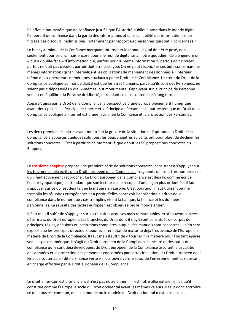En effet le but systémique de confiance justifie que l'Autorité publique pose dans le monde digital l'impératif de confiance dans la garde des informations et dans la fiabilité des informations et le filtrage des discours inadmissibles, notamment par rapport aux personnes qui sont « concernées ».

Le but systémique de la Confiance marquant Internet et le monde digital doit être posé, non seulement pour celui‐ci mais encore pour « le monde digitalisé », notre quotidien. Cela engendre un « but à double‐face » d'information qui, parfois pour la même information », parfois doit circuler, parfois ne doit pas circuler, parfois doit être partagée. On ne peut réconcilier ces buts concernant les mêmes informations qu'en internalisant les obligations de maniement des données à l'intérieur même des « opérateurs numériques cruciaux » par le Droit de la Compliance. Le cœur du Droit de la Compliance appliqué au monde digital est que les êtres humains, parce qu'ils sont des Personnes, ne soient pas « dépossédés » d'eux-mêmes, but monumental s'appuyant sur le Principe de Personne venant en équilibre du Principe de Liberté, et rendant celui‐ci soutenable à long terme.

Apparaît ainsi par le Droit de la Compliance la perspective d'une Europe pleinement numérique ayant deux piliers : le Principe de Liberté et le Principe de Personne. Le but systémique du Droit de la Compliance appliqué à Internet est d'une façon liée la Confiance et la protection des Personnes.

Les deux premiers chapitres ayant montré et la gravité de la situation et l'aptitude du Droit de la Compliance à apporter quelques solutions, les deux chapitres suivants ont pour objet de décliner les solutions concrètes. C'est à partir de ce moment‐là que début les 55 propositions concrètes du Rapport.

Le **troisième chapitre** propose une première série de solutions concrètes, consistant à s'appuyer sur les fragments déjà écrits d'un Droit européen de la Compliance, fragments qui sont très nombreux et qu'il faut activement rapprocher. Le Droit européen de la Compliance est déjà là, comme écrit à l'encre sympathique, n'attendant que son lecteur qui le recopie d'une façon plus ordonnée. Il faut s'appuyer sur ce qui est déjà fait en la matière en Europe. C'est pourquoi il faut utiliser comme tremplin les réussites européennes et à partir d'elles concevoir l'application du droit de la compliance dans le numérique : ces tremplins visent la banque, la finance et les données personnelles. La réussite des textes européen est observée par le monde entier.

Il faut mais il suffit de s'appuyer sur les réussites acquises mais remarquables, et si souvent copiées désormais, du Droit européen. Les branches du Droit dont il s'agit sont constitués de corpus de principes, règles, décisions et institutions complètes, auquel des manuels sont consacrés. Il n'en sera exposé que les principes directeurs, pour éclairer l'état de maturité déjà très avancé de l'Europe en matière de Droit de la Compliance. Il faut mais il suffit de « tourner » la matière pour l'instant éparse vers l'espace numérique. Il s'agit du Droit européen de la Compliance bancaire et des outils de compliance qui y sont déjà développés, du Droit européen de la Compliance assurant la circulation des données et la protection des personnes concernées par cette circulation, du Droit européen de la Finance soutenable ‐ dite « Finance verte » ‐, qui ouvre vers le souci de l'environnement et sa prise en charge effective par le Droit européen de la Compliance.

Le droit américain est plus ancien, il n'est pas notre ennemi, il est notre allié naturel, en ce qu'il constitue comme l'Europe le socle du Droit occidental ayant les mêmes valeurs. Il faut donc accroître ce qui nous est commun, dans un monde où le modèle du Droit occidental n'est plus acquis.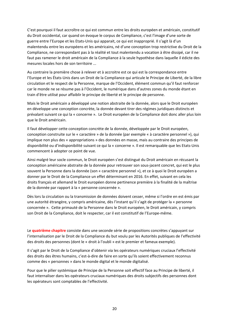C'est pourquoi il faut accroître ce qui est commun entre les droits européen et américain, constitutif du Droit occidental, car quand on évoque le corpus de Compliance, c'est l'image d'une sorte de guerre entre l'Europe et les Etats‐Unis qui apparait, ce qui est inapproprié. Il s'agit là d'un malentendu entre les européens et les américains, né d'une conception trop restrictive du Droit de la Compliance, ne correspondant pas à la réalité et tout malentendu a vocation à être dissipé, car il ne faut pas ramener le droit américain de la Compliance à la seule hypothèse dans laquelle il édicte des mesures locales hors de son territoire ...

Au contraire la première chose à relever et à accroitre est ce qui est la correspondance entre l'Europe et les États‐Unis dans un Droit de la Compliance qui articule le Principe de Liberté, de la libre circulation et le respect de la Personne, marque de l'Occident, élément commun qu'il faut renforcer car le monde ne se résume pas à l'Occident, le numérique dans d'autres zones du monde étant en train d'être utilisé pour affaiblir le principe de liberté et le principe de personne.

Mais le Droit américain a développé une notion abstraite de la donnée, alors que le Droit européen en développe une conception concrète, la donnée devant tirer des régimes juridiques distincts et prévalant suivant ce qui la « concerne ». Le Droit européen de la Compliance doit donc aller plus loin que le Droit américain.

Il faut développer cette conception concrète de la donnée, développée par le Droit européen, conception construite sur le « caractère » de la donnée (par exemple « à caractère personnel »), qui implique non plus des « appropriations » des données en masse, mais au contraire des principes de disponibilité ou d'indisponibilité suivant ce qui la « concerne ». Il est remarquable que les Etats‐Unis commencent à adopter ce point de vue.

Ainsi malgré leur socle commun, le Droit européen s'est distingué du Droit américain en récusant la conception américaine abstraite de la donnée pour retrouver son sous‐jacent concret, qui est le plus souvent la Personne dans la donnée (son « caractère personnel »), et ce à quoi le Droit européen a donner par le Droit de la Compliance un effet déterminant en 2016. En effet, suivant en cela les droits français et allemand le Droit européen donne pertinence première à la finalité de la maîtrise de la donnée par rapport à la « personne concernée ».

Dès lors la circulation ou la transmission de données doivent cesser, même si l'ordre en est émis par une autorité étrangère, y compris américaine, dès l'instant qu'il s'agit de protéger la « personne concernée ». Cette primauté de la Personne dans le Droit européen, le Droit américain, y compris son Droit de la Compliance, doit le respecter, car il est constitutif de l'Europe-même.

Le **quatrième chapitre** consiste dans une seconde série de propositions concrètes s'appuyant sur l'internalisation par le Droit de la Compliance du but voulu par les Autorités publiques de l'effectivité des droits des personnes (dont le « droit à l'oubli » est le premier et fameux exemple).

Il s'agit par le Droit de la Compliance d'obtenir via les opérateurs numériques cruciaux l'effectivité des droits des êtres humains, c'est‐à‐dire de faire en sorte qu'ils soient effectivement reconnus comme des « personnes » dans le monde digital et le monde digitalisé.

Pour que le pilier systémique de Principe de la Personne soit effectif face au Principe de liberté, il faut internaliser dans les opérateurs cruciaux numériques des droits subjectifs des personnes dont les opérateurs sont comptables de l'effectivité.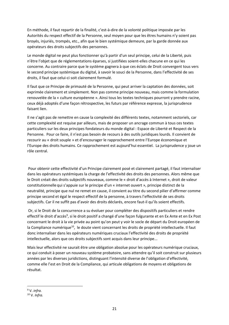En méthode, il faut repartir de la finalité, c'est‐à‐dire de la volonté politique imposée par les Autorités du respect effectif de la Personne, seul moyen pour que les êtres humains n'y soient pas broyés, injuriés, trompés, etc., afin que le bien systémique demeure, par la garde donnée aux opérateurs des droits subjectifs des personnes.

Le monde digital ne peut plus fonctionner qu'à partir d'un seul principe, celui de la Liberté, puis n'être l'objet que de réglementations éparses, si justifiées soient‐elles chacune en ce qui les concerne. Au contraire parce que le système gagnera à que ces éclats de Droit convergent tous vers le second principe systémique du digital, à savoir le souci de la Personne, dans l'effectivité de ses droits, il faut que celui‐ci soit clairement formulé.

Il faut que ce Principe de primauté de la Personne, qui peut arriver la captation des données, soit exprimée clairement et simplement. Non pas comme principe nouveau, mais comme la formulation renouvelée de la « culture européenne ». Ainsi tous les textes techniques pourront y prendre racine, ceux déjà adoptés d'une façon rétrospective, les futurs par référence expresse, la jurisprudence faisant lien.

Il ne s'agit pas de remettre en cause la complexité des différents textes, notamment sectoriels, car cette complexité est requise par ailleurs, mais de proposer un ancrage commun à tous ces textes particuliers sur les deux principes fondateurs du monde digital : Espace de Liberté et Respect de la Personne. Pour ce faire, il n'est pas besoin de recours à des outils juridiques lourds. Il convient de recourir au « droit souple » et d'encourager le rapprochement entre l'Europe économique et l'Europe des droits humains. Ce rapprochement est aujourd'hui essentiel. La jurisprudence y joue un rôle central.

 Pour obtenir cette effectivité d'un Principe clairement posé et clairement partagé, il faut internaliser dans les opérateurs systémiques la charge de l'effectivité des droits des personnes. Alors même que le Droit créait des droits subjectifs nouveaux, comme le « droit d'accès à Internet », droit de valeur constitutionnelle qui s'appuie sur le principe d'un « internet ouvert », principe distinct de la neutralité, principe que nul ne remet en cause, il convient au titre du second pilier d'affirmer comme principe second et égal le respect effectif de la personne, à travers l'effectivité de ses droits subjectifs. Car il ne suffit pas d'avoir des droits déclarés, encore faut‐il qu'ils soient effectifs.

 Or, si le Droit de la concurrence a su évoluer pour compléter des dispositifs particuliers et rendre effectif le droit d'accès<sup>9</sup>, si le droit positif a changé d'une façon fulgurante et en Ex Ante et en Ex Post concernant le droit à la vie privée au point qu'on peut y voir le socle de départ du Droit européen de la Compliance numérique<sup>10</sup>, le doute vient concernant les droits de propriété intellectuelle. Il faut donc internaliser dans les opérateurs numériques cruciaux l'effectivité des droits de propriété intellectuelle, alors que ces droits subjectifs sont acquis dans leur principe...

Mais leur effectivité ne saurait être une obligation absolue pour les opérateurs numérique cruciaux, ce qui conduit à poser un nouveau système probatoire, sans attendre qu'il soit construit sur plusieurs années par les diverses juridictions, distinguant l'intensité diverse de l'obligation d'effectivité, comme elle l'est en Droit de la Compliance, qui articule obligations de moyens et obligations de résultat.

<sup>9</sup> V. *infra.* 

<sup>10</sup> V. *Infra.*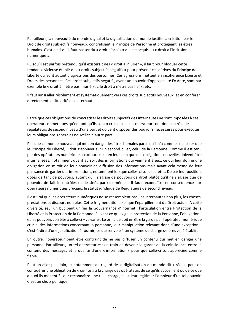Par ailleurs, la nouveauté du monde digital et la digitalisation du monde justifie la création par le Droit de droits subjectifs nouveaux, concrétisant le Principe de Personne et protégeant les êtres humains. C'est ainsi qu'il faut passer du « droit d'accès » qui est acquis au « droit à l'inclusion numérique ».

Puisqu'il est parfois prétendu qu'il existerait des « droit à injurier », il faut pour bloquer cette tendance vicieuse établir des « droits subjectifs négatifs » pour prévenir ces dérives du Principe de Liberté qui sont autant d'agressions des personnes. Ces agressions mettent en incohérence Liberté et Droits des personnes. Ces droits subjectifs négatifs, ayant un pouvoir d'opposabilité Ex Ante, sont par exemple le « droit à n'être pas injurié », « le droit à n'être pas haï », etc.

Il faut ainsi aller résolument et systématiquement vers ces droits subjectifs nouveaux, et en conférer directement la titularité aux internautes.

Parce que ces obligations de concrétiser les droits subjectifs des internautes ne sont imposées à ces opérateurs numériques qu'en tant qu'ils sont « cruciaux », ces opérateurs ont donc un rôle de régulateurs de second niveau d'une part et doivent disposer des pouvoirs nécessaires pour exécuter leurs obligations générales nouvelles d'autre part.

Puisque ce monde nouveau qui met en danger les êtres humains parce qu'il n'a comme seul pilier que le Principe de Liberté, il doit s'appuyer sur un second pilier, celui de la Personne. Comme il est tenu par des opérateurs numériques cruciaux, c'est en leur sein que des obligations nouvelles doivent être internalisées, notamment quant au sort des informations qui viennent à eux, ce qui leur donne une obligation en miroir de leur pouvoir de diffusion des informations mais avant cela‐même de leur puissance de garder des informations, notamment lorsque celles‐ci sont secrètes. De par leur position, dotés de tant de pouvoirs, autant qu'il s'agisse de pouvoirs de droit plutôt qu'il ne s'agisse que de pouvoirs de fait incontrôlés et dessinés par eux‐mêmes : il faut reconnaître en conséquence aux opérateurs numériques cruciaux le statut juridique de Régulateurs de second niveau.

Il est vrai que les opérateurs numériques ne se ressemblent pas, les internautes non plus, les choses, prestations et discours non plus. Cette fragmentation explique l'éparpillement du Droit actuel. A cette diversité, seul un but peut unifier la Gouvernance d'Internet : l'articulation entre Protection de la Liberté et la Protection de la Personne. Suivant ce qu'exige la protection de la Personne, l'obligation et les pouvoirs corrélés à celle‐ci – va varier. Le principe doit en être la garde par l'opérateur numérique crucial des informations concernant la personne, leur manipulation relevant donc d'une exception – c'est‐à‐dire d'une justification à fournir, ce qui renvoie à un système de charge de preuve, à établir.

En outre, l'opérateur peut être contraint de ne pas diffuser un contenu qui met en danger une personne. Par ailleurs, un tel opérateur est en train de devenir le garant de la coïncidence entre le contenu des messages et la qualité d'une « information » pour que celle‐ci soit appréciée comme fiable.

Peut-on aller plus loin, et notamment au regard de la digitalisation du monde dit » réel », peut-on considérer une obligation de « civilité » à la charge des opérateurs de ce qu'ils accueillent ou de ce que à quoi ils mènent ? Leur reconnaître une telle charge, c'est leur légitimer l'ampleur d'un tel pouvoir. C'est un choix politique.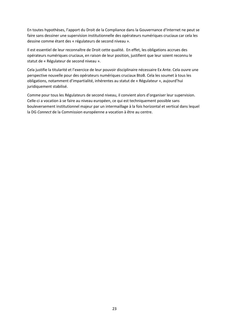En toutes hypothèses, l'apport du Droit de la Compliance dans la Gouvernance d'Internet ne peut se faire sans dessiner une supervision institutionnelle des opérateurs numériques cruciaux car cela les dessine comme étant des « régulateurs de second niveau ».

Il est essentiel de leur reconnaître de Droit cette qualité. En effet, les obligations accrues des opérateurs numériques cruciaux, en raison de leur position, justifient que leur soient reconnu le statut de « Régulateur de second niveau ».

Cela justifie la titularité et l'exercice de leur pouvoir disciplinaire nécessaire Ex Ante. Cela ouvre une perspective nouvelle pour des opérateurs numériques cruciaux BtoB. Cela les soumet à tous les obligations, notamment d'impartialité, inhérentes au statut de « Régulateur », aujourd'hui juridiquement stabilisé.

Comme pour tous les Régulateurs de second niveau, il convient alors d'organiser leur supervision. Celle-ci a vocation à se faire au niveau européen, ce qui est techniquement possible sans bouleversement institutionnel majeur par un intermaillage à la fois horizontal et vertical dans lequel la DG *Connect* de la Commission européenne a vocation à être au centre.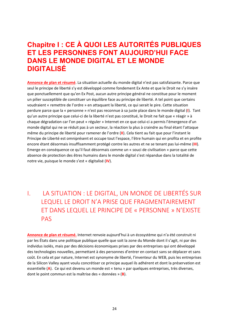# **Chapitre I : CE À QUOI LES AUTORITÉS PUBLIQUES ET LES PERSONNES FONT AUJOURD'HUI FACE DANS LE MONDE DIGITAL ET LE MONDE DIGITALISÉ**

**Annonce de plan et résumé**. La situation actuelle du monde digital n'est pas satisfaisante. Parce que seul le principe de liberté s'y est développé comme fondement Ex Ante et que le Droit ne s'y insère que ponctuellement que qu'en Ex Post, aucun autre principe général ne constitue pour le moment un pilier susceptible de constituer un équilibre face au principe de liberté. A tel point que certains voudraient « remettre de l'ordre » en attaquant la liberté, ce qui serait le pire. Cette situation perdure parce que la « personne » n'est pas reconnue à sa juste place dans le monde digital (**I**). Tant qu'un autre principe que celui‐ci de la liberté n'est pas constitué, le Droit ne fait que « réagir » à chaque dégradation car l'on peut « réguler » Internet en ce que celui‐ci a permis l'émergence d'un monde digital qui ne se réduit pas à un secteur, la réaction la plus à craindre au final étant l'attaque même du principe de liberté pour ramener de l'ordre (**II**). Cela tient au fait que pour l'instant le Principe de Liberté est omniprésent et occupe tout l'espace, l'être humain qui en profita et en profite encore étant désormais insuffisamment protégé contre les autres et ne se tenant pas lui‐même (**III**). Emerge en conséquence ce qu'il faut désormais comme un « souci de civilisation » parce que cette absence de protection des êtres humains dans le monde digital s'est répandue dans la totalité de notre vie, puisque le monde s'est « digitalisé (**IV**).

# I. LA SITUATION : LE DIGITAL, UN MONDE DE LIBERTÉS SUR LEQUEL LE DROIT N'A PRISE QUE FRAGMENTAIREMENT ET DANS LEQUEL LE PRINCIPE DE « PERSONNE » N'EXISTE PAS

**Annonce de plan et résumé.** Internet renvoie aujourd'hui à un écosystème qui n'a été construit ni par les États dans une politique publique quelle que soit la zone du Monde dont il s'agit, ni par des individus isolés, mais par des décisions économiques prises par des entreprises qui ont développé des technologies nouvelles, permettant à des personnes d'entrer en contact sans se déplacer et sans coût. En cela et par nature, Internet est synonyme de liberté, l'inventeur du WEB, puis les entreprises de la Silicon Valley ayant voulu concrétiser ce principe auquel ils adhérent et dont la préservation est essentielle (**A**). Ce qui est devenu un monde est « tenu » par quelques entreprises, très diverses, dont le point commun est la maîtrise des « données » (**B**).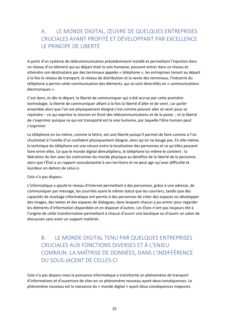#### A. LE MONDE DIGITAL, ŒUVRE DE QUELQUES ENTREPRISES CRUCIALES AYANT PROFITÉ ET DÉVELOPPANT PAR EXCELLENCE LE PRINCIPE DE LIBERTÉ

A partir d'un système de télécommunication précédemment installé et permettant l'injection dans un réseau d'un élément qui au départ était la voix humaine, pouvant entrer dans ce réseau et atteindre son destinataire par des terminaux appelés « téléphone », les entreprises tenant au départ à la fois le réseau de transport, le réseau de distribution et la vente des terminaux, l'industrie du téléphone a permis cette communication des éléments, qui se sont diversifiés en « communications électroniques ».

C'est donc, et dès le départ, la liberté de communiquer qui a été accrue par cette première technologie, la liberté de communiquer alliant à la fois la liberté d'aller et de venir, car parler ensemble alors que l'on est physiquement éloigné c'est comme pouvoir aller et venir pour se rejoindre – ce qui exprime la réunion en Droit des télécommunications et de la poste ‐, et la liberté de s'exprimer puisque ce qui est transporté est la voix humaine, par laquelle l'être humain peut s'exprimer.

Le téléphone en lui-même, comme la lettre, est une liberté puisqu'il permet de faire comme si l'on chuchotait à l'oreille d'un confident physiquement éloigné, alors qu'on ne bouge pas. En elle‐même, la technique du téléphone est une césure entre la localisation des personnes et ce qu'elles peuvent faire entre elles. Ce que le monde digital démultipliera, le téléphone lui‐même le contient : la libération du lien avec les contraintes du monde physique au bénéfice de la liberté de la personne, alors que l'État a un rapport consubstantiel à son territoire et ne peut agir qu'avec difficulté et lourdeur en‐dehors de celui‐ci.

#### Cela n'a pas disparu.

L'informatique a ajouté le réseau d'Internet permettant à des personnes, grâce à une adresse, de communiquer par message, les courriels ayant le même statut que les courriers, tandis que des capacités de stockage informatique ont permis à des personnes de créer des espaces où développer des images, des textes et des espaces de dialogues, dans lesquels chacun a pu entrer pour regarder les éléments d'information disponibles et en disposer d'autres. Les États n'ont pas toujours été à l'origine de cette transformation permettant à chacun d'ouvrir une boutique ou d'ouvrir un salon de discussion sans avoir un support matériel.

#### B. LE MONDE DIGITAL TENU PAR QUELQUES ENTREPRISES CRUCIALES AUX FONCTIONS DIVERSES ET À L'ENJEU COMMUN :LA MAÎTRISE DE DONNÉES, DANS L'INDIFFÉRENCE DU SOUS‐JACENT DE CELLES‐CI

Cela n'a pas disparu mais la puissance informatique a transformé un phénomène de transport d'informations et d'ouverture de sites en un phénomène nouveau ayant deux conséquences. Le phénomène nouveau est la naissance du « monde digital » ayant deux conséquences majeures.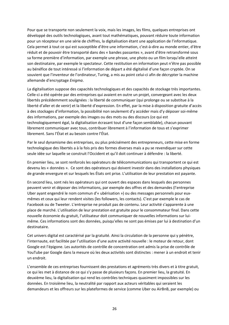Pour que se transporte non seulement la voix, mais les images, les films, quelques entreprises ont développé des outils technologiques, avant tout mathématiques, pouvant réduire toute information pour un récepteur en une série de chiffres, la digitalisation étant une application de l'informatique. Cela permet à tout ce qui est susceptible d'être une information, c'est‐à‐dire au monde entier, d'être réduit et de pouvoir être transporté dans des « bandes passantes », avant d'être retransformé sous sa forme première d'information, par exemple une phrase, une photo ou un film lorsqu'elle atteint son destinataire, par exemple le spectateur. Cette restitution en information peut n'être pas possible au bénéfice de tout intéressé si l'information de départ a été digitalisé d'une façon cryptée. On se souvient que l'inventeur de l'ordinateur, Turing, a mis au point celui‐ci afin de décrypter la machine allemande d'encryptage *Enigma*.

La digitalisation suppose des capacités technologiques et des capacités de stockage très importantes. Celle-ci a été opérée par des entreprises qui avaient en outre un projet, convergeant avec les deux libertés précédemment soulignées : la liberté de communiquer (qui prolonge ou se substitue à la liberté d'aller et de venir) et la liberté d'expression. En effet, par la mise à disposition gratuite d'accès à des stockages d'information, la possibilité non seulement d'y accéder mais d'y déposer soi‐même des informations, par exemple des images ou des mots ou des discours (ce qui est technologiquement égal, la digitalisation écrasant tout d'une façon semblable), chacun pouvant librement communiquer avec tous, contribuer librement à l'information de tous et s'exprimer librement. Sans l'État et au besoin contre l'État.

Par le seul dynamisme des entreprises, ou plus précisément des entrepreneurs, cette mise en forme technologique des libertés a à la fois pris des formes diverses mais a pu se revendiquer sur cette seule idée sur laquelle se construit l'Occident et qu'il doit continuer à défendre : la liberté.

En premier lieu, se sont renforcés les opérateurs de télécommunications qui transportent ce qui est devenu les « données ». Ce sont des opérateurs qui doivent investir dans des installations physiques de grande envergure et sur lesquels les États ont prise. L'utilisation de leur prestation est payante.

En second lieu, sont nés les opérateurs qui ont ouvert des espaces dans lesquels des personnes peuvent venir et déposer des informations, par exemple des offres et des demandes (l'entreprise Uber ayant engendré le nom commun d'« ubérisation ») ou des messages personnels pour eux‐ mêmes et ceux qui leur rendent visites (les followers, les contacts). C'est par exemple le cas de Facebook ou de Tweeter. L'entreprise ne produit pas de contenu. Leur activité s'apparente à une place de marché. L'utilisation de leur prestation est gratuite pour le consommateur final. Dans cette nouvelle économie du gratuit, l'utilisateur doit communiquer de nouvelles informations sur lui‐ même. Ces informations sont des données, puisqu'elles ne sont pas émises par lui à destination d'un destinataire.

Cet univers digital est caractérisé par la gratuité. Ainsi la circulation de la personne qui y pénètre, l'internaute, est facilitée par l'utilisation d'une autre activité nouvelle : le moteur de retour, dont Google est l'épigone. Les autorités de contrôle de concentration ont admis la prise de contrôle de YouTube par Google dans la mesure où les deux activités sont distinctes : mener à un endroit et tenir un endroit.

L'ensemble de ces entreprises fournissent des prestations et agréments très divers et à titre gratuit, ce qui les met à distance de ce qui s'y passe de plusieurs façons. En premier lieu, la gratuité. En deuxième lieu, la digitalisation qui rend les contrôles techniques quasiment impossibles sur les données. En troisième lieu, la neutralité par rapport aux acteurs véritables qui seraient les demandeurs et les offreurs sur les plateformes de service (comme Uber ou AirBnB, par exemple) ou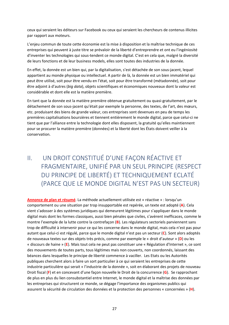ceux qui seraient les éditeurs sur Facebook ou ceux qui seraient les chercheurs de contenus illicites par rapport aux moteurs.

L'enjeu commun de toute cette économie est la mise à disposition et la maîtrise technique de ces entreprises qui peuvent à juste titre se prévaloir de la liberté d'entreprendre et ont eu l'ingéniosité d'inventer les technologies qui sous‐tendent ce monde digital. C'est en cela que, malgré la diversité de leurs fonctions et de leur business models, elles sont toutes des industries de la donnée.

En effet, la donnée est un bien qui, par la digitalisation, s'est détachée de son sous‐jacent, lequel appartient au monde physique ou intellectuel. A partir de là, la donnée est un bien immatériel qui peut être utilisé, soit pour être vendu en l'état, soit pour être transformé (métadonnée), soit pour être adjoint à d'autres (*big data*), objets scientifiques et économiques nouveaux dont la valeur est considérable et dont elle est la matière première.

En tant que la donnée est la matière première obtenue gratuitement ou quasi‐gratuitement, par le détachement de son sous‐jacent qu'était par exemple la personne, des textes, de l'art, des mœurs, etc. produisant des biens de grande valeur, ces entreprises sont devenues en peu de temps les premières capitalisations boursières et tiennent entièrement le monde digital, parce que celui‐ci ne tient que par l'alliance entre la technologie dont elles disposent, la gratuité qu'elles maintiennent pour se procurer la matière première (données) et la liberté dont les États doivent veiller à la conservation.

# II. UN DROIT CONSTITUÉ D'UNE FAÇON RÉACTIVE ET FRAGMENTAIRE, UNIFIÉ PAR UN SEUL PRINCIPE (RESPECT DU PRINCIPE DE LIBERTÉ) ET TECHNIQUEMENT ECLATÉ (PARCE QUE LE MONDE DIGITAL N'EST PAS UN SECTEUR)

**Annonce de plan et résumé**. La méthode actuellement utilisée est « réactive » : lorsqu'un comportement ou une situation par trop insupportable est repérée, un texte est adopté (**A**). Cela vient s'adosser à des systèmes juridiques qui demeurent légitimes pour s'appliquer dans le monde digital mais dont les formes classiques, aussi bien pénales que civiles, s'avèrent inefficaces, comme le montre l'exemple de la lutte contre la contrefaçon (**B**). Les régulateurs sectoriels parviennent sans trop de difficulté à intervenir pour ce qui les concerne dans le monde digital, mais cela n'est pas pour autant que celui‐ci est régulé, parce que le monde digital n'est pas un secteur (**C**). Sont alors adoptés de nouveaux textes sur des objets très précis, comme par exemple le « droit d'auteur » (**D**) ou les « discours de haine » (**E**). Mais tout cela ne peut pas constituer une « Régulation d'Internet », ce sont des mouvements de toutes parts, tous légitimes mais non couverts, non coordonnés, laissant des béances dans lesquelles le principe de liberté commence à vaciller. Les Etats ou les Autorités publiques cherchent alors à faire un sort particulier à ce qui seraient les entreprises de cette industrie particulière qui serait « l'industrie de la donnée », soit en élaborant des projets de nouveau Droit fiscal (**F**) et en concevant d'une façon nouvelle le Droit de la concurrence (**G**). Se rapprochant de plus en plus du lien consubstantiel entre Internet, le monde digital et la maîtrise des données par les entreprises qui structurent ce monde, se dégage l'importance des organismes publics qui assurent la sécurité de circulation des données et la protection des personnes « concernées » (**H**).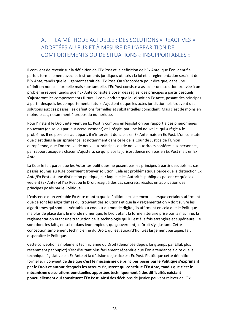#### A. LA MÉTHODE ACTUELLE : DES SOLUTIONS « RÉACTIVES » ADOPTÉES AU FUR ET À MESURE DE L'APPARITION DE COMPORTEMENTS OU DE SITUATIONS « INSUPPORTABLES »

Il convient de revenir sur la définition de l'Ex Post et la définition de l'Ex Ante, que l'on identifie parfois formellement avec les instruments juridiques utilisés : la loi et la réglementation seraient de l'Ex Ante, tandis que le jugement serait de l'Ex Post. On s'accordera pour dire que, dans une définition non pas formelle mais substantielle, l'Ex Post consiste à associer une solution trouvée à un problème repéré, tandis que l'Ex Ante consiste à poser des règles, des principes à partir desquels s'ajusteront les comportements futurs. Il conviendrait que la Loi soit en Ex Ante, posant des principes à partir desquels les comportements futurs s'ajustent et que les actes juridictionnels trouvent des solutions aux cas passés, les définitions formelles et substantielles coïncidant. Mais c'est de moins en moins le cas, notamment à propos du numérique.

Pour l'instant le Droit intervient en Ex Post, y compris en législation par rapport à des phénomènes nouveaux (en soi ou par leur accroissement) et il réagit, par une loi nouvelle, qui « règle » le problème. Il ne pose pas au départ, il n'intervient donc pas en Ex Ante mais en Ex Post. L'on constate que c'est dans la jurisprudence, et notamment dans celle de la Cour de Justice de l'Union européenne, que l'on trouve de nouveaux principes ou de nouveaux droits conférés aux personnes, par rapport auxquels chacun s'ajustera, ce qui place la jurisprudence non pas en Ex Post mais en Ex Ante.

La Cour le fait parce que les Autorités politiques ne posent pas les principes à partir desquels les cas passés soumis au Juge pourraient trouver solution. Cela est problématique parce que la distinction Ex Ante/Ex Post est une distinction politique, par laquelle les Autorités publiques posent ce qu'elles veulent (Ex Ante) et l'Ex Post où le Droit réagit à des cas concrets, résolus en application des principes posés par le Politique.

L'existence d'un véritable Ex Ante montra que le Politique existe encore. Lorsque certaines affirment que ce sont les algorithmes qui trouvent des solutions et que la « réglementation » doit suivre les algorithmes qui sont les véritables « codes » du monde digital, ils affirment en cela que le Politique n'a plus de place dans le monde numérique, le Droit étant la forme littéraire prise par la machine, la réglementation étant une traduction de la technologie qui lui est à la fois étrangère et supérieure. Ce sont donc les faits, en soi et dans leur ampleur, qui gouvernent, le Droit s'y ajustant. Cette conception simplement technicienne du Droit, qui est aujourd'hui très largement partagée, fait disparaître le Politique.

Cette conception simplement technicienne du Droit (dénoncée depuis longtemps par Ellul, plus récemment par Supiot) s'est d'autant plus facilement répandue que l'on a tendance à dire que la technique législative est Ex Ante et la décision de justice est Ex Post. Plutôt que cette définition formelle, il convient de dire que **c'est le mécanisme de principes posés par le Politique s'exprimant par le Droit et autour desquels les acteurs s'ajustent qui constitue l'Ex Ante, tandis que c'est le mécanisme de solutions ponctuelles apportées techniquement à des difficultés existant ponctuellement qui constituent l'Ex Post.** Ainsi des décisions de justice peuvent relever de l'Ex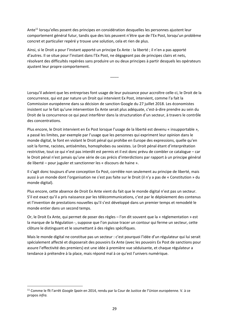Ante<sup>11</sup> lorsqu'elles posent des principes en considération desquelles les personnes ajustent leur comportement général futur, tandis que des lois peuvent n'être que de l'Ex Post, lorsqu'un problème concret et particulier repéré y trouve une solution, cela et rien de plus.

Ainsi, si le Droit a pour l'instant apporté un principe Ex Ante : la liberté ; il n'en a pas apporté d'autres. Il se situe pour l'instant dans l'Ex Post, ne dégageant pas de principes clairs et nets, résolvant des difficultés repérées sans produire un ou deux principes à partir desquels les opérateurs ajustent leur propre comportement.

\_\_\_\_

Lorsqu'il advient que les entreprises font usage de leur puissance pour accroître celle‐ci, le Droit de la concurrence, qui est par nature un Droit qui intervient Ex Post, intervient, comme l'a fait la Commission européenne dans sa décision de sanction Google du 27 juillet 2018. Les économistes insistent sur le fait qu'une intervention Ex Ante serait plus adéquate, c'est‐à‐dire prendre au sein du Droit de la concurrence ce qui peut interférer dans la structuration d'un secteur, à travers le contrôle des concentrations.

Plus encore, le Droit intervient en Ex Post lorsque l'usage de la liberté est devenu « insupportable », a passé les limites, par exemple par l'usage que les personnes qui expriment leur opinion dans le monde digital, le font en violant le Droit pénal qui prohibe en Europe des expressions, quelle qu'en soit la forme, racistes, antisémites, homophobes ou sexistes. Le Droit pénal étant d'interprétation restrictive, tout ce qui n'est pas interdit est permis et il est donc prévu de combler ce catalogue – car le Droit pénal n'est jamais qu'une série de cas précis d'interdictions par rapport à un principe général de liberté – pour juguler et sanctionner les « discours de haine ».

Il s'agit donc toujours d'une conception Ex Post, corrélée non seulement au principe de liberté, mais aussi à un monde dont l'organisation ne s'est pas faite sur le Droit (il n'y a pas de « Constitution » du monde digital).

Plus encore, cette absence de Droit Ex Ante vient du fait que le monde digital n'est pas un secteur. S'il est exact qu'il a pris naissance par les télécommunications, c'est par le déploiement des contenus et l'invention de prestations nouvelles qu'il s'est développé dans un premier temps et remodelé le monde entier dans un second temps.

Or, le Droit Ex Ante, qui permet de poser des règles – l'on dit souvent que la « réglementation » est la marque de la Régulation ‐, suppose que l'on puisse tracer un contour qui ferme un secteur, cette clôture le distinguant et le soumettant à des règles spécifiques.

Mais le monde digital ne constitue pas un secteur : c'est pourquoi l'idée d'un régulateur qui lui serait spécialement affecté et disposerait des pouvoirs Ex Ante (avec les pouvoirs Ex Post de sanctions pour assure l'effectivité des premiers) est une idée à première vue séduisante, et chaque régulateur a tendance à prétendre à la place, mais répond mal à ce qu'est l'univers numérique.

<sup>11</sup> Comme le fît l'arrêt *Google Spain* en 2014, rendu par la Cour de Justice de l'Union européenne. V. à ce propos *infra.*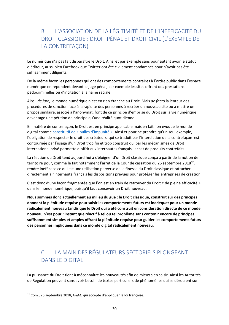#### B. L'ASSOCIATION DE LA LÉGITIMITÉ ET DE L'INEFFICACITÉ DU DROIT CLASSIQUE : DROIT PÉNAL ET DROIT CIVIL (L'EXEMPLE DE LA CONTREFAÇON)

Le numérique n'a pas fait disparaître le Droit. Ainsi et par exemple sans pour autant avoir le statut d'éditeur, aussi bien Facebook que Twitter ont été civilement condamnés pour n'avoir pas été suffisamment diligents.

De la même façon les personnes qui ont des comportements contraires à l'ordre public dans l'espace numérique en répondent devant le juge pénal, par exemple les sites offrant des prestations pédocriminelles ou d'incitation à la haine raciale.

Ainsi, *de jure,* le monde numérique n'est en rien étanche au Droit. Mais *de facto* la lenteur des procédures de sanction face à la rapidité des personnes à recréer un nouveau site ou à mettre un propos similaire, associé à l'anonymat, font de ce principe d'emprise du Droit sur la vie numérique davantage une pétition de principe qu'une réalité quotidienne.

En matière de contrefaçon, le Droit est en principe applicable mais en fait l'on évoque le monde digital comme constitutif de « bulles d'impunité ». Ainsi et pour ne prendre qu'un seul exemple, l'obligation de respecter le droit des créateurs, qui se traduit par l'interdiction de la contrefaçon est contournée par l'usage d'un Droit trop fin et trop construit qui par les mécanismes de Droit international privé permette d'offrir aux internautes français l'achat de produits contrefaits.

La réaction du Droit tend aujourd'hui à s'éloigner d'un Droit classique conçu à partir de la notion de territoire pour, comme le fait notamment l'arrêt de la Cour de cassation du 26 septembre 2018<sup>12</sup>, rendre inefficace ce qui est une utilisation perverse de la finesse du Droit classique et rattacher directement à l'internaute français les dispositions prévues pour protéger les entreprises de création.

C'est donc d'une façon fragmentée que l'on est en train de retrouver du Droit « de pleine efficacité » dans le monde numérique, puisqu'il faut concevoir un Droit nouveau.

**Nous sommes donc actuellement au milieu du gué : le Droit classique, construit sur des principes donnant la plénitude requise pour saisir les comportements futurs est inadéquat pour un monde radicalement nouveau tandis que le Droit qui a été construit en considération directe de ce monde nouveau n'est pour l'instant que réactif à tel ou tel problème sans contenir encore de principes suffisamment simples et amples offrant la plénitude requise pour guider les comportements futurs des personnes impliquées dans ce monde digital radicalement nouveau.** 

#### C. LA MAIN DES RÉGULATEURS SECTORIELS PLONGEANT DANS LE DIGITAL

La puissance du Droit tient à méconnaître les nouveautés afin de mieux s'en saisir. Ainsi les Autorités de Régulation peuvent sans avoir besoin de textes particuliers de phénomènes qui se déroulent sur

<sup>12</sup> Com., 26 septembre 2018, *H&M.* qui accepte d'appliquer la loi française.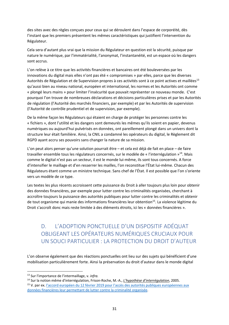des sites avec des règles conçues pour ceux qui se déroulent dans l'espace de corporéité, dès l'instant que les premiers présentent les mêmes caractéristiques qui justifient l'intervention du Régulateur.

Cela sera d'autant plus vrai que la mission du Régulateur en question est la sécurité, puisque par nature le numérique, par l'immatérialité, l'anonymat, l'instantanéité, est un espace où les dangers sont accrus.

L'on relève à ce titre que les activités financières et bancaires ont été bouleversées par les innovations du digital mais elles n'ont pas été « compromises » par elles, parce que les diverses Autorités de Régulation et de Supervision propres à ces activités sont à ce point actives et maillées<sup>13</sup> qu'aussi bien au niveau national, européen et international, les normes et les Autorités ont comme « plongé leurs mains » pour limiter l'insécurité que pouvait représenter ce nouveau monde. C'est pourquoi l'on trouve de nombreuses déclarations et décisions particulières prises et par les Autorités de régulation (l'Autorité des marchés financiers, par exemple) et par les Autorités de supervision (l'Autorité de contrôle prudentiel et de supervision, par exemple).

De la même façon les Régulateurs qui étaient en charge de protéger les personnes contre les « fichiers », dont l'utilité et les dangers sont demeurés les mêmes qu'ils soient en papier, devenus numériques ou aujourd'hui pulvérisés en données, ont pareillement plongé dans un univers dont la structure leur était familière. Ainsi, la CNIL a condamné les opérateurs du digital, le Règlement dit RGPD ayant accru ses pouvoirs sans changer la nature de sa mission.

L'on peut alors penser qu'une solution pourrait être – et cela est déjà de fait en place – de faire travailler ensemble tous les régulateurs concernés, sur le modèle de « l'interrégulation »<sup>14</sup>. Mais comme le digital n'est pas un secteur, il est le monde lui‐même, ils sont tous concernés. A force d'intensifier le maillage et d'en resserrer les mailles, l'on reconstitue l'État lui‐même. Chacun des Régulateurs étant comme un ministre technique. Sans chef de l'État. Il est possible que l'on s'oriente vers un modèle de ce type.

Les textes les plus récents accroissent cette puissance du Droit à aller toujours plus loin pour obtenir des données financières, par exemple pour lutter contre les criminalités organisées, cherchant à accroître toujours la puissance des autorités publiques pour lutter contre les criminalités et obtenir de tout organisme qui manie des informations financières leur obtention<sup>15</sup>. La violence légitime du Droit s'accroît donc mais reste limitée à des éléments étroits, ici les « données financières ».

#### D. L'ADOPTION PONCTUELLE D'UN DISPOSITIF ADÉQUAT OBLIGEANT LES OPÉRATEURS NUMÉRIQUES CRUCIAUX POUR UN SOUCI PARTICULIER : LA PROTECTION DU DROIT D'AUTEUR

L'on observe également que des réactions ponctuelles ont lieu sur des sujets qui bénéficient d'une mobilisation particulièrement forte. Ainsi la préservation du droit d'auteur dans le monde digital

<sup>13</sup> Sur l'importance de l'intermaillage, v. *infra.* 

<sup>14</sup> Sur la notion même d'interrégulation, Frison‐Roche, M.‐A., *L'hypothèse d'interrégulation*, 2005. <sup>15</sup> V. par ex. l'accord européen du 12 février 2019 pour l'accès des autorités publiques européennes aux données financières leur permettant de lutter contre la criminalité organisée.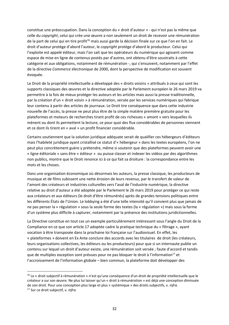constitue une préoccupation. Dans la conception du « droit d'auteur » ‐ qui n'est pas la même que celle du *copyright*, celui qui crée une œuvre a non seulement un droit de recevoir une rémunération de la part de celui qui en tire profit<sup>16</sup> mais aussi garde la décision finale sur ce que l'on en fait. Le droit d'auteur protège d'abord l'auteur, le *copyright* protège d'abord le producteur. Celui qui l'exploite est appelé éditeur, mais l'on sait que les opérateurs du numérique qui agissent comme espace de mise en ligne de contenus postés par d'autres, ont obtenu d'être soustraits à cette catégorie et aux obligations, notamment de rémunération ‐, qui s'ensuivent, notamment par l'effet de la directive *Commerce électronique* de 2000, dont la perspective de modification est souvent évoquée.

Le Droit de la propriété intellectuelle a développé des « droits voisins » attribués à ceux qui sont les supports classiques des œuvres et la directive adoptée par le Parlement européen le 26 mars 2019 va permettre à la fois de mieux protéger les auteurs et les articles mais aussi la presse traditionnelle, par la création d'un « droit voisin » à rémunération, versée par les services numériques qui fabrique leur contenu à partir des articles de journaux. Le Droit tire conséquence que dans cette industrie nouvelle de l'accès, la presse ne peut plus être de la simple matière première gratuite pour les plateformes et moteurs de recherches tirant profit de ces richesses « amont » vers lesquelles ils mènent ou dont ils permettent la lecture, ce pour quoi des flux considérables de personnes viennent et ce dont ils tirent en « aval » un profit financier considérable.

Certains soutiennent que la solution juridique adéquate serait de qualifier ces hébergeurs d'éditeurs mais l'habileté juridique ayant cristallisé ce statut d'« hébergeur » dans les textes européens, l'on ne peut plus concrètement guère y prétendre, même si soutenir que des plateformes peuvent avoir une « ligne éditoriale » sans être « éditeur » ou puisse classer et indexer les vidéos par des algorithmes non publics, montre que le Droit renonce ici à ce qui fait sa droiture : la correspondance entre les mots et les choses.

Dans une organisation économique où désormais les auteurs, la presse classique, les producteurs de musique et de films subissent une nette érosion de leurs revenus, par le transfert de valeur de l'amont des créateurs et industries culturelles vers l'aval de l'industrie numérique, la directive relative au droit d'auteur a été adoptée par le Parlement le 26 mars 2019 pour protéger ce qui reste aux créateurs et aux éditeurs (le droit d'être rémunérés) après de grandes tensions politiques entre les différents États de l'Union. Le lobbying a été d'une telle intensité qu'il convient plus que jamais de ne pas penser la « régulation » sous la seule forme des textes (la « régulation ») mais sous la forme d'un système plus difficile à capturer, notamment par la présence des institutions juridictionnelles.

La Directive constitue en tout cas un exemple particulièrement intéressant sous l'angle du Droit de la Compliance en ce que son article 17 adoptée cadre la pratique technique du « filtrage », ayant vocation à être transposée dans la prochaine loi française sur l'audiovisuel. En effet, les « plateformes » doivent en Ex Ante conclure des accords avec les titulaires de droit (les créateurs, leurs organisations collectives, les éditeurs ou les producteurs) pour que si un internaute publie un contenu sur lequel un droit d'auteur existe, une rémunération soit versée ; faute d'accord et tandis que de multiples exception sont prévues pour ne pas bloquer le droit à l'information<sup>17</sup> et l'accroissement de l'information globale – bien commun, la plateforme doit développer des

<sup>&</sup>lt;sup>16</sup> Le « droit subjectif à rémunération » n'est qu'une conséquence d'un droit de propriété intellectuelle que le créateur a sur son œuvre. Ne plus lui laisser qu'un « droit à rémunération » est déjà une conception diminuée de son droit. Pour une conception plus large et plus « systémique » des droits subjectifs, v. *infra.*  17 Sur ce droit subjectif, v. *infra.*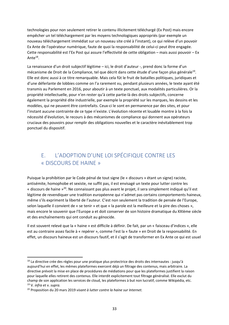technologies pour non seulement retirer le contenu illicitement téléchargé (Ex Post) mais encore empêcher un tel téléchargement par les moyens technologiques appropriés (par exemple un nouveau téléchargement immédiat sur un nouveau site créé à l'instant), ce qui relève d'un pouvoir Ex Ante de l'opérateur numérique, faute de quoi la responsabilité de celui‐ci peut être engagée. Cette responsabilité est l'Ex Post qui assure l'effectivité de cette obligation – mais aussi pouvoir – Ex Ant $e^{18}$ .

La renaissance d'un droit subjectif légitime – ici, le droit d'auteur ‐, prend donc la forme d'un mécanisme de Droit de la Compliance, tel que décrit dans cette étude d'une façon plus générale19. Elle est donc aussi à ce titre remarquable. Mais cela fût le fruit de batailles politiques, juridiques et d'une déferlante de lobbies comme on l'a rarement vu, pendant plusieurs années, le texte ayant été transmis au Parlement en 2016, pour aboutir à un texte ponctuel, aux modalités particulières. Or la propriété intellectuelle, pour n'en rester qu'à cette partie‐là des droits subjectifs, concerne également la propriété dite industrielle, par exemple la propriété sur les marques, les dessins et les modèles, qui ne peuvent être contrefaits. Ceux‐ci le sont en permanence par des sites, et pour l'instant aucune contrainte de ce type n'existe. L'évolution récente et louable montre à la fois la nécessité d'évolution, le recours à des mécanismes de compliance qui donnent aux opérateurs cruciaux des pouvoirs pour remplir des obligations nouvelles et le caractère inévitablement trop ponctuel du dispositif.

#### E. L'ADOPTION D'UNE LOI SPÉCIFIQUE CONTRE LES « DISCOURS DE HAINE »

Puisque la prohibition par le Code pénal de tout signe (le « discours » étant un signe) raciste, antisémite, homophobe et sexiste, ne suffit pas, il est envisagé un texte pour lutter contre les « discours de haine »20. Ne connaissant pas plus avant le projet, il sera simplement indiqué qu'il est légitime de revendiquer une tradition européenne qui n'admet pas certains comportements haineux, même s'ils expriment la liberté de l'auteur. C'est non seulement la tradition de pensée de l'Europe, selon laquelle il convient de « se tenir » et que « la parole est la meilleure et la pire des choses », mais encore le souvenir que l'Europe a et doit conserver de son histoire dramatique du XXIème siècle et des enchaînements qui ont conduit au génocide.

Il est souvent relevé que la « haine » est difficile à définir. De fait, par un « faisceau d'indices », elle est au contraire assez facile à « repérer », comme l'est la « faute » en Droit de la responsabilité. En effet, un discours haineux est un discours fautif, et il s'agit de transformer en Ex Ante ce qui est usuel

<u>.</u>

<sup>&</sup>lt;sup>18</sup> La directive crée des règles pour une pratique plus protectrice des droits des internautes : jusqu'à aujourd'hui en effet, les mêmes plateformes exercent déjà un filtrage des contenus, mais arbitraire. La directive prévoit la mise en place de procédures de médiations pour que les plateformes justifient la raison pour laquelle elles retirent des contenus. Elle interdit explicitement tout filtrage généralisé. Elle exclut du champ de son application les services de cloud, les plateformes à but non lucratif, comme Wikipédia, etc. 19 V. *infra* et v. *supra.* 

<sup>20</sup> Proposition du 20 mars 2019 *visant à lutter contre la haine sur Internet.*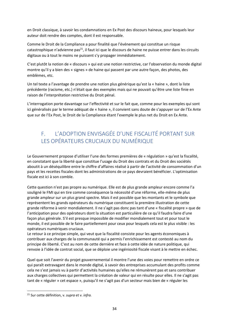en Droit classique, à savoir les condamnations en Ex Post des discours haineux, pour lesquels leur auteur doit rendre des comptes, dont il est responsable.

Comme le Droit de la Compliance a pour finalité que l'événement qui constitue un risque catastrophique n'advienne pas $^{21}$ , il faut ici que le discours de haine ne puisse entrer dans les circuits digitaux ou à tout le moins ne puissent s'y propager immédiatement.

C'est plutôt la notion de « discours » qui est une notion restrictive, car l'observation du monde digital montre qu'il y a bien des « signes » de haine qui passent par une autre façon, des photos, des emblèmes, etc.

Un tel texte a l'avantage de prendre une notion plus générique qu'est la « haine », dont la liste précédente (racisme, etc.) n'était que des exemples mais qui ne pouvait qu'être une liste finie en raison de l'interprétation restrictive du Droit pénal.

L'interrogation porte davantage sur l'effectivité et sur le fait que, comme pour les exemples qui sont ici généralisés par le terme adéquat de « haine », il convient sans doute de s'appuyer sur de l'Ex Ante que sur de l'Ex Post, le Droit de la Compliance étant l'exemple le plus net du Droit en Ex Ante.

#### F. L'ADOPTION ENVISAGÉE D'UNE FISCALITÉ PORTANT SUR LES OPÉRATEURS CRUCIAUX DU NUMÉRIQUE

Le Gouvernement propose d'utiliser l'une des formes premières de « régulation » qu'est la fiscalité, en constatant que la liberté que constitue l'usage du Droit des contrats et du Droit des sociétés aboutit à un déséquilibre entre le chiffre d'affaires réalisé à partir de l'activité de consommation d'un pays et les recettes fiscales dont les administrations de ce pays devraient bénéficier. L'optimisation fiscale est ici à son comble.

Cette question n'est pas propre au numérique. Elle est de plus grande ampleur encore comme l'a souligné le FMI qui en tire comme conséquence la nécessité d'une réforme, elle‐même de plus grande ampleur sur un plus grand spectre. Mais il est possible que les montants et le symbole que représentent les grands opérateurs du numérique constituent la première illustration de cette grande réforme à venir mondialement. Il ne s'agit pas donc pas tant d'une « fiscalité propre » que de l'anticipation pour des opérateurs dont la situation est particulière de ce qu'il faudra faire d'une façon plus générale. S'il est presque impossible de modifier mondialement tout et pour tout le monde, il est possible de le faire partiellement pour ceux pour lesquels cela est le plus visible : les opérateurs numériques cruciaux.

Le retour à ce principe simple, qui veut que la fiscalité consiste pour les agents économiques à contribuer aux charges de la communauté qui a permis l'enrichissement est contesté au nom du principe de liberté. C'est au nom de cette dernière et face à cette idée de nature politique, qui renvoie à l'idée de contrat social, que se déploie une ingéniosité fiscale visant à le mettre en échec.

Quel que soit l'avenir du projet gouvernemental il montre l'une des voies pour remettre en ordre ce qui paraît extravagant dans le monde digital, à savoir des entreprises accumulant des profits comme cela ne s'est jamais vu à partir d'activités humaines qu'elles ne rémunèrent pas et sans contribuer aux charges collectives qui permettent la création de valeur qui en résulte pour elles. Il ne s'agit pas tant de « réguler » cet espace », puisqu'il ne s'agit pas d'un secteur mais bien de « réguler les

<sup>21</sup> Sur cette définition, v. *supra* et v. *infra.*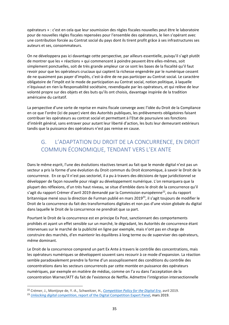opérateurs » : c'est en cela que leur soumission des règles fiscales nouvelles peut être le laboratoire pour de nouvelles règles fiscales repensées pour l'ensemble des opérateurs, le lien s'opérant avec une contribution forcée au Contrat social du pays dont ils tirent profit grâce à ses infrastructures ses auteurs et ses, consommateurs.

On ne développera pas ici davantage cette perspective, par ailleurs essentielle, puisqu'il s'agit plutôt de montrer que les « réactions » qui commencent à poindre peuvent être elles-mêmes, soit simplement ponctuelles, soit de très grande ampleur car ce sont les bases de la fiscalité qu'il faut revoir pour que les opérateurs cruciaux qui captent la richesse engendrée par le numérique cessent de ne quasiment pas payer d'impôts, c'est‐à‐dire de ne pas participer au Contrat social. Le caractère obligatoire de l'impôt est le mode de participation au Contrat social, notion politique, à laquelle n'équivaut en rien la Responsabilité sociétaire, revendiquée par les opérateurs, et qui relève de leur volonté propre sur des objets et des buts qu'ils ont choisis, davantage inspirée de la tradition américaine du caritatif.

La perspective d'une sorte de reprise en mains fiscale converge avec l'idée du Droit de la Compliance en ce que l'ordre (ici de payer) vient des Autorités publiques, les prélèvements obligatoires faisant contribuer les opérateurs au contrat social et permettant à l'Etat de poursuivre ses fonctions d'intérêt général, sans entraver pour autant leur liberté d'action, les buts leur demeurant extérieurs tandis que la puissance des opérateurs n'est pas remise en cause.

#### G. L'ADAPTATION DU DROIT DE LA CONCURRENCE, EN DROIT COMMUN ÉCONOMIQUE, TENDANT VERS L'EX ANTE

Dans le même esprit, l'une des évolutions réactives tenant au fait que le monde digital n'est pas un secteur a pris la forme d'une évolution du Droit commun du Droit économique, à savoir le Droit de la concurrence. En ce qu'il n'est pas sectoriel, il a pu à travers des décisions de type juridictionnel se développer de façon nouvelle pour réagir au développement numérique. L'on remarquera que la plupart des réflexions, d'un très haut niveau, se situe d'emblée dans le droit de la concurrence qu'il s'agit du rapport Crémer d'avril 2019 demandé par la Commission européenne<sup>22</sup>, ou du rapport britannique mené sous la direction de Furman publié en mars 2019<sup>23</sup>, il s'agit toujours de modifier le Droit de la concurrence du fait des transformations digitales et non pas d'une vision globale du digital dans laquelle le Droit de la concurrence ne prendrait que sa part.

Pourtant le Droit de la concurrence est en principe Ex Post, sanctionnant des comportements prohibés et ayant un effet sensible sur un marché, le dégradant, les Autorités de concurrence étant intervenues sur le marché de la publicité en ligne par exemple, mais n'ont pas en charge de construire des marchés, d'en maintenir les équilibres à long terme ou de superviser des opérateurs, même dominant.

Le Droit de la concurrence comprend un part Ex Ante à travers le contrôle des concentrations, mais les opérateurs numériques se développent souvent sans recourir à ce mode d'expansion. La réaction semble paradoxalement prendre la forme d'un assouplissement des conditions du contrôle des concentrations dans les secteurs concurrencés par cette montée en puissance des opérateurs numériques, par exemple en matière de médias, comme on l'a vu dans l'acceptation de la concentration Warner/ATT du fait de l'existence de Netflix. Admettre l'intégration intersectionnelle

<sup>22</sup> Crémer, J., Montjoye de, Y.‐A., Schweitzer, H., *Competition Policy for the Digital Era*, avril 2019.

<sup>23</sup> *Unlocking digital competition*, report of the Digital Competition Expert Panel, mars 2019.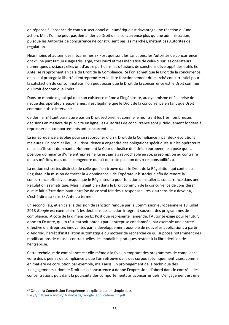en réponse à l'absence de contour sectionnel du numérique est davantage une réaction qu'une action. Mais l'on ne peut pas demander au Droit de la concurrence plus qu'une administration, puisque les Autorités de concurrence ne construisent pas les marchés, n'étant pas Autorités de régulation.

Néanmoins et au sein des mécanismes Ex Post que sont les sanctions, les Autorités de concurrence ont d'une part fait un usage très large, très lourd et très médiatisé de celui‐ci sur les opérateurs numériques cruciaux ; elles ont d'autre part dans les décisions de sanctions développé des outils Ex Ante, se rapprochant en cela du Droit de la Compliance. Si l'on admet que le Droit de la concurrence, en ce qui protège la liberté d'entreprendre et le libre fonctionnement du marché concurrentiel pour la satisfaction du consommateur, l'on peut poser que le Droit de la concurrence est le Droit commun du Droit économique libéral.

Dans un monde digital qui doit son existence même à l'ingéniosité, au dynamisme et à la prise de risque des opérateurs eux‐mêmes, il est légitime que le Droit de la concurrence en tant que Droit commun puisse intervenir.

Ce dernier n'étant par nature pas un Droit sectoriel, et comme le montrent les très nombreuses décisions en matière de publicité en ligne, les Autorités de concurrence sont juridiquement fondées à reprocher des comportements anticoncurrentiels.

La jurisprudence a évolué pour se rapprocher d'un « Droit de la Compliance » par deux évolutions majeures. En premier lieu, la jurisprudence a engendré des obligations spécifiques sur les opérateurs en ce qu'ils sont dominants. Notamment la Cour de Justice de l'Union européenne a posé que la position dominante d'une entreprise ne lui est jamais reprochable en soi, présomption au contraire de ses mérites, mais qu'elle engendre du fait de cette position des « responsabilités ».

La notion est certes distincte de celle que l'on trouve dans le Droit de la Régulation qui confie au Régulateur la mission de traiter la « dominance » de l'opérateur historique afin de rendre la concurrence effective, lorsque que le Régulateur a pour fonction d'installer la concurrence dans une Régulation asymétrique. Mais il s'agit bien dans le Droit commun de la concurrence de considérer que le fait d'être dominant entraîne de ce seul fait des « responsabilités » au sens de « devoir », c'est‐à‐dire au sens Ex Ante du terme.

En second lieu, et en cela la décision de sanction rendue par la Commission européenne le 18 juillet 2018 *Google* est exemplaire<sup>24</sup>, les décisions de sanction intègrent souvent des programmes de compliance. A côté de la dimension Ex Post que représente l'amende, l'Autorité exige pour le futur, donc en Ex Ante, qu'un résultat soit obtenu par l'entreprise condamnée, par exemple une entrée effective d'entreprises innovantes par le développement possible de nouvelles applications à partir d'Androïd, l'arrêt d'installation automatique du moteur de recherche ce qui suppose notamment des modifications de clauses contractuelles, les modalités pratiques restant à la libre décision de l'entreprise.

Cette technique de compliance est elle‐même à la fois un emprunt des programmes de compliance, voire des « peines de compliance » que l'on retrouve dans des corpus spécifiquement visés, comme en matière de corruption par exemple, mais aussi un prolongement de la technique des « engagements » dont le Droit de la concurrence a donné l'expression, d'abord dans le contrôle des concentrations puis dans la poursuite des comportements anticoncurrentiels. L'engagement est une

<sup>&</sup>lt;sup>24</sup> Ce que la Commission Européenne a explicité par un simple dessin : file:///C:/Users/admin/Downloads/Google\_applications\_fr.pdf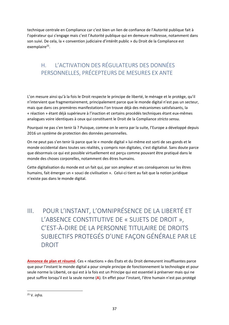technique centrale en Compliance car c'est bien un lien de confiance de l'Autorité publique fait à l'opérateur qui s'engage mais c'est l'Autorité publique qui en demeure maîtresse, notamment dans son suivi. De cela, la « convention judiciaire d'intérêt public » du Droit de la Compliance est exemplaire<sup>25</sup>.

## H. L'ACTIVATION DES RÉGULATEURS DES DONNÉES PERSONNELLES, PRÉCEPTEURS DE MESURES EX ANTE

L'on mesure ainsi qu'à la fois le Droit respecte le principe de liberté, le ménage et le protège, qu'il n'intervient que fragmentairement, principalement parce que le monde digital n'est pas un secteur, mais que dans ces premières manifestations l'on trouve déjà des mécanismes satisfaisants, la « réaction » étant déjà supérieure à l'inaction et certains procédés techniques étant eux‐mêmes analogues voire identiques à ceux qui constituent le Droit de la Compliance *stricto sensu*.

Pourquoi ne pas s'en tenir là ? Puisque, comme on le verra par la suite, l'Europe a développé depuis 2016 un système de protection des données personnelles.

On ne peut pas s'en tenir là parce que le « monde digital » lui‐même est sorti de ses gonds et le monde occidental dans toutes ses réalités, y compris non digitales, s'est digitalisé. Sans doute parce que désormais ce qui est possible virtuellement est perçu comme pouvant être pratiqué dans le monde des choses corporelles, notamment des êtres humains.

Cette digitalisation du monde est un fait qui, par son ampleur et ses conséquences sur les êtres humains, fait émerger un « souci de civilisation ». Celui‐ci tient au fait que la notion juridique n'existe pas dans le monde digital.

## III. POUR L'INSTANT, L'OMNIPRÉSENCE DE LA LIBERTÉ ET L'ABSENCE CONSTITUTIVE DE « SUJETS DE DROIT », C'EST‐À‐DIRE DE LA PERSONNE TITULAIRE DE DROITS SUBJECTIFS PROTEGÉS D'UNE FAÇON GÉNÉRALE PAR LE DROIT

**Annonce de plan et résumé**. Ces « réactions » des États et du Droit demeurent insuffisantes parce que pour l'instant le monde digital a pour simple principe de fonctionnement la technologie et pour seule norme la Liberté, ce qui est à la fois est un Principe qui est essentiel à préserver mais qui ne peut suffire lorsqu'il est la seule norme (**A**). En effet pour l'instant, l'être humain n'est pas protégé

<sup>25</sup> V. *infra.*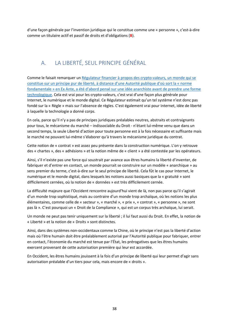d'une façon générale par l'invention juridique qui le constitue comme une « personne », c'est‐à‐dire comme un titulaire actif et passif de droits et d'obligations (**B**).

#### A. LA LIBERTÉ, SEUL PRINCIPE GÉNÉRAL

Comme le faisait remarquer un Régulateur financier à propos des crypto‐valeurs, un monde qui se constitue sur un principe pur de liberté, à distance d'une Autorité publique d'où sort la « norme fondamentale » en Ex Ante, a été d'abord pensé sur une idée anarchiste avant de prendre une forme technologique. Cela est vrai pour les crypto-valeurs, c'est vrai d'une façon plus générale pour Internet, le numérique et le monde digital. Ce Régulateur estimait qu'un tel système n'est donc pas fondé sur la « Règle » mais sur l'absence de règles. C'est également vrai pour Internet, idée de liberté à laquelle la technologie a donné corps.

En cela, parce qu'il n'y a pas de principes juridiques préalables neutres, abstraits et contraignants pour tous, le mécanisme du marché – indissociable du Droit ‐ n'étant lui‐même venu que dans un second temps, la seule Liberté d'action pour toute personne est à la fois nécessaire et suffisante mais le marché ne pouvant lui‐même s'élaborer qu'à travers le mécanisme juridique du contrat.

Cette notion de « contrat » est assez peu présente dans la construction numérique. L'on y retrouve des « chartes », des « adhésions » et la notion même de « client » a été contestée par les opérateurs.

Ainsi, s'il n'existe pas une force qui soustrait par avance aux êtres humains la liberté d'inventer, de fabriquer et d'entrer en contact, un monde pourrait se construire sur un modèle « anarchique » au sens premier du terme, c'est-à-dire sur le seul principe de liberté. Cela fût le cas pour Internet, le numérique et le monde digital, dans lesquels les notions aussi basiques que la « gratuité » sont difficilement cernées, où la notion de « données » est très difficilement cernée.

La difficulté majeure que l'Occident rencontre aujourd'hui vient de là, non pas parce qu'il s'agirait d'un monde trop sophistiqué, mais au contraire d'un monde trop archaïque, où les notions les plus élémentaires, comme celle de « secteur », « marché », « prix », « contrat », « personne », ne sont pas là ». C'est pourquoi un « Droit de la Compliance », qui est un corpus très archaïque, lui serait.

Un monde ne peut pas tenir uniquement sur la liberté ; il lui faut aussi du Droit. En effet, la notion de « Liberté » et la notion de « Droits » sont distinctes.

Ainsi, dans des systèmes non‐occidentaux comme la Chine, où le principe n'est pas la liberté d'action mais où l'être humain doit être préalablement autorisé par l'Autorité publique pour fabriquer, entrer en contact, l'économie du marché est tenue par l'État, les prérogatives que les êtres humains exercent provenant de cette autorisation première qui leur est accordée.

En Occident, les êtres humains jouissent à la fois d'un principe de liberté qui leur permet d'agir sans autorisation préalable d'un tiers pour cela, mais encore de « droits ».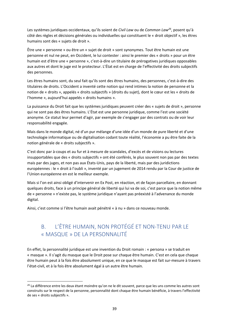Les systèmes juridiques occidentaux, qu'ils soient de *Civil Law* ou de *Common Law26*, posent qu'à côté des règles et décisions générales ou individuelles qui constituent le « droit objectif », les êtres humains sont des « sujets de droit ».

Être une « personne » ou être un « sujet de droit » sont synonymes. Tout être humain est une personne et nul ne peut, en Occident, le lui contester : ainsi le premier des « droits » pour un être humain est d'être une « personne », c'est‐à‐dire un titulaire de prérogatives juridiques opposables aux autres et dont le juge est le protecteur. L'État est en charge de l'effectivité des droits subjectifs des personnes.

Les êtres humains sont, du seul fait qu'ils sont des êtres humains, des personnes, c'est-à-dire des titulaires de droits. L'Occident a inventé cette notion qui rend intimes la notion de personne et la notion de « droits », appelés « droits subjectifs » (droits du sujet), dont le cœur est les « droits de l'homme », aujourd'hui appelés « droits humains ».

La puissance du Droit fait que les systèmes juridiques peuvent créer des « sujets de droit », personne qui ne sont pas des êtres humains. L'État est une personne juridique, comme l'est une société anonyme. Ce statut leur permet d'agir, par exemple de s'engager par des contrats ou de voir leur responsabilité engagée.

Mais dans le monde digital, né d'un pur mélange d'une idée d'un monde de pure liberté et d'une technologie informatique ou de digitalisation codant toute réalité, l'économie a pu être faite de la notion générale de « droits subjectifs ».

C'est donc par à‐coups et au fur et à mesure de scandales, d'excès et de visions ou lectures insupportables que des « droits subjectifs » ont été conférés, le plus souvent non pas par des textes mais par des juges, et non pas aux États‐Unis, pays de la liberté, mais par des juridictions européennes : le « droit à l'oubli », inventé par un jugement de 2014 rendu par la Cour de justice de l'Union européenne en est le meilleur exemple.

Mais si l'on est ainsi obligé d'intervenir en Ex Post, en réaction, et de façon parcellaire, en donnant quelques droits, face à un principe général de liberté qui lui va de soi, c'est parce que la notion même de « personne » n'existe pas, le système juridique n'ayant pas préexisté à l'advenance du monde digital.

Ainsi, c'est comme si l'être humain avait pénétré « à nu » dans ce nouveau monde.

<u>.</u>

#### B. L'ÊTRE HUMAIN, NON PROTÉGÉ ET NON‐TENU PAR LE « MASQUE » DE LA PERSONNALITÉ

En effet, la personnalité juridique est une invention du Droit romain : « persona » se traduit en « masque ». Il s'agit du masque que le Droit pose sur chaque être humain. C'est en cela que chaque être humain peut à la fois être absolument unique, en ce que le masque est fait sur-mesure à travers l'état‐civil, et à la fois être absolument égal à un autre être humain.

*<sup>26</sup>* La différence entre les deux étant moindre qu'on ne le dit souvent, parce que les uns comme les autres sont construits sur le respect de la personne, personnalité dont chaque être humain bénéficie, à travers l'effectivité de ses « droits subjectifs ».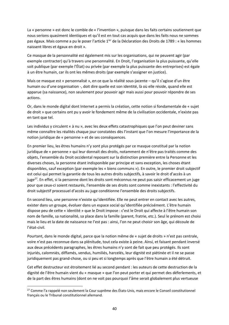La « personne » est donc le comble de « l'invention », puisque dans les faits certains soutiennent que nous serions quasiment identiques et qu'il est en tout cas acquis que dans les faits nous ne sommes pas égaux. Mais comme a pu le poser l'article 1ier de la Déclaration des Droits de 1789 : « les hommes naissent libres et égaux en droit ».

Ce masque de la personnalité est également mis sur les organisations, qui ne peuvent agir (par exemple contracter) qu'à travers une personnalité. En Droit, l'organisation la plus puissante, qu'elle soit publique (par exemple l'État) ou privée (par exemple la plus puissante des entreprises) est égale à un être humain, car ils ont les mêmes droits (par exemple s'assigner en justice).

Mais ce masque est « personnalisé », en ce que la réalité sous-jacente – qu'il s'agisse d'un être humain ou d'une organisation ‐, doit dire quelle est son identité, là où elle réside, quand elle est apparue (sa naissance), non seulement pour pouvoir agir mais aussi pour pouvoir répondre de ses actions.

Or, dans le monde digital dont Internet a permis la création, cette notion si fondamentale de « sujet de droit » que certains ont pu y avoir le fondement même de la civilisation occidentale, n'existe pas en tant que tel.

Les individus y circulent « à nu », avec les deux effets catastrophiques que l'on peut deviner sans même connaître les réalités chaque jour constatées dès l'instant que l'on mesure l'importance de la notion juridique de « personne » et de ses conséquences.

En premier lieu, les êtres humains n'y sont plus protégés par ce masque constitué par la notion juridique de « personne » qui leur donnait des droits, notamment de n'être pas traités comme des objets, l'ensemble du Droit occidental reposant sur la distinction première entre la Personne et les diverses choses, la personne étant indisponible par principe et sans exception, les choses étant disponibles, sauf exception (par exemple les « biens communs »). En outre, le premier droit subjectif est celui qui permet la garantie de tous les autres droits subjectifs, à savoir le droit d'accès à un juge27. En effet, si la personne dont les droits sont méconnus ne peut pas saisir efficacement un juge pour que ceux‐ci soient restaurés, l'ensemble de ses droits sont comme inexistants : l'effectivité du droit subjectif processuel d'accès au juge conditionne l'ensemble des droits subjectifs.

En second lieu, une personne n'existe qu'identifiée. Elle ne peut entrer en contact avec les autres, exister dans un groupe, évoluer dans un espace social qu'identifiée précisément. L'être humain dispose peu de cette « identité » que le Droit impose : c'est le Droit qui affecte à l'être humain son nom de famille, sa nationalité, sa place dans la famille (parent, fratrie, etc.). Seul le prénom est choisi mais le lieu et la date de naissance ne l'est pas : ainsi, l'on ne peut choisir son âge, qui découle de l'état‐civil.

Pourtant, dans le monde digital, parce que la notion même de « sujet de droits » n'est pas centrale, voire n'est pas reconnue dans sa plénitude, tout cela existe à peine. Ainsi, et faisant pendant inversé aux deux précédents paragraphes, les êtres humains n'y sont de fait que peu protégés. Ils sont injuriés, calomniés, diffamés, vendus, humiliés, harcelés, leur dignité est piétinée et il ne se passe juridiquement pas grand‐chose, ou si peu et si longtemps après que l'être humain a été détruit.

Cet effet destructeur est étroitement lié au second pendant : les auteurs de cette destruction de la dignité de l'être humain vient du « masque » que l'on peut porter et qui permet des déferlements, et de la part des êtres humains (dont on ne voit pas pourquoi l'âme serait globalement plus vertueuse

<sup>&</sup>lt;sup>27</sup> Comme l'a rappelé non seulement la Cour suprême des États-Unis, mais encore le Conseil constitutionnel français ou le Tribunal constitutionnel allemand.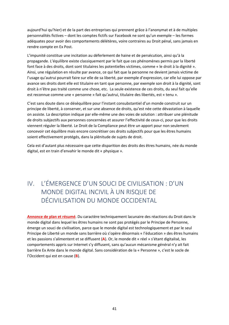aujourd'hui qu'hier) et de la part des entreprises qui prennent grâce à l'anonymat et à de multiples personnalités fictives – dont les comptes fictifs sur Facebook ne sont qu'un exemple – les formes adéquates pour avoir des comportements délétères, voire contraires au Droit pénal, sans jamais en rendre compte en Ex Post.

L'impunité constitue une incitation au déferlement de haine et de persécution, ainsi qu'à la propagande. L'équilibre existe classiquement par le fait que ces phénomènes permis par la liberté font face à des droits, dont sont titulaires les potentielles victimes, comme « le droit à la dignité ». Ainsi, une régulation en résulte par avance, ce qui fait que la personne ne devient jamais victime de l'usage qu'autrui pourrait faire sur elle de sa liberté, par exemple d'expression, car elle lui oppose par avance ses droits dont elle est titulaire en tant que personne, par exemple son droit à la dignité, sont droit à n'être pas traité comme une chose, etc. La seule existence de ces droits, du seul fait qu'elle est reconnue comme une « personne » fait qu'autrui, titulaire des libertés, est « tenu ».

C'est sans doute dans ce déséquilibre pour l'instant consubstantiel d'un monde construit sur un principe de liberté, à conserver, et sur une absence de droits, qu'est née cette dévastation à laquelle on assiste. La description indique par elle‐même une des voies de solution : attribuer une plénitude de droits subjectifs aux personnes concernées et assurer l'effectivité de ceux‐ci, pour que les droits viennent réguler la liberté. Le Droit de la Compliance peut être un apport pour non seulement concevoir cet équilibre mais encore concrétiser ces droits subjectifs pour que les êtres humains soient effectivement protégés, dans la plénitude de sujets de droit.

Cela est d'autant plus nécessaire que cette disparition des droits des êtres humains, née du monde digital, est en train d'envahir le monde dit « physique ».

## IV. L'ÉMERGENCE D'UN SOUCI DE CIVILISATION : D'UN MONDE DIGITAL INCIVIL À UN RISQUE DE DÉCIVILISATION DU MONDE OCCIDENTAL

**Annonce de plan et résumé**. Du caractère techniquement lacunaire des réactions du Droit dans le monde digital dans lequel les êtres humains ne sont pas protégés par le Principe de Personne, émerge un souci de civilisation, parce que le monde digital est technologiquement et par le seul Principe de Liberté un monde sans barrière où s'opère désormais « l'éducation » des êtres humains et les passions s'alimentent et se diffusent (**A**). Or, le monde dit « réel » s'étant digitalisé, les comportements appris sur Internet s'y diffusent, sans qu'aucun mécanisme général n'y ait fait barrière Ex Ante dans le monde digital. Sans considération de la « Personne », c'est le socle de l'Occident qui est en cause (**B**).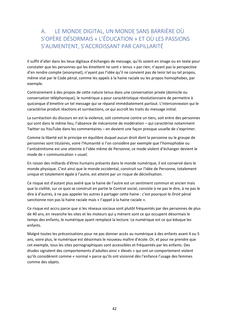#### A. LE MONDE DIGITAL, UN MONDE SANS BARRIÈRE OÙ S'OPÈRE DÉSORMAIS « L'ÉDUCATION » ET OÙ LES PASSIONS S'ALIMENTENT, S'ACCROISSANT PAR CAPILLARITÉ

Il suffit d'aller dans les lieux digitaux d'échanges de message, qu'ils soient en image ou en texte pour constater que les personnes qui les émettent ne sont « tenus » par rien, n'ayant pas la perspective d'en rendre compte (anonymat), n'ayant pas l'idée qu'il ne convient pas de tenir tel ou tel propos, même visé par le Code pénal, comme les appels à la haine raciale ou les propos homophobes, par exemple.

Contrairement à des propos de cette nature tenus dans une conversation privée (domicile ou conversation téléphonique), le numérique a pour caractéristique révolutionnaire de permettre à quiconque d'émettre un tel message qui se répand immédiatement partout. L'interconnexion qui le caractérise produit réactions et surréactions, ce qui accroît les traits du message initial.

La surréaction du discours en est la violence, soit commune contre un tiers, soit entre des personnes qui sont dans le même lieu, l'absence de mécanisme de modération – qui caractérise notamment Twitter ou YouTube dans les commentaires – en devient une façon presque usuelle de s'exprimer.

Comme la liberté est le principe en équilibre duquel aucun droit dont la personne ou le groupe de personnes sont titulaires, voire l'Humanité si l'on considère par exemple que l'homophobie ou l'antisémitisme est une atteinte à l'idée même de Personne, ce mode violent d'échanger devient le mode de « communication » usuel.

En raison des milliards d'êtres humains présents dans le monde numérique, il est conservé dans le monde physique. C'est ainsi que le monde occidental, construit sur l'idée de Personne, totalement unique et totalement égale à l'autre, est atteint par un risque de décivilisation.

Ce risque est d'autant plus avéré que la haine de l'autre est un sentiment commun et ancien mais que la civilité, sur ce quoi se construit en partie le Contrat social, consiste à ne pas le dire, à ne pas le dire à d'autres, à ne pas appeler les autres à partager cette haine : c'est pourquoi le Droit pénal sanctionne non pas la haine raciale mais « l'appel à la haine raciale ».

Ce risque est accru parce que si les réseaux sociaux sont plutôt fréquentés par des personnes de plus de 40 ans, en revanche les sites et les moteurs qui y mènent sont ce qui occupent désormais le temps des enfants, le numérique ayant remplacé la lecture. Le numérique est ce qui éduque les enfants.

Malgré toutes les préconisations pour ne pas donner accès au numérique à des enfants avant 4 ou 5 ans, voire plus, le numérique est désormais le nouveau maître d'école. Or, et pour ne prendre que cet exemple, tous les sites pornographiques sont accessibles et fréquentés par les enfants. Des études signalent des comportements d'adultes ainsi « élevés » qui ont un comportement violent qu'ils considèrent comme « normal » parce qu'ils ont visionné dès l'enfance l'usage des femmes comme des objets.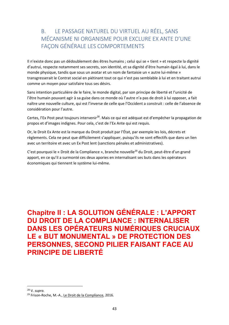#### B. LE PASSAGE NATUREL DU VIRTUEL AU RÉEL, SANS MÉCANISME NI ORGANISME POUR EXCLURE EX ANTE D'UNE FAÇON GÉNÉRALE LES COMPORTEMENTS

Il n'existe donc pas un dédoublement des êtres humains ; celui qui se « tient » et respecte la dignité d'autrui, respecte notamment ses secrets, son identité, et sa dignité d'être humain égal à lui, dans le monde physique, tandis que sous un avatar et un nom de fantaisie un « autre lui‐même » transgresserait le Contrat social en piétinant tout ce qui n'est pas semblable à lui et en traitant autrui comme un moyen pour satisfaire tous ses désirs.

Sans intention particulière de le faire, le monde digital, par son principe de liberté et l'unicité de l'être humain pouvant agir à sa guise dans ce monde où l'autre n'a pas de droit à lui opposer, a fait naître une nouvelle culture, qui est l'inverse de celle que l'Occident a construit : celle de l'absence de considération pour l'autre.

Certes, l'Ex Post peut toujours intervenir<sup>28</sup>. Mais ce qui est adéquat est d'empêcher la propagation de propos et d'images indignes. Pour cela, c'est de l'Ex Ante qui est requis.

Or, le Droit Ex Ante est la marque du Droit produit par l'État, par exemple les lois, décrets et règlements. Cela ne peut que difficilement s'appliquer, puisqu'ils ne sont effectifs que dans un lien avec un territoire et avec un Ex Post lent (sanctions pénales et administratives).

C'est pourquoi le « Droit de la Compliance », branche nouvelle<sup>29</sup> du Droit, peut-être d'un grand apport, en ce qu'il a surmonté ces deux apories en internalisant ses buts dans les opérateurs économiques qui tiennent le système lui‐même.

**Chapitre II : LA SOLUTION GÉNÉRALE : L'APPORT DU DROIT DE LA COMPLIANCE : INTERNALISER DANS LES OPÉRATEURS NUMÉRIQUES CRUCIAUX LE « BUT MONUMENTAL » DE PROTECTION DES PERSONNES, SECOND PILIER FAISANT FACE AU PRINCIPE DE LIBERTÉ** 

<sup>28</sup> V. *supra.* 

<sup>&</sup>lt;sup>29</sup> Frison-Roche, M.-A., Le Droit de la Compliance, 2016.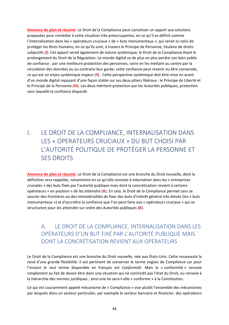**Annonce de plan et résumé**. Le Droit de la Compliance peut constituer un apport aux solutions proposées pour remédier à cette situation très préoccupantes, en ce qu'il se définit comme l'internalisation dans les « opérateurs cruciaux » de « buts monumentaux », qui serait ici celui de protéger les êtres humains, en ce qu'ils sont, à travers le Principe de Personne, titulaire de droits subjectifs (**I**). Cet apport serait également de nature systémique, le Droit de la Compliance étant le prolongement du Droit de la Régulation. Le monde digital va de plus en plus perdre son bien public de confiance : par une meilleure protection des personnes, voire en les mettant au centre par la circulation des données ou au contraire leur garde, cette confiance peut revenir ou être conservée, ce qui est un enjeu systémique majeur (**II**). Cette perspective systémique doit être mise en avant d'un monde digital reposant d'une façon stable sur ses deux piliers libéraux : le Principe de Liberté et le Principe de la Personne (**III**). Les deux méritent protection par les Autorités publiques, protection sans laquelle la confiance disparaît.

## I. LE DROIT DE LA COMPLIANCE, INTERNALISATION DANS LES « OPERATEURS CRUCIAUX » DU BUT CHOISI PAR L'AUTORITÉ POLITIQUE DE PROTÉGER LA PERSONNE ET SES DROITS

**Annonce de plan et résumé**. Le Droit de la Compliance est une branche du Droit nouvelle, dont la définition sera rappelée, notamment en ce qu'elle consiste à internaliser dans les « entreprises cruciales » des buts fixés par l'autorité publique mais dont la concrétisation revient à certains opérateurs « en position » de les atteindre (**A**). En cela, le Droit de la Compliance permet sans se soucier des frontières ou des immatérialités de fixer des buts d'intérêt général très élevés (les « buts monumentaux ») et d'accroître la confiance que l'on peut faire aux « opérateurs cruciaux » qui se structurent pour les atteindre sur ordre des Autorités publiques (**B**).

#### A. LE DROIT DE LA COMPLIANCE, INTERNALISATION DANS LES OPÉRATEURS D'UN BUT FIXÉ PAR L'AUTORITÉ PUBLIQUE MAIS DONT LA CONCRÉTISATION REVIENT AUX OPÉRATEURS

Le Droit de la Compliance est une branche du Droit nouvelle, née aux États‐Unis. Cette nouveauté la rend d'une grande flexibilité. Il est pertinent de conserver le terme anglais de *Compliance* car pour l'instant le seul terme disponible en français est *Conformité*. Mais la « conformité » renvoie simplement au fait de devoir être dans une situation qui ne contredit pas l'état du Droit, ou renvoie à la hiérarchie des normes juridiques ; ainsi une loi sera-t-elle « conforme » à la Constitution.

Ce qui est couramment appelé mécanisme de « Compliance » vise plutôt l'ensemble des mécanismes par lesquels dans un secteur particulier, par exemple le secteur bancaire et financier, des opérateurs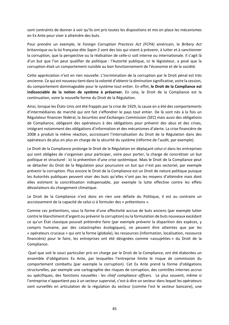sont contraints de donner à voir qu'ils ont pris toutes les dispositions et mis en place les mécanismes en Ex Ante pour viser à atteindre des buts.

Pour prendre un exemple, le *Foreign Corruption Practices Act (FCPA)*  américain, le *Bribery Act*  britannique ou la loi française dite *Sapin* 2 sont des lois qui visent à prévenir, à lutter et à sanctionner la corruption, que la perspective ou la réalisation de celle‐ci soit interne ou internationale. Il s'agit là d'un but que l'on peut qualifier de politique : l'Autorité publique, ici le législateur, a posé que la corruption était un comportement nuisible au bon fonctionnement de l'économie et de la société.

Cette appréciation n'est en rien nouvelle. L'incrimination de la corruption par le Droit pénal est très ancienne. Ce qui est nouveau tient dans la volonté d'obtenir la diminution significative, voire la cession, du comportement dommageable pour le système tout entier. En effet, **le Droit de la Compliance est indissociable de la notion de système à préserver.** En cela, le Droit de la Compliance est la continuation, voire la nouvelle forme du Droit de la Régulation.

Ainsi, lorsque les États‐Unis ont été frappés par la crise de 1929, la cause en a été des comportements d'intermédiaires de marché qui ont fait s'effondrer le pays tout entier. De là sont nés à la fois un Régulateur financier fédéral, la *Securities and Exchanges Commission (SEC*) mais aussi des obligations de Compliance, obligeant des opérateurs à des obligations pour prévenir des abus et des crises, intégrant notamment des obligations d'information et des mécanismes d'alerte. La crise financière de 2008 a produit la même réaction, accroissant l'internalisation du Droit de la Régulation dans des opérateurs de plus en plus en charge de la sécurité du système (réforme de l'audit, par exemple).

Le Droit de la Compliance prolonge le Droit de la Régulation en déplaçant celui‐ci dans les entreprises qui sont obligées de s'organiser pour participer, voire pour porter, la charge de concrétiser un but politique et structurel : ici la prévention d'une crise systémique. Mais le Droit de la Compliance peut se détacher du Droit de la Régulation pour poursuivre un but qui n'est pas sectoriel, par exemple prévenir la corruption. Plus encore le Droit de la Compliance est un Droit de nature politique puisque les Autorités publiques peuvent viser des buts qu'elles n'ont pas les moyens d'atteindre mais dont elles estiment la concrétisation indispensable, par exemple la lutte effective contre les effets dévastateurs du changement climatique.

Le Droit de la Compliance n'est donc en rien une défaite du Politique, il est au contraire un accroissement de la capacité de celui‐ci à formuler des « prétentions ».

Comme ces prétentions, sous la forme d'une effectivité accrue de buts anciens (par exemple lutter contre le blanchiment d'argent ou prévenir la corruption) ou la formulation de buts nouveaux excédant ce qu'un État classique pouvait prétendre faire (par exemple prévenir la disparition des espèces, y compris humaine, par des catastrophes écologiques), ne peuvent être atteintes que par les « opérateurs cruciaux » qui ont la forme (globale), les ressources (information, localisation, ressource financière) pour le faire, les entreprises ont été désignées comme «assujetties » du Droit de la Compliance.

 Quel que soit le souci particulier pris en charge par le Droit de la Compliance, ont été élaborées un ensemble d'obligations Ex Ante, par lesquelles l'entreprise limite le risque de commission du comportement combattu (par exemple la corruption). Cet Ex Ante prend la forme d'obligations structurelles, par exemple une cartographie des risques de corruption, des contrôles internes accrus ou spécifiques, des fonctions nouvelles : les *chief compliance officers*. Le plus souvent, même si l'entreprise n'appartient pas à un secteur supervisé, c'est‐à‐dire un secteur dans lequel les opérateurs sont surveillés en articulation de la régulation du secteur (comme l'est le secteur bancaire), une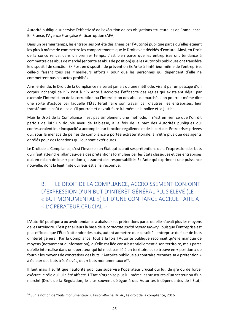Autorité publique supervise l'effectivité de l'exécution de ces obligations structurelles de Compliance. En France, l'Agence Française Anticorruption (AFA).

Dans un premier temps, les entreprises ont été désignées par l'Autorité publique parce qu'elles étaient les plus à même de commettre les comportements que le Droit avait décidés d'exclure. Ainsi, en Droit de la concurrence, dans un premier temps, c'est bien parce que les entreprises ont tendance à commettre des abus de marché (entente et abus de position) que les Autorités publiques ont transféré le dispositif de sanction Ex Post en dispositif de prévention Ex Ante à l'intérieur même de l'entreprise, celle‐ci faisant tous ses « meilleurs efforts » pour que les personnes qui dépendent d'elle ne commettent pas ces actes prohibés.

Ainsi entendu, le Droit de la Compliance ne serait jamais qu'une méthode, visant par un passage d'un corpus inchangé de l'Ex Post à l'Ex Ante à accroître l'efficacité des règles qui existaient déjà : par exemple l'interdiction de la corruption ou l'interdiction des abus de marché. L'on pourrait même dire une sorte d'astuce par laquelle l'État ferait faire son travail par d'autres, les entreprises, leur transférant le coût de ce qu'il pourrait et devrait faire lui‐même : la police et la justice ….

Mais le Droit de la Compliance n'est pas simplement une méthode. Il n'est en rien ce que l'on dit parfois de lui : un double aveu de faiblesse, à la fois de la part des Autorités publiques qui confesseraient leur incapacité à accomplir leur fonction régalienne et de la part des Entreprises privées qui, sous la menace de peines de compliance à portée extraterritoriale, à n'être plus que des agents enrôlés pour des fonctions qui leur sont extérieures.

Le Droit de la Compliance, c'est l'inverse : un État qui accroît ses prétentions dans l'expression des buts qu'il faut atteindre, allant au‐delà des prétentions formulées par les États classiques et des entreprises qui, en raison de leur « position », assurent des responsabilités Ex Ante qui expriment une puissance nouvelle, dont la légitimité qui leur est ainsi reconnue.

B. LE DROIT DE LA COMPLIANCE, ACCROISSEMENT CONJOINT D'EXPRESSION D'UN BUT D'INTÉRÊT GÉNÉRAL PLUS ÉLEVÉ (LE « BUT MONUMENTAL ») ET D'UNE CONFIANCE ACCRUE FAITE À « L'OPÉRATEUR CRUCIAL »

L'Autorité publique a pu avoir tendance à abaisser ses prétentions parce qu'elle n'avait plus les moyens de les atteindre. C'est par ailleurs la base de la *corporate social responsability* : puisque l'entreprise est plus efficace que l'État à atteindre des buts, autant admettre que ce soit à l'entreprise de fixer de buts d'intérêt général. Par la Compliance, tout à la fois l'Autorité publique reconnait qu'elle manque de moyens (notamment d'information), qu'elle est liée consubstantiellement à son territoire, mais parce qu'elle internalise dans un opérateur qui lui n'est pas lié à un territoire et se trouve en « position » de fournir les moyens de concrétiser des buts, l'Autorité publique au contraire recouvre sa « prétention » à édicter des buts très élevés, des « buts monumentaux »30.

Il faut mais il suffit que l'autorité publique supervise l'opérateur crucial qui lui, de gré ou de force, exécute le rôle qui lui a été affecté. L'État n'organise plus lui‐même les structures d'un secteur ou d'un marché (Droit de la Régulation, le plus souvent délégué à des Autorités indépendantes de l'État).

<sup>&</sup>lt;sup>30</sup> Sur la notion de "buts monumentaux », Frison-Roche, M.-A., Le droit de la compliance, 2016.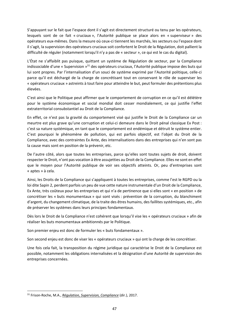S'appuyant sur le fait que l'espace dont il s'agit est directement structuré ou tenu par les opérateurs, lesquels sont de ce fait « cruciaux », l'Autorité publique se place alors en « superviseur » des opérateurs eux‐mêmes. Dans la mesure où ceux‐ci tiennent les marchés, les secteurs ou l'espace dont il s'agit, la supervision des opérateurs cruciaux soit confortent le Droit de la Régulation, doit pallient la difficulté de réguler (notamment lorsqu'il n'y a pas de « secteur », ce qui est le cas du digital).

L'État ne s'affaiblit pas puisque, quittant un système de Régulation de secteur, par la Compliance indissociable d'une « Supervision »31 des opérateurs cruciaux, l'Autorité publique impose des buts qui lui sont propres. Par l'internalisation d'un souci de système exprimé par l'Autorité politique, celle‐ci parce qu'il est déchargé de la charge de concrétisant tout en conservant le rôle de superviser les « opérateurs cruciaux » astreints à tout faire pour atteindre le but, peut formuler des prétentions plus élevées.

C'est ainsi que le Politique peut affirmer que le comportement de corruption en ce qu'il est délétère pour le système économique et social mondial doit cesser mondialement, ce qui justifie l'effet extraterritorial consubstantiel au Droit de la Compliance.

En effet, ce n'est pas la gravité du comportement visé qui justifie le Droit de la Compliance car un meurtre est plus grave qu'une corruption et celui‐ci demeure dans le Droit pénal classique Ex Post : c'est sa nature systémique, en tant que le comportement est endémique et détruit le système entier. C'est pourquoi le phénomène de pollution, qui est parfois objectif, est l'objet du Droit de la Compliance, avec des contraintes Ex Ante, des internalisations dans des entreprises qui n'en sont pas la cause mais sont en position de la prévenir, etc.

De l'autre côté, alors que toutes les entreprises, parce qu'elles sont toutes sujets de droit, doivent respecter le Droit, n'ont pas vocation à être assujetties au Droit de la Compliance. Elles ne sont en effet que le moyen pour l'Autorité publique de voir ses objectifs atteints. Or, peu d'entreprises sont « aptes » à cela.

Ainsi, les Droits de la Compliance qui s'appliquent à toutes les entreprises, comme l'est le RGPD ou la loi dite Sapin 2, perdent parfois un peu de vue cette nature instrumentale d'un Droit de la Compliance, Ex Ante, très coûteux pour les entreprises et qui n'a de pertinence que si elles sont « en position » de concrétiser les « buts monumentaux » qui sont visés : prévention de la corruption, du blanchiment d'argent, du changement climatique, de la traite des êtres humains, des faillites systémiques, etc., afin de préserver les systèmes dans leurs principes fondamentaux.

Dès lors le Droit de la Compliance n'est cohérent que lorsqu'il vise les « opérateurs cruciaux » afin de réaliser les buts monumentaux ambitionnés par le Politique.

Son premier enjeu est donc de formuler les « buts fondamentaux ».

Son second enjeu est donc de viser les « opérateurs cruciaux » qui ont la charge de les concrétiser.

Une fois cela fait, la transposition du régime juridique qui caractérise le Droit de la Compliance est possible, notamment les obligations internalisées et la désignation d'une Autorité de supervision des entreprises concernées.

<sup>31</sup> Frison‐Roche, M.A., *Régulation, Supervision, Compliance* (dir.), 2017.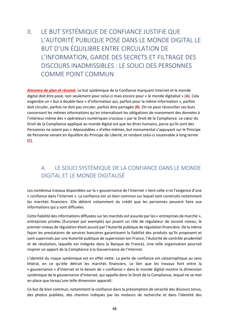II. LE BUT SYSTÉMIQUE DE CONFIANCE JUSTIFIE QUE L'AUTORITÉ PUBLIQUE POSE DANS LE MONDE DIGITAL LE BUT D'UN ÉQUILIBRE ENTRE CIRCULATION DE L'INFORMATION, GARDE DES SECRETS ET FILTRAGE DES DISCOURS INADMISSIBLES : LE SOUCI DES PERSONNES COMME POINT COMMUN

**Annonce de plan et résumé**. Le but systémique de la Confiance marquant Internet et le monde digital doit être posé, non seulement pour celui‐ci mais encore pour « le monde digitalisé » (**A**). Cela engendre un « but à double‐face » d'information qui, parfois pour la même information », parfois doit circuler, parfois ne doit pas circuler, parfois être partagée (**B**). On ne peut réconcilier ces buts concernant les mêmes informations qu'en internalisant les obligations de maniement des données à l'intérieur même des « opérateurs numériques cruciaux » par le Droit de la Compliance. Le cœur du Droit de la Compliance appliqué au monde digital est que les êtres humains, parce qu'ils sont des Personnes ne soient pas « dépossédées » d'elles‐mêmes, but monumental s'appuyant sur le Principe de Personne venant en équilibre du Principe de Liberté, et rendant celui‐ci soutenable à long terme (**C**).

#### A. LE SOUCI SYSTÉMIQUE DE LA CONFIANCE DANS LE MONDE DIGITAL ET LE MONDE DIGITALISÉ

Les nombreux travaux disponibles sur la « gouvernance de l'Internet » lient celle‐ci et l'exigence d'une « confiance dans l'Internet ». La confiance est un bien commun sur lequel sont construits notamment les marchés financiers. Elle détient notamment du crédit que les personnes peuvent faire aux informations qui y sont diffusées.

Cette fiabilité des informations diffusées sur les marchés est assurée par les « entreprises de marché », entreprises privées (Euronext par exemple) qui jouent un rôle de régulateur de second niveau, le premier niveau de régulation étant assuré par l'Autorité publique de régulation financière. De la même façon les prestataires de services bancaires garantissent la fiabilité des produits qu'ils proposent et sont supervisés par une Autorité publique de supervision (en France, l'Autorité de contrôle prudentiel et de résolution, laquelle est intégrée dans la Banque de France). Une telle organisation pourrait inspirer un apport de la Compliance à la Gouvernance de l'Internet.

L'identité du risque systémique est en effet nette. La perte de confiance est catastrophique au sens littéral, en ce qu'elle détruit les marchés financiers. Le lien que les travaux font entre la « gouvernance » d'Internet et le besoin de « confiance » dans le monde digital montre la dimension systémique de la gouvernance d'Internet, qui appelle donc le Droit de la Compliance, lequel ne se met en place que lorsqu'une telle dimension apparaît.

Ce but de bien commun, notamment la confiance dans la présomption de véracité des discours tenus, des photos publiées, des chemins indiqués par les moteurs de recherche et dans l'identité des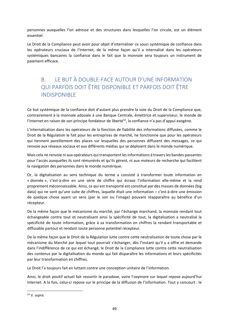personnes auxquelles l'on adresse et des structures dans lesquelles l'on circule, est un élément essentiel.

Le Droit de la Compliance peut avoir pour objet d'internaliser ce souci systémique de confiance dans les opérateurs cruciaux de l'Internet, de la même façon qu'il a internalisé dans les opérateurs systémiques bancaires la confiance dans le fait que la monnaie sera toujours un instrument de paiement efficace.

#### B. LE BUT À DOUBLE‐FACE AUTOUR D'UNE INFORMATION QUI PARFOIS DOIT ÊTRE DISPONIBLE ET PARFOIS DOIT ÊTRE INDISPONIBLE

Ce but systémique de la confiance doit d'autant plus prendre la voie du Droit de la Compliance que, contrairement à la monnaie adossée à une Banque Centrale, émettrice et superviseur, le monde de l'Internet en raison de son principe fondateur de liberté<sup>32</sup>, la confiance n'a pas d'appui exogène.

L'internalisation dans les opérateurs de la fonction de fiabilité des informations diffusées, comme le Droit de la Régulation le fait pour les entreprises de marché, ne fonctionne que pour les opérateurs qui tiennent pareillement des places sur lesquelles des personnes diffusent des messages, ce qui renvoie aux réseaux sociaux et aux différents médias qui se déploient dans le monde numérique.

Mais cela ne renvoie ni aux opérateurs qui transportent les informations à travers les bandes passantes pour l'accès auxquelles ils sont rémunérés et qu'ils gèrent, ni aux moteurs de recherche qui facilitent la navigation des personnes dans le monde numérique.

Or, la digitalisation au sens technique du terme a consisté à transformer toute information en « donnée », c'est-à-dire en une série de chiffre qui écrase l'information elle-même et la rend proprement méconnaissable. Ainsi, ce qui est transporté est constitué par des masses de données (big data) qui ne sont qu'une suite de chiffres, laquelle était une information – c'est‐à‐dire une émission de quelque chose ayant un sens (par le son ou l'image) pouvant réapparaître au bénéfice d'un récepteur.

De la même façon que le mécanisme du marché, par l'échange marchand, la monnaie rendant tout échangeable contre tout et neutralisant ainsi la spécificité de tout, la digitalisation a neutralisé la spécificité de toute information, grâce à sa transformation en chiffres la rendant transportable et diffusable partout et rendant toute personne potentiel récepteur.

De la même façon que le Droit de la Régulation lutte contre cette neutralisation de toute chose par le mécanisme du Marché par lequel tout pourrait s'échanger, dès l'instant qu'il y a offre et demande dans l'indifférence de ce qui est échangé, le Droit de la Compliance lutte contre cette neutralisation des contenus par la digitalisation du monde qui fait disparaître les informations et leurs spécificités par leur transformation en chiffres.

Le Droit l'a toujours fait en luttant contre une conception unitaire de l'information.

Ainsi, le droit positif actuel fait ressortir le paradoxe, voire l'oxymore sur lequel repose aujourd'hui Internet. A la fois, celui‐ci repose sur le principe de la diffusion de l'information. Tout y concourt : le

<sup>32</sup> V. *supra.*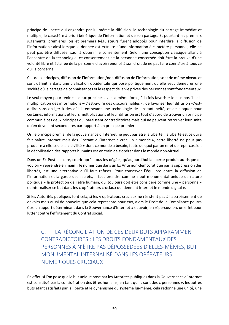principe de liberté qui engendre par lui‐même la diffusion, la technologie du partage immédiat et multiple, le caractère à priori bénéfique de l'information et de son partage. Et pourtant les premiers jugements, premières lois et premiers Régulateurs furent adoptés pour interdire la diffusion de l'information : ainsi lorsque la donnée est extraite d'une information à caractère personnel, elle ne peut pas être diffusée, sauf à obtenir le consentement. Selon une conception classique allant à l'encontre de la technologie, ce consentement de la personne concernée doit être la preuve d'une volonté libre et éclairée de la personne d'avoir renoncé à son droit de ne pas faire connaître à tous ce qui la concerne.

Ces deux principes, diffusion de l'information /non‐diffusion de l'information, sont de même niveau et sont définitifs dans une civilisation occidentale qui pose politiquement qu'elle veut demeurer une société où le partage de connaissances et le respect de la vie privée des personnes sont fondamentaux.

Le seul moyen pour tenir ces deux principes avec la même force, à la fois favoriser le plus possible la multiplication des informations – c'est-à-dire des discours fiables -, de favoriser leur diffusion -c'està‐dire sans obliger à des délais entravant une technologie de l'instantanéité, et de bloquer pour certaines informations et leurs multiplications et leur diffusion est tout d'abord de trouver un principe commun à ces deux principes qui paraissent contradictoires mais qui ne peuvent retrouver leur unité qu'en devenant secondaires par rapport à un principe premier.

Or, le principe premier de la gouvernance d'Internet ne peut pas être la Liberté : la Liberté est ce qui a fait naître Internet mais dès l'instant qu'Internet a créé un « monde », cette liberté ne peut pas produire à elle‐seule la « civilité » dont ce monde a besoin, faute de quoi par un effet de répercussion la décivilisation des rapports humains est en train de s'opérer dans le monde non‐virtuel.

Dans un Ex‐Post illusoire, courir après tous les dégâts, qu'aujourd'hui la liberté produit au risque de vouloir « reprendre en main » le numérique dans un Ex Ante non‐démocratique par la suppression des libertés, est une alternative qu'il faut refuser. Pour conserver l'équilibre entre la diffusion de l'information et la garde des secrets, il faut prendre comme « but monumental unique de nature politique » la protection de l'être humain, qui toujours doit être considéré comme une « personne » et internaliser ce but dans les « opérateurs cruciaux qui tiennent Internet le monde digital ».

Si les Autorités publiques font cela, si les « opérateurs cruciaux ne résistent pas à l'accroissement de devoirs mais aussi de pouvoirs que cela représente pour eux, alors le Droit de la Compliance pourra être un apport déterminant dans la Gouvernance d'Internet » et avoir, en répercussion, un effet pour lutter contre l'effritement du Contrat social.

C. LA RÉCONCILIATION DE CES DEUX BUTS APPARAMMENT CONTRADICTOIRES : LES DROITS FONDAMENTAUX DES PERSONNES À N'ÊTRE PAS DÉPOSSÉDÉES D'ELLES‐MÊMES, BUT MONUMENTAL INTERNALISÉ DANS LES OPÉRATEURS NUMÉRIQUES CRUCIAUX

En effet, si l'on pose que le but unique posé par les Autorités publiques dans la Gouvernance d'Internet est constitué par la considération des êtres humains, en tant qu'ils sont des « personnes », les autres buts étant satisfaits par la liberté et le dynamisme du système lui‐même, cela redonne une unité, une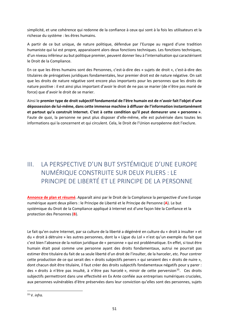simplicité, et une cohérence qui redonne de la confiance à ceux qui sont à la fois les utilisateurs et la richesse du système : les êtres humains.

A partir de ce but unique, de nature politique, défendue par l'Europe au regard d'une tradition humaniste qui lui est propre, apparaissent alors deux fonctions techniques. Les fonctions techniques, d'un niveau inférieur au but politique premier, peuvent donner lieu à l'internalisation qui caractérisent le Droit de la Compliance.

En ce que les êtres humains sont des Personnes, c'est‐à‐dire des « sujets de droit », c'est‐à‐dire des titulaires de prérogatives juridiques fondamentales, leur premier droit est de nature négative. On sait que les droits de nature négative sont encore plus importants pour les personnes que les droits de nature positive : il est ainsi plus important d'avoir le droit de ne pas se marier (de n'être pas marié de force) que d'avoir le droit de se marier.

Ainsi le **premier type de droit subjectif fondamental de l'être humain est de n'avoir fait l'objet d'une dépossession de lui‐même, dans cette immense machine à diffuser de l'information instantanément et partout qu'a construit Internet. C'est à cette condition qu'il peut demeurer une « personne »**. Faute de quoi, la personne ne peut plus disposer d'elle-même, elle est pulvérisée dans toutes les informations qui la concernent et qui circulent. Cela, le Droit de l'Union européenne doit l'exclure.

# III. LA PERSPECTIVE D'UN BUT SYSTÉMIQUE D'UNE EUROPE NUMÉRIQUE CONSTRUITE SUR DEUX PILIERS : LE PRINCIPE DE LIBERTÉ ET LE PRINCIPE DE LA PERSONNE

**Annonce de plan et résumé**. Apparaît ainsi par le Droit de la Compliance la perspective d'une Europe numérique ayant deux piliers : le Principe de Liberté et le Principe de Personne (**A**). Le but systémique du Droit de la Compliance appliqué à Internet est d'une façon liée la Confiance et la protection des Personnes (**B**).

Le fait qu'en outre Internet, par sa culture de la liberté a dégénéré en culture du « droit à insulter » et du « droit à détruire » les autres personnes, dont la « Ligue du Lol » n'est qu'un exemple du fait que c'est bien l'absence de la notion juridique de « personne » qui est problématique. En effet, si tout être humain était posé comme une personne ayant des droits fondamentaux, autrui ne pourrait pas estimer être titulaire du fait de sa seule liberté d'un droit de l'insulter, de la harceler, etc. Pour contrer cette production de ce qui serait des « droits subjectifs pervers » qui seraient des « droits de nuire », dont chacun doit être titulaire, il faut créer des droits subjectifs fondamentaux négatifs pour y parer : des « droits à n'être pas insulté, à n'être pas harcelé », miroir de cette perversion<sup>33</sup>. Ces droits subjectifs permettront dans une effectivité en Ex Ante confiée aux entreprises numériques cruciales, aux personnes vulnérables d'être préservées dans leur conviction qu'elles sont des personnes, sujets

<sup>33</sup> V. *infra.*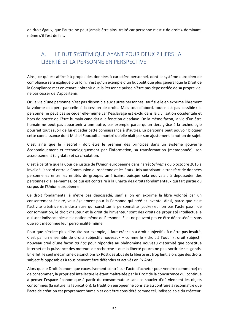de droit égaux, que l'autre ne peut jamais être ainsi traité car personne n'est « de droit » dominant, même s'il l'est de fait.

## A. LE BUT SYSTÉMIQUE AYANT POUR DEUX PILIERS LA LIBERTÉ ET LA PERSONNE EN PERSPECTIVE

Ainsi, ce qui est affirmé à propos des données à caractère personnel, dont le système européen de compliance sera expliqué plus loin, n'est qu'un exemple d'un but politique plus général que le Droit de la Compliance met en œuvre : obtenir que la Personne puisse n'être pas dépossédée de sa propre vie, ne pas cesser de s'appartenir.

Or, la vie d'une personne n'est pas disponible aux autres personnes, sauf si elle en exprime librement la volonté et opère par celle-ci la cession de droits. Mais tout d'abord, tout n'est pas cessible : la personne ne peut pas se céder elle‐même car l'esclavage est exclu dans la civilisation occidentale et hors de portée de l'être humain candidat à la fonction d'esclave. De la même façon, la vie d'un être humain ne peut pas appartenir à une autre, par exemple parce qu'un tiers grâce à la technologie pourrait tout savoir de lui et céder cette connaissance à d'autres. La personne peut pouvoir bloquer cette connaissance dont Michel Foucault a montré qu'elle niait par son ajustement la notion de sujet.

C'est ainsi que le « secret » doit être le premier des principes dans un système gouverné économiquement et technologiquement par l'information, sa transformation (métadonnée), son accroissement (big‐data) et sa circulation.

C'est à ce titre que la Cour de justice de l'Union européenne dans l'arrêt *Schrems* du 6 octobre 2015 a invalidé l'accord entre la Commission européenne et les États‐Unis autorisant le transfert de données personnelles entre les entités de groupes américains, puisque cela équivalait à déposséder des personnes d'elles‐mêmes, ce qui est contraire à la Charte des droits fondamentaux qui fait partie du corpus de l'Union européenne.

Ce droit fondamental à n'être pas dépossédé, sauf si on en exprime la libre volonté par un consentement éclairé, vaut également pour la Personne qui créé et invente. Ainsi, parce que c'est l'activité créatrice et industrieuse qui constitue la personnalité (Locke) et non pas l'acte passif de consommation, le droit d'auteur et le droit de l'inventeur sont des droits de propriété intellectuelle qui sont indissociables de la notion même de Personne. Elles ne peuvent pas en être dépossédées sans que soit méconnue leur personnalité même.

Pour que n'existe plus d'insulte par exemple, il faut créer un « droit subjectif » à n'être pas insulté. C'est par un ensemble de droits subjectifs nouveaux – comme le « droit à l'oubli », droit subjectif nouveau créé d'une façon *ad hoc* pour répondre au phénomène nouveau d'éternité que constitue Internet et la puissance des moteurs de recherche – que la liberté pourra ne plus sortir de ses gonds. En effet, le seul mécanisme de sanctions Ex Post des abus de la liberté est trop lent, alors que des droits subjectifs opposables à tous peuvent être défendus et activés en Ex Ante.

Alors que le Droit économique excessivement centré sur l'acte d'acheter pour vendre (commerce) et de consommer, la propriété intellectuelle étant maltraitée par le Droit de la concurrence qui continue à penser l'espace économique à partir du consommateur sans se soucier d'où viennent les objets consommés (la nature, la fabrication), la tradition européenne consiste au contraire à reconnaître que l'acte de création est proprement humain et doit être considéré comme tel, indissociable du créateur.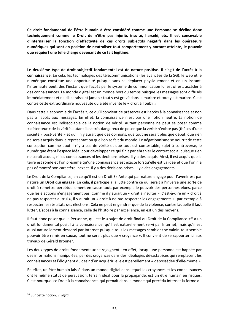**Ce droit fondamental de l'être humain à être considéré comme une Personne se décline donc techniquement comme le Droit de n'être pas injurié, insulté, harcelé, etc. Il est concevable d'internaliser la fonction d'effectivité de ces droits subjectifs négatifs dans les opérateurs numériques qui sont en position de neutraliser tout comportement y portant atteinte, le pouvoir que requiert une telle charge devenant de ce fait légitime.** 

**Le deuxième type de droit subjectif fondamental est de nature positive. Il s'agit de l'accès à la connaissance**. En cela, les technologies des télécommunications (les avancées de la 5G), le web et le numérique constitue une opportunité puisque sans se déplacer physiquement et en un instant, l'internaute peut, dès l'instant que l'accès par le système de communication lui est offert, accéder à des connaissances. Le monde digital est un monde hors du temps puisque les messages sont diffusés immédiatement et ne disparaissent jamais : tout y est gravé dans le marbre et tout y est marbre. C'est contre cette extraordinaire nouveauté qu'a été inventé le « droit à l'oubli ».

Dans cette « économie de l'accès », ce qu'il convient de préserver est l'accès à la connaissance et non pas à l'accès aux messages. En effet, la connaissance n'est pas une notion neutre. La notion de connaissance est indissociable de la notion de vérité. Autant personne ne peut se poser comme « détenteur » de la vérité, autant il est très dangereux de poser que la vérité n'existe pas (thèses d'une société « post-vérité » et qu'il n'y aurait que des opinions, que tout ne serait plus que débat, que rien ne serait acquis dans la représentation que l'on se fait du monde. Le négationnisme se nourrit de cette conception comme quoi il n'y a pas de vérité et que tout est contestable, sujet à controverse, le numérique étant l'espace idéal pour développer ce qui finit par ébranler le contrat social puisque rien ne serait acquis, ni les connaissances ni les décisions prises. Il y a des acquis. Ainsi, il est acquis que la terre est ronde et l'on présume qu'une connaissance est exacte lorsqu'elle est validée et que l'on n'a pas démontré son caractère inexact. Il y a des décisions prises. Il y a des engagements.

Le Droit de la Compliance, en ce qu'il est un Droit Ex Ante qui par nature engage pour l'avenir est par nature un **Droit qui engage**. En cela, il participe à la lutte contre ce qui serait à l'inverse une sorte de droit à remettre perpétuellement en cause tout, par exemple le pouvoir des personnes élues, parce que les élections n'engageraient pas. Comme il y aurait un « droit à insulter », c'est‐à‐dire un « droit à ne pas respecter autrui », il y aurait un « droit à ne pas respecter les engagements », par exemple à respecter les résultats des élections. Cela ne peut engendrer que de la violence, contre laquelle il faut lutter. L'accès à la connaissance, celle de l'histoire par excellence, en est un des moyens.

Il faut donc poser que la Personne, qui est le « sujet de droit final du Droit de la Compliance »<sup>34</sup> a un droit fondamental positif à la connaissance, qu'il est naturellement servi par Internet, mais qu'il est aussi naturellement desservi par Internet puisque tous les messages semblent se valoir, tout semble pouvoir être remis en cause, tout ne serait plus que « croyance ». Il convient de se rapporter ici aux travaux de Gérald Bronner.

Les deux types de droits fondamentaux se rejoignent : en effet, lorsqu'une personne est happée par des informations manipulées, par des croyances dans des idéologies dévastatrices qui remplacent les connaissances et l'éloignent du désir d'en acquérir, elle est pareillement « dépossédée d'elle‐même ».

En effet, un être humain laissé dans un monde digital dans lequel les croyances et les connaissances ont le même statut de persuasion, terrain idéal pour la propagande, est un être humain en risques. C'est pourquoi ce Droit à la connaissance, qui prenait dans le monde qui précéda Internet la forme du

<sup>34</sup> Sur cette notion, v. *infra.*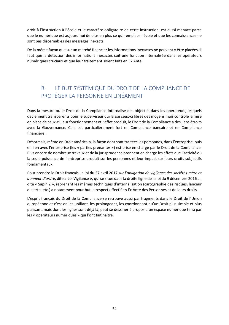droit à l'instruction à l'école et le caractère obligatoire de cette instruction, est aussi menacé parce que le numérique est aujourd'hui de plus en plus ce qui remplace l'école et que les connaissances ne sont pas discernables des messages inexacts.

De la même façon que sur un marché financier les informations inexactes ne peuvent y être placées, il faut que la détection des informations inexactes soit une fonction internalisée dans les opérateurs numériques cruciaux et que leur traitement soient faits en Ex Ante.

#### B. LE BUT SYSTÉMIQUE DU DROIT DE LA COMPLIANCE DE PROTÉGER LA PERSONNE EN LINÉAMENT

Dans la mesure où le Droit de la Compliance internalise des objectifs dans les opérateurs, lesquels deviennent transparents pour le superviseur qui laisse ceux‐ci libres des moyens mais contrôle la mise en place de ceux‐ci, leur fonctionnement et l'effet produit, le Droit de la Compliance a des liens étroits avec la Gouvernance. Cela est particulièrement fort en Compliance bancaire et en Compliance financière.

Désormais, même en Droit américain, la façon dont sont traitées les personnes, dans l'entreprise, puis en lien avec l'entreprise (les « parties prenantes ») est prise en charge par le Droit de la Compliance. Plus encore de nombreux travaux et de la jurisprudence prennent en charge les effets que l'activité ou la seule puissance de l'entreprise produit sur les personnes et leur impact sur leurs droits subjectifs fondamentaux.

Pour prendre le Droit français, la loi du 27 avril 2017 *sur l'obligation de vigilance des sociétés‐mère et donneur d'ordre*, dite « Loi Vigilance », qui se situe dans la droite ligne de la loi du 9 décembre 2016 …, dite « Sapin 2 », reprenant les mêmes techniques d'internalisation (cartographie des risques, lanceur d'alerte, etc.) a notamment pour but le respect effectif en Ex Ante des Personnes et de leurs droits.

L'esprit français du Droit de la Compliance se retrouve aussi par fragments dans le Droit de l'Union européenne et c'est en les unifiant, les prolongeant, les coordonnant qu'un Droit plus simple et plus puissant, mais dont les lignes sont déjà là, peut se dessiner à propos d'un espace numérique tenu par les « opérateurs numériques » qui l'ont fait naître.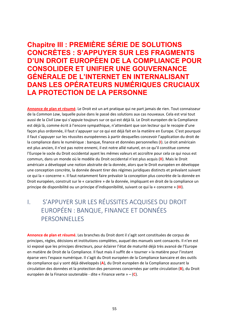## **Chapitre III : PREMIÈRE SÉRIE DE SOLUTIONS CONCRÈTES : S'APPUYER SUR LES FRAGMENTS D'UN DROIT EUROPÉEN DE LA COMPLIANCE POUR CONSOLIDER ET UNIFIER UNE GOUVERNANCE GÉNÉRALE DE L'INTERNET EN INTERNALISANT DANS LES OPÉRATEURS NUMÉRIQUES CRUCIAUX LA PROTECTION DE LA PERSONNE**

**Annonce de plan et résumé**. Le Droit est un art pratique qui ne part jamais de rien. Tout connaisseur de la *Common Law*, laquelle puise dans le passé des solutions aux cas nouveaux. Cela est vrai tout aussi de la *Civil Law* qui s'appuie toujours sur ce qui est déjà là. Le Droit européen de la Compliance est déjà là, comme écrit à l'encore sympathique, n'attendant que son lecteur qui le recopie d'une façon plus ordonnée, il faut s'appuyer sur ce qui est déjà fait en la matière en Europe. C'est pourquoi il faut s'appuyer sur les réussites européennes à partir desquelles concevoir l'application du droit de la compliance dans le numérique : banque, finance et données personnelles (**I**). Le droit américain est plus ancien, il n'est pas notre ennemi, il est notre allié naturel, en ce qu'il constitue comme l'Europe le socle du Droit occidental ayant les mêmes valeurs et accroître pour cela ce qui nous est commun, dans un monde où le modèle du Droit occidental n'est plus acquis (**II**). Mais le Droit américain a développé une notion abstraite de la donnée, alors que le Droit européen en développe une conception concrète, la donnée devant tirer des régimes juridiques distincts et prévalant suivant ce qui la « concerne ». Il faut notamment faire prévaloir la conception plus concrète de la donnée en Droit européen, construit sur le « caractère » de la donnée, impliquant en droit de la compliance un principe de disponibilité ou un principe d'indisponibilité, suivant ce qui la « concerne » (**III**).

## I. S'APPUYER SUR LES RÉUSSITES ACQUISES DU DROIT EUROPÉEN : BANQUE, FINANCE ET DONNÉES **PERSONNELLES**

**Annonce de plan et résumé**. Les branches du Droit dont il s'agit sont constituées de corpus de principes, règles, décisions et institutions complètes, auquel des manuels sont consacrés. Il n'en est ici exposé que les principes directeurs, pour éclairer l'état de maturité déjà très avancé de l'Europe en matière de Droit de la Compliance. Il faut mais il suffit de « tourner » la matière pour l'instant éparse vers l'espace numérique. Il s'agit du Droit européen de la Compliance bancaire et des outils de compliance qui y sont déjà développés (**A**), du Droit européen de la Compliance assurant la circulation des données et la protection des personnes concernées par cette circulation (**B**), du Droit européen de la Finance soutenable ‐ dite « Finance verte » – (**C**).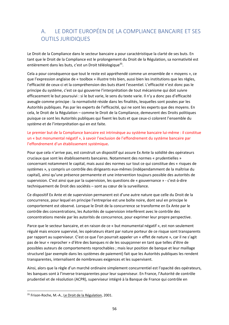## A. LE DROIT EUROPÉEN DE LA COMPLIANCE BANCAIRE ET SES OUTILS JURIDIQUES

Le Droit de la Compliance dans le secteur bancaire a pour caractéristique la clarté de ses buts. En tant que le Droit de la Compliance est le prolongement du Droit de la Régulation, sa normativité est entièrement dans les buts, c'est un Droit téléologique<sup>35</sup>.

Cela a pour conséquence que tout le reste est appréhendé comme un ensemble de « moyens », ce que l'expression anglaise de « toolbox » illustre très bien, aussi bien les institutions que les règles, l'efficacité de ceux‐ci et la compréhension des buts étant l'essentiel. L'efficacité n'est donc pas le principe du système, c'est ce qui gouverne l'interprétation de tout mécanisme qui doit suivre efficacement le but poursuivi : si le but varie, le sens du texte varie. Il n'y a donc pas d'efficacité aveugle comme principe : la normativité réside dans les finalités, lesquelles sont posées par les Autorités publiques. Pas par les experts de l'efficacité, qui ne sont les experts que des moyens. En cela, le Droit de la Régulation – comme le Droit de la Compliance, demeurent des Droits politiques puisque ce sont les Autorités publiques qui fixent les buts et que ceux‐ci colorent l'ensemble du système et de l'interprétation qui en est faite.

Le premier but de la Compliance bancaire est intrinsèque au système bancaire lui-même : il constitue un « but monumental négatif », à savoir l'exclusion de l'effondrement du système bancaire par l'effondrement d'un établissement systémique.

Pour que cela n'arrive pas, est construit un dispositif qui assure Ex Ante la solidité des opérateurs cruciaux que sont les établissements bancaires. Notamment des normes « prudentielles » concernant notamment le capital, mais aussi des normes sur tout ce qui constitue des « risques de systèmes », y compris un contrôle des dirigeants eux‐mêmes (indépendamment de la maîtrise du capital), ainsi qu'une présence permanente et une intervention toujours possible des autorités de supervision. C'est ainsi que par la supervision, les questions de « gouvernance » ‐ c'est‐à‐dire techniquement de Droit des sociétés – sont au cœur de la surveillance.

Ce dispositif Ex Ante et de supervision permanent est d'une autre nature que celle du Droit de la concurrence, pour lequel en principe l'entreprise est une boîte noire, dont seul en principe le comportement est observé. Lorsque le Droit de la concurrence se transforme en Ex Ante par le contrôle des concentrations, les Autorités de supervision interfèrent avec le contrôle des concentrations menée par les autorités de concurrence, pour exprimer leur propre perspective.

Parce que le secteur bancaire, et en raison de ce « but monumental négatif », est non seulement régulé mais encore supervisé, les opérateurs étant par nature porteur de ce risque sont transparents par rapport au superviseur. C'est ce que l'on pourrait appeler un « effet de nature », car il ne s'agit pas de leur « reprocher » d'être des banques ni de les soupçonner en tant que telles d'être de possibles auteurs de comportements reprochables ; mais leur position de banque et leur maillage structurel (par exemple dans les systèmes de paiement) fait que les Autorités publiques les rendent transparentes, internalisent de nombreuses exigences et les supervisent.

Ainsi, alors que la règle d'un marché ordinaire simplement concurrentiel est l'opacité des opérateurs, les banques sont à l'inverse transparentes pour leur superviseur. En France, l'Autorité de contrôle prudentiel et de résolution (ACPR), superviseur intégré à la Banque de France qui contrôle en

<sup>35</sup> Frison‐Roche, M.‐A., Le Droit de la Régulation, 2001.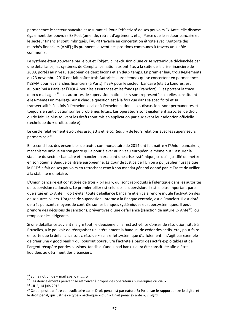permanence le secteur bancaire et assurantiel. Pour l'effectivité de ses pouvoirs Ex Ante, elle dispose également des pouvoirs Ex Post (amende, retrait d'agrément, etc.). Parce que le secteur bancaire et le secteur financier sont imbriqués, l'ACPR travaille en concertation étroite avec l'Autorité des marchés financiers (AMF) ; ils prennent souvent des positions communes à travers un « pôle commun ».

Le système étant gouverné par le but et l'objet, ici l'exclusion d'une crise systémique déclenchée par une défaillance, les systèmes de Compliance nationaux ont été, à la suite de la crise financière de 2008, portés au niveau européen de deux façons et en deux temps. En premier lieu, trois Règlements du 23 novembre 2010 ont fait naître trois Autorités européennes qui se concertent en permanence, l'ESMA pour les marchés financiers (à Paris), l'EBA pour le secteur bancaire (était à Londres, est aujourd'hui à Paris) et l'EIOPA pour les assurances et les fonds (à Francfort). Elles portent la trace d'un « maillage »<sup>36</sup> : les autorités de supervision nationales y sont représentées et elles constituent elles‐mêmes un maillage. Ainsi chaque question est à la fois vue dans sa spécificité et sa transversalité, à la fois à l'échelon local et à l'échelon national. Les discussions sont permanentes et toujours en anticipation sur les problèmes futurs. Les opérateurs sont également associés, de droit ou de fait. Le plus souvent les drafts sont mis en application par eux avant leur adoption officielle (technique du « droit souple »).

Le cercle relativement étroit des assujettis et le *continuum* de leurs relations avec les superviseurs permets cela<sup>37</sup>.

En second lieu, des ensembles de textes communautaire de 2014 ont fait naître « l'Union bancaire », mécanisme unique en son genre qui a pour élever au niveau européen le même but : assurer la stabilité du secteur bancaire et financier en excluant une crise systémique, ce qui a justifié de mettre en son cœur la Banque centrale européenne. La Cour de Justice de l'Union a pu justifier l'usage que la BCE<sup>38</sup> a fait de ses pouvoirs en rattachant ceux à son mandat général donné par le Traité de veiller à la stabilité monétaire.

L'Union bancaire est constituée de trois « piliers », qui sont reproduits à l'identique dans les autorités de supervision nationales. Le premier pilier est celui de la supervision. Il est le plus important parce que situé en Ex Ante, il doit éviter toute défaillance bancaire et en cela rendre inutile l'activation des deux autres piliers. L'organe de supervision, interne à la Banque centrale, est à Francfort. Il est doté de très puissants moyens de contrôle sur les banques systémiques et supersystémiques. Il peut prendre des décisions de sanctions, préventives d'une défaillance (sanction de nature Ex Ante<sup>39</sup>), ou remplacer les dirigeants.

Si une défaillance advient malgré tout, le deuxième pilier est activé. Le Conseil de résolution, situé à Bruxelles, a le pouvoir de réorganiser unilatéralement la banque, de céder des actifs, etc., pour faire en sorte que la défaillance soit « résolue » sans effet systémique d'affolement. Il s'agit par exemple de créer une « good bank » qui pourrait poursuivre l'activité à partir des actifs exploitables et de l'argent récupéré par des cessions, tandis qu'une « bad bank » aura été constituée afin d'être liquidée, au détriment des créanciers.

<u>.</u>

<sup>36</sup> Sur la notion de « maillage », v. *infra.* 

<sup>&</sup>lt;sup>37</sup> Ces deux éléments peuvent se retrouver à propos des opérateurs numériques cruciaux.

<sup>38</sup> CJUE, 14 juin 2015.

<sup>&</sup>lt;sup>39</sup> Ce qui peut paraître contradictoire car le Droit pénal est par nature Ex Post ; sur le rapport entre le digital et le droit pénal, qui justifie ce type « archaïque » d'un « Droit pénal ex ante », v. *infra.*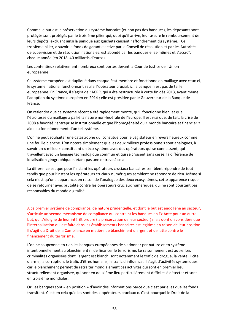Comme le but est la préservation du système bancaire (et non pas des banques), les déposants sont protégés sont protégés par le troisième pilier qui, quoi qu'il arrive, leur assure le remboursement de leurs dépôts, excluant ainsi la panique aux guichets causant l'effondrement du système. Ce troisième pilier, à savoir le fonds de garantie activé par le Conseil de résolution et par les Autorités de supervision et de résolution nationales, est abondé par les banques elles‐mêmes et s'accroît chaque année (en 2018, 40 milliards d'euros).

Les contentieux relativement nombreux sont portés devant la Cour de Justice de l'Union européenne.

Ce système européen est dupliqué dans chaque État‐membre et fonctionne en maillage avec ceux‐ci, le système national fonctionnant seul si l'opérateur crucial, ici la banque n'est pas de taille européenne. En France, il s'agira de l'ACPR, qui a été restructurée à cette fin dès 2013, avant même l'adoption du système européen en 2014 ; elle est présidée par le Gouverneur de la Banque de France.

On retiendra que ce système récent a été rapidement monté, qu'il fonctionne bien, et que l'étroitesse du maillage a pallié la nature non‐fédérale de l'Europe. Il est vrai que, de fait, la crise de 2008 a favorisé l'entreprise institutionnelle et que l'homogénéité du « monde bancaire et financier » aide au fonctionnement d'un tel système.

L'on ne peut souhaiter une catastrophe qui constitue pour le Législateur en revers heureux comme une feuille blanche. L'on notera simplement que les deux milieux professionnels sont analogues, à savoir un « milieu » constituant un éco-système avec des opérateurs qui se connaissent, qui travaillent avec un langage technologique commun et qui se croisent sans cesse, la différence de localisation géographique n'étant pas une entrave à cela.

La différence est que pour l'instant les opérateurs cruciaux bancaires semblent répondre de tout tandis que pour l'instant les opérateurs cruciaux numériques semblent ne répondre de rien. Même si cela n'est qu'une apparence, en raison de l'analogue des deux écosystèmes, cette apparence risque de se retourner avec brutalité contre les opérateurs cruciaux numériques, qui ne sont pourtant pas responsables du monde digitalisé.

A ce premier système de compliance, de nature prudentielle, et dont le but est endogène au secteur, s'articule un second mécanisme de compliance qui contraint les banques en Ex Ante pour un autre but, qui s'éloigne de leur intérêt propre (la préservation de leur secteur) mais dont on considère que l'internalisation qui est faite dans les établissements bancaires est légitime en raison de leur position. Il s'agit du Droit de la Compliance en matière de blanchiment d'argent et de lutte contre le financement du terrorisme.

L'on ne soupçonne en rien les banques européennes de s'adonner par nature et en système intentionnellement au blanchiment ni de financer le terrorisme. Le raisonnement est autre. Les criminalités organisées dont l'argent est blanchi sont notamment le trafic de drogue, la vente illicite d'arme, la corruption, le trafic d'êtres humains, le trafic d'influence. Il s'agit d'activités systémiques car le blanchiment permet de retraiter mondialement ces activités qui sont en premier lieu structurellement organisée, qui sont en deuxième lieu particulièrement difficiles à détecter et sont en troisième mondiales.

Or, les banques sont « en position » d'avoir des informations parce que c'est par elles que les fonds transitent. C'est en cela qu'elles sont des « opérateurs cruciaux ». C'est pourquoi le Droit de la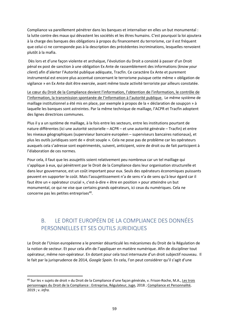Compliance va pareillement pénétrer dans les banques et internaliser en elles un but monumental : la lutte contre des maux qui dévastent les sociétés et les êtres humains. C'est pourquoi la loi ajoutera à la charge des banques des obligations à propos du financement du terrorisme, car il est fréquent que celui-ci ne corresponde pas à la description des précédentes incriminations, lesquelles renvoient plutôt à la mafia.

 Dès lors et d'une façon violente et archaïque, l'évolution du Droit a consisté à passer d'un Droit pénal ex post de sanction à une obligation Ex Ante de rassemblement des informations (*know your client*) afin d'alerter l'Autorité publique adéquate, Tracfin. Ce caractère Ex Ante et purement instrumental est encore plus accentué concernant le terrorisme puisque cette même « obligation de vigilance » en Ex Ante doit être exercée, avant même toute activité terroriste par ailleurs constatée.

Le cœur du Droit de la Compliance devient l'information, l'obtention de l'information, le contrôle de l'information, la transmission spontanée de l'information à l'autorité publique. Le même système de maillage institutionnel a été mis en place, par exemple à propos de la « déclaration de soupçon » à laquelle les banques sont astreintes. Par la même technique de maillage, l'ACPR et Tracfin adoptent des lignes directrices communes.

Plus il y a un système de maillage, à la fois entre les secteurs, entre les institutions pourtant de nature différentes (ici une autorité sectorielle – ACPR – et une autorité générale – Tracfin) et entre les niveaux géographiques (superviseur bancaire européen – superviseurs bancaires nationaux), et plus les outils juridiques sont de « droit souple ». Cela ne pose pas de problème car les opérateurs auxquels cela s'adresse sont expérimentés, suivent, anticipent, voire de droit ou de fait participent à l'élaboration de ces normes.

Pour cela, il faut que les assujettis soient relativement peu nombreux car un tel maillage qui s'applique à eux, qui pénètrent par le Droit de la Compliance dans leur organisation structurelle et dans leur gouvernance, est un coût important pour eux. Seuls des opérateurs économiques puissants peuvent en supporter le coût. Mais l'assujettissement n'a de sens n'a de sens qu'à leur égard car il faut être un « opérateur crucial », c'est-à-dire « être en position » pour atteindre un but monumental, ce qui ne vise que certains grands opérateurs, ici ceux du numériques. Cela ne concerne pas les petites entreprises<sup>40</sup>.

#### B. LE DROIT EUROPÉEN DE LA COMPLIANCE DES DONNÉES PERSONNELLES ET SES OUTILS JURIDIQUES

Le Droit de l'Union européenne a le premier désarticulé les mécanismes du Droit de la Régulation de la notion de secteur. Et pour cela afin de l'appliquer en matière numérique. Afin de discipliner tout opérateur, même non‐opérateur. En dotant pour cela tout internaute d'un droit subjectif nouveau. Il le fait par la jurisprudence de 2014, *Google Spain.* En cela, l'on peut considérer qu'il s'agit d'une

<sup>40</sup> Sur les « sujets de droit » du Droit de la Compliance d'une façon générale, v. Frison-Roche, M.A., Les trois personnages du Droit de la Compliance : Entreprise, Régulateur, Juge, 2018 ; Compliance et Personnalité, 2019 ; v. *infra.*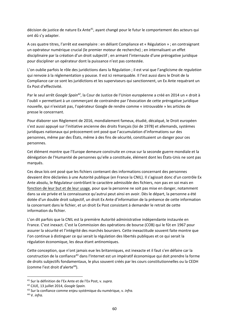décision de justice de nature Ex Ante<sup>41</sup>, ayant changé pour le futur le comportement des acteurs qui ont dû s'y adapter.

A ces quatre titres, l'arrêt est exemplaire : en déliant Compliance et « Régulation » ; en contraignant un opérateur numérique crucial (le premier moteur de recherche) ; en internalisant un effet disciplinaire par la création d'un droit subjectif ; en armant l'internaute d'une prérogative juridique pour discipliner un opérateur dont la puissance n'est pas contestée.

L'on oublie parfois le rôle des juridictions dans la Régulation ; il est vrai que l'anglicisme de *regulation* qui renvoie à la réglementation y pousse. Il est ici remarquable. Il l'est aussi dans le Droit de la Compliance car ce sont les juridictions et les superviseurs qui sanctionnent, un Ex Ante requérant un Ex Post d'effectivité.

Par le seul arrêt *Google Spain42*, la Cour de Justice de l'Union européenne a créé en 2014 un « droit à l'oubli » permettant à un commerçant de contraindre par l'évocation de cette prérogative juridique nouvelle, qui n'existait pas, l'opérateur Google de rendre comme « introuvable » les articles de presse le concernant.

Pour élaborer son Règlement de 2016, mondialement fameux, étudié, décalqué, le Droit européen s'est aussi appuyé sur l'initiative ancienne des droits français (loi de 1978) et allemands, systèmes juridiques nationaux qui précocement ont posé que l'accumulation d'informations sur des personnes, même par des États, même à des fins de sécurité, constituaient un danger pour ces personnes.

Cet élément montre que l'Europe demeure construite en creux sur la seconde guerre mondiale et la dénégation de l'Humanité de personnes qu'elle a constituée, élément dont les États‐Unis ne sont pas marqués.

Ces deux lois ont posé que les fichiers contenant des informations concernant des personnes devaient être déclarées à une Autorité publique (en France la CNIL). Il s'agissait donc d'un contrôle Ex Ante absolu, le Régulateur contrôlant le caractère admissible des fichiers, non pas en soi mais en fonction de leur but et de leur usage, pour que la personne ne soit pas mise en danger, notamment dans sa vie privée et la connaissance qu'autrui peut ainsi en avoir. Dès le départ, la personne a été dotée d'un double droit subjectif, un droit Ex Ante d'information de la présence de cette information la concernant dans le fichier, et un droit Ex Post consistant à demander le retrait de cette information du fichier.

L'on dit parfois que la CNIL est la première Autorité administrative indépendante instaurée en France. C'est inexact. C'est la Commission des opérations de bourse (COB) qui le fût en 1967 pour assurer la sécurité et l'intégrité des marchés boursiers. Cette inexactitude souvent faite montre que l'on continue à distinguer ce qui serait la régulation des libertés publiques et ce qui serait la régulation économique, les deux étant antinomiques.

Cette conception, que n'ont jamais eue les britanniques, est inexacte et il faut s'en défaire car la construction de la confiance<sup>43</sup> dans l'Internet est un impératif économique qui doit prendre la forme de droits subjectifs fondamentaux, le plus souvent créés par les cours constitutionnelles ou la CEDH (comme l'est droit d'alerte<sup>44</sup>).

<sup>41</sup> Sur la définition de l'Ex Ante et de l'Ex Post, v. *supra.* 

*<sup>42</sup>* CJUE, 13 juillet 2014, *Google Spain.* 

<sup>43</sup> Sur la confiance comme enjeu systémique du numérique, v. *infra.* 

<sup>44</sup> V. *infra.*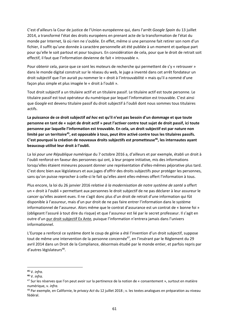C'est d'ailleurs la Cour de justice de l'Union européenne qui, dans l'arrêt *Google Spain* du 13 juillet 2014, a transformé l'état des droits européens en prenant acte de la transformation de l'état du monde par Internet, là où rien ne s'oublie. En effet, même si une personne fait retirer son nom d'un fichier, il suffit qu'une donnée à caractère personnelle ait été publiée à un moment et quelque part pour qu'elle le soit partout et pour toujours. En considération de cela, pour que le droit de retrait soit effectif, il faut que l'information devienne de fait « introuvable ».

Pour obtenir cela, parce que ce sont les moteurs de recherche qui permettent de s'y « retrouver » dans le monde digital construit sur le réseau du web, le juge a inventé dans cet arrêt fondateur un droit subjectif que l'on aurait pu nommer le « droit à l'introuvabilité » mais qu'il a nommé d'une façon plus simple et plus imagée le « droit à l'oubli ».

Tout droit subjectif a un titulaire actif et un titulaire passif. Le titulaire actif est toute personne. Le titulaire passif est tout opérateur du numérique par lequel l'information est trouvable. C'est ainsi que *Google* est devenu titulaire passif du droit subjectif à l'oubli dont nous sommes tous titulaires actifs.

**La puissance de ce droit subjectif** *ad hoc* **est qu'il n'est pas besoin d'un dommage et que toute personne en tant de « sujet de droit actif » peut l'activer contre tout sujet de droit passif, ici toute personne par laquelle l'information est trouvable. En cela, un droit subjectif est par nature non limité par un territoire45, est opposable à tous, peut être activé contre tous les titulaires passifs.**  C'est pourquoi la création de nouveaux droits subjectifs est prometteuse<sup>46</sup>, les internautes ayant **beaucoup utilisé leur droit à l'oubli.** 

La loi *pour une République numérique* du 7 octobre 2016 a, d'ailleurs et par exemple, établi un droit à l'oubli renforcé en faveur des personnes qui ont, à leur propre initiative, mis des informations lorsqu'elles étaient mineures pouvant donner une représentation d'elles‐mêmes péjorative plus tard. C'est donc bien aux législateurs et aux juges d'offrir des droits subjectifs pour protéger les personnes, sans qu'on puisse reprocher à celle-ci le fait qu'elles aient elles-mêmes offert l'information à tous.

Plus encore, la loi du 26 janvier 2016 *relative à la modernisation de notre système de santé* a offert un « droit à l'oubli » permettant aux personnes le droit subjectif de ne pas déclarer à leur assureur le cancer qu'elles avaient eues. Il ne s'agit donc plus d'un droit de retrait d'une information qui fût disponible à l'assureur, mais d'un pur droit de ne pas faire entrer l'information dans le système informationnel de l'assureur. Alors même que le contrat d'assurance est un contrat de « bonne foi » (obligeant l'assuré à tout dire du risque) et que l'assureur est lié par le secret professeur. Il s'agit en outre d'un pur droit subjectif Ex Ante, puisque l'information n'entrera jamais dans l'univers informationnel.

L'Europe a renforcé ce système dont le coup de génie a été l'invention d'un droit subjectif, suppose tout de même une intervention de la personne concernée<sup>47</sup>, en l'insérant par le Règlement du 29 avril 2014 dans un Droit de la Compliance, désormais étudié par le monde entier, et parfois repris par d'autres législateurs<sup>48</sup>.

**<sup>45</sup>** V. *infra.* 

**<sup>46</sup>** V. *infra.* 

<sup>&</sup>lt;sup>47</sup> Sur les réserves que l'on peut avoir sur la pertinence de la notion de « consentement », surtout en matière numérique, v. *infra.* 

<sup>48</sup> Par exemple, en Californie, le *privacy Act* du 12 juillet 2018 ; v. les textes analogues en préparation au niveau fédéral.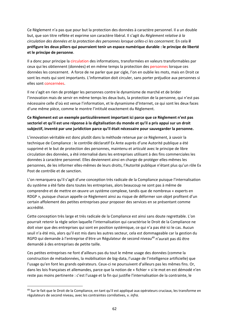Ce Règlement n'a pas que pour but la protection des données à caractère personnel. Il a un double but, que son titre reflète et exprime son caractère libéral. Il s'agit du *Règlement relative à la circulation des données et la protection des personnes lorsque celles‐ci les concernent*. En cela **il préfigure les deux piliers qui pourraient tenir un espace numérique durable : le principe de liberté et le principe de personne**.

Il a donc pour principe la circulation des informations, transformées en valeurs transformables par ceux qui les obtiennent (données) et en même temps la protection des personnes lorsque ces données les concernent. A force de ne parler que par cigle, l'on en oublie les mots, mais en Droit ce sont les mots qui sont importants. L'information doit circuler, sans porter préjudice aux personnes si elles sont concernées.

Il ne s'agit en rien de protéger les personnes contre le dynamisme de marché et de brider l'innovation mais de servir en même temps les deux buts, la protection de la personne, qui n'est pas nécessaire celle d'où est venue l'information, et le dynamisme d'Internet, ce qui sont les deux faces d'une même pièce, comme le montre l'intitulé exactement du Règlement.

#### **Ce Règlement est un exemple particulièrement important ici parce que ce Règlement n'est pas sectoriel et qu'il est une réponse à la digitalisation du monde et qu'il a pris appui sur un droit subjectif, inventé par une juridiction parce qu'il était nécessaire pour sauvegarder la personne.**

L'innovation véritable est donc plutôt dans la méthode retenue par ce Règlement, à savoir la technique de Compliance : le contrôle déclaratif Ex Ante auprès d'une Autorité publique a été supprimé et le but de protection des personnes, maintenu et articulé avec le principe de libre circulation des données, a été internalisé dans les entreprises utilisant à des fins commerciales les données à caractère personnel. Elles deviennent ainsi en charge de protéger elles‐mêmes les personnes, de les informer elles-mêmes de leurs droits, l'Autorité publique n'étant plus qu'un rôle Ex Post de contrôle et de sanction.

L'on remarquera qu'il s'agit d'une conception très radicale de la Compliance puisque l'internalisation du système a été faite dans toutes les entreprises, alors beaucoup ne sont pas à même de comprendre et de mettre en œuvre un système complexe, tandis que de nombreux « experts en RDGP », puisque chacun appelle ce Règlement ainsi au risque de déformer son objet profitent d'un certain affolement des petites entreprises pour proposer des services en se présentant comme accrédité.

Cette conception très large et très radicale de la Compliance est ainsi sans doute regrettable. L'on pourrait retenir la règle selon laquelle l'internalisation qui caractérise le Droit de la Compliance ne doit viser que des entreprises qui sont en position systémique, ce qui n'a pas été ici le cas. Aucun seuil n'a été mis, alors qu'il est mis dans les autres secteur, cela est dommageable car la gestion du RGPD qui demande à l'entreprise d'être un Régulateur de second niveau<sup>49</sup> n'aurait pas dû être demandé à des entreprises de petite taille.

Ces petites entreprises ne font d'ailleurs pas du tout le même usage des données (comme la construction de métadonnées, la mobilisation de big‐data, l'usage de l'intelligence artificielle) que l'usage qu'en font les grands opérateurs. Ceux‐ci ne poursuivent d'ailleurs pas les mêmes fins. Or, dans les lois françaises et allemandes, parce que la notion de « fichier » si le mot en est démodé n'en reste pas moins pertinente : c'est l'usage et la fin qui justifie l'internalisation de la contrainte, le

<sup>&</sup>lt;sup>49</sup> Sur le fait que le Droit de la Compliance, en tant qu'il est appliqué aux opérateurs cruciaux, les transforme en régulateurs de second niveau, avec les contraintes corrélatives, v. *infra.*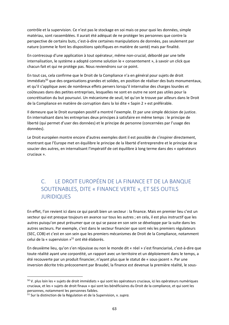contrôle et la supervision. Ce n'est pas le stockage en soi mais ce pour quoi les données, simple matériau, sont rassemblées. Il aurait été adéquat de ne protéger les personnes que contre la perspective de certains buts, c'est‐à‐dire certaines manipulations de données, pas seulement par nature (comme le font les dispositions spécifiques en matière de santé) mais par finalité.

En contrecoup d'une application à tout opérateur, même non‐crucial, débordé par une telle internalisation, le système a adopté comme solution le « consentement », à savoir un click que chacun fait et qui ne protège pas. Nous reviendrons sur ce point.

En tout cas, cela confirme que le Droit de la Compliance n'a en général pour sujets de droit immédiats<sup>50</sup> que des organisations grandes et solides, en position de réaliser des buts monumentaux, et qu'il s'applique avec de nombreux effets pervers lorsqu'il internalise des charges lourdes et coûteuses dans des petites entreprises, lesquelles ne sont en outre ne sont pas utiles pour la concrétisation du but poursuivi. Un mécanisme de seuil, tel qu'on le trouve par ailleurs dans le Droit de la Compliance en matière de corruption dans la loi dite « Sapin 2 » est préférable.

Il demeure que le Droit européen positif a montré l'exemple. Et par une simple décision de justice. En internalisant dans les entreprises deux principes à satisfaire en même temps : le principe de liberté (qui permet d'user des données) et le principe de personne (concernées par l'usage des données).

Le Droit européen montre encore d'autres exemples dont il est possible de s'inspirer directement, montrant que l'Europe met en équilibre le principe de la liberté d'entreprendre et le principe de se soucier des autres, en internalisant l'impératif de cet équilibre à long terme dans des « opérateurs cruciaux ».

#### C. LE DROIT EUROPÉEN DE LA FINANCE ET DE LA BANQUE SOUTENABLES, DITE « FINANCE VERTE », ET SES OUTILS JURIDIQUES

En effet, l'on revient ici dans ce qui paraît bien un secteur : la finance. Mais en premier lieu c'est un secteur qui est presque toujours en avance sur tous les autres ; en cela, il est plus instructif que les autres puisqu'on peut présumer que ce qui se passe en son sein se développe par la suite dans les autres secteurs. Par exemple, c'est dans le secteur financier que sont nés les premiers régulateurs (SEC, COB) et c'est en son sein que les premiers mécanismes de Droit de la Compliance, notamment celui de la « supervision  $v^{51}$  ont été élaborés.

En deuxième lieu, qu'on s'en réjouisse ou non le monde dit « réel » s'est financiarisé, c'est‐à‐dire que toute réalité ayant une corporéité, un rapport avec un territoire et un déploiement dans le temps, a été recouverte par un produit financier, n'ayant plus que le statut de « sous‐jacent ». Par une inversion décrite très précocement par Braudel, la finance est devenue la première réalité, le sous-

<sup>&</sup>lt;sup>50</sup> V. plus loin les « sujets de droit immédiats » qui sont les opérateurs cruciaux, ici les opérateurs numériques cruciaux, et les « sujets de droit finaux » qui sont les bénéficiaires du Droit de la compliance, et qui sont les personnes, notamment les personnes faibles.

<sup>51</sup> Sur la distinction de la Régulation et de la Supervision, v. *supra.*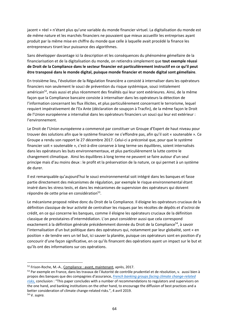jacent « réel » n'étant plus qu'une variable du monde financier virtuel. La digitalisation du monde est de même nature et les marchés financiers ne pouvaient que mieux accueillir les entreprises ayant produit par la même mise en chiffre du monde que celle à laquelle avait procédé la finance les entrepreneurs tirant leur puissance des algorithmes.

Sans développer davantage ici la description et les conséquences du phénomène gémellaire de la financiarisation et de la digitalisation du monde, on retiendra simplement que **tout exemple réussi de Droit de la Compliance dans le secteur financier est particulièrement instructif en ce qu'il peut être transposé dans le monde digital, puisque monde financier et monde digital sont gémellaire**.

En troisième lieu, l'évolution de la Régulation financière a consisté à internaliser dans les opérateurs financiers non seulement le souci de prévention du risque systémique, souci initialement américain<sup>52</sup>, mais aussi et plus récemment des finalités qui leur sont extérieures. Ainsi, de la même façon que la Compliance bancaire consiste à internaliser dans les opérateurs la détection de l'information concernant les flux illicites, et plus particulièrement concernant le terrorisme, lequel requiert impérativement de l'Ex Ante (déclaration de soupçon à Tracfin), de la même façon le Droit de l'Union européenne a internalisé dans les opérateurs financiers un souci qui leur est extérieur : l'environnement.

Le Droit de l'Union européenne a commencé par constituer un Groupe d'Expert de haut niveau pour trouver des solutions afin que le système financier ne s'effondre pas, afin qu'il soit « soutenable ». Ce Groupe a rendu son rapport le 27 décembre 2017. Celui‐ci a préconisé que, pour que le système financier soit « soutenable », c'est-à-dire conserve à long terme ses équilibres, soient internalisés dans les opérateurs les buts environnementaux, et plus particulièrement la lutte contre le changement climatique. Ainsi les équilibres à long terme ne peuvent se faire autour d'un seul principe mais d'au moins deux : le profit et la préservation de la nature, ce qui permet à un système de durer.

Il est remarquable qu'aujourd'hui le souci environnemental soit intégré dans les banques et fasse partie directement des mécanismes de régulation, par exemple le risque environnemental étant inséré dans les stress tests, et dans les mécanismes de supervision des opérateurs qui doivent répondre de cette prise en considération<sup>53</sup>.

Le mécanisme proposé relève donc du Droit de la Compliance. Il éloigne les opérateurs cruciaux de la définition classique de leur activité de centraliser les risques par les récoltes de dépôts et d'octroi de crédit, en ce qui concerne les banques, comme il éloigne les opérateurs cruciaux de la définition classique de prestataires d'intermédiation. L'on peut considérer aussi que cela correspond exactement à la définition générale précédemment donnée du Droit de la Compliance<sup>54</sup>, à savoir l'internalisation d'un but politique dans des opérateurs qui, notamment par leur globalité, sont « en position » de tendre vers un tel but, ici sauver la planète, puisque ces opérateurs sont en position d'y concourir d'une façon significative, en ce qu'ils financent des opérations ayant un impact sur le but et qu'ils ont des informations sur ces opérations.

<sup>52</sup> Frison‐Roche, M.‐A., Compliance : avant, maintenant, après, 2017.

<sup>53</sup> Par exemple en France, dans les travaux de l'Autorité de contrôle prudentiel et de résolution, v. aussi bien à propos des banques que des compagnies d'assurance, *French banking groups facing climate change‐related risks*, conclusion : "This paper concludes with a number of recommendations to regulators and supervisors on the one hand, and banking institutions on the other hand, to encourage the diffusion of best practices and a better consideration of climate change‐related risks.", 4 avril 2019. 54 V. *supra.*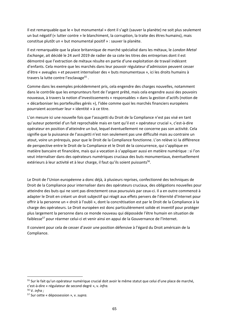Il est remarquable que le « but monumental » dont il s'agit (sauver la planète) ne soit plus seulement un but négatif (« lutter contre » le blanchiment, la corruption, la traite des êtres humains), mais constitue plutôt un « but monumental positif » : sauver la planète.

Il est remarquable que la place britannique de marché spécialisé dans les métaux, le *London Metal Exchange*, ait décidé le 24 avril 2019 de radier de sa cote les titres des entreprises dont il est démontré que l'extraction de métaux résulte en partie d'une exploitation de travail indécent d'enfants. Cela montre que les marchés dans leur pouvoir régulateur d'admission peuvent cesser d'être « aveugles » et peuvent internaliser des « buts monumentaux », ici les droits humains à travers la lutte contre l'esclavage<sup>55</sup>.

Comme dans les exemples précédemment pris, cela engendre des charges nouvelles, notamment dans le contrôle que les emprunteurs font de l'argent prêté, mais cela engendre aussi des pouvoirs nouveaux, à travers la notion d'investissements « responsables » dans la gestion d'actifs (notion de « décarboniser les portefeuilles gérés »), l'idée comme quoi les marchés financiers européens pourraient accentuer leur « identité » à ce titre.

L'on mesure ici une nouvelle fois que l'assujetti du Droit de la Compliance n'est pas visé en tant qu'auteur potentiel d'un fait reprochable mais en tant qu'il est « opérateur crucial », c'est‐à‐dire opérateur en position d'atteindre un but, lequel éventuellement ne concerne pas son activité. Cela signifie que la puissance de l'assujetti n'est non seulement pas une difficulté mais au contraire un atout, voire un prérequis, pour que le Droit de la Compliance fonctionne. L'on relève ici la différence de perspective entre le Droit de la Compliance et le Droit de la concurrence, qui s'applique en matière bancaire et financière, mais qui a vocation à s'appliquer aussi en matière numérique : si l'on veut internaliser dans des opérateurs numériques cruciaux des buts monumentaux, éventuellement extérieurs à leur activité et à leur charge, il faut qu'ils soient puissants<sup>56</sup>.

Le Droit de l'Union européenne a donc déjà, à plusieurs reprises, confectionné des techniques de Droit de la Compliance pour internaliser dans des opérateurs cruciaux, des obligations nouvelles pour atteindre des buts qui ne sont pas directement ceux poursuivis par ceux‐ci. Il a en outre commencé à adapter le Droit en créant un droit subjectif qui réagit aux effets pervers de l'éternité d'Internet pour offrir à la personne un « droit à l'oubli », dont la concrétisation est par le Droit de la Compliance à la charge des opérateurs. Le Droit européen est donc particulièrement solide et inventif pour protéger plus largement la personne dans ce monde nouveau qui dépossède l'être humain en situation de faiblesse<sup>57</sup> pour réarmer celui-ci et venir ainsi en appui de la Gouvernance de l'Internet.

Il convient pour cela de cesser d'avoir une position défensive à l'égard du Droit américain de la Compliance.

<sup>&</sup>lt;sup>55</sup> Sur le fait qu'un opérateur numérique crucial doit avoir le même statut que celui d'une place de marché, c'est‐à‐dire « régulateur de second degré », v. *infra.* 

<sup>56</sup> V. *infra ;* 

<sup>57</sup> Sur cette « dépossession », v. *supra.*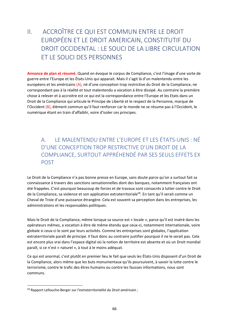## II. ACCROÎTRE CE QUI EST COMMUN ENTRE LE DROIT EUROPÉEN ET LE DROIT AMERICAIN, CONSTITUTIF DU DROIT OCCIDENTAL : LE SOUCI DE LA LIBRE CIRCULATION ET LE SOUCI DES PERSONNES

**Annonce de plan et résumé.** Quand on évoque le corpus de Compliance, c'est l'image d'une sorte de guerre entre l'Europe et les États‐Unis qui apparait. Mais il s'agit là d'un malentendu entre les européens et les américains (A), né d'une conception trop restrictive du Droit de la Compliance, ne correspondant pas à la réalité et tout malentendu a vocation à être dissipé. Au contraire la première chose à relever et à accroitre est ce qui est la correspondance entre l'Europe et les Etats dans un Droit de la Compliance qui articule le Principe de Liberté et le respect de la Personne, marque de l'Occident (B), élément commun qu'il faut renforcer car le monde ne se résume pas à l'Occident, le numérique étant en train d'affaiblir, voire d'isoler ces principes.

#### A. LE MALENTENDU ENTRE L'EUROPE ET LES ÉTATS‐UNIS : NÉ D'UNE CONCEPTION TROP RESTRICTIVE D'UN DROIT DE LA COMPLIANCE, SURTOUT APPRÉHENDÉ PAR SES SEULS EFFETS EX POST

Le Droit de la Compliance n'a pas bonne presse en Europe, sans doute parce qu'on a surtout fait sa connaissance à travers des sanctions sensationnelles dont des banques, notamment françaises ont été frappées. C'est pourquoi beaucoup de forces et de travaux sont consacrés à lutter contre le Droit de la Compliance, sa violence et son application extraterritoriale<sup>58</sup>. En tant qu'il serait comme un Cheval de Troie d'une puissance étrangère. Cela est souvent sa perception dans les entreprises, les administrations et les responsables politiques.

Mais le Droit de la Compliance, même lorsque sa source est « locale », parce qu'il est inséré dans les opérateurs mêmes, a vocation à être de même étendu que ceux‐ci, notamment internationale, voire globale si ceux‐ci le sont par leurs activités. Comme les entreprises sont globales, l'application extraterritoriale paraît de principe. Il faut donc au contraire justifier pourquoi il ne le serait pas. Cela est encore plus vrai dans l'espace digital où la notion de territoire est absente et où un Droit mondial paraît, si ce n'est « naturel », à tout à le moins adéquat.

Ce qui est anormal, c'est plutôt en premier lieu le fait que seuls les États‐Unis disposent d'un Droit de la Compliance, alors même que les buts monumentaux qu'ils poursuivent, à savoir la lutte contre le terrorisme, contre le trafic des êtres humains ou contre les fausses informations, nous sont communs.

<sup>58</sup> Rapport Lellouche‐Berger *sur l'extraterritorialité du Droit américain* ;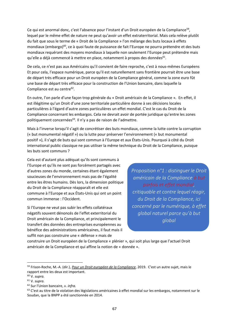Ce qui est anormal donc, c'est l'absence pour l'instant d'un Droit européen de la Compliance<sup>59</sup>, lequel par le même effet de nature ne peut qu'avoir un effet extraterritorial. Mais cela relève plutôt du fait que sous le terme de « Droit de la Compliance » l'on mélange des buts locaux à effets mondiaux (embargo)<sup>60</sup>, ce à quoi faute de puissance de fait l'Europe ne pourra prétendre et des buts mondiaux requérant des moyens mondiaux à laquelle non seulement l'Europe peut prétendre mais  $qu'$ elle a déjà commencé à mettre en place, notamment à propos des données<sup>61</sup>.

De cela, ce n'est pas aux Américains qu'il convient de faire reproche, c'est à nous‐mêmes Européens Et pour cela, l'espace numérique, parce qu'il est naturellement sans frontière pourrait être une base de départ très efficace pour un Droit européen de la Compliance général, comme la zone euro fût une base de départ très efficace pour la construction de l'Union bancaire, dans laquelle la Compliance est au centre<sup>62</sup>.

En outre, l'on parle d'une façon trop générale du « Droit américain de la Compliance ». En effet, il est illégitime qu'un Droit d'une zone territoriale particulière donne à ses décisions locales particulières à l'égard d'autre zones particulières un effet mondial. C'est le cas du Droit de la Compliance concernant les embargos. Cela ne devrait avoir de portée juridique qu'entre les zones politiquement concernées<sup>63</sup>. Il n'y a pas de raison de l'admettre.

Mais à l'inverse lorsqu'il s'agit de concrétiser des buts mondiaux, comme la lutte contre la corruption (« but monumental négatif ») ou la lutte pour préserver l'environnement (« but monumental positif »), il s'agit de buts qui sont commun à l'Europe et aux États‐Unis. Pourquoi à côté du Droit international public classique ne pas utiliser la même technique du Droit de la Compliance, puisque les buts sont communs ?

Cela est d'autant plus adéquat qu'ils sont communs à l'Europe et qu'ils ne sont pas forcément partagés avec d'autres zones du monde, certaines étant également soucieuses de l'environnement mais pas de l'égalité entre les êtres humains. Dès lors, la dimension politique du Droit de la Compliance réapparaît et elle est commune à l'Europe et aux États‐Unis qui ont un point commun immense : l'Occident.

Si l'Europe ne veut pas subir les effets collatéraux négatifs souvent dénoncés de l'effet exterritorial du Droit américain de la Compliance, et principalement le transfert des données des entreprises européennes au bénéfice des administrations américaines, il faut mais il suffit non pas construire une « défense » mais de

*Proposition n°1 : distinguer le Droit américain de la Compliance à but parfois et effet mondial, critiquable et contre lequel réagir, du Droit de la Compliance, ici concerné par le numérique, à effet global naturel parce qu'à but global*

construire un Droit européen de la Compliance « plénier », qui soit plus large que l'actuel Droit américain de la Compliance et qui affine la notion de « donnée ».

<sup>59</sup> Frison‐Roche, M.‐A. (dir.), *Pour un Droit européen de la Compliance*, 2019. C'est un autre sujet, mais le rapport entre les deux est important.

<sup>60</sup> V. *supra.* 

<sup>61</sup> V. *supra.* 

<sup>62</sup> Sur l'Union bancaire, v. *infra.* 

 $63$  C'est au titre de la violation des législations américaines à effet mondial sur les embargos, notamment sur le Soudan, que la BNPP a été sanctionnée en 2014.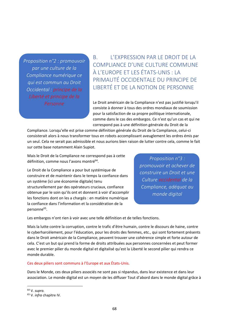*Proposition n°2 : promouvoir par une culture de la Compliance numérique ce qui est commun au Droit Occidental : principe de la Liberté et principe de la Personne*

B. L'EXPRESSION PAR LE DROIT DE LA COMPLIANCE D'UNE CULTURE COMMUNE À L'EUROPE ET LES ÉTATS‐UNIS : LA PRIMAUTÉ OCCIDENTALE DU PRINCIPE DE LIBERTÉ ET DE LA NOTION DE PERSONNE

Le Droit américain de la Compliance n'est pas justifié lorsqu'il consiste à donner à tous des ordres mondiaux de soumission pour la satisfaction de sa propre politique internationale, comme dans le cas des embargos. Ce n'est qu'un cas et qui ne correspond pas à une définition générale du Droit de la

Compliance. Lorsqu'elle est prise comme définition générale du Droit de la Compliance, celui‐ci consisterait alors à nous transformer tous en robots accomplissant aveuglement les ordres émis par un seul. Cela ne serait pas admissible et nous aurions bien raison de lutter contre cela, comme le fait sur cette base notamment Alain Supiot.

Mais le Droit de la Compliance ne correspond pas à cette définition, comme nous l'avons montré64.

Le Droit de la Compliance a pour but systémique de construire et de maintenir dans le temps la confiance dans un système (ici une économie digitale) tenu structurellement par des opérateurs cruciaux, confiance obtenue par le soin qu'ils ont et donnent à voir d'accomplir les fonctions dont on les a chargés : en matière numérique la confiance dans l'information et la considération de la personne<sup>65</sup>.

*Proposition n°3 : promouvoir et achever de construire un Droit et une Culture occidental de la Compliance, adéquat au monde digital*

Les embargos n'ont rien à voir avec une telle définition et de telles fonctions.

Mais la lutte contre la corruption, contre le trafic d'être humain, contre le discours de haine, contre le cyberharcèlement, pour l'éducation, pour les droits des femmes, etc., qui sont fortement présents dans le Droit américain de la Compliance, peuvent trouver une cohérence simple et forte autour de cela. C'est un but qui prend la forme de droits attribuées aux personnes concernées et peut former avec le premier pilier du monde digital et digitalisé qu'est la Liberté le second pilier qui rendra ce monde durable.

#### Ces deux piliers sont communs à l'Europe et aux États‐Unis.

Dans le Monde, ces deux piliers associés ne sont pas si répandus, dans leur existence et dans leur association. Le monde digital est un moyen de les diffuser Tout d'abord dans le monde digital grâce à

64 V. *supra.* 

<sup>65</sup> V. *infra* chapitre IV.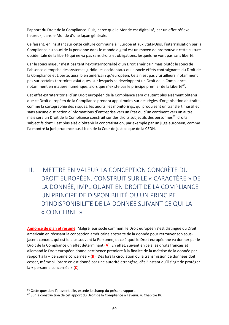l'apport du Droit de la Compliance. Puis, parce que le Monde est digitalisé, par un effet réflexe heureux, dans le Monde d'une façon générale.

Ce faisant, en insistant sur cette culture commune à l'Europe et aux Etats‐Unis, l'internalisation par la Compliance du souci de la personne dans le monde digital est un moyen de promouvoir cette culture occidentale de la liberté qui ne va pas sans droits et obligations, lesquels ne vont pas sans liberté.

Car le souci majeur n'est pas tant l'extraterritorialité d'un Droit américain mais plutôt le souci de l'absence d'emprise des systèmes juridiques occidentaux qui associe effets contraignants du Droit de la Compliance et Liberté, aussi bien américain qu'européen. Cela n'est pas vrai ailleurs, notamment pas sur certains territoires asiatiques, sur lesquels se développent un Droit de la Compliance, notamment en matière numérique, alors que n'existe pas le principe premier de la Liberté<sup>66</sup>.

Cet effet extraterritorial d'un Droit européen de la Compliance sera d'autant plus aisément obtenu que ce Droit européen de la Compliance prendra appui moins sur des règles d'organisation abstraite, comme la cartographie des risques, les audits, les monitorings, qui produisent un transfert massif et sans aucune distinction d'informations d'entreprise vers un État ou d'un continent vers un autre, mais sera un Droit de la Compliance construit sur des droits subjectifs des personnes<sup>67</sup>, droits subjectifs dont il est plus aisé d'obtenir la concrétisation, par exemple par un juge européen, comme l'a montré la jurisprudence aussi bien de la Cour de justice que de la CEDH.

## III. METTRE EN VALEUR LA CONCEPTION CONCRÈTE DU DROIT EUROPÉEN, CONSTRUIT SUR LE « CARACTÈRE » DE LA DONNÉE, IMPLIQUANT EN DROIT DE LA COMPLIANCE UN PRINCIPE DE DISPONIBILITÉ OU UN PRINCIPE D'INDISPONIBILITÉ DE LA DONNÉE SUIVANT CE QUI LA « CONCERNE »

**Annonce de plan et résumé**. Malgré leur socle commun, le Droit européen s'est distingué du Droit américain en récusant la conception américaine abstraite de la donnée pour retrouver son sous‐ jacent concret, qui est le plus souvent la Personne, et ce à quoi le Droit européenne va donner par le Droit de la Compliance un effet déterminant (**A**). En effet, suivant en cela les droits français et allemand le Droit européen donne pertinence première à la finalité de la maîtrise de la donnée par rapport à la « personne concernée » (**B**). Dès lors la circulation ou la transmission de données doit cesser, même si l'ordre en est donné par une autorité étrangère, dès l'instant qu'il s'agit de protéger la « personne concernée » (**C**).

<sup>&</sup>lt;sup>66</sup> Cette question-là, essentielle, excède le champ du présent rapport.

<sup>&</sup>lt;sup>67</sup> Sur la construction de cet apport du Droit de la Compliance à l'avenir, v. Chapitre IV.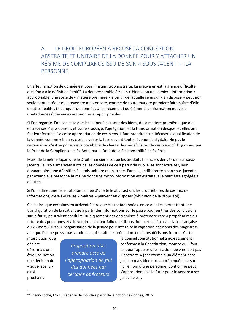A. LE DROIT EUROPÉEN A RÉCUSÉ LA CONCEPTION ABSTRAITE ET UNITAIRE DE LA DONNÉE POUR Y ATTACHER UN RÉGIME DE COMPLIANCE ISSU DE SON « SOUS‐JACENT » : LA PERSONNE

En effet, la notion de donnée est pour l'instant trop abstraite. La preuve en est la grande difficulté que l'on a à la définir en Droit<sup>68</sup>. La donnée semble être un « bien », ou une « micro-information » appropriable, une sorte de « matière première » à partir de laquelle celui qui « en dispose » peut non seulement la céder et la revendre mais encore, comme de toute matière première faire naître d'elle d'autres réalités (« banques de données », par exemple) ou éléments d'information nouvelle (métadonnées) devenues autonomes et appropriables.

Si l'on regarde, l'on constate que les « données » sont des biens, de la matière première, que des entreprises s'approprient, et sur le stockage, l'agrégation, et la transformation desquelles elles ont fait leur fortune. De cette appropriation de ces biens, il faut prendre acte. Récuser la qualification de la donnée comme « bien », c'est se voiler la face devant toute l'économie digitale. Ne pas le reconnaître, c'est se priver de la possibilité de charger les bénéficiaires de ces biens d'obligations, par le Droit de la Compliance en Ex Ante, par le Droit de la Responsabilité en Ex Post.

Mais, de la même façon que le Droit financier a coupé les produits financiers dérivés de leur sous‐ jacents, le Droit américain a coupé les données de ce à partir de quoi elles sont extraites, leur donnant ainsi une définition à la fois unitaire et abstraite. Par cela, indifférente à son sous‐jacente, par exemple la personne humaine dont une micro‐information est extraite, elle peut être agrégée à d'autres.

Si l'on admet une telle autonomie, née d'une telle abstraction, les propriétaires de ces micro‐ informations, c'est-à-dire les « maîtres » peuvent en disposer (définition de la propriété).

C'est ainsi que certaines en arrivent à dire que ces métadonnées, en ce qu'elles permettent une transfiguration de la statistique à partir des informations sur le passé pour en tirer des conclusions sur le futur, pourraient conduire juridiquement des entreprises à prétendre être « propriétaires du futur » des personnes et à le vendre. Il a donc fallu une disposition particulière dans la loi française du 26 mars 2018 sur l'organisation de la justice pour interdire la captation des noms des magistrats afin que l'on ne puisse pas vendre ce qui serait la « prédiction » de leurs décisions futures. Cette

prochains contains operated by justiciables).

1

*Proposition n°4 : prendre acte de l'appropriation de fait des données par certains opérateurs* 

interdiction, que le Conseil constitutionnel a expressément déclaré conforme à la Constitution, montre qu'il faut désormais une **loi pour rappeler que la «** donnée » ne doit pas être une notion *implemente du celle de* vabstraite » (par exemple un élément dans une décision de  $\blacksquare$  is appropriation de fait  $\blacksquare$  justice) mais bien être appréhendée par son « sous-jacent » des données par lici le nom d'une personne, dont on ne peut ainsi s'approprier ainsi le futur pour le vendre à ses

<sup>&</sup>lt;sup>68</sup> Frison-Roche, M.-A., Repenser le monde à partir de la notion de donnée, 2016.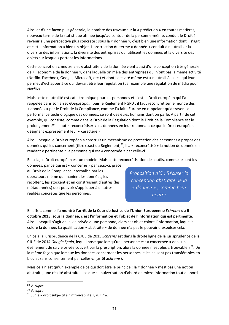Ainsi et d'une façon plus générale, le nombre des travaux sur la « prédiction » en toutes matières, nouveau terme de la statistique affinée jusqu'au contour de la personne‐même, conduit le Droit à revenir à une perspective plus concrète : sous la « donnée », c'est bien une information dont il s'agit et cette information a bien un objet. L'abstraction du terme « donnée » conduit à neutraliser la diversité des informations, la diversité des entreprises qui utilisent les données et la diversité des objets sur lesquels portent les informations.

Cette conception « neutre » et « abstraite » de la donnée vient aussi d'une conception très générale de « l'économie de la donnée », dans laquelle on mêle des entreprises qui n'ont pas la même activité (Netflix, Facebook, Google, Microsoft, etc.) et dont l'activité même est « neutralisée », ce qui leur permet d'échapper à ce qui devrait être leur régulation (par exemple une régulation de média pour Netflix).

Mais cette neutralité est catastrophique pour les personnes et c'est le Droit européen qui l'a rappelée dans son arrêt *Google Spain* puis le Règlement RGPD : il faut reconcrétiser le monde des « données » par le Droit de la Compliance, comme l'a fait l'Europe en rappelant qu'à travers la performance technologique des données, ce sont des êtres humains dont on parle. A partir de cet exemple, qui consiste, comme dans le Droit de la Régulation dont le Droit de la Compliance est le prolongement<sup>69</sup>, il faut « reconcrétiser » les données en leur redonnant ce que le Droit européen désignant expressément leur « caractère ».

Ainsi, lorsque le Droit européen a construit un mécanisme de protection des personnes à propos des données qui les concernent (titre exact du Règlement)<sup>70</sup>, il a « reconcrétisé » la notion de donnée en rendant « pertinente » la personne qui est « concernée » par celle‐ci.

En cela, le Droit européen est un modèle. Mais cette reconcrétisation des outils, comme le sont les

données, par ce qui est « concerné » par ceux‐ci, grâce au Droit de la Compliance internalisé par les opérateurs même qui manient les données, les récoltent, les stockent et en construisent d'autres (les métadonnées) doit pouvoir s'appliquer à d'autres réalités concrètes que les personnes.

*Proposition n°5 : Récuser la conception abstraite de la « donnée » , comme bien neutre* 

En effet, comme **l'a montré l'arrêt de la Cour de Justice de l'Union Européenne** *Schrems* **du 6 octobre 2015, sous la donnée, c'est l'information et l'objet de l'information qui est pertinente**. Ainsi, lorsqu'il s'agit de la vie privée d'une personne, alors cet objet colore l'information, laquelle colore la donnée. La qualification « abstraite » de donnée n'a pas le pouvoir d'expulser cela.

En cela la jurisprudence de la CJUE de 2015 *Schrems* est dans la droite ligne de la jurisprudence de la CJUE de 2014 *Google Spain*, lequel pose que lorsqu'une personne est « concernée » dans un événement de sa vie privée couvert par la prescription, alors la donnée n'est plus « trouvable »71. De la même façon que lorsque les données concernent les personnes, elles ne sont pas transférables en bloc et sans consentement par celles‐ci (arrêt *Schrems*).

Mais cela n'est qu'un exemple de ce qui doit être le principe : la « donnée » n'est pas une notion abstraite, une réalité abstraite – ce que sa pulvérisation d'abord en micro‐information tout d'abord

<u>.</u>

<sup>69</sup> V. *supra.* 

<sup>70</sup> V. *supra.* 

<sup>71</sup> Sur le « droit subjectif à l'introuvabilité », v. *infra.*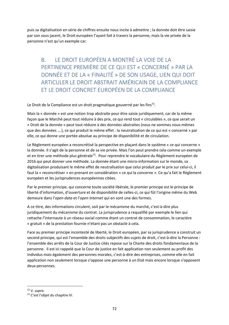puis sa digitalisation en série de chiffres ensuite nous incite à admettre ; la donnée doit être saisie par son sous‐jacent, le Droit européen l'ayant fait à travers la personne, mais la vie privée de la personne n'est qu'un exemple car.

B. LE DROIT EUROPÉEN A MONTRÉ LA VOIE DE LA PERTINENCE PREMIÈRE DE CE QUI EST « CONCERNÉ » PAR LA DONNÉE ET DE LA « FINALITÉ » DE SON USAGE, LIEN QUI DOIT ARTICULER LE DROIT ABSTRAIT AMÉRICAIN DE LA COMPLIANCE ET LE DROIT CONCRET EUROPÉEN DE LA COMPLIANCE

Le Droit de la Compliance est un droit pragmatique gouverné par les fins<sup>72</sup>.

Mais la « donnée » est une notion trop abstraite pour être saisie juridiquement, car de la même façon que le Marché peut tout réduire à des prix, ce qui rend tout « circulables », ce que serait un « Droit de la donnée » peut tout réduire à des données abstraites (nous ne sommes nous‐mêmes que des données ….), ce qui produit le même effet : la neutralisation de ce qui est « concerné » par elle, ce qui donne une portée absolue au principe de disponibilité et de circulation.

Le Règlement européen a reconcrétisé la perspective en plaçant dans le système « ce qui concerne » la donnée. Il s'agit de la personne et de sa vie privée. Mais l'on peut prendre cela comme un exemple et en tirer une méthode plus générale<sup>73</sup>. Pour reprendre le vocabulaire du Règlement européen de 2016 qui peut donner une méthode. La donnée étant une micro-information sur le monde, sa digitalisation produisant le même effet de neutralisation que celui produit par le prix sur celui‐ci, il faut la « reconcrétiser » en prenant en considération « ce qui la concerne ». Ce qu'a fait le Règlement européen et les jurisprudences européennes citées.

Par le premier principe, qui concerne toute société libérale, le premier principe est le principe de liberté d'information, d'ouverture et de disponibilité de celles‐ci, ce qui fût l'origine même du Web demeure dans l'*open data* et l'*open Internet* qui en sont une des formes.

A ce titre, des informations circulent, soit par le mécanisme du marché, c'est‐à‐dire plus juridiquement du mécanisme du contrat. La jurisprudence a requalifié par exemple le lien qui rattache l'internaute à un réseau social comme étant un contrat de consommation, le caractère « gratuit » de la prestation fournie n'étant pas un obstacle à cela.

Face au premier principe incontesté de liberté, le Droit européen, par sa jurisprudence a construit un second principe, qui est l'ensemble des droits subjectifs des sujets de droit, c'est-à-dire la Personne : l'ensemble des arrêts de la Cour de Justice cités repose sur la Charte des droits fondamentaux de la personne. Il est ici rappelé que la Cour de justice en fait application non seulement au profit des individus mais également des personnes morales, c'est‐à‐dire des entreprises, comme elle en fait application non seulement lorsque s'oppose une personne à un Etat mais encore lorsque s'opposent deux personnes.

<sup>72</sup> V. *supra.* 

<sup>73</sup> C'est l'objet du chapitre IV.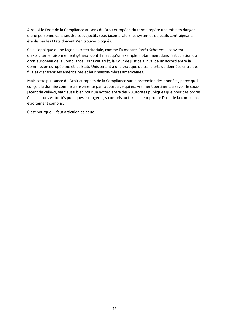Ainsi, si le Droit de la Compliance au sens du Droit européen du terme repère une mise en danger d'une personne dans ses droits subjectifs sous‐jacents, alors les systèmes objectifs contraignants établis par les Etats doivent s'en trouver bloqués.

Cela s'applique d'une façon extraterritoriale, comme l'a montré l'arrêt *Schrems*. Il convient d'expliciter le raisonnement général dont il n'est qu'un exemple, notamment dans l'articulation du droit européen de la Compliance. Dans cet arrêt, la Cour de justice a invalidé un accord entre la Commission européenne et les États‐Unis tenant à une pratique de transferts de données entre des filiales d'entreprises américaines et leur maison‐mères américaines.

Mais cette puissance du Droit européen de la Compliance sur la protection des données, parce qu'il conçoit la donnée comme transparente par rapport à ce qui est vraiment pertinent, à savoir le sous‐ jacent de celle‐ci, vaut aussi bien pour un accord entre deux Autorités publiques que pour des ordres émis par des Autorités publiques étrangères, y compris au titre de leur propre Droit de la compliance étroitement compris.

C'est pourquoi il faut articuler les deux.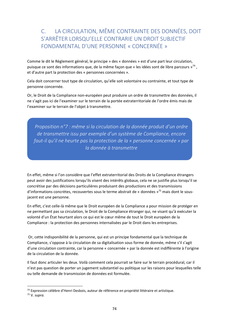#### C. LA CIRCULATION, MÊME CONTRAINTE DES DONNÉES, DOIT S'ARRÊTER LORSQU'ELLE CONTRARIE UN DROIT SUBJECTIF FONDAMENTAL D'UNE PERSONNE « CONCERNÉE »

Comme le dit le Règlement général, le principe » des « données » est d'une part leur circulation, puisque ce sont des informations que, de la même façon que « les idées sont de libre parcours  $v^{74}$ , et d'autre part la protection des « personnes concernées ».

Cela doit concerner tout type de circulation, qu'elle soit volontaire ou contrainte, et tout type de personne concernée.

Or, le Droit de la Compliance non‐européen peut produire un ordre de transmettre des données, il ne s'agit pas ici de l'examiner sur le terrain de la portée extraterritoriale de l'ordre émis mais de l'examiner sur le terrain de l'objet à transmettre.

*Proposition n°7 : même si la circulation de la donnée produit d'un ordre de transmettre issu par exemple d'un système de Compliance, encore faut‐il qu'il ne heurte pas la protection de la « personne concernée » par la donnée à transmettre*

En effet, même si l'on considère que l'effet extraterritorial des Droits de la Compliance étrangers peut avoir des justifications lorsqu'ils visent des intérêts globaux, cela ne se justifie plus lorsqu'il se concrétise par des décisions particulières produisant des productions et des transmissions d'informations concrètes, recouvertes sous le terme abstrait de « données »75 mais dont le sous‐ jacent est une personne.

En effet, c'est celle‐là même que le Droit européen de la Compliance a pour mission de protéger en ne permettant pas sa circulation, le Droit de la Compliance étranger qui, ne visant qu'à exécuter la volonté d'un État heurtant alors ce qui est le cœur même de tout le Droit européen de la Compliance : la protection des personnes internalisées par le Droit dans les entreprises.

 Or, cette indisponibilité de la personne, qui est un principe fondamental que la technique de Compliance, s'oppose à la circulation de sa digitalisation sous forme de donnée, même s'il s'agit d'une circulation contrainte, car la personne « concernée » par la donnée est indifférente à l'origine de la circulation de la donnée.

Il faut donc articuler les deux. Voilà comment cela pourrait se faire sur le terrain procédural, car il n'est pas question de porter un jugement substantiel ou politique sur les raisons pour lesquelles telle ou telle demande de transmission de données est formulée.

74 Expression célèbre d'Henri Desbois, auteur de référence en propriété littéraire et artistique.

<sup>75</sup> V. *supra.*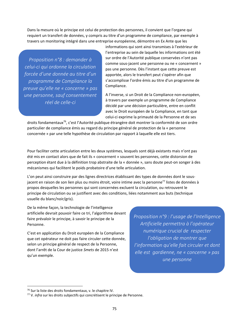Dans la mesure où le principe est celui de protection des personnes, il convient que l'organe qui requiert un transfert de données, y compris au titre d'un programme de compliance, par exemple à travers un monitoring intégré dans une entreprise européenne, démontre en Ex Ante que les

*Proposition n°8 : demander à celui‐ci qui ordonne la circulation forcée d'une donnée au titre d'un programme de Compliance la preuve qu'elle ne « concerne » pas une personne, sauf consentement réel de celle‐ci*

informations qui sont ainsi transmises à l'extérieur de l'entreprise au sein de laquelle les informations ont été sur ordre de l'Autorité publique conservées n'ont pas comme sous‐jacent une personne ou ne « concernent » pas une personne. Dès l'instant que cette preuve est apportée, alors le transfert peut s'opérer afin que s'accomplisse l'ordre émis au titre d'un programme de Compliance.

A l'inverse, si un Droit de la Compliance non‐européen, à travers par exemple un programme de Compliance décidé par une décision particulière, entre en conflit avec le Droit européen de la Compliance, en tant que celui‐ci exprime la primauté de la Personne et de ses

droits fondamentaux<sup>76</sup>, c'est l'Autorité publique étrangère doit montrer la conformité de son ordre particulier de compliance émis au regard du principe général de protection de la « personne concernée » par une telle hypothèse de circulation par rapport à laquelle elle est tiers.

Pour faciliter cette articulation entre les deux systèmes, lesquels sont déjà existants mais n'ont pas été mis en contact alors que de fait ils « concernent » souvent les personnes, cette distorsion de perception étant due à la définition trop abstraite de la « donnée », sans doute peut‐on songer à des mécanismes qui facilitent le poids probatoire d'une telle articulation.

L'on peut ainsi construire par des lignes directrices établissant des types de données dont le sous‐ jacent en raison de son lien plus ou moins étroit, voire intime avec la personne<sup>77</sup> listes de données à propos desquelles les personnes qui sont concernées excluent la circulation, ou retrouvent le principe de circulation ou se justifient avec des conditions, liées notamment aux buts (technique usuelle du blanc/noir/gris).

De la même façon, la technologie de l'intelligence artificielle devrait pouvoir faire ce tri, l'algorithme devant faire prévaloir le principe, à savoir le principe de la Personne.

C'est en application du Droit européen de la Compliance que cet opérateur ne doit pas faire circuler cette donnée, selon un principe général de respect de la Personne, dont l'arrêt de la Cour de justice *Smets* de 2015 n'est qu'un exemple.

*Proposition n°9 : l'usage de l'Intelligence Artificielle permettra à l'opérateur numérique crucial de respecter l'obligation de montrer que l'information qu'elle fait circuler et dont elle est gardienne, ne « concerne » pas une personne*

<sup>76</sup> Sur la liste des droits fondamentaux, v. le chapitre IV.

<sup>77</sup> V. *infra* sur les droits subjectifs qui concrétisent le principe de Personne.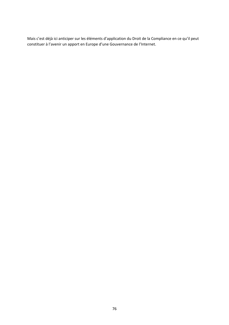Mais c'est déjà ici anticiper sur les éléments d'application du Droit de la Compliance en ce qu'il peut constituer à l'avenir un apport en Europe d'une Gouvernance de l'Internet.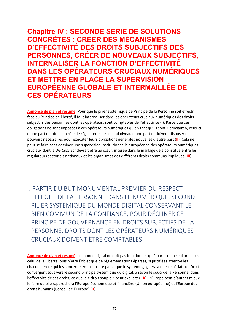**Chapitre IV : SECONDE SÉRIE DE SOLUTIONS CONCRÈTES : CRÉER DES MÉCANISMES D'EFFECTIVITÉ DES DROITS SUBJECTIFS DES PERSONNES, CRÉER DE NOUVEAUX SUBJECTIFS, INTERNALISER LA FONCTION D'EFFECTIVITÉ DANS LES OPÉRATEURS CRUCIAUX NUMÉRIQUES ET METTRE EN PLACE LA SUPERVISION EUROPÉENNE GLOBALE ET INTERMAILLÉE DE CES OPÉRATEURS** 

**Annonce de plan et résumé**. Pour que le pilier systémique de Principe de la Personne soit effectif face au Principe de liberté, il faut internaliser dans les opérateurs cruciaux numériques des droits subjectifs des personnes dont les opérateurs sont comptables de l'effectivité (**I**). Parce que ces obligations ne sont imposées à ces opérateurs numériques qu'en tant qu'ils sont « cruciaux », ceux‐ci d'une part ont donc un rôle de régulateurs de second niveau d'une part et doivent disposer des pouvoirs nécessaires pour exécuter leurs obligations générales nouvelles d'autre part (**II**). Cela ne peut se faire sans dessiner une supervision institutionnelle européenne des opérateurs numériques cruciaux dont la DG *Connect* devrait être au cœur, insérée dans le maillage déjà constitué entre les régulateurs sectoriels nationaux et les organismes des différents droits communs impliqués (**III**).

I. PARTIR DU BUT MONUMENTAL PREMIER DU RESPECT EFFECTIF DE LA PERSONNE DANS LE NUMÉRIQUE, SECOND PILIER SYSTEMIQUE DU MONDE DIGITAL CONSERVANT LE BIEN COMMUN DE LA CONFIANCE, POUR DÉCLINER CE PRINCIPE DE GOUVERNANCE EN DROITS SUBJECTIFS DE LA PERSONNE, DROITS DONT LES OPÉRATEURS NUMÉRIQUES CRUCIAUX DOIVENT ÊTRE COMPTABLES

**Annonce de plan et résumé**. Le monde digital ne doit pas fonctionner qu'à partir d'un seul principe, celui de la Liberté, puis n'être l'objet que de réglementations éparses, si justifiées soient‐elles chacune en ce qui les concerne. Au contraire parce que le système gagnera à que ces éclats de Droit convergent tous vers le second principe systémique du digital, à savoir le souci de la Personne, dans l'effectivité de ses droits, ce que le « droit souple » peut expliciter (**A**). L'Europe peut d'autant mieux le faire qu'elle rapprochera l'Europe économique et financière (Union européenne) et l'Europe des droits humains (Conseil de l'Europe) (**B**).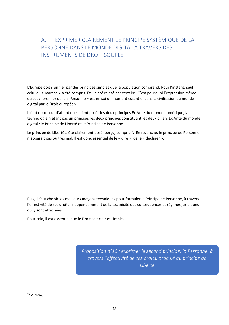### A. EXPRIMER CLAIREMENT LE PRINCIPE SYSTÉMIQUE DE LA PERSONNE DANS LE MONDE DIGITAL A TRAVERS DES INSTRUMENTS DE DROIT SOUPLE

L'Europe doit s'unifier par des principes simples que la population comprend. Pour l'instant, seul celui du « marché » a été compris. Et il a été rejeté par certains. C'est pourquoi l'expression même du souci premier de la « Personne » est en soi un moment essentiel dans la civilisation du monde digital par le Droit européen.

Il faut donc tout d'abord que soient posés les deux principes Ex Ante du monde numérique, la technologie n'étant pas un principe, les deux principes constituant les deux piliers Ex Ante du monde digital : le Principe de Liberté et le Principe de Personne.

Le principe de Liberté a été clairement posé, perçu, compris<sup>78</sup>. En revanche, le principe de Personne n'apparaît pas ou très mal. Il est donc essentiel de le « dire », de le « déclarer ».

Puis, il faut choisir les meilleurs moyens techniques pour formuler le Principe de Personne, à travers l'effectivité de ses droits, indépendamment de la technicité des conséquences et régimes juridiques qui y sont attachées.

Pour cela, il est essentiel que le Droit soit clair et simple.

*Proposition n°10 : exprimer le second principe, la Personne, à travers l'effectivité de ses droits, articulé au principe de Liberté* 

78 V. *Infra.*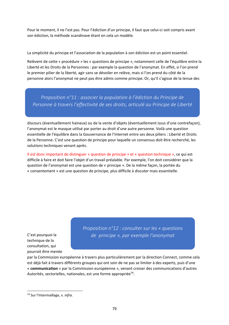Pour le moment, il ne l'est pas. Pour l'édiction d'un principe, il faut que celui‐ci soit compris avant son édiction, la méthode scandinave étant en cela un modèle.

La simplicité du principe et l'association de la population à son édiction est un point essentiel.

Relèvent de cette « procédure » les « questions de principe », notamment celle de l'équilibre entre la Liberté et les Droits de la Personnes : par exemple la question de l'anonymat. En effet, si l'on prend le premier pilier de la liberté, agir sans se dévoiler en relève, mais si l'on prend du côté de la personne alors l'anonymat ne peut pas être admis comme principe. Or, qu'il s'agisse de la tenue des

*Proposition n°11 : associer la population à l'édiction du Principe de Personne à travers l'effectivité de ses droits, articulé au Principe de Liberté* 

discours (éventuellement haineux) ou de la vente d'objets (éventuellement issus d'une contrefaçon), l'anonymat est le masque utilisé par porter au droit d'une autre personne. Voilà une question essentielle de l'équilibre dans la Gouvernance de l'Internet entre ses deux piliers : Liberté et Droits de la Personne. C'est une question de principe pour laquelle un consensus doit être recherché, les solutions techniques venant après.

Il est donc important de distinguer « question de principe » et « question technique », ce qui est difficile à faire et doit faire l'objet d'un travail préalable. Par exemple, l'on doit considérer que la question de l'anonymat est une question de « principe ». De la même façon, la portée du « consentement » est une question de principe, plus difficile à discuter mais essentielle.

C'est pourquoi la technique de la consultation, qui pourrait être menée *Proposition n°12 : consulter sur les « questions de principe », par exemple l'anonymat* 

par la Commission européenne à travers plus particulièrement par la direction Connect, comme cela est déjà fait à travers différents groupes qui ont soin de ne pas se limiter à des experts, puis d'une « **communication** » par la Commission européenne », venant croiser des communications d'autres Autorités, sectorielles, nationales, est une forme appropriée<sup>79</sup>.

<sup>79</sup> Sur l'Intermaillage, v. *infra.*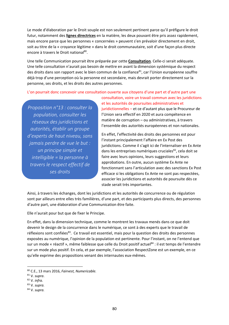Le mode d'élaboration par le Droit souple est non seulement pertinent parce qu'il préfigure le droit futur, notamment des **lignes directrices** en la matière, les deux pouvant être pris assez rapidement, mais encore parce que les personnes « concernées » peuvent s'en prévaloir directement en droit, soit au titre de la « croyance légitime » dans le droit communautaire, soit d'une façon plus directe encore à travers le Droit national<sup>80</sup>.

Une telle Communication pourrait être préparée par cette **Consultation**. Celle‐ci serait adéquate. Une telle consultation n'aurait pas besoin de mettre en avant la dimension systémique du respect des droits dans son rapport avec le bien commun de la confiance<sup>81</sup>, car l'Union européenne souffre déjà trop d'une perception où la personne est secondaire, mais devrait porter directement sur la personne, ses droits, et les droits des autres personnes.

L'on pourrait donc concevoir une consultation ouverte aux citoyens d'une part et d'autre part une

*Proposition n°13 : consulter la population, consulter les réseaux des juridictions et autorités, établir un groupe d'experts de haut niveau, sans jamais perdre de vue le but : un principe simple et intelligible = la personne à travers le respect effectif de ses droits*

consultation, voire un travail commun avec les juridictions et les autorités de poursuites administratives et juridictionnelles – et ce d'autant plus que le Procureur de l'Union sera effectif en 2020 et aura compétence en matière de corruption – ou administratives, à travers l'ensemble des autorités européennes et non nationales.

En effet, l'effectivité des droits des personnes est pour l'instant principalement l'affaire en Ex Post des juridictions. Comme il s'agit ici de l'internaliser en Ex Ante dans les entreprises numériques cruciales<sup>82</sup>, cela doit se faire avec leurs opinions, leurs suggestions et leurs approbations. En outre, aucun système Ex Ante ne fonctionnant sans l'articulation avec des sanctions Ex Post efficace si les obligations Ex Ante ne sont pas respectées, associer les juridictions et autorités de poursuite dès ce stade serait très importantes.

Ainsi, à travers les échanges, dont les juridictions et les autorités de concurrence ou de régulation sont par ailleurs entre elles très familières, d'une part, et des participants plus directs, des personnes d'autre part, une élaboration d'une Communication être faite.

Elle n'aurait pour but que de fixer le Principe.

En effet, dans la dimension technique, comme le montrent les travaux menés dans ce que doit devenir le design de la concurrence dans le numérique, ce sont à des experts que le travail de réflexions sont confiées<sup>83</sup>. Ce travail est essentiel, mais pour la question des droits des personnes exposées au numérique, l'opinion de la population est pertinente. Pour l'instant, on ne l'entend que sur un mode « réactif », même faiblesse que celle du Droit positif actuel<sup>84</sup> : il est temps de l'entendre sur un mode plus positif. En cela, et par exemple, l'association RespectZone est un exemple, en ce qu'elle exprime des propositions venant des internautes eux‐mêmes.

<u>.</u>

<sup>80</sup> C.E., 13 mars 2016, *Fairvest, Numericable.* 

<sup>81</sup> V. *supra*.

<sup>82</sup> V. *infra.* 

<sup>83</sup> V. *supra.* 

<sup>84</sup> V. *supra.*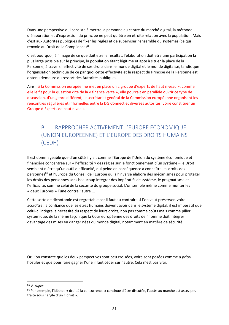Dans une perspective qui consiste à mettre la personne au centre du marché digital, la méthode d'élaboration et d'expression du principe ne peut qu'être en étroite relation avec la population. Mais c'est aux Autorités publiques de fixer les règles et de superviser l'ensemble du systèmes (ce qui renvoie au Droit de la Compliance)<sup>85</sup>.

C'est pourquoi, à l'image de ce que doit être le résultat, l'élaboration doit être une participation la plus large possible sur le principe, la population étant légitime et apte à situer la place de la Personne, à travers l'effectivité de ses droits dans le monde digital et le monde digitalisé, tandis que l'organisation technique de ce par quoi cette effectivité et le respect du Principe de la Personne est obtenu demeure du ressort des Autorités publiques.

Ainsi, si la Commission européenne met en place un « groupe d'experts de haut niveau », comme elle le fit pour la question dite de la « finance verte », elle pourrait en parallèle ouvrir ce type de discussion, d'un genre différent, le secrétariat général de la Commission européenne organisant les rencontres régulières et informelles entre la DG Connect et diverses autorités, voire constituer un Groupe d'Experts de haut niveau.

#### B. RAPPROCHER ACTIVEMENT L'EUROPE ECONOMIQUE (UNION EUROPEENNE) ET L'EUROPE DES DROITS HUMAINS (CEDH)

Il est dommageable que d'un côté il y ait comme l'Europe de l'Union du système économique et financière concentrée sur « l'efficacité » des règles sur le fonctionnement d'un système – le Droit semblant n'être qu'un outil d'efficacité, qui peine en conséquence à connaître les droits des personnes<sup>86</sup> et l'Europe du Conseil de l'Europe qui à l'inverse élabore des mécanismes pour protéger les droits des personnes sans beaucoup intégrer des impératifs de système, le pragmatisme et l'efficacité, comme celui de la sécurité du groupe social. L'on semble même comme monter les « deux Europes » l'une contre l'autre ...

Cette sorte de dichotomie est regrettable car il faut au contraire si l'on veut préserver, voire accroître, la confiance que les êtres humains doivent avoir dans le système digital, il est impératif que celui‐ci intègre la nécessité du respect de leurs droits, non pas comme coûts mais comme pilier systémique, de la même façon que la Cour européenne des droits de l'homme doit intégrer davantage des mises en danger nées du monde digital, notamment en matière de sécurité.

Or, l'on constate que les deux perspectives sont peu croisées, voire sont posées comme *a priori*  hostiles et que pour faire gagner l'une il faut céder sur l'autre. Cela n'est pas vrai.

85 V. *supra.* 

<u>.</u>

<sup>86</sup> Par exemple, l'idée de « droit à la concurrence » continue d'être discutée, l'accès au marché est assez peu traité sous l'angle d'un « droit ».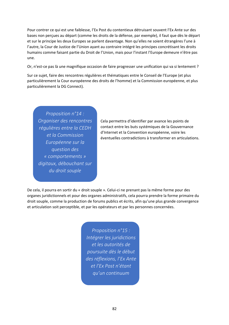Pour contrer ce qui est une faiblesse, l'Ex Post du contentieux détruisant souvent l'Ex Ante sur des bases non perçues au départ (comme les droits de la défense, par exemple), il faut que dès le départ et sur le principe les deux Europes se parlent davantage. Non qu'elles ne soient étrangères l'une à l'autre, la Cour de Justice de l'Union ayant au contraire intégré les principes concrétisant les droits humains comme faisant partie du Droit de l'Union, mais pour l'instant l'Europe demeure n'être pas une.

Or, n'est-ce pas là une magnifique occasion de faire progresser une unification qui va si lentement ?

Sur ce sujet, faire des rencontres régulières et thématiques entre le Conseil de l'Europe (et plus particulièrement la Cour européenne des droits de l'homme) et la Commission européenne, et plus particulièrement la DG Connect).

*Proposition n°14 : Organiser des rencontres régulières entre la CEDH et la Commission Européenne sur la question des « comportements » digitaux, débouchant sur du droit souple*

Cela permettra d'identifier par avance les points de contact entre les buts systémiques de la Gouvernance d'Internet et la Convention européenne, voire les éventuelles contradictions à transformer en articulations.

De cela, il pourra en sortir du « droit souple ». Celui‐ci ne prenant pas la même forme pour des organes juridictionnels et pour des organes administratifs, cela pourra prendre la forme primaire du droit souple, comme la production de forums publics et écrits, afin qu'une plus grande convergence et articulation soit perceptible, et par les opérateurs et par les personnes concernées.

> *Proposition n°15 : Intégrer les juridictions et les autorités de poursuite dès le début des réflexions, l'Ex Ante et l'Ex Post n'étant qu'un continuum*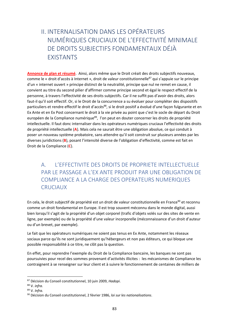## II. INTERNALISATION DANS LES OPÉRATEURS NUMÉRIQUES CRUCIAUX DE L'EFFECTIVITÉ MINIMALE DE DROITS SUBJECTIFS FONDAMENTAUX DÉJÀ EXISTANTS

**Annonce de plan et résumé**. Ainsi, alors même que le Droit créait des droits subjectifs nouveaux, comme le « droit d'accès à Internet », droit de valeur constitutionnelle<sup>87</sup> qui s'appuie sur le principe d'un « internet ouvert » principe distinct de la neutralité, principe que nul ne remet en cause, il convient au titre du second pilier d'affirmer comme principe second et égal le respect effectif de la personne, à travers l'effectivité de ses droits subjectifs. Car il ne suffit pas d'avoir des droits, alors faut-il qu'il soit effectif. Or, si le Droit de la concurrence a su évoluer pour compléter des dispositifs particuliers et rendre effectif le droit d'accès<sup>88</sup>, si le droit positif a évolué d'une façon fulgurante et en Ex Ante et en Ex Post concernant le droit à la vie privée au point que c'est le socle de départ du Droit européen de la Compliance numérique<sup>89</sup>, l'on peut en douter concerner les droits de propriété intellectuelle. Il faut donc internaliser dans les opérateurs numériques cruciaux l'effectivité des droits de propriété intellectuelle (**A**). Mais cela ne saurait être une obligation absolue, ce qui conduit à poser un nouveau système probatoire, sans attendre qu'il soit construit sur plusieurs années par les diverses juridictions (**B**), posant l'intensité diverse de l'obligation d'effectivité, comme est fait en Droit de la Compliance (**C**).

#### A. L'EFFECTIVITE DES DROITS DE PROPRIETE INTELLECTUELLE PAR LE PASSAGE A L'EX ANTE PRODUIT PAR UNE OBLIGATION DE COMPLIANCE A LA CHARGE DES OPERATEURS NUMERIQUES CRUCIAUX

En cela, le droit subjectif de propriété est un droit de valeur constitutionnelle en France<sup>90</sup> et reconnu comme un droit fondamental en Europe. Il est trop souvent méconnu dans le monde digital, aussi bien lorsqu'il s'agit de la propriété d'un objet corporel (trafic d'objets volés sur des sites de vente en ligne, par exemple) ou de la propriété d'une valeur incorporelle (méconnaissance d'un droit d'auteur ou d'un brevet, par exemple).

Le fait que les opérateurs numériques ne soient pas tenus en Ex Ante, notamment les réseaux sociaux parce qu'ils ne sont juridiquement qu'hébergeurs et non pas éditeurs, ce qui bloque une possible responsabilité à ce titre, ne clôt pas la question.

En effet, pour reprendre l'exemple du Droit de la Compliance bancaire, les banques ne sont pas poursuivies pour recel des sommes provenant d'activités illicites : les mécanismes de Compliance les contraignent à se renseigner sur leur client et à suivre le fonctionnement de centaines de milliers de

<sup>87</sup> Décision du Conseil constitutionnel, 10 juin 2009, *Hadopi*.

<sup>88</sup> V. *infra.* 

<sup>89</sup> V. *Infra.* 

<sup>90</sup> Décision du Conseil constitutionnel, 2 février 1986, *loi sur les nationalisations*.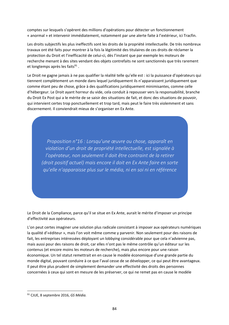comptes sur lesquels s'opèrent des millions d'opérations pour détecter un fonctionnement « anormal » et intervenir immédiatement, notamment par une alerte faite à l'extérieur, ici Tracfin.

Les droits subjectifs les plus ineffectifs sont les droits de la propriété intellectuelle. De très nombreux travaux ont été faits pour montrer à la fois la légitimité des titulaires de ces droits de réclamer la protection du Droit et l'inefficacité de celui‐ci, dès l'instant que par exemple les moteurs de recherche menant à des sites vendant des objets contrefaits ne sont sanctionnés que très rarement et longtemps après les faits<sup>91</sup>.

Le Droit ne gagne jamais à ne pas qualifier la réalité telle qu'elle est : ici la puissance d'opérateurs qui tiennent complètement un monde dans lequel juridiquement ils n'apparaissent juridiquement que comme étant peu de chose, grâce à des qualifications juridiquement minimisantes, comme celle d'hébergeur. Le Droit ayant horreur du vide, cela conduit à repousser vers la responsabilité, branche du Droit Ex Post qui a le mérite de se saisir des situations de fait, et donc des situations de pouvoir, qui intervient certes trop ponctuellement et trop tard, mais peut le faire très violemment et sans discernement. Il conviendrait mieux de s'organiser en Ex Ante.

*Proposition n°16 : Lorsqu'une œuvre ou chose, apparaît en violation d'un droit de propriété intellectuelle, est signalée à l'opérateur, non seulement il doit être contraint de la retirer (droit positif actuel) mais encore il doit en Ex Ante faire en sorte qu'elle n'apparaisse plus sur le média, ni en soi ni en référence*

Le Droit de la Compliance, parce qu'il se situe en Ex Ante, aurait le mérite d'imposer un principe d'effectivité aux opérateurs.

L'on peut certes imaginer une solution plus radicale consistant à imposer aux opérateurs numériques la qualité d'«éditeur », mais l'on voit même comme y parvenir. Non seulement pour des raisons de fait, les entreprises intéressées déployant un lobbying considérable pour que cela n'advienne pas, mais aussi pour des raisons de droit, car elles n'ont pas le même contrôle qu'un éditeur sur les contenus (et encore moins les moteurs de recherche), mais plus encore pour une raison économique. Un tel statut remettrait en en cause le modèle économique d'une grande partie du monde digital, pouvant conduire à ce que l'aval cesse de se développer, ce qui peut être avantageux. Il peut être plus prudent de simplement demander une effectivité des droits des personnes concernées à ceux qui sont en mesure de les préserver, ce qui ne remet pas en cause le modèle

<sup>91</sup> CJUE, 8 septembre 2016, *GS Média.*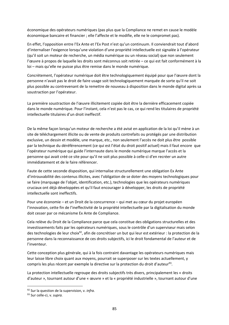économique des opérateurs numériques (pas plus que la Compliance ne remet en cause le modèle économique bancaire et financier ; elle l'affecte et le modifie, elle ne le compromet pas).

En effet, l'opposition entre l'Ex Ante et l'Ex Post n'est qu'un continuum. Il conviendrait tout d'abord d'internaliser l'exigence lorsqu'une violation d'une propriété intellectuelle est signalée à l'opérateur (qu'il soit un moteur de recherche, un média numérique ou un réseau social) que non seulement l'œuvre à propos de laquelle les droits sont méconnus soit retirée – ce qui est fait conformément à la loi – mais qu'elle ne puisse plus être remise dans le monde numérique.

Concrètement, l'opérateur numérique doit être technologiquement équipé pour que l'œuvre dont la personne n'avait pas le droit de faire usage soit technologiquement marquée de sorte qu'il ne soit plus possible au contrevenant de la remettre de nouveau à disposition dans le monde digital après sa soustraction par l'opérateur.

La première soustraction de l'œuvre illicitement copiée doit être la dernière efficacement copiée dans le monde numérique. Pour l'instant, cela n'est pas le cas, ce qui rend les titulaires de propriété intellectuelle titulaires d'un droit ineffectif.

De la même façon lorsqu'un moteur de recherche a été avisé en application de la loi qu'il mène à un site de téléchargement illicite ou de vente de produits contrefaits ou protégés par une distribution exclusive, un dessin et modèle, une marque, etc., non seulement l'accès ne doit plus être possible par la technique du déréférencement (ce qui est l'état du droit positif actuel) mais il faut encore que l'opérateur numérique qui guide l'internaute dans le monde numérique marque l'accès et la personne qui avait créé ce site pour qu'il ne soit plus possible à celle‐ci d'en recréer un autre immédiatement et de le faire référencer.

Faute de cette seconde disposition, qui internalise structurellement une obligation Ex Ante d'introuvabilité des contenus illicites, avec l'obligation de se doter des moyens technologiques pour se faire (marquage de l'objet, identification, etc.), technologies que les opérateurs numériques cruciaux ont déjà développées et qu'il faut encourager à développer, les droits de propriété intellectuelle sont ineffectifs.

Pour une économie – et un Droit de la concurrence – qui met au cœur du projet européen l'innovation, cette fin de l'ineffectivité de la propriété intellectuelle par la digitalisation du monde doit cesser par ce mécanisme Ex Ante de Compliance.

Cela relève du Droit de la Compliance parce que cela constitue des obligations structurelles et des investissements faits par les opérateurs numériques, sous le contrôle d'un superviseur mais selon des technologies de leur choix<sup>92</sup>, afin de concrétiser un but qui leur est extérieur : la protection de la personne dans la reconnaissance de ces droits subjectifs, ici le droit fondamental de l'auteur et de l'inventeur.

Cette conception plus générale, qui à la fois contraint davantage les opérateurs numériques mais leur laisse libre choix quant aux moyens, pourrait se superposer sur les textes actuellement, y compris les plus récent par exemple la directive sur la protection du droit d'auteur<sup>93</sup>.

La protection intellectuelle regroupe des droits subjectifs très divers, principalement les « droits d'auteur », tournant autour d'une « œuvre » et la « propriété industrielle », tournant autour d'une

<sup>92</sup> Sur la question de la supervision, v. *infra.* 

<sup>93</sup> Sur celle‐ci, v. *supra.*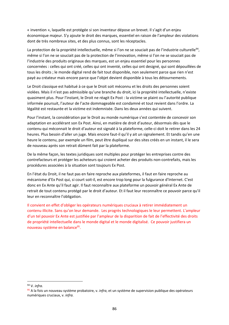« invention », laquelle est protégée si son inventeur dépose un brevet. Il s'agit d'un enjeu économique majeur. S'y ajoute le droit des marques, essentiel en raison de l'ampleur des violations dont de très nombreux sites, et des plus connus, sont les réceptacles.

La protection de la propriété intellectuelle, même si l'on ne se souciait pas de l'industrie culturelle<sup>94</sup>, même si l'on ne se souciait pas de la protection de l'innovation, même si l'on ne se souciait pas de l'industrie des produits originaux des marques, est un enjeu essentiel pour les personnes concernées : celles qui ont créé, celles qui ont inventé, celles qui ont designé, qui sont dépouillées de tous les droits ; le monde digital rend de fait tout disponible, non seulement parce que rien n'est payé au créateur mais encore parce que l'objet devient disponible à tous les détournements.

Le Droit classique est habitué à ce que le Droit soit méconnu et les droits des personnes soient violées. Mais il n'est pas admissible qu'une branche du droit, ici la propriété intellectuelle, n'existe quasiment plus. Pour l'instant, le Droit ne réagit Ex Post : la victime se plaint ou l'autorité publique informée poursuit, l'auteur de l'acte dommageable est condamné et tout revient dans l'ordre. La légalité est restaurée et la victime est indemnisée. Dans les deux années qui suivent.

Pour l'instant, la considération par le Droit au monde numérique s'est contentée de concevoir son adaptation en accélérant son Ex Post. Ainsi, en matière de droit d'auteur, désormais dès que le contenu qui méconnait le droit d'auteur est signalé à la plateforme, celle‐ci doit le retirer dans les 24 heures. Plus besoin d'aller un juge. Mais encore faut-il qu'il y ait un signalement. Et tandis qu'en une heure le contenu, par exemple un film, peut être dupliqué sur des sites créés en un instant, il le sera de nouveau après son retrait dûment fait par la plateforme.

De la même façon, les textes juridiques sont multiples pour protéger les entreprises contre des contrefacteurs et protéger les acheteurs qui croient acheter des produits non‐contrefaits, mais les procédures associées à la situation sont toujours Ex Post.

En l'état du Droit, il ne faut pas en faire reproche aux plateformes, il faut en faire reproche au mécanisme d'Ex Post qui, si court soit‐il, est encore trop long pour la fulgurance d'Internet. C'est donc en Ex Ante qu'il faut agir. Il faut reconnaître aux plateforme un pouvoir général Ex Ante de retrait de tout contenu protégé par le droit d'auteur. Et il faut leur reconnaître ce pouvoir parce qu'il leur en reconnaître l'obligation.

Il convient en effet d'obliger les opérateurs numériques cruciaux à retirer immédiatement un contenu illicite. Sans qu'on leur demande. Les progrès technologiques le leur permettent. L'ampleur d'un tel pouvoir Ex Ante est justifiée par l'ampleur de la disparition de fait de l'effectivité des droits de propriété intellectuelle dans le monde digital et le monde digitalisé. Ce pouvoir justifiera un nouveau système en balance<sup>95</sup>.

<u>.</u>

<sup>94</sup> V. *infra.* 

<sup>95</sup> A la fois un nouveau système probatoire, v. *infra*, et un système de supervision publique des opérateurs numériques cruciaux, v. *infra.*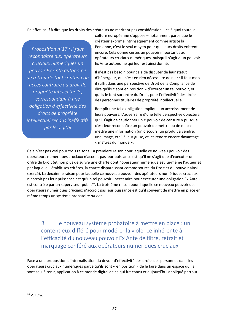En effet, sauf à dire que les droits des créateurs ne méritent pas considération – ce à quoi toute la

*Proposition n°17 : il faut reconnaître aux opérateurs cruciaux numériques un pouvoir Ex Ante autonome de retrait de tout contenu ou accès contraire au droit de propriété intellectuelle, correspondant à une obligation d'effectivité des droits de propriété intellectuel rendus ineffectifs par le digital* 

culture européenne s'oppose – notamment parce que le créateur exprime intrinsèquement comme artiste la Personne, c'est le seul moyen pour que leurs droits existent encore. Cela donne certes un pouvoir important aux opérateurs cruciaux numériques, puisqu'il s'agit d'un pouvoir Ex Ante autonome qui leur est ainsi donné.

Il n'est pas besoin pour cela de discuter de leur statut d'hébergeur, qui n'est en rien nécessaire de nier : il faut mais il suffit dans une perspective de Droit de la Compliance de dire qu'ils « sont en position » d'exercer un tel pouvoir, et qu'ils le font sur ordre du Droit, pour l'effectivité des droits des personnes titulaires de propriété intellectuelle.

Remplir une telle obligation implique un accroissement de leurs pouvoirs. L'adversaire d'une telle perspective objectera qu'il s'agit de cautionner un « pouvoir de censure » puisque c'est leur reconnaître un pouvoir de mettre ou de ne pas mettre une information (un discours, un produit à vendre, une image, etc.) à leur guise, et les rendre encore davantage « maîtres du monde ».

Cela n'est pas vrai pour trois raisons. La première raison pour laquelle ce nouveau pouvoir des opérateurs numériques cruciaux n'accroit pas leur puissance est qu'il ne s'agit que d'exécuter un ordre du Droit (et non plus de suivre une charte dont l'opérateur numérique est lui‐même l'auteur et par laquelle il établit ses critères, la charte disparaissant comme source du Droit et du pouvoir ainsi exercé). La deuxième raison pour laquelle ce nouveau pouvoir des opérateurs numériques cruciaux n'accroit pas leur puissance est qu'un tel pouvoir ‐ nécessaire pour exécuter une obligation Ex Ante ‐ est contrôlé par un superviseur public<sup>96</sup>. La troisième raison pour laquelle ce nouveau pouvoir des opérateurs numériques cruciaux n'accroit pas leur puissance est qu'il convient de mettre en place en même temps un système probatoire *ad hoc.* 

B. Le nouveau système probatoire à mettre en place : un contentieux différé pour modérer la violence inhérente à l'efficacité du nouveau pouvoir Ex Ante de filtre, retrait et marquage conféré aux opérateurs numériques cruciaux

Face à une proposition d'internalisation du devoir d'effectivité des droits des personnes dans les opérateurs cruciaux numériques parce qu'ils sont « en position » de le faire dans un espace qu'ils sont seul à tenir, application à ce monde digital de ce qui fut conçu et aujourd'hui appliqué partout

<sup>96</sup> V. *infra.*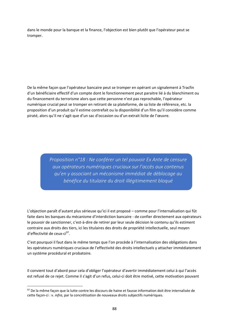dans le monde pour la banque et la finance, l'objection est bien plutôt que l'opérateur peut se tromper.

De la même façon que l'opérateur bancaire peut se tromper en opérant un signalement à Tracfin d'un bénéficiaire effectif d'un compte dont le fonctionnement peut paraitre lié à du blanchiment ou du financement du terrorisme alors que cette personne n'est pas reprochable, l'opérateur numérique crucial peut se tromper en retirant de sa plateforme, de sa liste de référence, etc. la proposition d'un produit qu'il estime contrefait ou la disponibilité d'un film qu'il considère comme piraté, alors qu'il ne s'agit que d'un sac d'occasion ou d'un extrait licite de l'œuvre.

> *Proposition n°18 : Ne conférer un tel pouvoir Ex Ante de censure aux opérateurs numériques cruciaux sur l'accès aux contenus qu'en y associant un mécanisme immédiat de déblocage au bénéfice du titulaire du droit illégitimement bloqué*

L'objection paraît d'autant plus sérieuse qu'ici il est proposé – comme pour l'internalisation qui fût faite dans les banques du mécanisme d'interdiction bancaire ‐ de confier directement aux opérateurs le pouvoir de sanctionner, c'est‐à‐dire de retirer par leur seule décision le contenu qu'ils estiment contraire aux droits des tiers, ici les titulaires des droits de propriété intellectuelle, seul moyen d'effectivité de ceux-ci<sup>97</sup>.

C'est pourquoi il faut dans le même temps que l'on procède à l'internalisation des obligations dans les opérateurs numériques cruciaux de l'effectivité des droits intellectuels y attacher immédiatement un système procédural et probatoire.

Il convient tout d'abord pour cela d'obliger l'opérateur d'avertir immédiatement celui à qui l'accès est refusé de ce rejet. Comme il s'agit d'un refus, celui‐ci doit être motivé, cette motivation pouvant

<sup>97</sup> De la même façon que la lutte contre les discours de haine et fausse information doit être internalisée de cette façon‐ci : v. *infra*, par la concrétisation de nouveaux droits subjectifs numériques.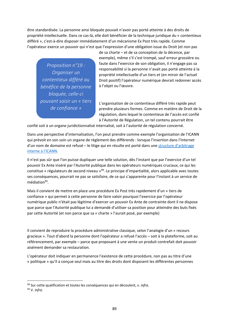être standardisée. La personne ainsi bloquée pouvait n'avoir pas porté atteinte à des droits de propriété intellectuelle. Dans ce cas‐là, elle doit bénéficier de la technique juridique du « contentieux différé », c'est‐à‐dire disposer immédiatement d'un mécanisme Ex Post très rapide. Comme l'opérateur exerce un pouvoir qui n'est que l'expression d'une obligation issue du Droit (et non pas

*Proposition n°19 : Organiser un contentieux différé au bénéfice de la personne bloquée, celle‐ci pouvant saisir un « tiers de confiance »* 

de sa charte – et de sa conception de la décence, par exemple), même s'il s'est trompé, sauf erreur grossière ou faute dans l'exercice de son obligation, il n'engage pas sa responsabilité si la personne n'avait pas porté atteinte à la propriété intellectuelle d'un tiers et (en miroir de l'actuel Droit positif) l'opérateur numérique devrait redonner accès à l'objet ou l'œuvre.

L'organisation de ce contentieux différé très rapide peut prendre plusieurs formes. Comme en matière de Droit de la régulation, dans lequel le contentieux de l'accès est confié à l'Autorité de Régulation, un tel contenu pourrait être

confié soit à un organe juridictionnalisé internalisé, soit à l'autorité de régulation concerné.

Dans une perspective d'internalisation, l'on peut prendre comme exemple l'organisation de l'ICANN qui prévoit en son soin un organe de règlement des différends : lorsque l'insertion dans l'Internet d'un nom de domaine est refusé – le litige qui en résulte est porté dans une structure d'arbitrage interne à l'ICANN.

Il n'est pas sûr que l'on puisse dupliquer une telle solution, dès l'instant que par l'exercice d'un tel pouvoir Ex Ante inséré par l'Autorité publique dans les opérateurs numériques cruciaux, ce qui les constitue « régulateurs de second niveau »98. Le principe d'impartialité, alors applicable avec toutes ses conséquences, pourrait ne pas se satisfaire, de ce qui s'apparente pour l'instant à un service de médiation<sup>99</sup>.

Mais il convient de mettre en place une procédure Ex Post très rapidement d'un « tiers de confiance » qui permet à cette personne de faire valoir pourquoi l'exercice par l'opérateur numérique public n'était pas légitime d'exercer un pouvoir Ex Ante de contrainte dont il ne dispose que parce que l'Autorité publique lui a demandé d'utiliser sa position pour atteindre des buts fixés par cette Autorité (et non parce que sa « charte » l'aurait posé, par exemple)

Il convient de reproduire la procédure administrative classique, selon l'analogie d'un « recours gracieux ». Tout d'abord la personne dont l'opérateur a refusé l'accès – soit à la plateforme, soit au référencement, par exemple – parce que proposant à une vente un produit contrefait doit pouvoir aisément demander sa restauration.

L'opérateur doit indiquer en permanence l'existence de cette procédure, non pas au titre d'une « politique » qu'il a conçue seul mais au titre des droits dont disposent les différentes personnes

98 Sur cette qualification et toutes les conséquences qui en découlent, v. *infra.* 

<u>.</u>

<sup>99</sup> V. *infra.*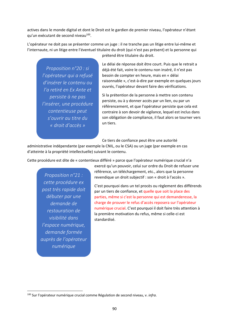actives dans le monde digital et dont le Droit est le gardien de premier niveau, l'opérateur n'étant qu'un exécutant de second niveau<sup>100</sup>.

L'opérateur ne doit pas se présenter comme un juge : il ne tranche pas un litige entre lui‐même et l'internaute, ni un litige entre l'éventuel titulaire du droit (qui n'est pas présent) et la personne qui

*Proposition n°20 : si l'opérateur qui a refusé d'insérer le contenu ou l'a retiré en Ex Ante et persiste à ne pas l'insérer, une procédure contentieuse peut s'ouvrir au titre du « droit d'accès »*

prétend être titulaire du droit.

Le délai de réponse doit être court. Puis que le retrait a déjà été fait, voire le contenu non inséré, il n'est pas besoin de compter en heure, mais en « délai raisonnable », c'est‐à‐dire par exemple en quelques jours ouvrés, l'opérateur devant faire des vérifications.

Si la prétention de la personne à mettre son contenu persiste, ou à y donner accès par un lien, ou par un référencement, et que l'opérateur persiste que cela est contraire à son devoir de vigilance, lequel est inclus dans son obligation de compliance, il faut alors se tourner vers un tiers.

Ce tiers de confiance peut être une autorité

administrative indépendante (par exemple la CNIL, ou le CSA) ou un juge (par exemple en cas d'atteinte à la propriété intellectuelle) suivant le contenu.

Cette procédure est dite de « contentieux différé » parce que l'opérateur numérique crucial n'a

*Proposition n°21 : cette procédure ex post très rapide doit débuter par une demande de restauration de visibilité dans l'espace numérique, demande formée auprès de l'opérateur numérique*

1

exercé qu'un pouvoir, celui sur ordre du Droit de refuser une référence, un téléchargement, etc., alors que la personne revendique un droit subjectif : son « droit à l'accès ».

C'est pourquoi dans un tel procès ou règlement des différends par un tiers de confiance, et quelle que soit la place des parties, même si c'est la personne qui est demanderesse, la charge de prouver le refus d'accès reposera sur l'opérateur numérique crucial. C'est pourquoi il doit faire très attention à la première motivation du refus, même si celle‐ci est standardisé.

<sup>100</sup> Sur l'opérateur numérique crucial comme Régulation de second niveau, v. *infra*.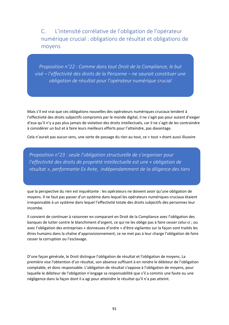C. L'intensité corrélative de l'obligation de l'opérateur numérique crucial : obligations de résultat et obligations de moyens

*Proposition n°22 : Comme dans tout Droit de la Compliance, le but visé – l'effectivité des droits de la Personne – ne saurait constituer une obligation de résultat pour l'opérateur numérique crucial*

Mais s'il est vrai que ces obligations nouvelles des opérateurs numériques cruciaux tendent à l'effectivité des droits subjectifs compromis par le monde digital, il ne s'agit pas pour autant d'exiger d'eux qu'il n'y a pas plus jamais de violation des droits intellectuels, car il ne s'agit de les contraindre à considérer un but et à faire leurs meilleurs efforts pour l'atteindre, pas davantage.

Cela n'aurait pas aucun sens, une sorte de passage du rien au tout, ce « tout » étant aussi illusoire

*Proposition n°23 : seule l'obligation structurelle de s'organiser pour l'effectivité des droits de propriété intellectuelle est une « obligation de résultat », performante Ex Ante, indépendamment de la diligence des tiers* 

que la perspective du rien est inquiétante : les opérateurs ne doivent avoir qu'une obligation de moyens. Il ne faut pas passer d'un système dans lequel les opérateurs numériques cruciaux étaient irresponsable à un système dans lequel l'effectivité totale des droits subjectifs des personnes leur incombe.

Il convient de continuer à raisonner en comparant en Droit de la Compliance avec l'obligation des banques de lutter contre le blanchiment d'argent, ce qui ne les oblige pas à faire cesser celui‐ci ; ou avec l'obligation des entreprises « donneuses d'ordre » d'être vigilantes sur la façon sont traités les êtres humains dans la chaîne d'approvisionnement, ce ne met pas à leur charge l'obligation de faire cesser la corruption ou l'esclavage.

D'une façon générale, le Droit distingue l'obligation de résultat et l'obligation de moyens. La première vise l'obtention d'un résultat, son absence suffisant à en rendre le débiteur de l'obligation comptable, et donc responsable. L'obligation de résultat s'oppose à l'obligation de moyens, pour laquelle le débiteur de l'obligation n'engage sa responsabilité que s'il a commis une faute ou une négligence dans la façon dont il a agi pour atteindre le résultat qu'il n'a pas atteint.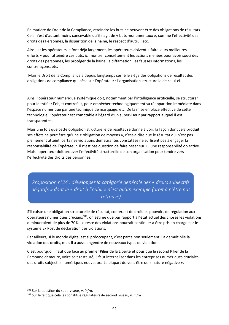En matière de Droit de la Compliance, atteindre les buts ne peuvent être des obligations de résultats. Cela n'est d'autant moins concevable qu'il s'agit de « buts monumentaux », comme l'effectivité des droits des Personnes, la disparition de la haine, le respect d'autrui, etc.

Ainsi, et les opérateurs le font déjà largement, les opérateurs doivent « faire leurs meilleures efforts » pour atteindre ces buts, ici montrer concrètement les actions menées pour avoir souci des droits des personnes, les protéger de la haine, la diffamation, les fausses informations, les contrefaçons, etc.

 Mais le Droit de la Compliance a depuis longtemps cerné le siège des obligations de résultat des obligations de compliance qui pèse sur l'opérateur : l'organisation structurelle de celui‐ci.

Ainsi l'opérateur numérique systémique doit, notamment par l'intelligence artificielle, se structurer pour identifier l'objet contrefait, pour empêcher technologiquement sa réapparition immédiate dans l'espace numérique par une technique de marquage, etc. De la mise en place effective de cette technologie, l'opérateur est comptable à l'égard d'un superviseur par rapport auquel il est transparent<sup>101</sup>.

Mais une fois que cette obligation structurelle de résultat se donne à voir, la façon dont cela produit ses effets ne peut être qu'une « obligation de moyens », c'est‐à‐dire que le résultat qui n'est pas pleinement atteint, certaines violations demeurantes constatées ne suffisent pas à engager la responsabilité de l'opérateur. Il n'est pas question de faire peser sur lui une responsabilité objective. Mais l'opérateur doit prouver l'effectivité structurelle de son organisation pour tendre vers l'effectivité des droits des personnes.

*Proposition n°24 : développer la catégorie générale des « droits subjectifs négatifs » dont le « droit à l'oubli » n'est qu'un exemple (droit à n'être pas retrouvé)* 

S'il existe une obligation structurelle de résultat, conférant de droit les pouvoirs de régulation aux opérateurs numériques cruciaux102, on estime que par rapport à l'état actuel des choses les violations diminueraient de plus de 70%. Le reste des violations pourrait continuer à être pris en charge par le système Ex Post de déclaration des violations.

Par ailleurs, si le monde digital est si préoccupant, c'est parce non seulement il a démultiplié la violation des droits, mais il a aussi engendré de nouveaux types de violation.

C'est pourquoi il faut que face au premier Pilier de la Liberté et pour que le second Pilier de la Personne demeure, voire soit restauré, il faut internaliser dans les entreprises numériques cruciales des droits subjectifs numériques nouveaux. La plupart doivent être de « nature négative ».

<sup>101</sup> Sur la question du superviseur, v. *infra*.

<sup>102</sup> Sur le fait que cela les constitue régulateurs de second niveau, v. *infra*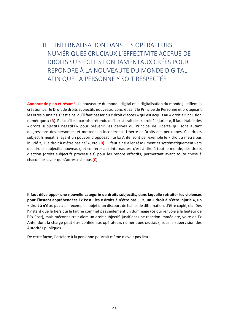III. INTERNALISATION DANS LES OPÉRATEURS NUMÉRIQUES CRUCIAUX L'EFFECTIVITÉ ACCRUE DE DROITS SUBJECTIFS FONDAMENTAUX CRÉÉS POUR RÉPONDRE À LA NOUVEAUTÉ DU MONDE DIGITAL AFIN QUE LA PERSONNE Y SOIT RESPECTÉE

**Annonce de plan et résumé**. La nouveauté du monde digital et la digitalisation du monde justifient la création par le Droit de droits subjectifs nouveaux, concrétisant le Principe de Personne et protégeant les êtres humains. C'est ainsi qu'il faut passer du « droit d'accès » qui est acquis au « droit à l'inclusion numérique » (**A**). Puisqu'il est parfois prétendu qu'il existerait des « droit à injurier », il faut établir des « droits subjectifs négatifs » pour prévenir les dérives du Principe de Liberté qui sont autant d'agressions des personnes et mettent en incohérence Liberté et Droits des personnes. Ces droits subjectifs négatifs, ayant un pouvoir d'opposabilité Ex Ante, sont par exemple le « droit à n'être pas injurié », « le droit à n'être pas haï », etc. (**B**). Il faut ainsi aller résolument et systématiquement vers des droits subjectifs nouveaux, et conférer aux internautes, c'est‐à‐dire à tout le monde, des droits d'action (droits subjectifs processuels) pour les rendre effectifs, permettant avant toute chose à chacun de savoir qui s'adresse à nous (**C**).

**Il faut développer une nouvelle catégorie de droits subjectifs, dans laquelle retraiter les violences pour l'instant appréhendées Ex Post : les « droits à n'être pas ... », un « droit à n'être injurié », un « droit à n'être pas »** par exemple l'objet d'un discours de haine, de diffamation, d'être copié, etc. Dès l'instant que le tiers qui le fait ne commet pas seulement un dommage (ce qui renvoie à la lenteur de l'Ex Post), mais méconnaitrait alors un droit subjectif, justifiant une réaction immédiate, voire en Ex Ante, dont la charge peut être confiée aux opérateurs numériques cruciaux, sous la supervision des Autorités publiques.

De cette façon, l'atteinte à la personne pourrait même n'avoir pas lieu.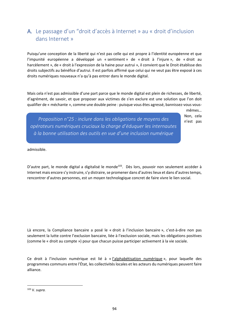#### A. Le passage d'un "droit d'accès à Internet » au « droit d'inclusion dans Internet »

Puisqu'une conception de la liberté qui n'est pas celle qui est propre à l'identité européenne et que l'impunité européenne a développé un « sentiment » de « droit à l'injure », de « droit au harcèlement », de « droit à l'expression de la haine pour autrui », il convient que le Droit établisse des droits subjectifs au bénéfice d'autrui. Il est parfois affirmé que celui qui ne veut pas être exposé à ces droits numériques nouveaux n'a qu'à pas entrer dans le monde digital.

Mais cela n'est pas admissible d'une part parce que le monde digital est plein de richesses, de liberté, d'agrément, de savoir, et que proposer aux victimes de s'en exclure est une solution que l'on doit qualifier de « méchante », comme une double peine : puisque vous êtes agressé, bannissez-vous vous-

> mêmes… Non, cela n'est pas

*Proposition n°25 : inclure dans les obligations de moyens des opérateurs numériques cruciaux la charge d'éduquer les internautes à la bonne utilisation des outils en vue d'une inclusion numérique* 

admissible.

D'autre part, le monde digital a digitalisé le monde<sup>103</sup>. Dès lors, pouvoir non seulement accéder à Internet mais encore s'y instruire, s'y distraire, se promener dans d'autres lieux et dans d'autres temps, rencontrer d'autres personnes, est un moyen technologique concret de faire vivre le lien social.

Là encore, la Compliance bancaire a posé le « droit à l'inclusion bancaire », c'est-à-dire non pas seulement la lutte contre l'exclusion bancaire, liée à l'exclusion sociale, mais les obligations positives (comme le « droit au compte ») pour que chacun puisse participer activement à la vie sociale.

Ce droit à l'inclusion numérique est lié à « l'alphabétisation numérique », pour laquelle des programmes communs entre l'État, les collectivités locales et les acteurs du numériques peuvent faire alliance.

103 V. *supra.*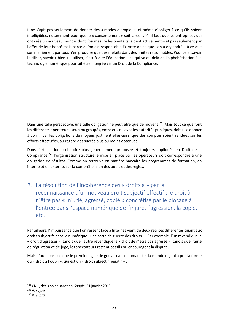Il ne s'agit pas seulement de donner des « modes d'emploi », ni même d'obliger à ce qu'ils soient intelligibles, notamment pour que le « consentement » soit « réel »<sup>104</sup>, il faut que les entreprises qui ont créé un nouveau monde, dont l'on mesure les bienfaits, aident activement – et pas seulement par l'effet de leur bonté mais parce qu'on est responsable Ex Ante de ce que l'on a engendré – à ce que son maniement par tous n'en produise que des méfaits dans des limites raisonnables. Pour cela, savoir l'utiliser, savoir « bien » l'utiliser, c'est‐à‐dire l'éducation – ce qui va au‐delà de l'alphabétisation à la technologie numérique pourrait être intégrée via un Droit de la Compliance.

Dans une telle perspective, une telle obligation ne peut être que de moyens<sup>105</sup>. Mais tout ce que font les différents opérateurs, seuls ou groupés, entre eux ou avec les autorités publiques, doit « se donner à voir », car les obligations de moyens justifient elles‐aussi que des comptes soient rendues sur les efforts effectuées, au regard des succès plus ou moins obtenues.

Dans l'articulation probatoire plus généralement proposée et toujours appliquée en Droit de la Compliance<sup>106</sup>, l'organisation structurelle mise en place par les opérateurs doit correspondre à une obligation de résultat. Comme on retrouve en matière bancaire les programmes de formation, en interne et en externe, sur la compréhension des outils et des règles.

B. La résolution de l'incohérence des « droits à » par la reconnaissance d'un nouveau droit subjectif effectif : le droit à n'être pas « injurié, agressé, copié » concrétisé par le blocage à l'entrée dans l'espace numérique de l'injure, l'agression, la copie, etc.

Par ailleurs, l'impuissance que l'on ressent face à Internet vient de deux réalités différentes quant aux droits subjectifs dans le numérique : une sorte de guerre des droits …. Par exemple, l'un revendique le « droit d'agresser », tandis que l'autre revendique le « droit de n'être pas agressé », tandis que, faute de régulation et de juge, les spectateurs restent passifs ou encouragent la dispute.

Mais n'oublions pas que le premier signe de gouvernance humaniste du monde digital a pris la forme du « droit à l'oubli », qui est un « droit subjectif négatif » :

<u>.</u>

<sup>104</sup> CNIL, décision de sanction *Google*, 21 janvier 2019.

<sup>105</sup> V. *supra.* 

<sup>106</sup> V. *supra.*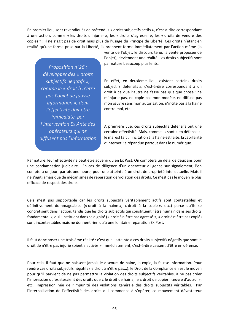En premier lieu, sont revendiqués de prétendus « droits subjectifs actifs », c'est‐à‐dire correspondant à une action, comme « les droits d'injurier », les « droits d'agresser », les « droits de vendre des copies » : il ne s'agit pas de droit mais plus de l'usage du Principe de Liberté. Ces droits n'étant en réalité qu'une forme prise par la Liberté, ils prennent forme immédiatement par l'action même (la

*Proposition n°26 : développer des « droits subjectifs négatifs », comme le « droit à n'être pas l'objet de fausse information », dont l'effectivité doit être immédiate, par l'intervention Ex Ante des opérateurs qui ne diffusent pas l'information* vente de l'objet, le discours tenu, la vente proposée de l'objet), deviennent une réalité. Les droits subjectifs sont par nature beaucoup plus lents.

En effet, en deuxième lieu, existent certains droits subjectifs défensifs », c'est‐à‐dire correspondant à un droit à ce que l'autre ne fasse pas quelque chose : ne m'injurie pas, ne copie pas mon modèle, ne diffuse pas mon œuvre sans mon autorisation, n'incite pas à la haine contre moi, etc.

A première vue, ces droits subjectifs défensifs ont une certaine effectivité. Mais, comme ils sont « en défense », le mal est fait : l'incitation à la haine est faite, la capillarité d'Internet l'a répandue partout dans le numérique.

Par nature, leur effectivité ne peut être advenir qu'en Ex Post. On comptera un délai de deux ans pour une condamnation judiciaire. En cas de diligence d'un opérateur diligence sur signalement, l'on comptera un jour, parfois une heure, pour une atteinte à un droit de propriété intellectuelle. Mais il ne s'agit jamais que de mécanismes de réparation de violation des droits. Ce n'est pas le moyen le plus efficace de respect des droits.

Cela n'est pas supportable car les droits subjectifs véritablement actifs sont contestables et définitivement dommageables (« droit à la haine », « droit à la copie », etc.) parce qu'ils se concrétisent dans l'action, tandis que les droits subjectifs qui constituent l'être humain dans ses droits fondamentaux, qui l'instituent dans sa dignité (« droit à n'être pas agressé », « droit à n'être pas copié) sont incontestables mais ne donnent rien qu'à une lointaine réparation Ex Post.

Il faut donc poser une troisième réalité : c'est que l'atteinte à ces droits subjectifs négatifs que sont le droit de n'être pas injurié soient « activés » immédiatement, c'est‐à‐dire cessent d'être en défense.

Pour cela, il faut que ne naissent jamais le discours de haine, la copie, la fausse information. Pour rendre ces droits subjectifs négatifs (le droit à n'être pas…), le Droit de la Compliance en est le moyen pour qu'il parvient de ne pas permettre la violation des droits subjectifs véritables, à ne pas créer l'impression qu'existeraient des droits que « le droit de haïr », le « droit de copier l'œuvre d'autrui », etc., impression née de l'impunité des violations générale des droits subjectifs véritables. Par l'internalisation de l'effectivité des droits qui commence à s'opérer, ce mouvement dévastateur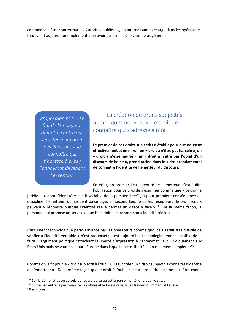commence à être contrer par les Autorités publiques, en internalisant la charge dans les opérateurs. Il convient aujourd'hui simplement d'en avoir désormais une vision plus générale.

*Proposition n°27 : Le fait de l'anonymat doit être contré par l'existence du droit des Personnes de connaître qui s'adresse à elles ; l'anonymat devenant l'exception*

1

La création de droits subjectifs numériques nouveaux : le droit de connaître qui s'adresse à moi

**Le premier de ces droits subjectifs à établir pour que naissent effectivement et en miroir un « droit à n'être pas harcelé », un « droit à n'être injurié », un « droit à n'être pas l'objet d'un discours de haine », prend racine dans le « droit fondamental de connaître l'identité de l'émetteur du discours.** 

En effet, en premier lieu l'identité de l'émetteur, c'est‐à‐dire l'obligation pour celui‐ci de s'exprimer comme une « personne

juridique » dont l'identité est indissociable de la personnalité<sup>107</sup>, a pour première conséquence de discipliner l'émetteur, qui se tient davantage. En second lieu, le ou les récepteurs de ces discours peuvent y répondre puisque l'identité réelle permet un « face à face »<sup>108</sup>. De la même façon, la personne qui propose un service ou un bien doit le faire sous son « identité réelle ».

L'argument technologique parfois avancé par les opérateurs comme quoi cela serait très difficile de vérifier « l'identité véritable » n'est pas exact ; il est aujourd'hui technologiquement possible de le faire. L'argument politique rattachant la liberté d'expression à l'anonymat vaut juridiquement aux États‐Unis mais ne vaut pas pour l'Europe dans laquelle cette liberté n'a pas la même ampleur.109.

Comme on le fit pour le « droit subjectif à l'oubli », il faut créer un « droit subjectif à connaître l'identité de l'émetteur ». De la même façon que le droit à l'oubli, c'est‐à‐dire le droit de ne plus être connu

<sup>107</sup> Sur la démonstration de cela au regard de ce qu'est la personnalité juridique, v. *supra.* 

<sup>108</sup> Sur le lien entre la personnalité, la culture et le face-à-face, v. les travaux d'Emmanuel Lévinas. 109 V. *supra.*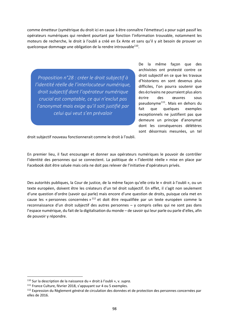comme émetteur (symétrique du droit ici en cause à être connaître l'émetteur) a pour sujet passif les opérateurs numériques qui rendent pourtant par fonction l'information trouvable, notamment les moteurs de recherche, le droit à l'oubli a créé en Ex Ante et sans qu'il y ait besoin de prouver un quelconque dommage une obligation de la rendre introuvable $110$ .

*Proposition n°28 : créer le droit subjectif à l'identité réelle de l'interlocuteur numérique, droit subjectif dont l'opérateur numérique crucial est comptable, ce qui n'exclut pas l'anonymat mais exige qu'il soit justifié par celui qui veut s'en prévaloir*

De la même façon que des archivistes ont protesté contre ce droit subjectif en ce que les travaux d'historiens en sont devenus plus difficiles, l'on pourra soutenir que des écrivains ne pourraient plus alors écrire des œuvres sous pseudonyme<sup>111</sup>. Mais en dehors du fait que quelques exemples exceptionnels ne justifient pas que demeure un principe d'anonymat dont les conséquences délétères sont désormais mesurées, un tel

droit subjectif nouveau fonctionnerait comme le droit à l'oubli.

En premier lieu, il faut encourager et donner aux opérateurs numériques le pouvoir de contrôler l'identité des personnes qui se connectent. La politique de « l'identité réelle » mise en place par Facebook doit être saluée mais cela ne doit pas relever de l'initiative d'opérateurs privés.

Des autorités publiques, la Cour de justice, de la même façon qu'elle créa le « droit à l'oubli », ou un texte européen, doivent être les créateurs d'un tel droit subjectif. En effet, il s'agit non seulement d'une question d'ordre (savoir qui parle) mais encore d'une question de droits, puisque cela met en cause les « personnes concernées »<sup>112</sup> et doit être requalifiée par un texte européen comme la reconnaissance d'un droit subjectif des autres personnes – y compris celles qui ne sont pas dans l'espace numérique, du fait de la digitalisation du monde – de savoir qui leur parle ou parle d'elles, afin de pouvoir y répondre.

<sup>110</sup> Sur la description de la naissance du « droit à l'oubli », v. *supra.* 

<sup>111</sup> France Culture, février 2018, s'appuyant sur 4 ou 5 exemples.

<sup>112</sup> Expression du Règlement général de circulation des données et de protection des personnes concernées par elles de 2016.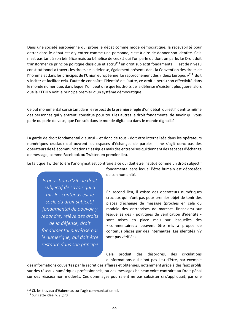Dans une société européenne qui prône le débat comme mode démocratique, la recevabilité pour entrer dans le débat est d'y entrer comme une personne, c'est‐à‐dire de donner son identité. Cela n'est pas tant à son bénéfice mais au bénéfice de ceux à qui l'on parle ou dont on parle. Le Droit doit transformer ce principe politique classique et accru<sup>113</sup> en droit subjectif fondamental. Il est de niveau constitutionnel à travers les droits de la défense, également présents dans la Convention des droits de l'homme et dans les principes de l'Union européenne. Le rapprochement des « deux Europes »<sup>114</sup> doit y inciter et faciliter cela. Faute de connaître l'identité de l'autre, ce droit a perdu son effectivité dans le monde numérique, dans lequel l'on peut dire que les droits de la défense n'existent plus guère, alors que la CEDH y voit le principe premier d'un système démocratique.

Ce but monumental consistant dans le respect de la première règle d'un débat, qui est l'identité même des personnes qui y entrent, constitue pour tous les autres le droit fondamental de savoir qui vous parle ou parle de vous, que l'on soit dans le monde digital ou dans le monde digitalisé.

La garde de droit fondamental d'autrui – et donc de tous ‐ doit être internalisée dans les opérateurs numériques cruciaux qui ouvrent les espaces d'échanges de paroles. Il ne s'agit donc pas des opérateurs de télécommunications classiques mais des entreprises qui tiennent des espaces d'échange de message, comme Facebook ou Twitter, en premier lieu.

Le fait que Twitter tolère l'anonymat est contraire à ce qui doit être institué comme un droit subjectif

*Proposition n°29 : le droit subjectif de savoir qui a mis les contenus est le socle du droit subjectif fondamental de pouvoir y répondre, relève des droits de la défense, droit fondamental pulvérisé par le numérique, qui doit être restauré dans son principe*

fondamental sans lequel l'être humain est dépossédé de son humanité.

En second lieu, il existe des opérateurs numériques cruciaux qui n'ont pas pour premier objet de tenir des places d'échange de message (proches en cela du modèle des entreprises de marchés financiers) sur lesquelles des « politiques de vérification d'identité » sont mises en place mais sur lesquelles des « commentaires » peuvent être mis à propos de contenus placés par des internautes. Les identités n'y sont pas vérifiées.

Cela produit des désordres, des circulations d'informations qui n'ont pas lieu d'être, par exemple

des informations couvertes par le secret des affaires et obtenues, notamment grâce à des faux profils sur des réseaux numériques professionnels, ou des messages haineux voire contraire au Droit pénal sur des réseaux non modérés. Ces dommages pourraient ne pas subsister si s'appliquait, par une

<sup>113</sup> Cf. les travaux d'Habermas sur l'agir communicationnel.

<sup>114</sup> Sur cette idée, v. *supra.*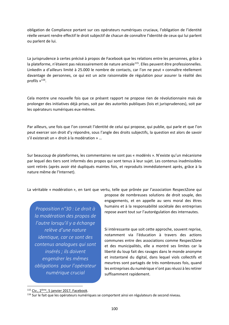obligation de Compliance portant sur ces opérateurs numériques cruciaux, l'obligation de l'identité réelle venant rendre effectif le droit subjectif de chacun de connaître l'identité de ceux qui lui parlent ou parlent de lui.

La jurisprudence à certes précisé à propos de Facebook que les relations entre les personnes, grâce à la plateforme, n'étaient pas nécessairement de nature amicale<sup>115</sup>. Elles peuvent être professionnelles. LinkedIn a d'ailleurs limité à 25.000 le nombre de contacts, car l'on ne peut « connaître réellement davantage de personnes, ce qui est un acte raisonnable de régulation pour assurer la réalité des profils »116.

Cela montre une nouvelle fois que ce présent rapport ne propose rien de révolutionnaire mais de prolonger des initiatives déjà prises, soit par des autorités publiques (lois et jurisprudences), soit par les opérateurs numériques eux‐mêmes.

Par ailleurs, une fois que l'on connait l'identité de celui qui propose, qui publie, qui parle et que l'on peut exercer son droit d'y répondre, sous l'angle des droits subjectifs, la question est alors de savoir s'il existerait un « droit à la modération » …

Sur beaucoup de plateformes, les commentaires ne sont pas « modérés ». N'existe qu'un mécanisme par lequel des tiers sont informés des propos qui sont tenus à leur sujet. Les contenus inadmissibles sont retirés (après avoir été dupliqués maintes fois, et reproduits immédiatement après, grâce à la nature même de l'Internet).

La véritable « modération », en tant que vertu, telle que prônée par l'association RespectZone qui

*Proposition n°30 : Le droit à la modération des propos de l'autre lorsqu'il y a échange relève d'une nature identique, car ce sont des contenus analogues qui sont insérés ; ils doivent engendrer les mêmes obligations pour l'opérateur numérique crucial*

propose de nombreuses solutions de droit souple, des engagements, et en appelle au sens moral des êtres humains et à la responsabilité sociétale des entreprises repose avant tout sur l'autorégulation des internautes.

Si intéressante que soit cette approche, souvent reprise, notamment via l'éducation à travers des actions communes entre des associations comme RespectZone et des municipalités, elle a montré ses limites car la liberté du loup fait des ravages dans le monde anonyme et instantané du digital, dans lequel viols collectifs et meurtres sont partagés de très nombreuses fois, quand les entreprises du numérique n'ont pas réussi à les retirer suffisamment rapidement.

<sup>115</sup> Civ., 2<sup>lème</sup>, 5 janvier 2017, Facebook.

<sup>&</sup>lt;sup>116</sup> Sur le fait que les opérateurs numériques se comportent ainsi en régulateurs de second niveau.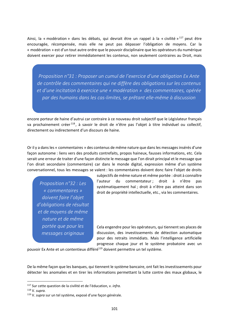Ainsi, la « modération » dans les débats, qui devrait être un rappel à la « civilité »  $117$  peut être encouragée, récompensée, mais elle ne peut pas dépasser l'obligation de moyens. Car la « modération » est d'un tout autre ordre que le pouvoir disciplinaire que les opérateurs du numérique doivent exercer pour retirer immédiatement les contenus, non seulement contraires au Droit, mais

*Proposition n°31 : Proposer un cumul de l'exercice d'une obligation Ex Ante de contrôle des commentaires qui ne diffère des obligations sur les contenus et d'une incitation à exercice une « modération » des commentaires, opérée par des humains dans les cas‐limites, se prêtant elle‐même à discussion*

encore porteur de haine d'autrui car contraire à ce nouveau droit subjectif que le Législateur français va prochainement créer<sup>118</sup>, à savoir le droit de n'être pas l'objet à titre individuel ou collectif, directement ou indirectement d'un discours de haine.

Or il y a dans les « commentaires » des contenus de même nature que dans les messages insérés d'une façon autonome : liens vers des produits contrefaits, propos haineux, fausses informations, etc. Cela serait une erreur de traiter d'une façon distincte le message que l'on dirait principal et le message que l'on dirait secondaire (commentaire) car dans le monde digital, expression même d'un système conversationnel, tous les messages se valent : les commentaires doivent donc faire l'objet de droits

*Proposition n°32 : Les « commentaires » doivent faire l'objet d'obligations de résultat et de moyens de même nature et de même portée que pour les messages originaux*

subjectifs de même nature et même portée : droit à connaître l'auteur du commentateur; droit à n'être pas systématiquement haï ; droit à n'être pas atteint dans son droit de propriété intellectuelle, etc., via les commentaires.

Cela engendre pour les opérateurs, qui tiennent ses places de discussion, des investissements de détection automatique pour des retraits immédiats. Mais l'intelligence artificielle progresse chaque jour et le système probatoire avec un

pouvoir Ex Ante et un contentieux différé<sup>119</sup> doivent permettre un tel système.

De la même façon que les banques, qui tiennent le système bancaire, ont fait les investissements pour détecter les anomalies et en tirer les informations permettant la lutte contre des maux globaux, le

<u>.</u>

<sup>117</sup> Sur cette question de la civilité et de l'éducation, v. *infra.* 

<sup>118</sup> V. *supra.* 

<sup>119</sup> V. *supra* sur un tel système, exposé d'une façon générale.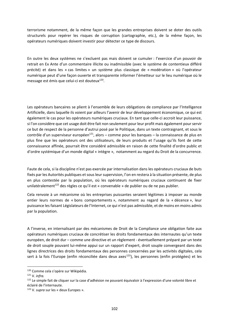terrorisme notamment, de la même façon que les grandes entreprises doivent se doter des outils structurels pour repérer les risques de corruption (cartographie, etc.), de la même façon, les opérateurs numériques doivent investir pour détecter ce type de discours.

En outre les deux systèmes ne s'excluent pas mais doivent se cumuler : l'exercice d'un pouvoir de retrait en Ex Ante d'un commentaire illicite ou inadmissible (avec le système de contentieux différé précité) et dans les « cas limites » un système plus classique de « modération » où l'opérateur numérique peut d'une façon ouverte et transparente informer l'émetteur sur le lieu numérique où le message est émis que celui-ci est douteux<sup>120</sup>.

Les opérateurs bancaires se plient à l'ensemble de leurs obligations de compliance par l'Intelligence Artificielle, dans laquelle ils voient par ailleurs l'avenir de leur développement économique, ce qui est également le cas pour les opérateurs numériques cruciaux. En tant que celle‐ci accroit leur puissance, si l'on considère que cet usage doit être fait non seulement pour leur profit mais également pour servir ce but de respect de la personne d'autrui posé par le Politique, dans un texte contraignant, et sous le contrôle d'un superviseur européen<sup>121</sup>, alors – comme pour les banques – la connaissance de plus en plus fine que les opérateurs ont des utilisateurs, de leurs produits et l'usage qu'ils font de cette connaissance affinée, pourrait être considéré admissible en raison de cette finalité d'ordre public et d'ordre systémique d'un monde digital « intègre », notamment au regard du Droit de la concurrence.

Faute de cela, si la discipline n'est pas exercée par internalisation dans les opérateurs cruciaux de buts fixés par les Autorités publiques et sous leur supervision, l'on en restera à la situation présente, de plus en plus contestée par la population, où les opérateurs numériques cruciaux continuent de fixer unilatéralement<sup>122</sup> des règles ce qu'il est « convenable » de publier ou de ne pas publier.

Cela renvoie à un mécanisme où les entreprises puissantes seraient légitimes à imposer au monde entier leurs normes de « bons comportements », notamment au regard de la « décence », leur puissance les faisant Législateurs de l'Internet, ce qui n'est pas admissible, et de moins en moins admis par la population.

A l'inverse, en internalisant par des mécanismes de Droit de la Compliance une obligation faite aux opérateurs numériques cruciaux de concrétiser les droits fondamentaux des internautes qu'un texte européen, de droit dur – comme une directive et un règlement ‐ éventuellement préparé par un texte de droit souple pouvant lui‐même appui sur un rapport d'expert, droit souple convergeant dans des lignes directrices des droits fondamentaux des personnes concernées par les activités digitales, cela sert à la fois l'Europe (enfin réconciliée dans deux axes<sup>123</sup>), les personnes (enfin protégées) et les

<sup>&</sup>lt;u>.</u> <sup>120</sup> Comme cela s'opère sur Wikipédia.

<sup>121</sup> V. *infra.* 

<sup>&</sup>lt;sup>122</sup> Le simple fait de cliquer sur la case d'adhésion ne pouvant équivaloir à l'expression d'une volonté libre et éclairé de l'internaute.

<sup>123</sup> V. *supra* sur les « deux Europes ».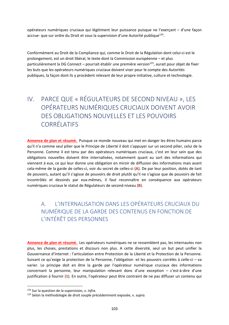opérateurs numériques cruciaux qui légitiment leur puissance puisque ne l'exerçant – d'une façon accrue- que sur ordre du Droit et sous la supervision d'une Autorité publique<sup>124</sup>.

Conformément au Droit de la Compliance qui, comme le Droit de la Régulation dont celui‐ci est le prolongement, est un droit libéral, le texte dont la Commission européenne – et plus particulièrement la DG Connect – pourrait établir une première version $^{125}$ , aurait pour objet de fixer les buts que les opérateurs numériques cruciaux doivent viser pour le compte des Autorités publiques, la façon dont ils y procèdent relevant de leur propre initiative, culture et technologie.

# IV. PARCE QUE « RÉGULATEURS DE SECOND NIVEAU », LES OPÉRATEURS NUMÉRIQUES CRUCIAUX DOIVENT AVOIR DES OBLIGATIONS NOUVELLES ET LES POUVOIRS CORRÉLATIFS

**Annonce de plan et résumé.**  Puisque ce monde nouveau qui met en danger les êtres humains parce qu'il n'a comme seul pilier que le Principe de Liberté il doit s'appuyer sur un second pilier, celui de la Personne. Comme il est tenu par des opérateurs numériques cruciaux, c'est en leur sein que des obligations nouvelles doivent être internalisées, notamment quant au sort des informations qui viennent à eux, ce qui leur donne une obligation en miroir de diffusion des informations mais avant cela‐même de la garde de celles‐ci, voir du secret de celles‐ci (**A**). De par leur position, dotés de tant de pouvoirs, autant qu'il s'agisse de pouvoirs de droit plutôt qu'il ne s'agisse que de pouvoirs de fait incontrôlés et dessinés par eux‐mêmes, il faut reconnaître en conséquence aux opérateurs numériques cruciaux le statut de Régulateurs de second niveau (**B**).

### A. L'INTERNALISATION DANS LES OPÉRATEURS CRUCIAUX DU NUMÉRIQUE DE LA GARDE DES CONTENUS EN FONCTION DE L'INTÉRÊT DES PERSONNES

**Annonce de plan et résumé.**  Les opérateurs numériques ne se ressemblent pas, les internautes non plus, les choses, prestations et discours non plus. A cette diversité, seul un but peut unifier la Gouvernance d'Internet : l'articulation entre Protection de la Liberté et la Protection de la Personne. Suivant ce qu'exige la protection de la Personne, l'obligation ‐et les pouvoirs corrélés à celle‐ci – va varier. Le principe doit en être la garde par l'opérateur numérique cruciaux des informations concernant la personne, leur manipulation relevant donc d'une exception – c'est‐à‐dire d'une justification à fournir (**1**). En outre, l'opérateur peut être contraint de ne pas diffuser un contenu qui

<sup>124</sup> Sur la question de la supervision, v. *infra.* 

<sup>125</sup> Selon la méthodologie de droit souple précédemment exposée, v. *supra.*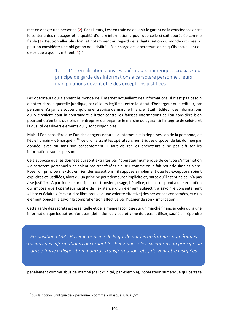met en danger une personne (**2**). Par ailleurs, i est en train de devenir le garant de la coïncidence entre le contenu des messages et la qualité d'une « information » pour que celle‐ci soit appréciée comme fiable (3). Peut-on aller plus loin, et notamment au regard de la digitalisation du monde dit « réel », peut‐on considérer une obligation de « civilité » à la charge des opérateurs de ce qu'ils accueillent ou de ce que à quoi ils mènent (**4**) ?

#### 1. L'internalisation dans les opérateurs numériques cruciaux du principe de garde des informations à caractère personnel, leurs manipulations devant être des exceptions justifiées

Les opérateurs qui tiennent le monde de l'Internet accueillent des informations. Il n'est pas besoin d'entrer dans la querelle juridique, par ailleurs légitime, entre le statut d'hébergeur ou d'éditeur, car personne n'a jamais soutenu qu'une entreprise de marché financier était l'éditeur des informations qui y circulent pour la contraindre à lutter contre les fausses informations et l'on considère bien pourtant qu'en tant que place l'entreprise qui organise le marché doit garantir l'intégrité de celui‐ci et la qualité des divers éléments qui y sont disponibles.

Mais si l'on considère que l'un des dangers naturels d'Internet est la dépossession de la personne, de l'être humain « démasqué »126, celui‐ci laissant les opérateurs numériques disposer de lui, donnée par donnée, avec ou sans son consentement, il faut obliger les opérateurs à ne pas diffuser les informations sur les personnes.

Cela suppose que les données qui sont extraites par l'opérateur numérique de ce type d'information « à caractère personnel » ne soient pas transférées à autrui comme on le fait pour de simples biens. Poser un principe n'exclut en rien des exceptions : il suppose simplement que les exceptions soient explicites et justifiées, alors qu'un principe peut demeurer implicite et, parce qu'il est principe, n'a pas à se justifier. A partir de ce principe, tout transfert, usage, bénéfice, etc. correspond à une exception qui impose que l'opérateur justifie de l'existence d'un élément subjectif, à savoir le consentement « libre et éclairé » (c'est‐à‐dire libre preuve d'une volonté effective) des personnes concernées, et d'un élément objectif, à savoir la compréhension effective par l'usager de son « implication ».

Cette garde des secrets est essentielle et de la même façon que sur un marché financier celui qui a une information que les autres n'ont pas (définition du « secret ») ne doit pas l'utiliser, sauf à en répondre

*Proposition n°33 : Poser le principe de la garde par les opérateurs numériques cruciaux des informations concernant les Personnes ; les exceptions au principe de garde (mise à disposition d'autrui, transformation, etc.) doivent être justifiées*

pénalement comme abus de marché (délit d'initié, par exemple), l'opérateur numérique qui partage

<sup>126</sup> Sur la notion juridique de « personne » comme « masque », v. *supra.*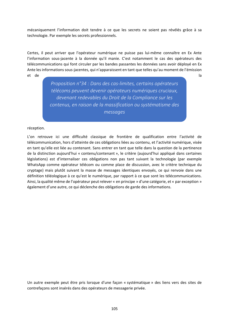mécaniquement l'information doit tendre à ce que les secrets ne soient pas révélés grâce à sa technologie. Par exemple les secrets professionnels.

Certes, il peut arriver que l'opérateur numérique ne puisse pas lui‐même connaître en Ex Ante l'information sous‐jacente à la donnée qu'il manie. C'est notamment le cas des opérateurs des télécommunications qui font circuler par les bandes passantes les données sans avoir déployé en Ex Ante les informations sous‐jacentes, qui n'apparaissent en tant que telles qu'au moment de l'émission et de la

*Proposition n°34 : Dans des cas‐limites, certains opérateurs télécoms peuvent devenir opérateurs numériques cruciaux, devenant redevables du Droit de la Compliance sur les contenus, en raison de la massification ou systématisme des messages*

réception.

L'on retrouve ici une difficulté classique de frontière de qualification entre l'activité de télécommunication, hors d'atteinte de ces obligations liées au contenu, et l'activité numérique, visée en tant qu'elle est liée au contenant. Sans entrer en tant que telle dans la question de la pertinence de la distinction aujourd'hui « contenu/contenant », le critère (aujourd'hui appliqué dans certaines législations) est d'internaliser ces obligations non pas tant suivant la technologie (par exemple WhatsApp comme opérateur télécom ou comme place de discussion, avec le critère technique du cryptage) mais plutôt suivant la masse de messages identiques envoyés, ce qui renvoie dans une définition téléologique à ce qu'est le numérique, par rapport à ce que sont les télécommunications. Ainsi, la qualité même de l'opérateur peut relever « en principe » d'une catégorie, et « par exception » également d'une autre, ce qui déclenche des obligations de garde des informations.

Un autre exemple peut être pris lorsque d'une façon « systématique » des liens vers des sites de contrefaçons sont insérés dans des opérateurs de messagerie privée.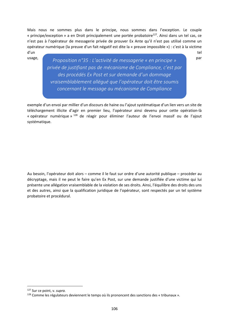Mais nous ne sommes plus dans le principe, nous sommes dans l'exception. Le couple « principe/exception » a en Droit principalement une portée probatoire<sup>127</sup>. Ainsi dans un tel cas, ce n'est pas à l'opérateur de messagerie privée de prouver Ex Ante qu'il n'est pas utilisé comme un opérateur numérique (la preuve d'un fait négatif est dite la « preuve impossible ») : c'est à la victime d'un tel

**Proposition** n°35 : L'activité de messagerie « en principe » Par *privée de justifiant pas de mécanisme de Compliance, c'est par des procédés Ex Post et sur demande d'un dommage vraisemblablement allégué que l'opérateur doit être soumis concernant le message au mécanisme de Compliance*

exemple d'un envoi par millier d'un discours de haine ou l'ajout systématique d'un lien vers un site de téléchargement illicite d'agir en premier lieu, l'opérateur ainsi devenu pour cette opération-là « opérateur numérique » <sup>128</sup> de réagir pour éliminer l'auteur de l'envoi massif ou de l'ajout systématique.

Au besoin, l'opérateur doit alors – comme il le faut sur ordre d'une autorité publique – procéder au décryptage, mais il ne peut le faire qu'en Ex Post, sur une demande justifiée d'une victime qui lui présente une allégation vraisemblable de la violation de ses droits. Ainsi, l'équilibre des droits des uns et des autres, ainsi que la qualification juridique de l'opérateur, sont respectés par un tel système probatoire et procédural.

<sup>127</sup> Sur ce point, v. *supra.* 

<sup>128</sup> Comme les régulateurs deviennent le temps où ils prononcent des sanctions des « tribunaux ».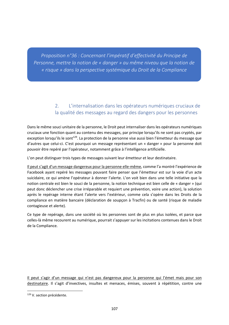*Proposition n°36 : Concernant l'impératif d'effectivité du Principe de Personne, mettre la notion de « danger » au même niveau que la notion de « risque » dans la perspective systémique du Droit de la Compliance*

#### 2. L'internalisation dans les opérateurs numériques cruciaux de la qualité des messages au regard des dangers pour les personnes

Dans le même souci unitaire de la personne, le Droit peut internaliser dans les opérateurs numériques cruciaux une fonction quant au contenu des messages, par principe lorsqu'ils ne sont pas cryptés, par exception lorsqu'ils le sont<sup>129</sup>. La protection de la personne vise aussi bien l'émetteur du message que d'autres que celui‐ci. C'est pourquoi un message représentant un « danger » pour la personne doit pouvoir être repéré par l'opérateur, notamment grâce à l'intelligence artificielle.

L'on peut distinguer trois types de messages suivant leur émetteur et leur destinataire.

Il peut s'agit d'un message dangereux pour la personne elle‐même, comme l'a montré l'expérience de Facebook ayant repéré les messages pouvant faire penser que l'émetteur est sur la voie d'un acte suicidaire, ce qui amène l'opérateur à donner l'alerte. L'on voit bien dans une telle initiative que la notion centrale est bien le souci de la personne, la notion technique est bien celle de « danger » (qui peut donc déclencher une crise irréparable et requiert une prévention, voire une action), la solution après le repérage interne étant l'alerte vers l'extérieur, comme cela s'opère dans les Droits de la compliance en matière bancaire (déclaration de soupçon à Tracfin) ou de santé (risque de maladie contagieuse et alerte).

Ce type de repérage, dans une société où les personnes sont de plus en plus isolées, et parce que celles‐là même recourent au numérique, pourrait s'appuyer sur les incitations contenues dans le Droit de la Compliance.

Il peut s'agir d'un message qui n'est pas dangereux pour la personne qui l'émet mais pour son destinataire. Il s'agit d'invectives, insultes et menaces, émises, souvent à répétition, contre une

<sup>129</sup> V. section précédente.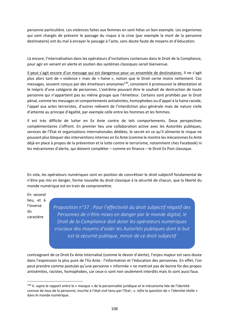personne particulière. Les violences faites aux femmes en sont hélas un bon exemple. Les organismes qui sont chargés de prévenir le passage du risque à la crise (par exemple la mort de la personne destinataire) ont du mal à enrayer le passage à l'acte, sans doute faute de moyens et d'éducation.

Là encore, l'internalisation dans les opérateurs d'incitations contenues dans le Droit de la Compliance, pour agir en venant en alerte et soutien des systèmes classiques serait bienvenue.

Il peut s'agit encore d'un message qui est dangereux pour un ensemble de destinataires. Il ne s'agit plus alors tant de « violence » mais de « haine », notion que le Droit cerne moins nettement. Ces messages, souvent conçus par des émetteurs anonymes<sup>130</sup>, consistent à promouvoir la détestation et le mépris d'une catégorie de personnes. L'extrême pouvant être le souhait de destruction de toute personne qui n'appartient pas au même groupe que l'émetteur. Certains sont prohibés par le Droit pénal, comme les messages et comportements antisémites, homophobes ou d'appel à la haine raciale, l'appel aux actes terroristes, d'autres relèvent de l'interdiction plus générale mais de nature civile d'atteinte au principe d'égalité, par exemple celle entre les hommes et les femmes.

Il est très difficile de lutter en Ex Ante contre de tels comportements. Deux perspectives complémentaires s'offrent. En premier lieu une collaboration active avec les Autorités publiques, services de l'État et organisations internationales dédiées, le secret en ce qu'il alimente le risque ne pouvant plus bloquer des interventions internes en Ex Ante (comme le montre les mécanismes Ex Ante déjà en place à propos de la prévention et la lutte contre le terrorisme, notamment chez Facebook) ni les mécanismes d'alerte, qui doivent compléter – comme en finance – le Droit Ex Post classique.

En cela, les opérateurs numériques sont en position de concrétiser le droit subjectif fondamental de n'être pas mis en danger, forme nouvelle du droit classique à la sécurité de chacun, que la liberté du monde numérique est en train de compromettre.

En second lieu, et à l'inverse du caractère

<u>.</u>

*Proposition n°37 : Pour l'effectivité du droit subjectif négatif des Personnes de n'être mises en danger par le monde digital, le Droit de la Compliance doit doter les opérateurs numériques cruciaux des moyens d'aider les Autorités publiques dont le but est la sécurité publique, miroir de ce droit subjectif*

contraignant de ce Droit Ex Ante Internalisé (comme le devoir d'alerte), l'enjeu majeur est sans doute dans l'expression la plus pure de l'Ex Ante : l'information et l'éducation des personnes. En effet, l'on peut prendre comme postulat qu'une personne « informée » ne mettrait pas de bonne foi des propos antisémites, racistes, homophobes, car ceux‐ci sont non seulement interdits mais ils sont aussi faux.

<sup>130</sup> V. *supra* le rapport entre le « masque » de la personnalité juridique et le mécanisme liée de l'identité connue de tous de la personne, inscrite à l'état civil tenu par l'Etat ; v. *infra* la question de « l'identité réelle » dans le monde numérique.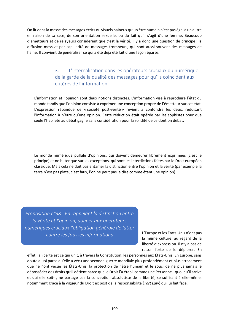On lit dans la masse des messages écrits ou visuels haineux qu'un être humain n'est pas égal à un autre en raison de sa race, de son orientation sexuelle, ou du fait qu'il s'agit d'une femme. Beaucoup d'émetteurs et de relayeurs considèrent que c'est la vérité. Il y a donc une question de principe : la diffusion massive par capillarité de messages trompeurs, qui sont aussi souvent des messages de haine. Il convient de généraliser ce qui a été déjà été fait d'une façon éparse.

## 3. L'internalisation dans les opérateurs cruciaux du numérique de la garde de la qualité des messages pour qu'ils coïncident aux critères de l'information

L'information et l'opinion sont deux notions distinctes. L'information vise à reproduire l'état du monde tandis que l'opinion consiste à exprimer une conception propre de l'émetteur sur cet état. L'expression répandue de « société post‐vérité » revient à confondre les deux, réduisant l'information à n'être qu'une opinion. Cette réduction était opérée par les sophistes pour que seule l'habileté au débat gagne sans considération pour la solidité de ce dont on débat.

Le monde numérique pullule d'opinions, qui doivent demeurer librement exprimées (c'est le principe) et ne buter que sur les exceptions, qui sont les interdictions faites par le Droit européen classique. Mais cela ne doit pas entamer la distinction entre l'opinion et la vérité (par exemple la terre n'est pas plate, c'est faux, l'on ne peut pas le dire comme étant une opinion).

*Proposition n°38 : En rappelant la distinction entre la vérité et l'opinion, donner aux opérateurs numériques cruciaux l'obligation générale de lutter contre les fausses informations*

L'Europe et les États‐Unis n'ont pas la même culture, au regard de la liberté d'expression. Il n'y a pas de raison forte de le déplorer. En

effet, la liberté est ce qui unit, à travers la Constitution, les personnes aux États‐Unis. En Europe, sans doute aussi parce qu'elle a vécu une seconde guerre mondiale plus profondément et plus atrocement que ne l'ont vécue les États‐Unis, la protection de l'être humain et le souci de ne plus jamais le déposséder des droits qu'il détient parce que le Droit l'a établi comme une Personne ‐ quoi qu'il arrive et qui elle soit-, ne partage pas la conception absolutiste de la liberté, se suffisant à elle-même, notamment grâce à la vigueur du Droit ex post de la responsabilité (*Tort Law*) qui lui fait face.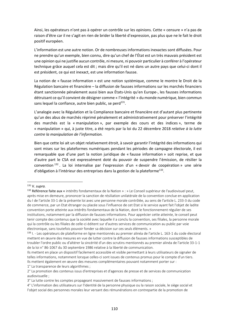Ainsi, les opérateurs n'ont pas à opérer un contrôle sur les opinions. Cette « censure » n'a pas de raison d'être car il ne s'agit en rien de brider la liberté d'expression, pas plus que ne le fait le droit positif européen.

L'information est une autre notion. Or de nombreuses informations inexactes sont diffusées. Pour ne prendre qu'un exemple, bien connu, dire qu'un chef de l'État est un très mauvais président est une opinion qui ne justifie aucun contrôle, ni mesure, ni pouvoir particulier à conférer à l'opérateur technique grâce auquel cela est dit ; mais dire qu'il est né dans un autre pays que celui‐ci dont il est président, ce qui est inexact, est une information fausse.

La notion de « fausse information » est une notion systémique, comme le montre le Droit de la Régulation bancaire et financière – la diffusion de fausses informations sur les marchés financiers étant sanctionnée pénalement aussi bien aux États‐Unis qu'en Europe‐, les fausses informations détruisant ce qu'il convient de désigner comme « l'intégrité » du monde numérique, bien commun sans lequel la confiance, autre bien public, se perd $^{131}$ .

L'analogie avec la Régulation et la Compliance bancaire et financière est d'autant plus pertinente qu'un des abus de marchés réprimé pénalement et administrativement pour préserver l'intégrité des marchés est la « manipulation », par exemple des cours et des indices », terme de « manipulation » qui, à juste titre, a été repris par la loi du 22 décembre 2018 *relative à la lutte contre la manipulation de l'information.* 

Bien que cette loi ait un objet relativement étroit, à savoir garantir l'intégrité des informations qui sont mises sur les plateformes numériques pendant les périodes de campagne électorale, il est remarquable que d'une part la notion juridique de « fausse information » soit reprise, et que d'autre part le CSA est expressément doté du pouvoir de suspendre l'émission, de résilier la convention <sup>132</sup> . La loi internalise par l'expression d'un « devoir de coopération » une série d'obligation à l'intérieur des entreprises dans la gestion de la plateforme<sup>133</sup>.

<u>.</u>

1° La transparence de leurs algorithmes ;

<sup>131</sup> V. *supra.* 

<sup>132</sup> Référence faite aux « intérêts fondamentaux de la Nation » : » Le Conseil supérieur de l'audiovisuel peut, après mise en demeure, prononcer la sanction de résiliation unilatérale de la convention conclue en application du I de l'article 33‐1 de la présente loi avec une personne morale contrôlée, au sens de l'article L. 233‐3 du code de commerce, par un Etat étranger ou placée sous l'influence de cet Etat si le service ayant fait l'objet de ladite convention porte atteinte aux intérêts fondamentaux de la Nation, dont le fonctionnement régulier de ses institutions, notamment par la diffusion de fausses informations. Pour apprécier cette atteinte, le conseil peut tenir compte des contenus que la société avec laquelle il a conclu la convention, ses filiales, la personne morale qui la contrôle ou les filiales de celle‐ci éditent sur d'autres services de communication au public par voie électronique, sans toutefois pouvoir fonder sa décision sur ces seuls éléments. »

<sup>133</sup> I. - Les opérateurs de plateforme en ligne mentionnés au premier alinéa de l'article L. 163-1 du code électoral mettent en œuvre des mesures en vue de lutter contre la diffusion de fausses informations susceptibles de troubler l'ordre public ou d'altérer la sincérité d'un des scrutins mentionnés au premier alinéa de l'article 33‐1‐1 de la loi n° 86‐1067 du 30 septembre 1986 relative à la liberté de communication.

Ils mettent en place un dispositif facilement accessible et visible permettant à leurs utilisateurs de signaler de telles informations, notamment lorsque celles-ci sont issues de contenus promus pour le compte d'un tiers. Ils mettent également en œuvre des mesures complémentaires pouvant notamment porter sur :

<sup>2°</sup> La promotion des contenus issus d'entreprises et d'agences de presse et de services de communication audiovisuelle ;

<sup>3°</sup> La lutte contre les comptes propageant massivement de fausses informations ;

<sup>4°</sup> L'information des utilisateurs sur l'identité de la personne physique ou la raison sociale, le siège social et l'objet social des personnes morales leur versant des rémunérations en contrepartie de la promotion de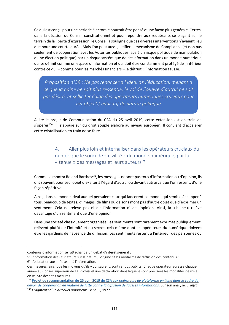Ce qui est conçu pour une période électorale pourrait être pensé d'une façon plus générale. Certes, dans la décision du Conseil constitutionnel et pour répondre aux requérants se plaçant sur le terrain de la liberté d'expression, le Conseil a souligné que ces diverses interventions n'avaient lieu que pour une courte durée. Mais l'on peut aussi justifier le mécanisme de Compliance (et non pas seulement de coopération avec les Autorités publiques face à un risque politique de manipulation d'une élection politique) par un risque systémique de désinformation dans un monde numérique qui se définit comme un espace d'information et qui doit être constamment protégé de l'intérieur contre ce qui – comme pour les marchés financiers – le détruit : l'information fausse.

*Proposition n°39 : Ne pas renoncer à l'idéal de l'éducation, menant à ce que la haine ne soit plus ressentie, le vol de l'œuvre d'autrui ne soit pas désiré, et solliciter l'aide des opérateurs numériques cruciaux pour cet objectif éducatif de nature politique*

A lire le projet de Communication du CSA du 25 avril 2019, cette extension est en train de s'opérer<sup>134</sup>. Il s'appuie sur du droit souple élaboré au niveau européen. Il convient d'accélérer cette cristallisation en train de se faire.

> 4. Aller plus loin et internaliser dans les opérateurs cruciaux du numérique le souci de « civilité » du monde numérique, par la « tenue » des messages et leurs auteurs ?

Comme le montra Roland Barthes<sup>135</sup>, les messages ne sont pas tous d'information ou d'opinion, ils ont souvent pour seul objet d'exalter à l'égard d'autrui ou devant autrui ce que l'on ressent, d'une façon répétitive.

Ainsi, dans ce monde idéal auquel pensaient ceux qui lancèrent ce monde qui semble échapper à tous, beaucoup de textes, d'images, de films ou de sons n'ont pas d'autre objet que d'exprimer un sentiment. Cela ne relève pas ni de l'information ni de l'opinion. Ainsi, la « haine » relève davantage d'un sentiment que d'une opinion.

Dans une société classiquement organisée, les sentiments sont rarement exprimés publiquement, relèvent plutôt de l'intimité et du secret, cela même dont les opérateurs du numérique doivent être les gardiens de l'absence de diffusion. Les sentiments restent à l'intérieur des personnes ou

contenus d'information se rattachant à un débat d'intérêt général ;

<sup>5°</sup> L'information des utilisateurs sur la nature, l'origine et les modalités de diffusion des contenus ;

<sup>6°</sup> L'éducation aux médias et à l'information.

Ces mesures, ainsi que les moyens qu'ils y consacrent, sont rendus publics. Chaque opérateur adresse chaque année au Conseil supérieur de l'audiovisuel une déclaration dans laquelle sont précisées les modalités de mise en œuvre desdites mesures.

<sup>134</sup> Projet de recommandation du 25 avril 2019 du CSA aux *opérateurs de plateforme en ligne dans le cadre du devoir de coopération en matière de lutte contre la diffusion de fausses informations*. Sur son analyse, v. *infra.*  <sup>135</sup> *Fragments d'un discours amoureux*, Le Seuil, 1977.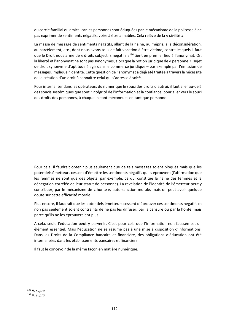du cercle familial ou amical car les personnes sont éduquées par le mécanisme de la politesse à ne pas exprimer de sentiments négatifs, voire à être aimables. Cela relève de la « civilité ».

La masse de message de sentiments négatifs, allant de la haine, au mépris, à la déconsidération, au harcèlement, etc., dont nous avons tous de fait vocation à être victime, contre lesquels il faut que le Droit nous arme de « droits subjectifs négatifs  $v^{136}$  tient en premier lieu à l'anonymat. Or, la liberté et l'anonymat ne sont pas synonymes, alors que la notion juridique de « personne », sujet de droit synonyme d'aptitude à agir dans le commerce juridique – par exemple par l'émission de messages, implique l'identité. Cette question de l'anonymat a déjà été traitée à travers la nécessité de la création d'un droit à connaître celui qui s'adresse à soi<sup>137</sup>.

Pour internaliser dans les opérateurs du numérique le souci des droits d'autrui, il faut aller au‐delà des soucis systémiques que sont l'intégrité de l'information et la confiance, pour aller vers le souci des droits des personnes, à chaque instant méconnues en tant que personne.

Pour cela, il faudrait obtenir plus seulement que de tels messages soient bloqués mais que les potentiels émetteurs cessent d'émettre les sentiments négatifs qu'ils éprouvent (l'affirmation que les femmes ne sont que des objets, par exemple, ce qui constitue la haine des femmes et la dénégation corrélée de leur statut de personne). La révélation de l'identité de l'émetteur peut y contribuer, par le mécanisme de « honte », auto‐sanction morale, mais on peut avoir quelque doute sur cette efficacité morale.

Plus encore, il faudrait que les potentiels émetteurs cessent d'éprouver ces sentiments négatifs et non pas seulement soient contraints de ne pas les diffuser, par la censure ou par la honte, mais parce qu'ils ne les éprouveraient plus ...

A cela, seule l'éducation peut y parvenir. C'est pour cela que l'information non faussée est un élément essentiel. Mais l'éducation ne se résume pas à une mise à disposition d'informations. Dans les Droits de la Compliance bancaire et financière, des obligations d'éducation ont été internalisées dans les établissements bancaires et financiers.

Il faut le concevoir de la même façon en matière numérique.

<sup>136</sup> V. *supra.* 

<sup>137</sup> V. *supra.*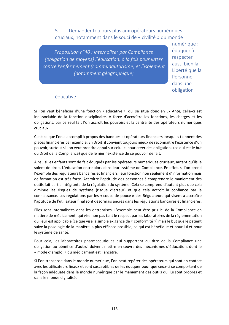5. Demander toujours plus aux opérateurs numériques cruciaux, notamment dans le souci de « civilité » du monde

*Proposition n°40 : Internaliser par Compliance (obligation de moyens) l'éducation, à la fois pour lutter contre l'enfermement (communautarisme) et l'isolement (notamment géographique)*

numérique : éduquer à respecter aussi bien la Liberté que la Personne, dans une obligation

### éducative

Si l'on veut bénéficier d'une fonction « éducative », qui se situe donc en Ex Ante, celle-ci est indissociable de la fonction disciplinaire. A force d'accroître les fonctions, les charges et les obligations, par ce seul fait l'on accroît les pouvoirs et la centralité des opérateurs numériques cruciaux.

C'est ce que l'on a accompli à propos des banques et opérateurs financiers lorsqu'ils tiennent des places financières par exemple. En Droit, il convient toujours mieux de reconnaître l'existence d'un pouvoir, surtout si l'on veut prendre appui sur celui‐ci pour créer des obligations (ce qui est le but du Droit de la Compliance) que de le nier l'existence de ce pouvoir de fait.

Ainsi, si les enfants sont de fait éduqués par les opérateurs numériques cruciaux, autant qu'ils le soient de droit. L'éducation entre alors dans leur système de Compliance. En effet, si l'on prend l'exemple des régulateurs bancaires et financiers, leur fonction non seulement d'information mais de formation est très forte. Accroître l'aptitude des personnes à comprendre le maniement des outils fait partie intégrante de la régulation du système. Cela se comprend d'autant plus que cela diminue les risques de système (risque d'erreur) et que cela accroît la confiance par la connaissance. Les régulations par les « coups de pouce » des Régulateurs qui visent à accroître l'aptitude de l'utilisateur final sont désormais ancrés dans les régulations bancaires et financières.

Elles sont internalisées dans les entreprises. L'exemple peut être pris ici de la Compliance en matière de médicament, qui vise non pas tant le respect par les laboratoires de la réglementation qui leur est applicable (ce que vise la simple exigence de « conformité ») mais le but que le patient suive la posologie de la manière la plus efficace possible, ce qui est bénéfique et pour lui et pour le système de santé.

Pour cela, les laboratoires pharmaceutiques qui supportent au titre de la Compliance une obligation au bénéfice d'autrui doivent mettre en œuvre des mécanismes d'éducation, dont le « mode d'emploi » du médicament est l'ancêtre.

Si l'on transpose dans le monde numérique, l'on peut repérer des opérateurs qui sont en contact avec les utilisateurs finaux et sont susceptibles de les éduquer pour que ceux‐ci se comportent de la façon adéquate dans le monde numérique par le maniement des outils qui lui sont propres et dans le monde digitalisé.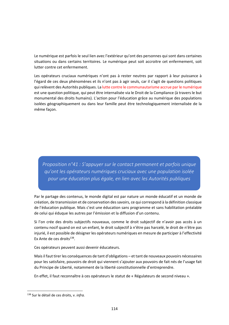Le numérique est parfois le seul lien avec l'extérieur qu'ont des personnes qui sont dans certaines situations ou dans certains territoires. Le numérique peut soit accroitre cet enfermement, soit lutter contre cet enfermement.

Les opérateurs cruciaux numériques n'ont pas à rester neutres par rapport à leur puissance à l'égard de ces deux phénomènes et ils n'ont pas à agir seuls, car il s'agit de questions politiques qui relèvent des Autorités publiques. La lutte contre le communautarisme accrue par le numérique est une question politique, qui peut être internalisée via le Droit de la Compliance (à travers le but monumental des droits humains). L'action pour l'éducation grâce au numérique des populations isolées géographiquement ou dans leur famille peut être technologiquement internalisée de la même façon.

*Proposition n°41 : S'appuyer sur le contact permanent et parfois unique qu'ont les opérateurs numériques cruciaux avec une population isolée pour une éducation plus égale, en lien avec les Autorités publiques*

Par le partage des contenus, le monde digital est par nature un monde éducatif et un monde de création, de transmission et de conservation des savoirs, ce qui correspond à la définition classique de l'éducation publique. Mais c'est une éducation sans programme et sans habilitation préalable de celui qui éduque les autres par l'émission et la diffusion d'un contenu.

Si l'on crée des droits subjectifs nouveaux, comme le droit subjectif de n'avoir pas accès à un contenu nocif quand on est un enfant, le droit subjectif à n'être pas harcelé, le droit de n'être pas injurié, il est possible de désigner les opérateurs numériques en mesure de participer à l'effectivité Ex Ante de ces droits $138$ .

Ces opérateurs peuvent aussi devenir éducateurs.

Mais il faut tirer les conséquences de tant d'obligations – et tant de nouveaux pouvoirs nécessaires pour les satisfaire, pouvoirs de droit qui viennent s'ajouter aux pouvoirs de fait nés de l'usage fait du Principe de Liberté, notamment de la liberté constitutionnelle d'entreprendre.

En effet, il faut reconnaître à ces opérateurs le statut de « Régulateurs de second niveau ».

<sup>138</sup> Sur le détail de ces droits, v. *infra.*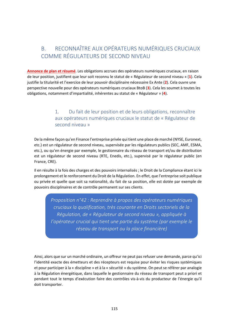# B. RECONNAÎTRE AUX OPÉRATEURS NUMÉRIQUES CRUCIAUX COMME RÉGULATEURS DE SECOND NIVEAU

**Annonce de plan et résumé**. Les obligations accrues des opérateurs numériques cruciaux, en raison de leur position, justifient que leur soit reconnu le statut de « Régulateur de second niveau » (**1**). Cela justifie la titularité et l'exercice de leur pouvoir disciplinaire nécessaire Ex Ante (**2**). Cela ouvre une perspective nouvelle pour des opérateurs numériques cruciaux BtoB (**3**). Cela les soumet à toutes les obligations, notamment d'impartialité, inhérentes au statut de « Régulateur » (**4**).

## 1. Du fait de leur position et de leurs obligations, reconnaître aux opérateurs numériques cruciaux le statut de « Régulateur de second niveau »

De la même façon qu'en Finance l'entreprise privée qui tient une place de marché (NYSE, Euronext, etc.) est un régulateur de second niveau, supervisée par les régulateurs publics (SEC, AMF, ESMA, etc.), ou qu'en énergie par exemple, le gestionnaire du réseau de transport et/ou de distribution est un régulateur de second niveau (RTE, Enedis, etc.), supervisé par le régulateur public (en France, CRE).

Il en résulte à la fois des charges et des pouvoirs internalisés ; le Droit de la Compliance étant ici le prolongement et le renforcement du Droit de la Régulation. En effet, que l'entreprise soit publique ou privée et quelle que soit sa nationalité, du fait de sa position, elle est dotée par exemple de pouvoirs disciplinaires et de contrôle permanent sur ses clients.

*Proposition n°42 : Reprendre à propos des opérateurs numériques cruciaux la qualification, très courante en Droits sectoriels de la Régulation, de « Régulateur de second niveau », appliquée à l'opérateur crucial qui tient une partie du système (par exemple le réseau de transport ou la place financière)*

Ainsi, alors que sur un marché ordinaire, un offreur ne peut pas refuser une demande, parce qu'ici l'identité exacte des émetteurs et des récepteurs est requise pour éviter les risques systémiques et pour participer à la « discipline » et à la « sécurité » du système. On peut se référer par analogie à la Régulation énergétique, dans laquelle le gestionnaire du réseau de transport peut a priori et pendant tout le temps d'exécution faire des contrôles vis‐à‐vis du producteur de l'énergie qu'il doit transporter.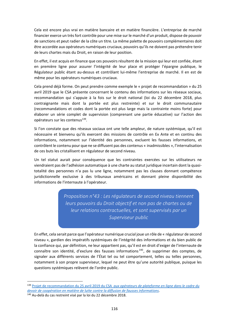Cela est encore plus vrai en matière bancaire et en matière financière. L'entreprise de marché financier exerce un très fort contrôle pour une mise sur le marché d'un produit, dispose de pouvoir de sanctions et peut radier de la côte un titre. La même palette de pouvoirs complémentaires doit être accordée aux opérateurs numériques cruciaux, pouvoirs qu'ils ne doivent pas prétendre tenir de leurs chartes mais du Droit, en raison de leur position.

En effet, il est acquis en finance que ces pouvoirs résultent de la mission qui leur est confiée, étant en première ligne pour assurer l'intégrité de leur place et protéger l'épargne publique, le Régulateur public étant au‐dessus et contrôlant lui‐même l'entreprise de marché. Il en est de même pour les opérateurs numériques cruciaux.

Cela prend déjà forme. On peut prendre comme exemple le « projet de recommandation » du 25 avril 2019 que le CSA présente concernant le contenu des informations sur les réseaux sociaux, recommandation qui s'appuie à la fois sur le droit national (loi du 22 décembre 2018, plus contraignante mais dont la portée est plus restreinte) et sur le droit communautaire (recommandations et codes dont la portée est plus large mais la contrainte moins forte) pour élaborer un série complet de supervision (comprenant une partie éducative) sur l'action des opérateurs sur les contenus<sup>139</sup>.

Si l'on constate que des réseaux sociaux ont une telle ampleur, de nature systémique, qu'il est nécessaire et bienvenu qu'ils exercent des missions de contrôle en Ex Ante et en continu des informations, notamment sur l'identité des personnes, excluent les fausses informations, et contrôlent le contenu pour que ne se diffusent pas des contenus « inadmissibles », l'internalisation de ces buts les cristallisent en régulateur de second niveau.

Un tel statut aurait pour conséquence que les contraintes exercées sur les utilisateurs ne viendraient pas de l'adhésion automatique à une charte au statut juridique incertain dont la quasi‐ totalité des personnes n'a pas lu une ligne, notamment pas les clauses donnant compétence juridictionnelle exclusive à des tribunaux américains et donnant pleine disponibilité des informations de l'internaute à l'opérateur.

> *Proposition n°43 : Les régulateurs de second niveau tiennent leurs pouvoirs du Droit objectif et non pas de chartes ou de leur relations contractuelles, et sont supervisés par un Superviseur public*

En effet, cela serait parce que l'opérateur numérique crucial joue un rôle de « régulateur de second niveau », gardien des impératifs systémiques de l'intégrité des informations et du bien public de la confiance qui, par définition, ne leur appartient pas, qu'il est en droit d'exiger de l'internaute de connaître son identité, d'exclure des fausses informations <sup>140</sup> , de supprimer des comptes, de signaler aux différents services de l'État tel ou tel comportement, telles ou telles personnes, notamment à son propre superviseur, lequel ne peut être qu'une autorité publique, puisque les questions systémiques relèvent de l'ordre public.

<u>.</u>

<sup>139</sup> Projet de recommandation du 25 avril 2019 du CSA *aux opérateurs de plateforme en ligne dans le cadre du devoir de coopération en matière de lutte contre la diffusion de fausses informations*.

<sup>140</sup> Au‐delà du cas restreint visé par la loi du 22 décembre 2018.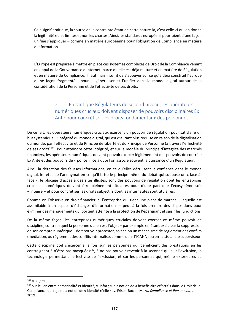Cela signifierait que, la source de la contrainte étant de cette nature‐là, c'est celle‐ci qui en donne la légitimité et les limites et non les chartes. Ainsi, les standards européens pourraient d'une façon unifiée s'appliquer – comme en matière européenne pour l'obligation de Compliance en matière d'information ‐.

L'Europe est préparée à mettre en place ces systèmes complexes de Droit de la Compliance venant en appui de la Gouvernance d'Internet, parce qu'elle est déjà mature et en matière de Régulation et en matière de Compliance. Il faut mais il suffit de s'appuyer sur ce qu'a déjà construit l'Europe d'une façon fragmentée, pour la généraliser et l'unifier dans le monde digital autour de la considération de la Personne et de l'effectivité de ses droits.

## 2. En tant que Régulateurs de second niveau, les opérateurs numériques cruciaux doivent disposer de pouvoirs disciplinaires Ex Ante pour concrétiser les droits fondamentaux des personnes

De ce fait, les opérateurs numériques cruciaux exercent un pouvoir de régulation pour satisfaire un but systémique : l'intégrité du monde digital, qui est d'autant plus requise en raison de la digitalisation du monde, par l'effectivité et du Principe de Liberté et du Principe de Personne (à travers l'effectivité de ses droits)<sup>141</sup>. Pour atteindre cette intégrité, et sur le modèle du principe d'intégrité des marchés financiers, les opérateurs numériques doivent pouvoir exercer légitimement des pouvoirs de contrôle Ex Ante et des pouvoirs de « police », ce à quoi l'on associe souvent la puissance d'un Régulateur.

Ainsi, la détection des fausses informations, en ce qu'elles détruisent la confiance dans le monde digital, le refus de l'anonymat en ce qu'il brise le principe même du débat qui suppose un « face‐à‐ face », le blocage d'accès à des sites illicites, sont des pouvoirs de régulation dont les entreprises cruciales numériques doivent être pleinement titulaires pour d'une part que l'écosystème soit « intègre » et pour concrétiser les droits subjectifs dont les internautes sont titulaires.

Comme on l'observe en droit financier, si l'entreprise qui tient une place de marché – laquelle est assimilable à un espace d'échanges d'informations – peut à la fois prendre des dispositions pour éliminer des manquements qui portent atteinte à la protection de l'épargnant et saisir les juridictions.

De la même façon, les entreprises numériques cruciales doivent exercer ce même pouvoir de discipline, contre lequel la personne qui en est l'objet – par exemple en étant exclu par la suppression de son compte numérique – doit pouvoir protester, soit selon un mécanisme de règlement des conflits (médiation, ou règlement des conflits internalisé, comme dans l'ICANN) ou en saisissant le superviseur.

Cette discipline doit s'exercer à la fois sur les personnes qui bénéficient des prestations en les contraignant à n'être pas masquées<sup>142</sup>, à ne pas pouvoir revenir à la seconde qui suit l'exclusion, la technologie permettant l'effectivité de l'exclusion, et sur les personnes qui, même extérieures au

<sup>141</sup> V. *supra.* 

<sup>142</sup> Sur le lien entre personnalité et identité, v. infra ; sur la notion de « bénéficiaire effectif » dans le Droit de la Compliance, qui rejoint la notion de « identité réelle », v. Frison‐Roche, M.‐A., *Compliance et Personnalité,*  2019.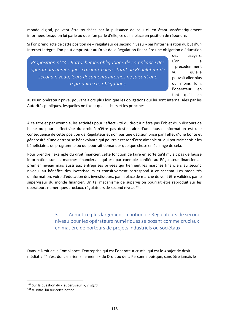monde digital, peuvent être touchées par la puissance de celui‐ci, en étant systématiquement informées lorsqu'on lui parle ou que l'on parle d'elle, ce qui la place en position de répondre.

Si l'on prend acte de cette position de « régulateur de second niveau » par l'internalisation du but d'un Internet intègre, l'on peut emprunter au Droit de la Régulation financière une obligation d'éducation

*Proposition n°44 : Rattacher les obligations de compliance des opérateurs numériques cruciaux à leur statut de Régulateur de second niveau, leurs documents internes ne faisant que reproduire ces obligations*

des usagers. L'on a précédemment vu qu'elle pouvait aller plus ou moins loin, l'opérateur, en tant qu'il est

aussi un opérateur privé, pouvant alors plus loin que les obligations qui lui sont internalisées par les Autorités publiques, lesquelles ne fixent que les buts et les principes.

A ce titre et par exemple, les activités pour l'effectivité du droit à n'être pas l'objet d'un discours de haine ou pour l'effectivité du droit à n'être pas destinataire d'une fausse information est une conséquence de cette position de Régulateur et non pas une décision prise par l'effet d'une bonté et générosité d'une entreprise bénévolante qui pourrait cesser d'être aimable ou qui pourrait choisir les bénéficiaires de programme ou qui pourrait demander quelque chose en échange de cela.

Pour prendre l'exemple du droit financier, cette fonction de faire en sorte qu'il n'y ait pas de fausse information sur les marchés financiers – qui est par exemple confiée au Régulateur financier au premier niveau mais aussi aux entreprises privées qui tiennent les marchés financiers au second niveau, au bénéfice des investisseurs et transitivement correspond à ce schéma. Les modalités d'information, voire d'éducation des investisseurs, par la place de marché doivent être validées par le superviseur du monde financier. Un tel mécanisme de supervision pourrait être reproduit sur les opérateurs numériques cruciaux, régulateurs de second niveau<sup>143</sup>.

> 3. Admettre plus largement la notion de Régulateurs de second niveau pour les opérateurs numériques se posant comme cruciaux en matière de porteurs de projets industriels ou sociétaux

Dans le Droit de la Compliance, l'entreprise qui est l'opérateur crucial qui est le « sujet de droit médiat » 144n'est donc en rien « l'ennemi » du Droit ou de la Personne puisque, sans être jamais le

<u>.</u>

<sup>143</sup> Sur la question du « superviseur », v. *infra.* 

<sup>144</sup> V. *infra*  lui sur cette notion.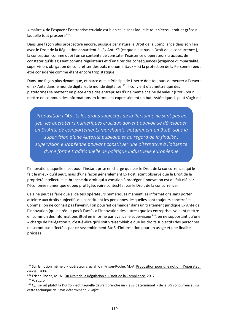« maître » de l'espace : l'entreprise cruciale est bien celle sans laquelle tout s'écroulerait et grâce à laquelle tout prospère<sup>145</sup>.

Dans une façon plus prospective encore, puisque par nature le Droit de la Compliance dans son lien avec le Droit de la Régulation appartient à l'Ex Ante<sup>146</sup> (ce que n'est pas le Droit de la concurrence), la conception comme quoi l'on se contente de constater l'existence d'opérateurs cruciaux, de constater qu'ils agissent comme régulateurs et d'en tirer des conséquences (exigence d'impartialité, supervision, obligation de concrétiser des buts monumentaux – ici la protection de la Personne) peut être considérée comme étant encore trop statique.

Dans une façon plus dynamique, et parce que le Principe de Liberté doit toujours demeurer à l'œuvre en Ex Ante dans le monde digital et le monde digitalisé<sup>147</sup>, il convient d'admettre que des plateformes se mettent en place entre des entreprises d'une même chaîne de valeur (BtoB) pour mettre en commun des informations en formulant expressément un but systémique. Il peut s'agir de

*Proposition n°45 : Si les droits subjectifs de la Personne ne sont pas en jeu, les opérateurs numériques cruciaux doivent pouvoir se développer en Ex Ante de comportements marchands, notamment en BtoB, sous la supervision d'une Autorité publique et au regard de la finalité ; supervision européenne pouvant constituer une alternative à l'absence d'une forme traditionnelle de politique industrielle européenne*

l'innovation, laquelle n'est pour l'instant prise en charge que par le Droit de la concurrence, qui le fait le mieux qu'il peut, mais d'une façon généralement Ex Post, étant observé que le Droit de la propriété intellectuelle, branche du droit qui a vocation à protéger l'innovation est de fait nié par l'économie numérique et peu protégée, voire contestée, par le Droit de la concurrence.

Cela ne peut se faire que si de tels opérateurs numériques manient les informations sans porter atteinte aux droits subjectifs qui constituent les personnes, lesquelles sont toujours concernées. Comme l'on ne connait pas l'avenir, l'on pourrait demander dans un traitement juridique Ex Ante de l'innovation (qui ne réduit pas à l'accès à l'innovation des autres) que les entreprises voulant mettre en commun des informations BtoB en informe par avance le superviseur<sup>148</sup>, en ne supportant qu'une « charge de l'allégation », c'est‐à‐dire qu'il soit vraisemblable que les droits subjectifs des personnes ne seront pas affectées par ce rassemblement BtoB d'information pour un usage et une finalité précisés.

<sup>145</sup> Sur la notion même d'« opérateur crucial », v. Frison-Roche, M.-A. Proposition pour une notion : l'opérateur crucial, 2006.

<sup>146</sup> Frison-Roche, M.-A., Du Droit de la Régulation au Droit de la Compliance, 2017.

<sup>147</sup> V. *supra.* 

<sup>&</sup>lt;sup>148</sup> Qui serait plutôt la DG Connect, laquelle devrait prendre un « avis déterminant » de la DG concurrence ; sur cette technique de l'avis déterminant, v. *infra.*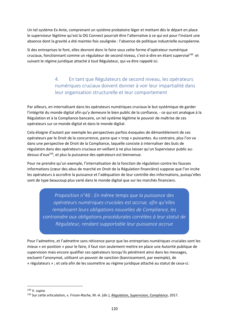Un tel système Ex Ante, comprenant un système probatoire léger et mettant dès le départ en place le superviseur légitime qu'est la DG Connect pourrait être l'alternative à ce qui est pour l'instant une absence dont la gravité a été maintes fois soulignée : l'absence de politique industrielle européenne.

Si des entreprises le font, elles devront donc le faire sous cette forme d'opérateur numérique cruciaux, fonctionnant comme un régulateur de second niveau, c'est-à-dire en étant supervisé<sup>149</sup> et suivant le régime juridique attaché à tout Régulateur, qui va être rappelé ici.

> 4. En tant que Régulateurs de second niveau, les opérateurs numériques cruciaux doivent donner à voir leur impartialité dans leur organisation structurelle et leur comportement

Par ailleurs, en internalisant dans les opérateurs numériques cruciaux le but systémique de garder l'intégrité du monde digital afin qu'y demeure le bien public de la confiance, ‐ ce qui est analogue à la Régulation et à la Compliance bancaire, un tel système légitime le pouvoir de maîtrise de ces opérateurs sur ce monde digital et dans le monde digital.

Cela éloigne d'autant par exemple les perspectives parfois évoquées de démantèlement de ces opérateurs par le Droit de la concurrence, parce que « trop » puissantes. Au contraire, plus l'on va dans une perspective de Droit de la Compliance, laquelle consiste à internaliser des buts de régulation dans des opérateurs cruciaux en veillant à ne plus laisser qu'un Superviseur public au‐ dessus d'eux150, et plus la puissance des opérateurs est bienvenue.

Pour ne prendre qu'un exemple, l'internalisation de la fonction de régulation contre les fausses informations (cœur des abus de marché en Droit de la Régulation financière) suppose que l'on incite les opérateurs à accroître la puissance et l'adéquation de leur contrôle des informations, puisqu'elles sont de type beaucoup plus varié dans le monde digital que sur les marchés financiers.

*Proposition n°46 : En même temps que la puissance des opérateurs numériques cruciales est accrue, afin qu'elles remplissent leurs obligations nouvelles de Compliance, les contraindre aux obligations procédurales corrélées à leur statut de Régulateur, rendant supportable leur puissance accrue*

Pour l'admettre, et l'admettre sans réticence parce que les entreprises numériques cruciales sont les mieux « en position » pour le faire, il faut non seulement mettre en place une Autorité publique de supervision mais encore qualifier ces opérateurs lorsqu'ils pénètrent ainsi dans les messages, excluent l'anonymat, utilisent un pouvoir de sanction (bannissement, par exemple), de « régulateurs » ; et cela afin de les soumettre au régime juridique attaché au statut de ceux‐ci.

<sup>149</sup> V. *supra.* 

<sup>150</sup> Sur cette articulation, v. Frison‐Roche, M.‐A. (dir.), *Régulation, Supervision, Compliance*, 2017.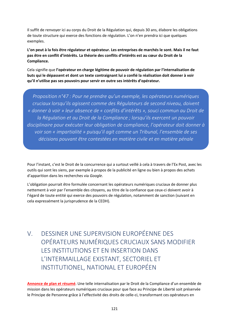Il suffit de renvoyer ici au corps du Droit de la Régulation qui, depuis 30 ans, élabore les obligations de toute structure qui exerce des fonctions de régulation. L'on n'en prendra ici que quelques exemples.

**L'on peut à la fois être régulateur et opérateur. Les entreprises de marchés le sont. Mais il ne faut pas être en conflit d'intérêts. La théorie des conflits d'intérêts est au cœur du Droit de la Compliance.**

Cela signifie que **l'opérateur en charge légitime de pouvoir de régulation par l'internalisation de buts qui le dépassent et dont un texte contraignant lui a confié la réalisation doit donner à voir qu'il n'utilise pas ses pouvoirs pour servir en outre ses intérêts d'opérateur.**

*Proposition n°47 : Pour ne prendre qu'un exemple, les opérateurs numériques cruciaux lorsqu'ils agissent comme des Régulateurs de second niveau, doivent « donner à voir » leur absence de « conflits d'intérêts », souci commun au Droit de la Régulation et au Droit de la Compliance ; lorsqu'ils exercent un pouvoir disciplinaire pour exécuter leur obligation de compliance, l'opérateur doit donner à voir son « impartialité » puisqu'il agit comme un Tribunal, l'ensemble de ses décisions pouvant être contestées en matière civile et en matière pénale* 

Pour l'instant, c'est le Droit de la concurrence qui a surtout veillé à cela à travers de l'Ex Post, avec les outils qui sont les siens, par exemple à propos de la publicité en ligne ou bien à propos des achats d'apparition dans les recherches via *Google*.

L'obligation pourrait être formulée concernant les opérateurs numériques cruciaux de donner plus nettement à voir par l'ensemble des citoyens, au titre de la confiance que ceux‐ci doivent avoir à l'égard de toute entité qui exerce des pouvoirs de régulation, notamment de sanction (suivant en cela expressément la jurisprudence de la CEDH).

V. DESSINER UNE SUPERVISION EUROPÉENNE DES OPÉRATEURS NUMÉRIQUES CRUCIAUX SANS MODIFIER LES INSTITUTIONS ET EN INSERTION DANS L'INTERMAILLAGE EXISTANT, SECTORIEL ET INSTITUTIONEL, NATIONAL ET EUROPÉEN

**Annonce de plan et résumé**. Une telle internalisation par le Droit de la Compliance d'un ensemble de mission dans les opérateurs numériques cruciaux pour que face au Principe de Liberté soit préservée le Principe de Personne grâce à l'effectivité des droits de celle‐ci, transformant ces opérateurs en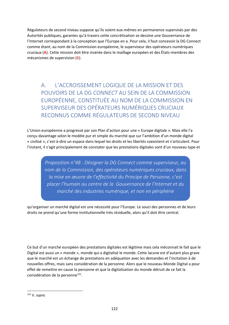Régulateurs de second niveau suppose qu'ils soient eux‐mêmes en permanence supervisés par des Autorités publiques, garantes qu'à travers cette concrétisation se dessine une Gouvernance de l'Internet correspondant à la conception que l'Europe en a. Pour cela, il faut concevoir la DG Connect comme étant, au nom de la Commission européenne, le superviseur des opérateurs numériques cruciaux (**A**). Cette mission doit être insérée dans le maillage européen et des États‐membres des mécanismes de supervision (B).

A. L'ACCROISSEMENT LOGIQUE DE LA MISSION ET DES POUVOIRS DE LA DG *CONNECT* AU SEIN DE LA COMMISSION EUROPÉENNE, CONSTITUÉE AU NOM DE LA COMMISSION EN SUPERVISEUR DES OPÉRATEURS NUMÉRIQUES CRUCIAUX RECONNUS COMME RÉGULATEURS DE SECOND NIVEAU

L'Union européenne a progressé par son Plan d'action pour une « Europe digitale ». Mais elle l'a conçu davantage selon le modèle pur et simple du marché que sur l'ambition d'un monde digital « civilisé », c'est‐à‐dire un espace dans lequel les droits et les libertés coexistent et s'articulent. Pour l'instant, il s'agit principalement de constater que les prestations digitales sont d'un nouveau type et

> *Proposition n°48 : Désigner la DG Connect comme superviseur, au nom de la Commission, des opérateurs numériques cruciaux, dans la mise en œuvre de l'effectivité du Principe de Personne, c'est placer l'humain au centre de la Gouvernance de l'Internet et du marché des industries numérique, et non en périphérie*

qu'organiser un marché digital est une nécessité pour l'Europe. Le souci des personnes et de leurs droits ne prend qu'une forme institutionnelle très résiduelle, alors qu'il doit être central.

Ce but d'un marché européen des prestations digitales est légitime mais cela méconnait le fait que le Digital est aussi un « monde », monde qui a digitalisé le monde. Cette lacune est d'autant plus grave que le marché est un échange de prestations en adéquation avec les demandes et l'incitation à de nouvelles offres, mais sans considération de la personne. Alors que le nouveau Monde Digital a pour effet de remettre en cause la personne et que la digitalisation du monde détruit de ce fait la considération de la personne<sup>151</sup>.

<sup>151</sup> V. *supra.*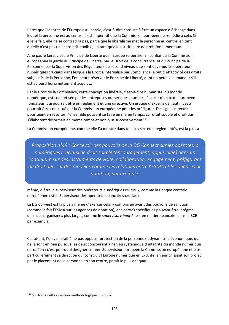Parce que l'identité de l'Europe est libérale, c'est‐à‐dire consiste à être un espace d'échange dans lequel la personne est au centre, il est impératif que la Commission européenne remédie à cela. Si elle le fait, elle ne se contredira pas, parce que le libéralisme met la personne au centre, en tant qu'elle n'est pas une chose disponible, en tant qu'elle est titulaire de droit fondamentaux.

A ne pas le faire, c'est le Principe de Liberté que l'Europe va perdre. En confiant à la Commission européenne la garde du Principe de Liberté, par le Droit de la concurrence, et du Principe de la Personne, par la Supervision des Régulateurs de second niveau que sont devenus les opérateurs numériques cruciaux dans lesquels le Droit a internalisé par Compliance le but d'effectivité des droits subjectifs de la Personne, l'on peut préserver le Principe de Liberté, dont on peut se demander s'il est aujourd'hui si nettement acquis …

Par le Droit de la Compliance, cette conception libérale, c'est-à-dire humaniste, du monde numérique, est concrétisée par les entreprises numériques cruciales, à partir d'un texte européen fondateur, qui pourrait être un règlement et une directive. Un groupe d'experts de haut niveau pourrait être constitué par la Commission européenne pour les préfigurer. Des lignes directrices pourraient en résulter, l'ensemble pouvant se faire en même temps, car droit souple et droit dur s'élaborent désormais en même temps et non plus successivement<sup>152</sup>.

La Commission européenne, comme elle l'a montré dans tous les secteurs réglementés, est la plus à

*Proposition n°49 : Concevoir des pouvoirs de la DG Connect sur les opérateurs numériques cruciaux de droit souple (encouragement, appui, aide) dans un continuum sur des instruments de visite, collaboration, engagement, préfigurant du droit dur, sur des modèles comme les relations entre l'ESMA et les agences de notation, par exemple.*

même, d'être le superviseur des opérateurs numériques cruciaux, comme la Banque centrale européenne est le Superviseur des opérateurs bancaires cruciaux.

La DG *Connect* est la plus à même d'exercer cela, y compris en ayant des pouvoirs de sanction (comme le fait l'ESMA sur les agences de notation), des *boards* spécifiques pouvant être intégrés dans des organismes plus larges, comme le *supervisory board* l'est en matière bancaire dans la BCE par exemple.

Ce faisant, l'on veillerait à ne pas opposer protection de la personne et dynamisme économique, qui ne le sont en rien puisque les deux concourent à l'enjeu systémique d'intégrité du monde numérique européen : c'est pourquoi désigner comme Superviseur européen la Commission européenne et plus particulièrement sa direction qui construit l'Europe numérique en Ex Ante, en enrichissant son projet par le placement de la personne en son centre, paraît le plus adéquat.

<sup>152</sup> Sur toute cette question méthodologique, v. *supra.*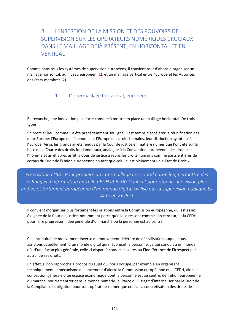## B. L'INSERTION DE LA MISSION ET DES POUVOIRS DE SUPERVISION SUR LES OPÉRATEURS NUMÉRIQUES CRUCIAUX DANS LE MAILLAGE DÉJÀ PRÉSENT, EN HORIZONTAL ET EN **VERTICAL**

Comme dans tous les systèmes de supervision européens, il convient tout d'abord d'organiser un maillage horizontal, au niveau européen (**1**), et un maillage vertical entre l'Europe et les Autorités des États‐membres (**2**).

### 1. L'intermaillage horizontal, européen

En revanche, une innovation plus forte consiste à mettre en place un maillage horizontal. De trois types.

En premier lieu, comme il a été précédemment souligné, il est temps d'accélérer la réunification des deux Europe, l'Europe de l'économie et l'Europe des droits humains, leur distinction ayant nui à l'Europe. Ainsi, les grands arrêts rendus par la Cour de justice en matière numérique l'ont été sur la base de la Charte des droits fondamentaux, analogue à la Convention européenne des droits de l'homme et arrêt après arrêt la Cour de justice a repris les droits humains comme parts entières du corpus du Droit de l'Union européenne en tant que celui‐ci est pleinement un « État de Droit ».

*Proposition n°50 : Pour produire un intermaillage horizontal européen, permettre des échanges d'information entre la CEDH et la DG Connect pour obtenir une vision plus unifiée et fortement européenne d'un monde digital civilisé par la supervision publique Ex Ante et Ex Post*

Il convient d'organiser plus fortement les relations entre la Commission européenne, qui est assez éloignée de la Cour de justice, notamment parce qu'elle la ressent comme son censeur, et la CEDH, pour faire progresser l'idée générale d'un marché où la personne est au centre.

Cela produirait le mouvement inverse du mouvement délétère de décivilisation auquel nous assistons actuellement, d'un monde digital qui méconnait la personne, ce qui conduit à un monde où, d'une façon plus générale, celle‐ci disparaît sous les insultes ou l'indifférence de l'irrespect par autrui de ses droits.

En effet, si l'on rapproche à propos du sujet qui nous occupe, par exemple en organisant techniquement le mécanisme du lancement d'alerte la Commission européenne et la CEDH, alors la conception générale d'un espace économique dont la personne est au centre, définition européenne du marché, pourrait entrer dans le monde numérique. Parce qu'il s'agit d'internaliser par le Droit de la Compliance l'obligation pour tout opérateur numérique crucial la concrétisation des droits de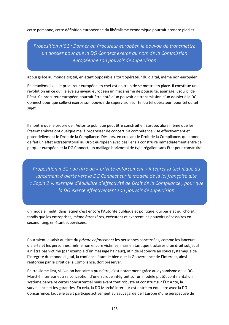cette personne, cette définition européenne du libéralisme économique pourrait prendre pied et

*Proposition n°51 : Donner au Procureur européen le pouvoir de transmettre un dossier pour que la DG Connect exerce au nom de la Commission européenne son pouvoir de supervision* 

appui grâce au monde digital, en étant opposable à tout opérateur du digital, même non‐européen.

En deuxième lieu, le procureur européen en chef est en train de se mettre en place. Il constitue une révolution en ce qu'il élève au niveau européen un mécanisme de poursuite, apanage jusqu'ici de l'Etat. Ce procureur européen pourrait être doté d'un pouvoir de transmission d'un dossier à la DG Connect pour que celle‐ci exerce son pouvoir de supervision sur tel ou tel opérateur, pour tel ou tel sujet.

Il montre que le propre de l'Autorité publique peut être construit en Europe, alors même que les États‐membres ont quelque mal à progresser de concert. Sa compétence vise effectivement et potentiellement le Droit de la Compliance. Dès lors, en croisant le Droit de la Compliance, qui donne de fait un effet extraterritorial au Droit européen avec des liens à construire immédiatement entre ce parquet européen et la DG Connect, un maillage horizontal de type régalien sans État peut construire

*Proposition n°52 : au titre du « private enforcement » intégrer la technique du lancement d'alerte vers la DG Connect sur le modèle de la loi française dite « Sapin 2 », exemple d'équilibre d'effectivité de Droit de la Compliance , pour que la DG exerce effectivement son pouvoir de supervision* 

un modèle inédit, dans lequel c'est encore l'Autorité publique et politique, qui parle et qui choisit, tandis que les entreprises, même étrangères, exécutent et exercent les pouvoirs nécessaires en second rang, en étant supervisées.

Pourraient la saisir au titre du *private enforcement* les personnes concernées, comme les lanceurs d'alerte et les personnes, même non encore victimes, mais en tant que titulaires d'un droit subjectif à n'être pas victime (par exemple d'un message haineux), afin de répondre au souci systémique de l'intégrité du monde digital, la confiance étant le bien que la Gouvernance de l'Internet, ainsi renforcée par le Droit de la Compliance, doit préserver.

En troisième lieu, si l'Union bancaire a pu naître, c'est notamment grâce au dynamisme de la DG Marché intérieur et à sa conception d'une Europe intégrant sur un modèle plutôt continental un système bancaire certes concurrentiel mais avant tout robuste et construit sur l'Ex Ante, la surveillance et les garanties. En cela, la DG Marché intérieur est entré en équilibre avec la DG Concurrence, laquelle avait participé activement au sauvegarde de l'Europe d'une perspective de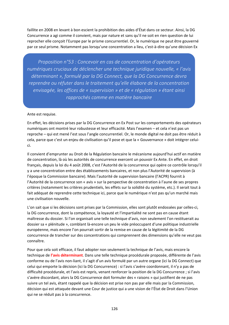faillite en 2008 en levant à bon escient la prohibition des aides d'État dans ce secteur. Ainsi, la DG Concurrence a agi comme il convient, mais par nature et sans qu'il ne soit en rien question de lui reprocher elle conçoit l'Europe par le prisme concurrentiel. Or, le numérique ne peut être gouverné par ce seul prisme. Notamment pas lorsqu'une concentration a lieu, c'est‐à‐dire qu'une décision Ex

*Proposition n°53 : Concevoir en cas de concentration d'opérateurs numériques cruciaux de déclencher une technique juridique nouvelle, « l'avis déterminant », formulé par la DG Connect, que la DG Concurrence devra reprendre ou réfuter dans le traitement qu'elle élabore de la concentration envisagée, les offices de « supervision » et de « régulation » étant ainsi rapprochés comme en matière bancaire* 

Ante est requise.

En effet, les décisions prises par la DG Concurrence en Ex Post sur les comportements des opérateurs numériques ont montré leur robustesse et leur efficacité. Mais l'examen – et cela n'est pas un reproche – qui est mené l'est sous l'angle concurrentiel. Or, le monde digital ne doit pas être réduit à cela, parce que c'est un enjeu de civilisation qu'il pose et que la « Gouvernance » doit intégrer celui‐ ci.

Il convient d'emprunter au Droit de la Régulation bancaire le mécanisme aujourd'hui actif en matière de concentration, là où les autorités de concurrence exercent un pouvoir Ex Ante. En effet, en droit français, depuis la loi du 4 août 2008, c'est l'Autorité de la concurrence qui opère ce contrôle lorsqu'il y a une concentration entre des établissements bancaires, et non plus l'Autorité de supervision (à l'époque la Commission bancaire). Mais l'autorité de supervision bancaire (l'ACPR) fournit à l'Autorité de la concurrence son « avis » sur la perspective de concentration à l'aune de ses propres critères (notamment les critères prudentiels, les effets sur la solidité du système, etc.). Il serait tout à fait adéquat de reprendre cette technique ici, parce que le numérique n'est pas qu'un marché mais une civilisation nouvelle.

L'on sait que si les décisions sont prises par la Commission, elles sont plutôt endossées par celles‐ci, la DG concurrence, dont la compétence, la loyauté et l'impartialité ne sont pas en cause étant maîtresse du dossier. Si l'on organisait une telle technique d'avis, non seulement l'on restituerait au dossier sa « plénitude », comblant là‐encore un peu le vide préoccupant d'une politique industrielle européenne, mais encore l'on pourrait sortir de la remise en cause de la légitimité de la DG concurrence de trancher sur des concentrations qui comprennent des dimensions qu'elle ne veut pas connaître.

Pour que cela soit efficace, il faut adopter non seulement la technique de l'avis, mais encore la technique de **l'avis déterminant**. Dans une telle technique procédurale proposée, différente de l'avis conforme ou de l'avis non‐liant, il s'agit d'un avis formulé par un autre organe (ici la DG Connect) que celui qui emporte la décision (ici la DG Concurrence) : si l'avis s'avère coordonnant, il n'y a pas de difficulté procédurale, et l'avis est repris, venant renforcer la position de la DG Concurrence ; si l'avis s'avère discordant, alors la DG Concurrence doit formuler des « raisons » qui justifient de ne pas suivre un tel avis, étant rappelé que la décision est prise non pas par elle mais par la Commission, décision qui est attaquée devant une Cour de justice qui a une vision de l'État de Droit dans l'Union qui ne se réduit pas à la concurrence.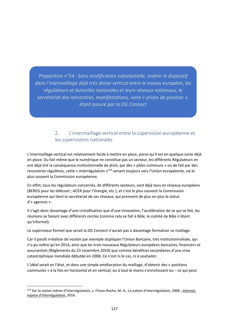*Proposition n°54 : Sans modification substantielle, insérer le dispositif dans l'intermaillage déjà très dense vertical entre le niveau européen, les régulateurs et Autorités nationales et leurs réseaux nationaux, le secrétariat des rencontres, manifestations, voire « prises de position », étant assuré par la DG Connect* 

## 2. L'intermaillage vertical entre la supervision européenne et les supervisions nationales

L'intermaillage vertical est relativement facile à mettre en place, parce qu'il est en quelque sorte déjà en place. Du fait même que le numérique ne constitue pas un secteur, les différents Régulateurs en ont déjà tiré la conséquence institutionnelle de droit, par des « pôles communs » ou de fait par des rencontres régulières, cette « interrégulation »<sup>153</sup> venant toujours vers l'Union européenne, via le plus souvent la Commission européenne.

En effet, tous les régulateurs concernés, de différents secteurs, sont déjà tous en réseaux européens (BEREG pour les télécom ; ACER pour l'énergie, etc.), et c'est le plus souvent la Commission européenne qui tient le secrétariat de ces réseaux, qui prennent de plus en plus le statut d'« agences ».

Il s'agit donc davantage d'une cristallisation que d'une innovation, l'accélération de ce qui se fait, les réunions se faisant avec différents cercles (comme cela se fait à Bâle, le comité de Bâle n'étant qu'informel).

Le superviseur formel que serait la DG *Connect* n'aurait pas à davantage formaliser ce maillage.

Car il paraît irréaliste de vouloir par exemple dupliquer l'Union Bancaire, très institutionnalisée, qui n'a pu naître qu'en 2014, ainsi que les trois nouveaux Régulateurs européens bancaires, financiers et assurantiels (Règlements du 23 novembre 2010) que comme bénéfices secondaires d'une crise catastrophique mondiale débutée en 2008. Ce n'est ni le cas, ni à souhaiter.

L'idéal serait en l'état, et dans une simple amélioration du maillage, d'obtenir des « positions communes » à la fois en horizontal et en vertical, ou à tout le moins s'enrichissant ou – ce qui peut

<sup>153</sup> Sur la notion même d'interrégulation, v. Frison‐Roche, M.‐A., La notion d'interrégulation, 2006 ; *Internet, espace d'interrégulation*, 2016.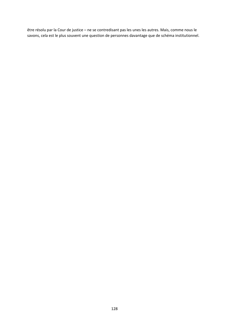être résolu par la Cour de justice – ne se contredisant pas les unes les autres. Mais, comme nous le savons, cela est le plus souvent une question de personnes davantage que de schéma institutionnel.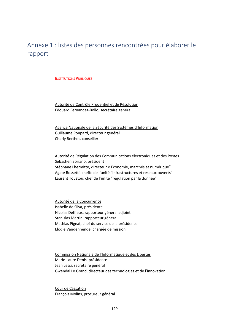# Annexe 1 : listes des personnes rencontrées pour élaborer le rapport

#### **INSTITUTIONS PUBLIQUES**

Autorité de Contrôle Prudentiel et de Résolution Edouard Fernandez‐Bollo, secrétaire général

Agence Nationale de la Sécurité des Systèmes d'Information Guillaume Poupard, directeur général Charly Berthet, conseiller

Autorité de Régulation des Communications électroniques et des Postes Sébastien Soriano, président Stéphane Lhermitte, directeur « Economie, marchés et numérique" Agate Rossetti, cheffe de l'unité "infrastructures et réseaux ouverts" Laurent Toustou, chef de l'unité "régulation par la donnée"

Autorité de la Concurrence Isabelle de Silva, présidente Nicolas Deffieux, rapporteur général adjoint Stanislas Martin, rapporteur général Mathias Pigeat, chef du service de la présidence Elodie Vandenhende, chargée de mission

Commission Nationale de l'Informatique et des Libertés Marie‐Laure Denis, présidente Jean Lessi, secrétaire général Gwendal Le Grand, directeur des technologies et de l'innovation

Cour de Cassation François Molins, procureur général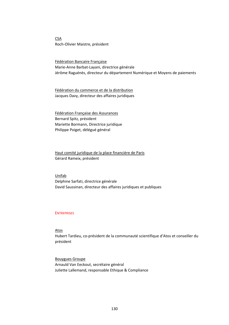**CSA** Roch‐Olivier Maistre, président

Fédération Bancaire Française Marie‐Anne Barbat‐Layani, directrice générale Jérôme Raguénès, directeur du département Numérique et Moyens de paiements

Fédération du commerce et de la distribution Jacques Davy, directeur des affaires juridiques

Fédération Française des Assurances Bernard Spitz, président Mariette Bormann, Directrice juridique Philippe Poiget, délégué général

Haut comité juridique de la place financière de Paris Gérard Rameix, président

Unifab Delphine Sarfati, directrice générale David Saussinan, directeur des affaires juridiques et publiques

#### **ENTREPRISES**

Atos

Hubert Tardieu, co‐président de la communauté scientifique d'Atos et conseiller du président

Bouygues Groupe Arnauld Van Eeckout, secrétaire général Juliette Lallemand, responsable Ethique & Compliance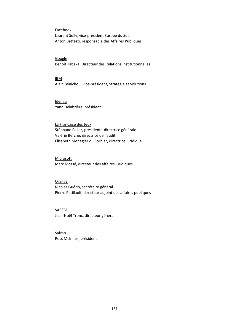#### Facebook

Laurent Solly, vice‐président Europe du Sud Anton Battesti, responsable des Affaires Publiques

#### **Google**

Benoît Tabaka, Directeur des Relations Institutionnelles

IBM Alain Bénichou, vice‐président, Stratégie et Solutions

### Idemia

Yann Delabrière, président

La Française des Jeux Stéphane Pallez, présidente‐directrice générale Valérie Berche, directrice de l'audit Elisabeth Monegier du Sorbier, directrice juridique

#### Microsoft

Marc Mossé, directeur des affaires juridiques

#### Orange

Nicolas Guérin, secrétaire général Pierre Petillault, directeur adjoint des affaires publiques

### SACEM

Jean‐Noël Tronc, directeur général

**Safran** Ross McInnes, président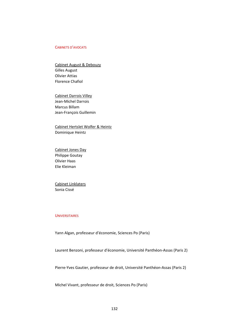#### CABINETS D'AVOCATS

Cabinet August & Debouzy Gilles August Olivier Attias Florence Chafiol

Cabinet Darrois Villey Jean‐Michel Darrois Marcus Billam Jean‐François Guillemin

Cabinet Hertslet Wolfer & Heintz Dominique Heintz

Cabinet Jones Day Philippe Goutay Olivier Haas Elie Kleiman

Cabinet Linklaters Sonia Cissé

#### **UNIVERSITAIRES**

Yann Algan, professeur d'économie, Sciences Po (Paris)

Laurent Benzoni, professeur d'économie, Université Panthéon‐Assas (Paris 2)

Pierre‐Yves Gautier, professeur de droit, Université Panthéon‐Assas (Paris 2)

Michel Vivant, professeur de droit, Sciences Po (Paris)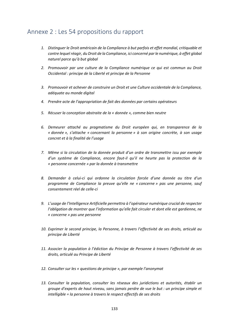# Annexe 2 : Les 54 propositions du rapport

- *1. Distinguer le Droit américain de la Compliance à but parfois et effet mondial, critiquable et contre lequel réagir, du Droit de la Compliance, ici concerné par le numérique, à effet global naturel parce qu'à but global*
- *2. Promouvoir par une culture de la Compliance numérique ce qui est commun au Droit Occidental : principe de la Liberté et principe de la Personne*
- *3. Promouvoir et achever de construire un Droit et une Culture occidentale de la Compliance, adéquate au monde digital*
- *4. Prendre acte de l'appropriation de fait des données par certains opérateurs*
- *5. Récuser la conception abstraite de la « donnée », comme bien neutre*
- *6. Demeurer attaché au pragmatisme du Droit européen qui, en transparence de la « donnée », s'attache « concernant la personne » à son origine concrète, à son usage concret et à la finalité de l'usage*
- *7. Même si la circulation de la donnée produit d'un ordre de transmettre issu par exemple d'un système de Compliance, encore faut‐il qu'il ne heurte pas la protection de la « personne concernée » par la donnée à transmettre*
- *8. Demander à celui‐ci qui ordonne la circulation forcée d'une donnée au titre d'un programme de Compliance la preuve qu'elle ne « concerne » pas une personne, sauf consentement réel de celle‐ci*
- *9. L'usage de l'Intelligence Artificielle permettra à l'opérateur numérique crucial de respecter l'obligation de montrer que l'information qu'elle fait circuler et dont elle est gardienne, ne « concerne » pas une personne*
- *10. Exprimer le second principe, la Personne, à travers l'effectivité de ses droits, articulé au principe de Liberté*
- *11. Associer la population à l'édiction du Principe de Personne à travers l'effectivité de ses droits, articulé au Principe de Liberté*
- *12. Consulter sur les « questions de principe », par exemple l'anonymat*
- *13. Consulter la population, consulter les réseaux des juridictions et autorités, établir un groupe d'experts de haut niveau, sans jamais perdre de vue le but : un principe simple et intelligible = la personne à travers le respect effectifs de ses droits*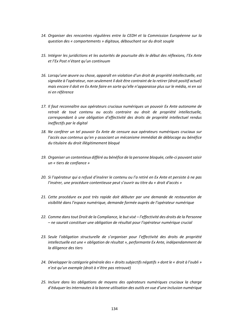- *14. Organiser des rencontres régulières entre la CEDH et la Commission Européenne sur la question des « comportements » digitaux, débouchant sur du droit souple*
- *15. Intégrer les juridictions et les autorités de poursuite dès le début des réflexions, l'Ex Ante et l'Ex Post n'étant qu'un continuum*
- *16. Lorsqu'une œuvre ou chose, apparaît en violation d'un droit de propriété intellectuelle, est signalée à l'opérateur, non seulement il doit être contraint de la retirer (droit positif actuel) mais encore il doit en Ex Ante faire en sorte qu'elle n'apparaisse plus sur le média, ni en soi ni en référence*
- *17. Il faut reconnaître aux opérateurs cruciaux numériques un pouvoir Ex Ante autonome de retrait de tout contenu ou accès contraire au droit de propriété intellectuelle, correspondant à une obligation d'effectivité des droits de propriété intellectuel rendus ineffectifs par le digital*
- *18. Ne conférer un tel pouvoir Ex Ante de censure aux opérateurs numériques cruciaux sur l'accès aux contenus qu'en y associant un mécanisme immédiat de déblocage au bénéfice du titulaire du droit illégitimement bloqué*
- *19. Organiser un contentieux différé au bénéfice de la personne bloquée, celle‐ci pouvant saisir un « tiers de confiance »*
- *20. Si l'opérateur qui a refusé d'insérer le contenu ou l'a retiré en Ex Ante et persiste à ne pas l'insérer, une procédure contentieuse peut s'ouvrir au titre du « droit d'accès »*
- *21. Cette procédure ex post très rapide doit débuter par une demande de restauration de visibilité dans l'espace numérique, demande formée auprès de l'opérateur numérique*
- *22. Comme dans tout Droit de la Compliance, le but visé l'effectivité des droits de la Personne – ne saurait constituer une obligation de résultat pour l'opérateur numérique crucial*
- *23. Seule l'obligation structurelle de s'organiser pour l'effectivité des droits de propriété intellectuelle est une « obligation de résultat », performante Ex Ante, indépendamment de la diligence des tiers*
- *24. Développer la catégorie générale des « droits subjectifs négatifs » dont le « droit à l'oubli » n'est qu'un exemple (droit à n'être pas retrouvé)*
- *25. Inclure dans les obligations de moyens des opérateurs numériques cruciaux la charge d'éduquer les internautes à la bonne utilisation des outils en vue d'une inclusion numérique*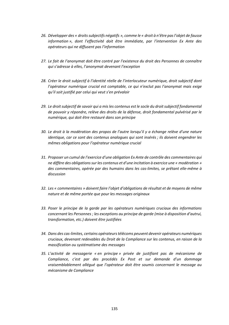- *26. Développer des « droits subjectifs négatifs », comme le « droit à n'être pas l'objet de fausse information », dont l'effectivité doit être immédiate, par l'intervention Ex Ante des opérateurs qui ne diffusent pas l'information*
- *27. Le fait de l'anonymat doit être contré par l'existence du droit des Personnes de connaître qui s'adresse à elles, l'anonymat devenant l'exception*
- *28. Créer le droit subjectif à l'identité réelle de l'interlocuteur numérique, droit subjectif dont l'opérateur numérique crucial est comptable, ce qui n'exclut pas l'anonymat mais exige qu'il soit justifié par celui qui veut s'en prévaloir*
- *29. Le droit subjectif de savoir qui a mis les contenus est le socle du droit subjectif fondamental de pouvoir y répondre, relève des droits de la défense, droit fondamental pulvérisé par le numérique, qui doit être restauré dans son principe*
- *30. Le droit à la modération des propos de l'autre lorsqu'il y a échange relève d'une nature identique, car ce sont des contenus analogues qui sont insérés ; ils doivent engendrer les mêmes obligations pour l'opérateur numérique crucial*
- *31. Proposer un cumul de l'exercice d'une obligation Ex Ante de contrôle des commentaires qui ne diffère des obligations sur les contenus et d'une incitation à exercice une « modération » des commentaires, opérée par des humains dans les cas‐limites, se prêtant elle‐même à discussion*
- *32. Les « commentaires » doivent faire l'objet d'obligations de résultat et de moyens de même nature et de même portée que pour les messages originaux*
- *33. Poser le principe de la garde par les opérateurs numériques cruciaux des informations concernant les Personnes ; les exceptions au principe de garde (mise à disposition d'autrui, transformation, etc.) doivent être justifiées*
- *34. Dans des cas‐limites, certains opérateurs télécoms peuvent devenir opérateurs numériques cruciaux, devenant redevables du Droit de la Compliance sur les contenus, en raison de la massification ou systématisme des messages*
- *35. L'activité de messagerie « en principe » privée de justifiant pas de mécanisme de Compliance, c'est par des procédés Ex Post et sur demande d'un dommage vraisemblablement allégué que l'opérateur doit être soumis concernant le message au mécanisme de Compliance*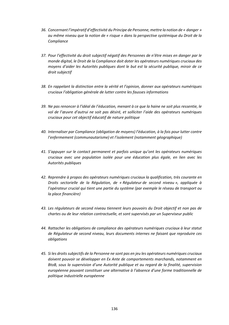- *36. Concernant l'impératif d'effectivité du Principe de Personne, mettre la notion de « danger » au même niveau que la notion de « risque » dans la perspective systémique du Droit de la Compliance*
- *37. Pour l'effectivité du droit subjectif négatif des Personnes de n'être mises en danger par le monde digital, le Droit de la Compliance doit doter les opérateurs numériques cruciaux des moyens d'aider les Autorités publiques dont le but est la sécurité publique, miroir de ce droit subjectif*
- *38. En rappelant la distinction entre la vérité et l'opinion, donner aux opérateurs numériques cruciaux l'obligation générale de lutter contre les fausses informations*
- *39. Ne pas renoncer à l'idéal de l'éducation, menant à ce que la haine ne soit plus ressentie, le vol de l'œuvre d'autrui ne soit pas désiré, et solliciter l'aide des opérateurs numériques cruciaux pour cet objectif éducatif de nature politique*
- *40. Internaliser par Compliance (obligation de moyens) l'éducation, à la fois pour lutter contre l'enfermement (communautarisme) et l'isolement (notamment géographique)*
- *41. S'appuyer sur le contact permanent et parfois unique qu'ont les opérateurs numériques cruciaux avec une population isolée pour une éducation plus égale, en lien avec les Autorités publiques*
- *42. Reprendre à propos des opérateurs numériques cruciaux la qualification, très courante en Droits sectorielle de la Régulation, de « Régulateur de second niveau », appliquée à l'opérateur crucial qui tient une partie du système (par exemple le réseau de transport ou la place financière)*
- *43. Les régulateurs de second niveau tiennent leurs pouvoirs du Droit objectif et non pas de chartes ou de leur relation contractuelle, et sont supervisés par un Superviseur public*
- *44. Rattacher les obligations de compliance des opérateurs numériques cruciaux à leur statut de Régulateur de second niveau, leurs documents internes ne faisant que reproduire ces obligations*
- *45. Si les droits subjectifs de la Personne ne sont pas en jeu les opérateurs numériques cruciaux doivent pouvoir se développer en Ex Ante de comportements marchands, notamment en BtoB, sous la supervision d'une Autorité publique et au regard de la finalité, supervision européenne pouvant constituer une alternative à l'absence d'une forme traditionnelle de politique industrielle européenne*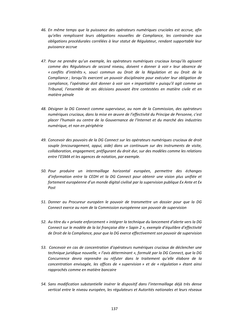- *46. En même temps que la puissance des opérateurs numériques cruciales est accrue, afin qu'elles remplissent leurs obligations nouvelles de Compliance, les contraindre aux obligations procédurales corrélées à leur statut de Régulateur, rendant supportable leur puissance accrue*
- *47. Pour ne prendre qu'un exemple, les opérateurs numériques cruciaux lorsqu'ils agissent comme des Régulateurs de second niveau, doivent « donner à voir » leur absence de « conflits d'intérêts », souci commun au Droit de la Régulation et au Droit de la Compliance ; lorsqu'ils exercent un pouvoir disciplinaire pour exécuter leur obligation de compliance, l'opérateur doit donner à voir son « impartialité » puisqu'il agit comme un Tribunal, l'ensemble de ses décisions pouvant être contestées en matière civile et en matière pénale*
- *48. Désigner la DG Connect comme superviseur, au nom de la Commission, des opérateurs numériques cruciaux, dans la mise en œuvre de l'effectivité du Principe de Personne, c'est placer l'humain au centre de la Gouvernance de l'Internet et du marché des industries numérique, et non en périphérie*
- *49. Concevoir des pouvoirs de la DG Connect sur les opérateurs numériques cruciaux de droit souple (encouragement, appui, aide) dans un continuum sur des instruments de visite, collaboration, engagement, préfigurant du droit dur, sur des modèles comme les relations entre l'ESMA et les agences de notation, par exemple.*
- *50. Pour produire un intermaillage horizontal européen, permettre des échanges d'information entre la CEDH et la DG Connect pour obtenir une vision plus unifiée et fortement européenne d'un monde digital civilisé par la supervision publique Ex Ante et Ex Post*
- *51. Donner au Procureur européen le pouvoir de transmettre un dossier pour que la DG Connect exerce au nom de la Commission européenne son pouvoir de supervision*
- *52. Au titre du « private enforcement » intégrer la technique du lancement d'alerte vers la DG Connect sur le modèle de la loi française dite « Sapin 2 », exemple d'équilibre d'effectivité de Droit de la Compliance, pour que la DG exerce effectivement son pouvoir de supervision*
- *53. Concevoir en cas de concentration d'opérateurs numériques cruciaux de déclencher une technique juridique nouvelle, « l'avis déterminant », formulé par la DG Connect, que la DG Concurrence devra reprendre ou réfuter dans le traitement qu'elle élabore de la concentration envisagée, les offices de « supervision » et de « régulation » étant ainsi rapprochés comme en matière bancaire*
- *54. Sans modification substantielle insérer le dispositif dans l'intermaillage déjà très dense vertical entre le niveau européen, les régulateurs et Autorités nationales et leurs réseaux*